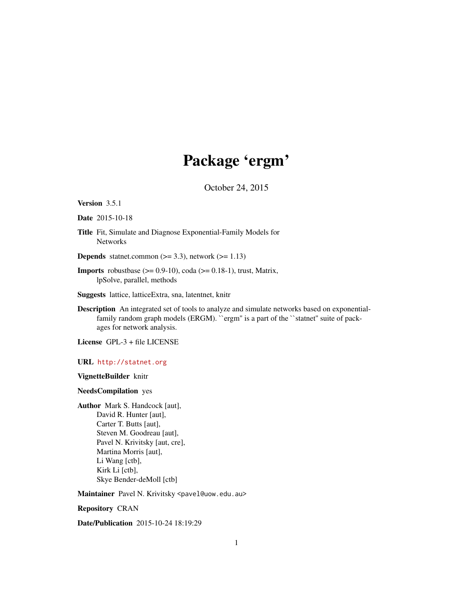# Package 'ergm'

October 24, 2015

#### <span id="page-0-0"></span>Version 3.5.1

Date 2015-10-18

Title Fit, Simulate and Diagnose Exponential-Family Models for **Networks** 

**Depends** statnet.common  $(>= 3.3)$ , network  $(>= 1.13)$ 

**Imports** robustbase  $(>= 0.9-10)$ , coda  $(>= 0.18-1)$ , trust, Matrix, lpSolve, parallel, methods

Suggests lattice, latticeExtra, sna, latentnet, knitr

Description An integrated set of tools to analyze and simulate networks based on exponentialfamily random graph models (ERGM). "ergm" is a part of the "statnet" suite of packages for network analysis.

License GPL-3 + file LICENSE

URL <http://statnet.org>

VignetteBuilder knitr

NeedsCompilation yes

Author Mark S. Handcock [aut], David R. Hunter [aut], Carter T. Butts [aut], Steven M. Goodreau [aut], Pavel N. Krivitsky [aut, cre], Martina Morris [aut], Li Wang [ctb], Kirk Li [ctb], Skye Bender-deMoll [ctb]

Maintainer Pavel N. Krivitsky <pavel@uow.edu.au>

Repository CRAN

Date/Publication 2015-10-24 18:19:29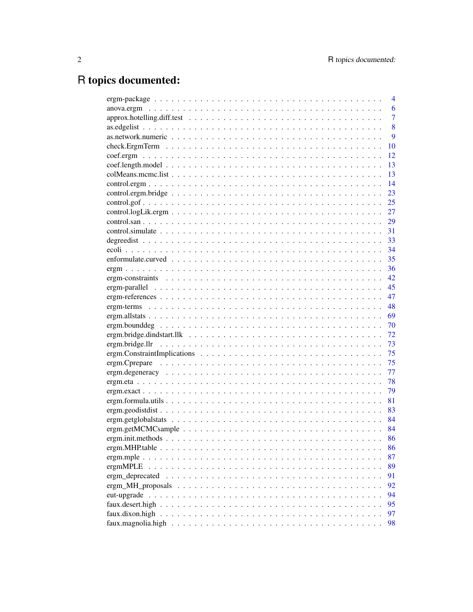# R topics documented:

|                 | 4    |
|-----------------|------|
|                 | 6    |
|                 | 7    |
|                 | 8    |
|                 | 9    |
|                 | 10   |
|                 | 12   |
|                 | 13   |
|                 | 13   |
|                 | 14   |
|                 | 23   |
|                 | 25   |
|                 | 27   |
|                 | 29   |
|                 | 31   |
|                 | 33   |
|                 | 34   |
|                 | 35   |
|                 | 36   |
|                 | 42   |
|                 | 45   |
|                 | 47   |
|                 | 48   |
|                 | 69   |
|                 | 70   |
|                 | 72   |
|                 | 73   |
|                 | 75   |
|                 | 75   |
|                 | 77   |
|                 | 78   |
|                 | 79   |
|                 | 81   |
|                 | 83   |
|                 | - 84 |
|                 | 84   |
|                 | 86   |
|                 | 86   |
|                 | 87   |
| ergmMPLE        | 89   |
|                 | 91   |
|                 | 92   |
| eut-upgrade     | 94   |
|                 | 95   |
| faux.dixon.high | 97   |
|                 | 98   |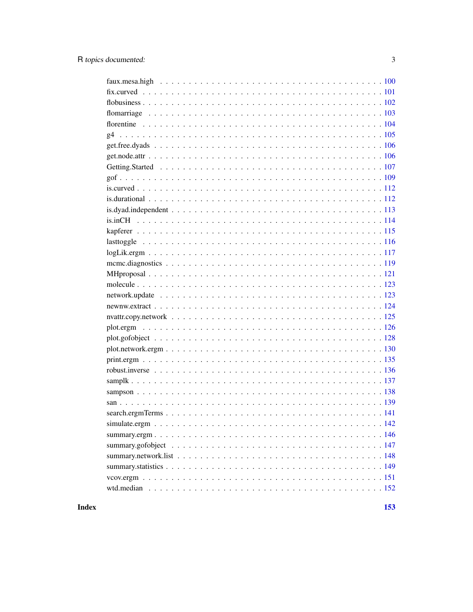**Index**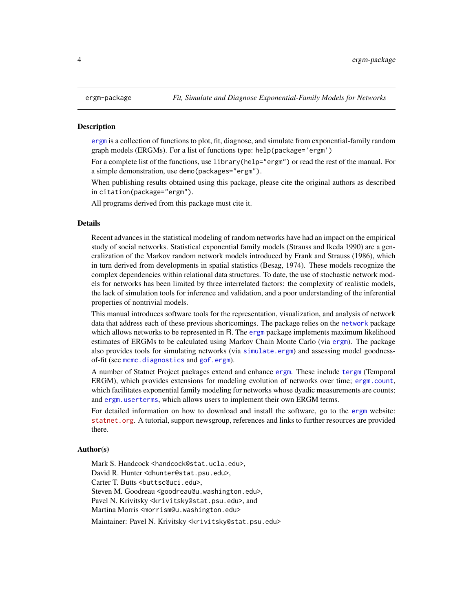#### <span id="page-3-1"></span><span id="page-3-0"></span>**Description**

[ergm](#page-3-1) is a collection of functions to plot, fit, diagnose, and simulate from exponential-family random graph models (ERGMs). For a list of functions type: help(package='ergm')

For a complete list of the functions, use library(help="ergm") or read the rest of the manual. For a simple demonstration, use demo(packages="ergm").

When publishing results obtained using this package, please cite the original authors as described in citation(package="ergm").

All programs derived from this package must cite it.

#### Details

Recent advances in the statistical modeling of random networks have had an impact on the empirical study of social networks. Statistical exponential family models (Strauss and Ikeda 1990) are a generalization of the Markov random network models introduced by Frank and Strauss (1986), which in turn derived from developments in spatial statistics (Besag, 1974). These models recognize the complex dependencies within relational data structures. To date, the use of stochastic network models for networks has been limited by three interrelated factors: the complexity of realistic models, the lack of simulation tools for inference and validation, and a poor understanding of the inferential properties of nontrivial models.

This manual introduces software tools for the representation, visualization, and analysis of network data that address each of these previous shortcomings. The package relies on the [network](#page-0-0) package which allows networks to be represented in R. The [ergm](#page-3-1) package implements maximum likelihood estimates of ERGMs to be calculated using Markov Chain Monte Carlo (via [ergm](#page-35-1)). The package also provides tools for simulating networks (via [simulate.ergm](#page-141-1)) and assessing model goodnessof-fit (see [mcmc.diagnostics](#page-118-1) and [gof.ergm](#page-108-1)).

A number of Statnet Project packages extend and enhance [ergm](#page-3-1). These include [tergm](#page-0-0) (Temporal ERGM), which provides extensions for modeling evolution of networks over time; [ergm.count](#page-0-0), which facilitates exponential family modeling for networks whose dyadic measurements are counts; and [ergm.userterms](#page-0-0), which allows users to implement their own ERGM terms.

For detailed information on how to download and install the software, go to the [ergm](#page-3-1) website: <statnet.org>. A tutorial, support newsgroup, references and links to further resources are provided there.

#### Author(s)

Mark S. Handcock <handcock@stat.ucla.edu>, David R. Hunter <dhunter@stat.psu.edu>, Carter T. Butts <br/>buttsc@uci.edu>, Steven M. Goodreau <goodreau@u.washington.edu>, Pavel N. Krivitsky <krivitsky@stat.psu.edu>, and Martina Morris <morrism@u.washington.edu> Maintainer: Pavel N. Krivitsky <krivitsky@stat.psu.edu>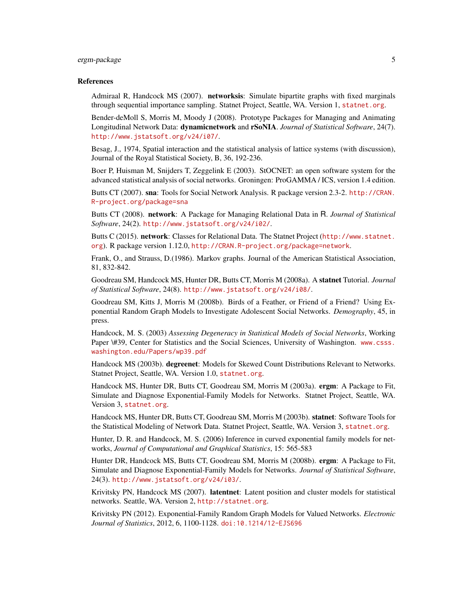## ergm-package 5

#### References

Admiraal R, Handcock MS (2007). networksis: Simulate bipartite graphs with fixed marginals through sequential importance sampling. Statnet Project, Seattle, WA. Version 1, <statnet.org>.

Bender-deMoll S, Morris M, Moody J (2008). Prototype Packages for Managing and Animating Longitudinal Network Data: dynamicnetwork and rSoNIA. *Journal of Statistical Software*, 24(7). <http://www.jstatsoft.org/v24/i07/>.

Besag, J., 1974, Spatial interaction and the statistical analysis of lattice systems (with discussion), Journal of the Royal Statistical Society, B, 36, 192-236.

Boer P, Huisman M, Snijders T, Zeggelink E (2003). StOCNET: an open software system for the advanced statistical analysis of social networks. Groningen: ProGAMMA / ICS, version 1.4 edition.

Butts CT (2007). sna: Tools for Social Network Analysis. R package version 2.3-2. [http://CRAN.](http://CRAN.R-project.org/package=sna) [R-project.org/package=sna](http://CRAN.R-project.org/package=sna)

Butts CT (2008). network: A Package for Managing Relational Data in R. *Journal of Statistical Software*, 24(2). <http://www.jstatsoft.org/v24/i02/>.

Butts C (2015). network: Classes for Relational Data. The Statnet Project ([http://www.statnet.](http://www.statnet.org) [org](http://www.statnet.org)). R package version 1.12.0, <http://CRAN.R-project.org/package=network>.

Frank, O., and Strauss, D.(1986). Markov graphs. Journal of the American Statistical Association, 81, 832-842.

Goodreau SM, Handcock MS, Hunter DR, Butts CT, Morris M (2008a). A statnet Tutorial. *Journal of Statistical Software*, 24(8). <http://www.jstatsoft.org/v24/i08/>.

Goodreau SM, Kitts J, Morris M (2008b). Birds of a Feather, or Friend of a Friend? Using Exponential Random Graph Models to Investigate Adolescent Social Networks. *Demography*, 45, in press.

Handcock, M. S. (2003) *Assessing Degeneracy in Statistical Models of Social Networks*, Working Paper \#39, Center for Statistics and the Social Sciences, University of Washington. [www.csss.](www.csss.washington.edu/Papers/wp39.pdf) [washington.edu/Papers/wp39.pdf](www.csss.washington.edu/Papers/wp39.pdf)

Handcock MS (2003b). degreenet: Models for Skewed Count Distributions Relevant to Networks. Statnet Project, Seattle, WA. Version 1.0, <statnet.org>.

Handcock MS, Hunter DR, Butts CT, Goodreau SM, Morris M (2003a). ergm: A Package to Fit, Simulate and Diagnose Exponential-Family Models for Networks. Statnet Project, Seattle, WA. Version 3, <statnet.org>.

Handcock MS, Hunter DR, Butts CT, Goodreau SM, Morris M (2003b). statnet: Software Tools for the Statistical Modeling of Network Data. Statnet Project, Seattle, WA. Version 3, <statnet.org>.

Hunter, D. R. and Handcock, M. S. (2006) Inference in curved exponential family models for networks, *Journal of Computational and Graphical Statistics*, 15: 565-583

Hunter DR, Handcock MS, Butts CT, Goodreau SM, Morris M (2008b). ergm: A Package to Fit, Simulate and Diagnose Exponential-Family Models for Networks. *Journal of Statistical Software*, 24(3). <http://www.jstatsoft.org/v24/i03/>.

Krivitsky PN, Handcock MS (2007). latentnet: Latent position and cluster models for statistical networks. Seattle, WA. Version 2, <http://statnet.org>.

Krivitsky PN (2012). Exponential-Family Random Graph Models for Valued Networks. *Electronic Journal of Statistics*, 2012, 6, 1100-1128. [doi:10.1214/12-EJS696](http://dx.doi.org/10.1214/12-EJS696)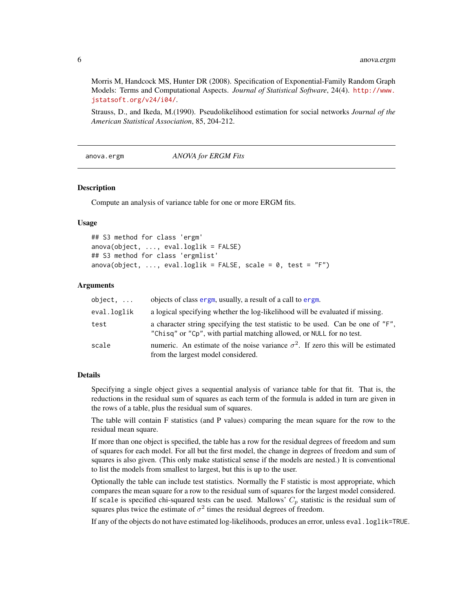Morris M, Handcock MS, Hunter DR (2008). Specification of Exponential-Family Random Graph Models: Terms and Computational Aspects. *Journal of Statistical Software*, 24(4). [http://www.](http://www.jstatsoft.org/v24/i04/) [jstatsoft.org/v24/i04/](http://www.jstatsoft.org/v24/i04/).

Strauss, D., and Ikeda, M.(1990). Pseudolikelihood estimation for social networks *Journal of the American Statistical Association*, 85, 204-212.

anova.ergm *ANOVA for ERGM Fits*

#### <span id="page-5-1"></span>Description

Compute an analysis of variance table for one or more ERGM fits.

#### Usage

```
## S3 method for class 'ergm'
anova(object, ..., eval.loglik = FALSE)
## S3 method for class 'ergmlist'
anova(object, ..., eval.loglik = FALSE, scale = 0, test = "F")
```
#### Arguments

| object.     | objects of class ergm, usually, a result of a call to ergm.                                                                                             |
|-------------|---------------------------------------------------------------------------------------------------------------------------------------------------------|
| eval.loglik | a logical specifying whether the log-likelihood will be evaluated if missing.                                                                           |
| test        | a character string specifying the test statistic to be used. Can be one of "F",<br>"Chisq" or "Cp", with partial matching allowed, or NULL for no test. |
| scale       | numeric. An estimate of the noise variance $\sigma^2$ . If zero this will be estimated<br>from the largest model considered.                            |

#### Details

Specifying a single object gives a sequential analysis of variance table for that fit. That is, the reductions in the residual sum of squares as each term of the formula is added in turn are given in the rows of a table, plus the residual sum of squares.

The table will contain F statistics (and P values) comparing the mean square for the row to the residual mean square.

If more than one object is specified, the table has a row for the residual degrees of freedom and sum of squares for each model. For all but the first model, the change in degrees of freedom and sum of squares is also given. (This only make statistical sense if the models are nested.) It is conventional to list the models from smallest to largest, but this is up to the user.

Optionally the table can include test statistics. Normally the F statistic is most appropriate, which compares the mean square for a row to the residual sum of squares for the largest model considered. If scale is specified chi-squared tests can be used. Mallows'  $C_p$  statistic is the residual sum of squares plus twice the estimate of  $\sigma^2$  times the residual degrees of freedom.

If any of the objects do not have estimated log-likelihoods, produces an error, unless eval.loglik=TRUE.

<span id="page-5-0"></span>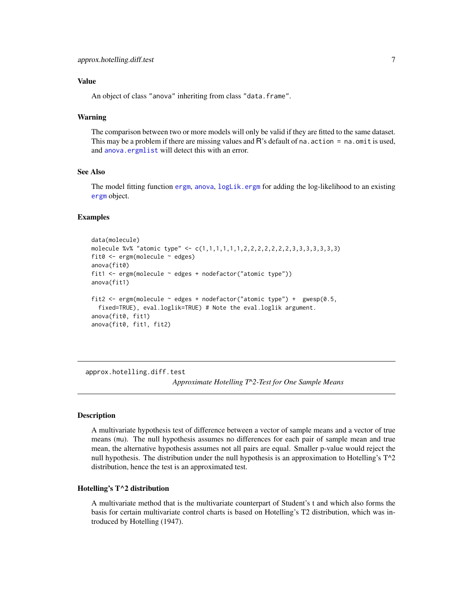# <span id="page-6-0"></span>Value

An object of class "anova" inheriting from class "data.frame".

#### Warning

The comparison between two or more models will only be valid if they are fitted to the same dataset. This may be a problem if there are missing values and R's default of na. action = na. omit is used, and [anova.ergmlist](#page-5-1) will detect this with an error.

# See Also

The model fitting function [ergm](#page-35-1), [anova](#page-0-0), [logLik.ergm](#page-116-1) for adding the log-likelihood to an existing [ergm](#page-35-2) object.

#### Examples

```
data(molecule)
molecule %v% "atomic type" \leq c(1,1,1,1,1,1,2,2,2,2,2,2,2,3,3,3,3,3,3,3)
fit0 \leq ergm(molecule \sim edges)
anova(fit0)
fit1 <- ergm(molecule ~ edges + nodefactor("atomic type"))
anova(fit1)
fit2 <- ergm(molecule ~ edges + nodefactor("atomic type") + gwesp(0.5,
  fixed=TRUE), eval.loglik=TRUE) # Note the eval.loglik argument.
anova(fit0, fit1)
anova(fit0, fit1, fit2)
```
approx.hotelling.diff.test *Approximate Hotelling T^2-Test for One Sample Means*

#### **Description**

A multivariate hypothesis test of difference between a vector of sample means and a vector of true means (mu). The null hypothesis assumes no differences for each pair of sample mean and true mean, the alternative hypothesis assumes not all pairs are equal. Smaller p-value would reject the null hypothesis. The distribution under the null hypothesis is an approximation to Hotelling's T^2 distribution, hence the test is an approximated test.

# Hotelling's T^2 distribution

A multivariate method that is the multivariate counterpart of Student's t and which also forms the basis for certain multivariate control charts is based on Hotelling's T2 distribution, which was introduced by Hotelling (1947).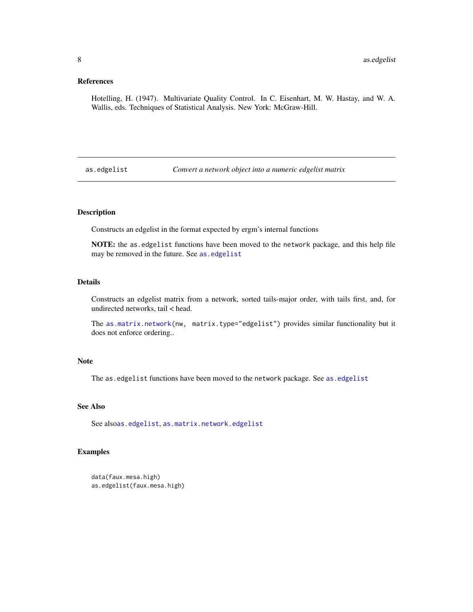# <span id="page-7-0"></span>References

Hotelling, H. (1947). Multivariate Quality Control. In C. Eisenhart, M. W. Hastay, and W. A. Wallis, eds. Techniques of Statistical Analysis. New York: McGraw-Hill.

<span id="page-7-1"></span>as.edgelist *Convert a network object into a numeric edgelist matrix*

# Description

Constructs an edgelist in the format expected by ergm's internal functions

NOTE: the as.edgelist functions have been moved to the network package, and this help file may be removed in the future. See [as.edgelist](#page-7-1)

# Details

Constructs an edgelist matrix from a network, sorted tails-major order, with tails first, and, for undirected networks, tail < head.

The [as.matrix.network\(](#page-0-0)nw, matrix.type="edgelist") provides similar functionality but it does not enforce ordering..

#### Note

The [as.edgelist](#page-7-1) functions have been moved to the network package. See as.edgelist

# See Also

See also[as.edgelist](#page-7-1), [as.matrix.network.edgelist](#page-0-0)

# Examples

```
data(faux.mesa.high)
as.edgelist(faux.mesa.high)
```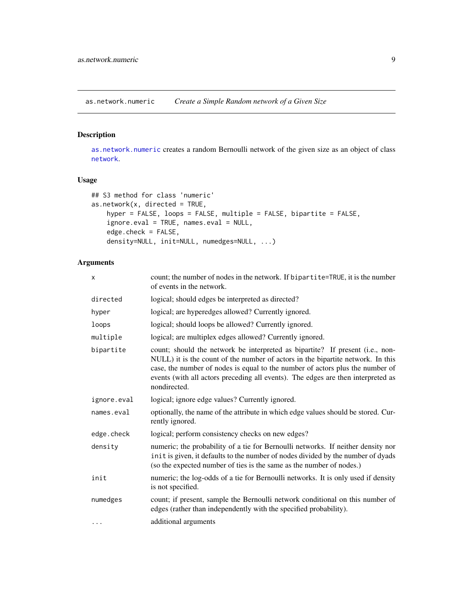<span id="page-8-1"></span><span id="page-8-0"></span>as.network.numeric *Create a Simple Random network of a Given Size*

# Description

[as.network.numeric](#page-8-1) creates a random Bernoulli network of the given size as an object of class [network](#page-0-0).

# Usage

```
## S3 method for class 'numeric'
as.network(x, directed = TRUE,hyper = FALSE, loops = FALSE, multiple = FALSE, bipartite = FALSE,
    ignore.eval = TRUE, names.eval = NULL,
    edge.check = FALSE,
    density=NULL, init=NULL, numedges=NULL, ...)
```
# Arguments

| X           | count; the number of nodes in the network. If bipartite=TRUE, it is the number<br>of events in the network.                                                                                                                                                                                                                                           |
|-------------|-------------------------------------------------------------------------------------------------------------------------------------------------------------------------------------------------------------------------------------------------------------------------------------------------------------------------------------------------------|
| directed    | logical; should edges be interpreted as directed?                                                                                                                                                                                                                                                                                                     |
| hyper       | logical; are hyperedges allowed? Currently ignored.                                                                                                                                                                                                                                                                                                   |
| loops       | logical; should loops be allowed? Currently ignored.                                                                                                                                                                                                                                                                                                  |
| multiple    | logical; are multiplex edges allowed? Currently ignored.                                                                                                                                                                                                                                                                                              |
| bipartite   | count; should the network be interpreted as bipartite? If present (i.e., non-<br>NULL) it is the count of the number of actors in the bipartite network. In this<br>case, the number of nodes is equal to the number of actors plus the number of<br>events (with all actors preceding all events). The edges are then interpreted as<br>nondirected. |
| ignore.eval | logical; ignore edge values? Currently ignored.                                                                                                                                                                                                                                                                                                       |
| names.eval  | optionally, the name of the attribute in which edge values should be stored. Cur-<br>rently ignored.                                                                                                                                                                                                                                                  |
| edge.check  | logical; perform consistency checks on new edges?                                                                                                                                                                                                                                                                                                     |
| density     | numeric; the probability of a tie for Bernoulli networks. If neither density nor<br>init is given, it defaults to the number of nodes divided by the number of dyads<br>(so the expected number of ties is the same as the number of nodes.)                                                                                                          |
| init        | numeric; the log-odds of a tie for Bernoulli networks. It is only used if density<br>is not specified.                                                                                                                                                                                                                                                |
| numedges    | count; if present, sample the Bernoulli network conditional on this number of<br>edges (rather than independently with the specified probability).                                                                                                                                                                                                    |
| $\cdots$    | additional arguments                                                                                                                                                                                                                                                                                                                                  |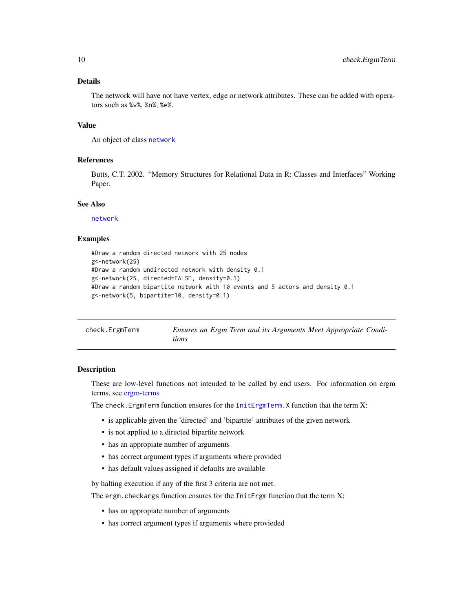# <span id="page-9-0"></span>Details

The network will have not have vertex, edge or network attributes. These can be added with operators such as %v%, %n%, %e%.

# Value

An object of class [network](#page-0-0)

#### References

Butts, C.T. 2002. "Memory Structures for Relational Data in R: Classes and Interfaces" Working Paper.

## See Also

[network](#page-0-0)

#### Examples

```
#Draw a random directed network with 25 nodes
g<-network(25)
#Draw a random undirected network with density 0.1
g<-network(25, directed=FALSE, density=0.1)
#Draw a random bipartite network with 10 events and 5 actors and density 0.1
g<-network(5, bipartite=10, density=0.1)
```

| check.ErgmTerm |       |  |  |  | Ensures an Ergm Term and its Arguments Meet Appropriate Condi- |  |
|----------------|-------|--|--|--|----------------------------------------------------------------|--|
|                | tions |  |  |  |                                                                |  |

#### Description

These are low-level functions not intended to be called by end users. For information on ergm terms, see [ergm-terms](#page-47-1)

The check.ErgmTerm function ensures for the [InitErgmTerm.](#page-47-2)X function that the term X:

- is applicable given the 'directed' and 'bipartite' attributes of the given network
- is not applied to a directed bipartite network
- has an appropiate number of arguments
- has correct argument types if arguments where provided
- has default values assigned if defaults are available

by halting execution if any of the first 3 criteria are not met.

The ergm.checkargs function ensures for the InitErgm function that the term  $X$ :

- has an appropiate number of arguments
- has correct argument types if arguments where provieded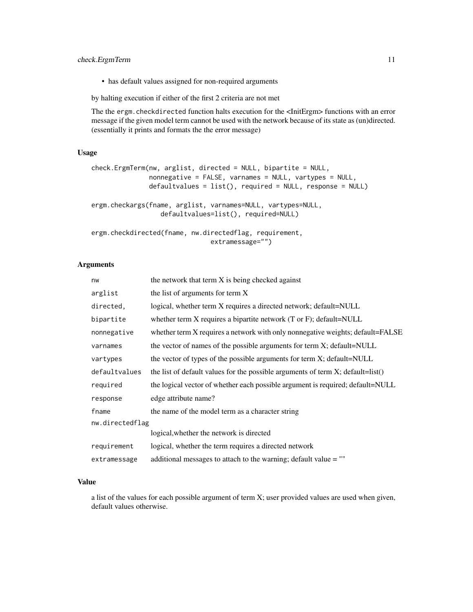# check.ErgmTerm 11

• has default values assigned for non-required arguments

by halting execution if either of the first 2 criteria are not met

The the ergm.checkdirected function halts execution for the <InitErgm> functions with an error message if the given model term cannot be used with the network because of its state as (un)directed. (essentially it prints and formats the the error message)

# Usage

```
check.ErgmTerm(nw, arglist, directed = NULL, bipartite = NULL,
               nonnegative = FALSE, varnames = NULL, vartypes = NULL,
               defaultvalues = list(), required = NULL, response = NULL)
ergm.checkargs(fname, arglist, varnames=NULL, vartypes=NULL,
                  defaultvalues=list(), required=NULL)
ergm.checkdirected(fname, nw.directedflag, requirement,
                               extramessage="")
```
#### Arguments

| nw              | the network that term X is being checked against                                   |
|-----------------|------------------------------------------------------------------------------------|
| arglist         | the list of arguments for term X                                                   |
| directed,       | logical, whether term X requires a directed network; default=NULL                  |
| bipartite       | whether term $X$ requires a bipartite network (T or F); default=NULL               |
| nonnegative     | whether term X requires a network with only nonnegative weights; default=FALSE     |
| varnames        | the vector of names of the possible arguments for term X; default=NULL             |
| vartypes        | the vector of types of the possible arguments for term X; default=NULL             |
| defaultvalues   | the list of default values for the possible arguments of term $X$ ; default=list() |
| required        | the logical vector of whether each possible argument is required; default=NULL     |
| response        | edge attribute name?                                                               |
| fname           | the name of the model term as a character string                                   |
| nw.directedflag |                                                                                    |
|                 | logical, whether the network is directed                                           |
| requirement     | logical, whether the term requires a directed network                              |
| extramessage    | additional messages to attach to the warning; default value $=$ ""                 |

#### Value

a list of the values for each possible argument of term X; user provided values are used when given, default values otherwise.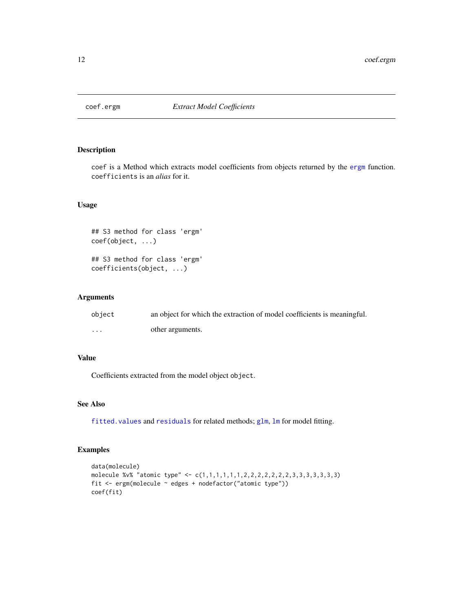<span id="page-11-0"></span>

#### Description

coef is a Method which extracts model coefficients from objects returned by the [ergm](#page-35-1) function. coefficients is an *alias* for it.

# Usage

```
## S3 method for class 'ergm'
coef(object, ...)
## S3 method for class 'ergm'
coefficients(object, ...)
```
# Arguments

| object   | an object for which the extraction of model coefficients is meaningful. |
|----------|-------------------------------------------------------------------------|
| $\cdots$ | other arguments.                                                        |

# Value

Coefficients extracted from the model object object.

# See Also

fitted. values and [residuals](#page-0-0) for related methods; [glm](#page-0-0), [lm](#page-0-0) for model fitting.

# Examples

```
data(molecule)
molecule %v% "atomic type" <- c(1,1,1,1,1,1,2,2,2,2,2,2,2,3,3,3,3,3,3,3)
fit <- ergm(molecule ~ edges + nodefactor("atomic type"))
coef(fit)
```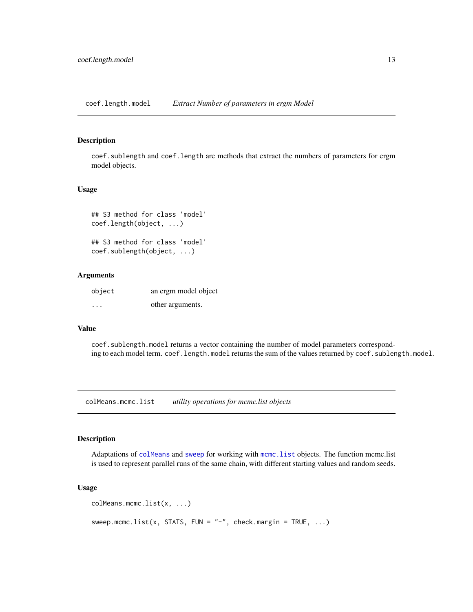<span id="page-12-0"></span>coef.length.model *Extract Number of parameters in ergm Model*

# Description

coef.sublength and coef.length are methods that extract the numbers of parameters for ergm model objects.

#### Usage

```
## S3 method for class 'model'
coef.length(object, ...)
```

```
## S3 method for class 'model'
coef.sublength(object, ...)
```
#### Arguments

| object  | an ergm model object |
|---------|----------------------|
| $\cdot$ | other arguments.     |

#### Value

coef.sublength.model returns a vector containing the number of model parameters corresponding to each model term. coef. length.model returns the sum of the values returned by coef. sublength.model.

colMeans.mcmc.list *utility operations for mcmc.list objects*

#### Description

Adaptations of [colMeans](#page-0-0) and [sweep](#page-0-0) for working with [mcmc.list](#page-0-0) objects. The function mcmc.list is used to represent parallel runs of the same chain, with different starting values and random seeds.

#### Usage

```
colMeans.mcmc.list(x, ...)
sweep.mcmc.list(x, STATS, FUN = "-", check.margin = TRUE, ...)
```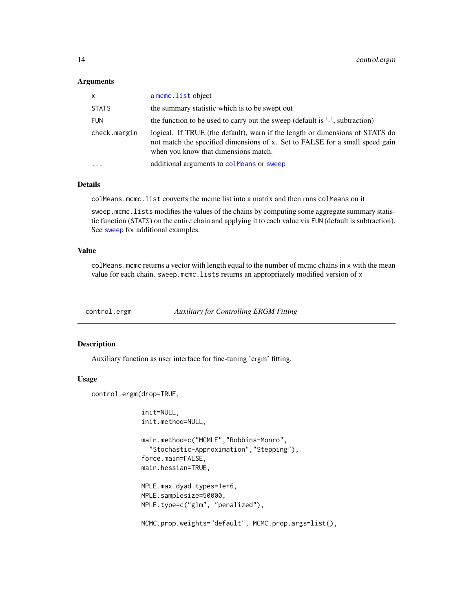#### <span id="page-13-0"></span>**Arguments**

| X            | a mcmc. list object                                                                                                                                                                                  |
|--------------|------------------------------------------------------------------------------------------------------------------------------------------------------------------------------------------------------|
| STATS        | the summary statistic which is to be swept out                                                                                                                                                       |
| <b>FUN</b>   | the function to be used to carry out the sweep (default is '-', subtraction)                                                                                                                         |
| check.margin | logical. If TRUE (the default), warn if the length or dimensions of STATS do<br>not match the specified dimensions of x. Set to FALSE for a small speed gain<br>when you know that dimensions match. |
| .            | additional arguments to colleans or sweep                                                                                                                                                            |
|              |                                                                                                                                                                                                      |

# Details

colMeans.mcmc.list converts the mcmc list into a matrix and then runs colMeans on it

sweep.mcmc.lists modifies the values of the chains by computing some aggregate summary statistic function (STATS) on the entire chain and applying it to each value via FUN (default is subtraction). See [sweep](#page-0-0) for additional examples.

# Value

colMeans.mcmc returns a vector with length equal to the number of mcmc chains in x with the mean value for each chain. sweep.mcmc.lists returns an appropriately modified version of x

<span id="page-13-1"></span>control.ergm *Auxiliary for Controlling ERGM Fitting*

# Description

Auxiliary function as user interface for fine-tuning 'ergm' fitting.

#### Usage

control.ergm(drop=TRUE,

```
init=NULL,
init.method=NULL,
main.method=c("MCMLE","Robbins-Monro",
  "Stochastic-Approximation","Stepping"),
force.main=FALSE,
main.hessian=TRUE,
MPLE.max.dyad.types=1e+6,
MPLE.samplesize=50000,
MPLE.type=c("glm", "penalized"),
MCMC.prop.weights="default", MCMC.prop.args=list(),
```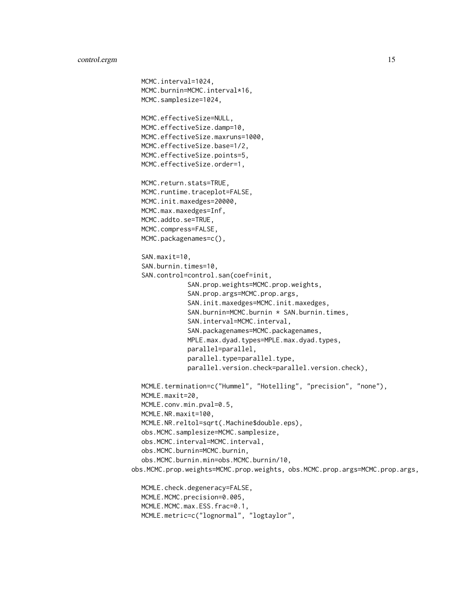```
MCMC.interval=1024,
  MCMC.burnin=MCMC.interval*16,
  MCMC.samplesize=1024,
  MCMC.effectiveSize=NULL,
  MCMC.effectiveSize.damp=10,
  MCMC.effectiveSize.maxruns=1000,
  MCMC.effectiveSize.base=1/2,
  MCMC.effectiveSize.points=5,
  MCMC.effectiveSize.order=1,
  MCMC.return.stats=TRUE,
  MCMC.runtime.traceplot=FALSE,
  MCMC.init.maxedges=20000,
  MCMC.max.maxedges=Inf,
  MCMC.addto.se=TRUE,
  MCMC.compress=FALSE,
  MCMC.packagenames=c(),
  SAN.maxit=10,
  SAN.burnin.times=10,
  SAN.control=control.san(coef=init,
              SAN.prop.weights=MCMC.prop.weights,
              SAN.prop.args=MCMC.prop.args,
              SAN.init.maxedges=MCMC.init.maxedges,
               SAN.burnin=MCMC.burnin * SAN.burnin.times,
               SAN.interval=MCMC.interval,
              SAN.packagenames=MCMC.packagenames,
              MPLE.max.dyad.types=MPLE.max.dyad.types,
              parallel=parallel,
              parallel.type=parallel.type,
              parallel.version.check=parallel.version.check),
  MCMLE.termination=c("Hummel", "Hotelling", "precision", "none"),
  MCMLE.maxit=20,
  MCMLE.conv.min.pval=0.5,
  MCMLE.NR.maxit=100,
  MCMLE.NR.reltol=sqrt(.Machine$double.eps),
  obs.MCMC.samplesize=MCMC.samplesize,
  obs.MCMC.interval=MCMC.interval,
  obs.MCMC.burnin=MCMC.burnin,
  obs.MCMC.burnin.min=obs.MCMC.burnin/10,
obs.MCMC.prop.weights=MCMC.prop.weights, obs.MCMC.prop.args=MCMC.prop.args,
  MCMLE.check.degeneracy=FALSE,
  MCMLE.MCMC.precision=0.005,
  MCMLE.MCMC.max.ESS.frac=0.1,
  MCMLE.metric=c("lognormal", "logtaylor",
```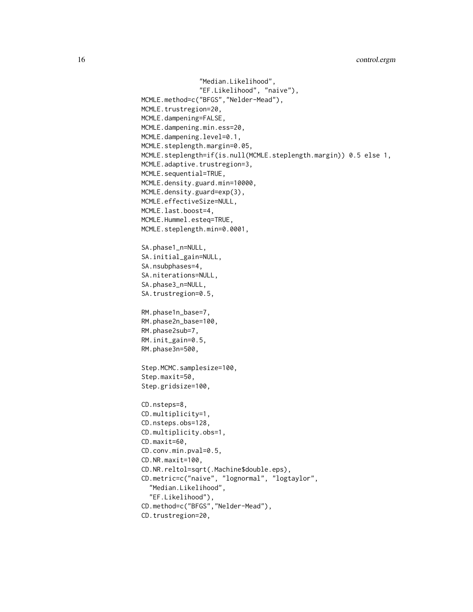```
"Median.Likelihood",
               "EF.Likelihood", "naive"),
MCMLE.method=c("BFGS","Nelder-Mead"),
MCMLE.trustregion=20,
MCMLE.dampening=FALSE,
MCMLE.dampening.min.ess=20,
MCMLE.dampening.level=0.1,
MCMLE.steplength.margin=0.05,
MCMLE.steplength=if(is.null(MCMLE.steplength.margin)) 0.5 else 1,
MCMLE.adaptive.trustregion=3,
MCMLE.sequential=TRUE,
MCMLE.density.guard.min=10000,
MCMLE.density.guard=exp(3),
MCMLE.effectiveSize=NULL,
MCMLE.last.boost=4,
MCMLE.Hummel.esteq=TRUE,
MCMLE.steplength.min=0.0001,
SA.phase1_n=NULL,
SA.initial_gain=NULL,
SA.nsubphases=4,
SA.niterations=NULL,
SA.phase3_n=NULL,
SA.trustregion=0.5,
RM.phase1n_base=7,
RM.phase2n_base=100,
RM.phase2sub=7,
RM.init_gain=0.5,
RM.phase3n=500,
Step.MCMC.samplesize=100,
Step.maxit=50,
Step.gridsize=100,
CD.nsteps=8,
CD.multiplicity=1,
CD.nsteps.obs=128,
CD.multiplicity.obs=1,
CD.maxit=60,
CD.conv.min.pval=0.5,
CD.NR.maxit=100,
CD.NR.reltol=sqrt(.Machine$double.eps),
CD.metric=c("naive", "lognormal", "logtaylor",
  "Median.Likelihood",
  "EF.Likelihood"),
CD.method=c("BFGS","Nelder-Mead"),
CD.trustregion=20,
```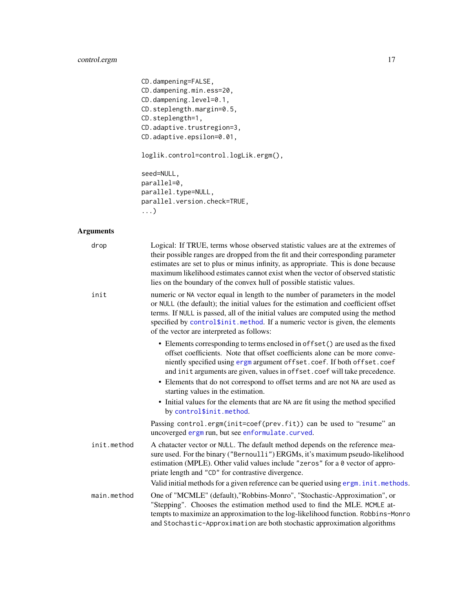# control.ergm 17

```
CD.dampening=FALSE,
CD.dampening.min.ess=20,
CD.dampening.level=0.1,
CD.steplength.margin=0.5,
CD.steplength=1,
CD.adaptive.trustregion=3,
CD.adaptive.epsilon=0.01,
loglik.control=control.logLik.ergm(),
seed=NULL,
parallel=0,
parallel.type=NULL,
parallel.version.check=TRUE,
...)
```
# Arguments

| drop        | Logical: If TRUE, terms whose observed statistic values are at the extremes of<br>their possible ranges are dropped from the fit and their corresponding parameter<br>estimates are set to plus or minus infinity, as appropriate. This is done because<br>maximum likelihood estimates cannot exist when the vector of observed statistic<br>lies on the boundary of the convex hull of possible statistic values.                       |
|-------------|-------------------------------------------------------------------------------------------------------------------------------------------------------------------------------------------------------------------------------------------------------------------------------------------------------------------------------------------------------------------------------------------------------------------------------------------|
| init        | numeric or NA vector equal in length to the number of parameters in the model<br>or NULL (the default); the initial values for the estimation and coefficient offset<br>terms. If NULL is passed, all of the initial values are computed using the method<br>specified by control\$init.method. If a numeric vector is given, the elements<br>of the vector are interpreted as follows:                                                   |
|             | • Elements corresponding to terms enclosed in offset () are used as the fixed<br>offset coefficients. Note that offset coefficients alone can be more conve-<br>niently specified using ergm argument offset.coef. If both offset.coef<br>and init arguments are given, values in offset.coef will take precedence.<br>• Elements that do not correspond to offset terms and are not NA are used as<br>starting values in the estimation. |
|             | • Initial values for the elements that are NA are fit using the method specified<br>by control\$init.method.                                                                                                                                                                                                                                                                                                                              |
|             | Passing control.ergm(init=coef(prev.fit)) can be used to "resume" an<br>uncoverged ergm run, but see enformulate.curved.                                                                                                                                                                                                                                                                                                                  |
| init.method | A chatacter vector or NULL. The default method depends on the reference mea-<br>sure used. For the binary ("Bernoulli") ERGMs, it's maximum pseudo-likelihood<br>estimation (MPLE). Other valid values include "zeros" for a 0 vector of appro-<br>priate length and "CD" for contrastive divergence.                                                                                                                                     |
|             | Valid initial methods for a given reference can be queried using ergm. init. methods.                                                                                                                                                                                                                                                                                                                                                     |
| main.method | One of "MCMLE" (default), "Robbins-Monro", "Stochastic-Approximation", or<br>"Stepping". Chooses the estimation method used to find the MLE. MCMLE at-<br>tempts to maximize an approximation to the log-likelihood function. Robbins-Monro<br>and Stochastic-Approximation are both stochastic approximation algorithms                                                                                                                  |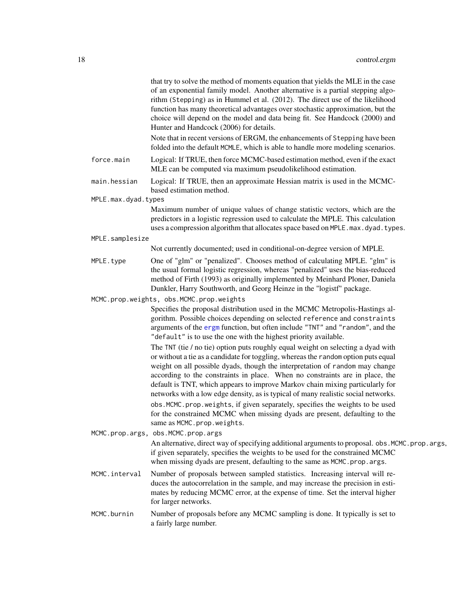|                     | that try to solve the method of moments equation that yields the MLE in the case<br>of an exponential family model. Another alternative is a partial stepping algo-<br>rithm (Stepping) as in Hummel et al. (2012). The direct use of the likelihood<br>function has many theoretical advantages over stochastic approximation, but the<br>choice will depend on the model and data being fit. See Handcock (2000) and<br>Hunter and Handcock (2006) for details.                                                                                                        |
|---------------------|--------------------------------------------------------------------------------------------------------------------------------------------------------------------------------------------------------------------------------------------------------------------------------------------------------------------------------------------------------------------------------------------------------------------------------------------------------------------------------------------------------------------------------------------------------------------------|
|                     | Note that in recent versions of ERGM, the enhancements of Stepping have been<br>folded into the default MCMLE, which is able to handle more modeling scenarios.                                                                                                                                                                                                                                                                                                                                                                                                          |
| force.main          | Logical: If TRUE, then force MCMC-based estimation method, even if the exact<br>MLE can be computed via maximum pseudolikelihood estimation.                                                                                                                                                                                                                                                                                                                                                                                                                             |
| main.hessian        | Logical: If TRUE, then an approximate Hessian matrix is used in the MCMC-<br>based estimation method.                                                                                                                                                                                                                                                                                                                                                                                                                                                                    |
| MPLE.max.dyad.types |                                                                                                                                                                                                                                                                                                                                                                                                                                                                                                                                                                          |
|                     | Maximum number of unique values of change statistic vectors, which are the<br>predictors in a logistic regression used to calculate the MPLE. This calculation                                                                                                                                                                                                                                                                                                                                                                                                           |
|                     | uses a compression algorithm that allocates space based on MPLE.max.dyad.types.                                                                                                                                                                                                                                                                                                                                                                                                                                                                                          |
| MPLE.samplesize     | Not currently documented; used in conditional-on-degree version of MPLE.                                                                                                                                                                                                                                                                                                                                                                                                                                                                                                 |
| MPLE.type           | One of "glm" or "penalized". Chooses method of calculating MPLE. "glm" is<br>the usual formal logistic regression, whereas "penalized" uses the bias-reduced<br>method of Firth (1993) as originally implemented by Meinhard Ploner, Daniela<br>Dunkler, Harry Southworth, and Georg Heinze in the "logistf" package.                                                                                                                                                                                                                                                    |
|                     | MCMC.prop.weights, obs.MCMC.prop.weights                                                                                                                                                                                                                                                                                                                                                                                                                                                                                                                                 |
|                     | Specifies the proposal distribution used in the MCMC Metropolis-Hastings al-<br>gorithm. Possible choices depending on selected reference and constraints<br>arguments of the ergm function, but often include "TNT" and "random", and the<br>"default" is to use the one with the highest priority available.<br>The TNT (tie / no tie) option puts roughly equal weight on selecting a dyad with<br>or without a tie as a candidate for toggling, whereas the random option puts equal<br>weight on all possible dyads, though the interpretation of random may change |
|                     | according to the constraints in place. When no constraints are in place, the<br>default is TNT, which appears to improve Markov chain mixing particularly for<br>networks with a low edge density, as is typical of many realistic social networks.                                                                                                                                                                                                                                                                                                                      |
|                     | obs. MCMC. prop. weights, if given separately, specifies the weights to be used<br>for the constrained MCMC when missing dyads are present, defaulting to the<br>same as MCMC.prop.weights.                                                                                                                                                                                                                                                                                                                                                                              |
|                     | MCMC.prop.args, obs.MCMC.prop.args<br>An alternative, direct way of specifying additional arguments to proposal. obs. MCMC. prop. args,<br>if given separately, specifies the weights to be used for the constrained MCMC<br>when missing dyads are present, defaulting to the same as MCMC.prop.args.                                                                                                                                                                                                                                                                   |
| MCMC.interval       | Number of proposals between sampled statistics. Increasing interval will re-<br>duces the autocorrelation in the sample, and may increase the precision in esti-<br>mates by reducing MCMC error, at the expense of time. Set the interval higher<br>for larger networks.                                                                                                                                                                                                                                                                                                |
| MCMC.burnin         | Number of proposals before any MCMC sampling is done. It typically is set to<br>a fairly large number.                                                                                                                                                                                                                                                                                                                                                                                                                                                                   |
|                     |                                                                                                                                                                                                                                                                                                                                                                                                                                                                                                                                                                          |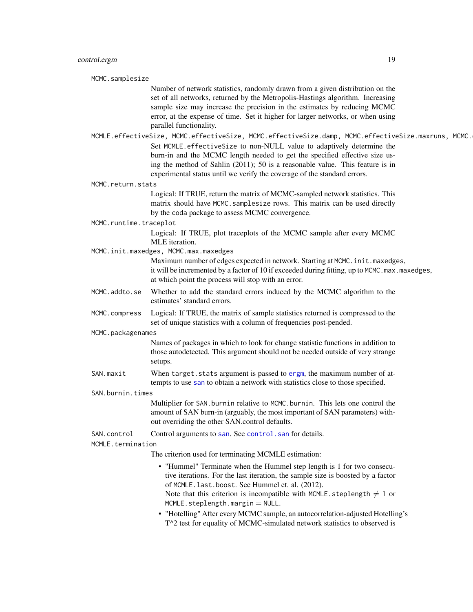MCMC.samplesize

Number of network statistics, randomly drawn from a given distribution on the set of all networks, returned by the Metropolis-Hastings algorithm. Increasing sample size may increase the precision in the estimates by reducing MCMC error, at the expense of time. Set it higher for larger networks, or when using parallel functionality.

MCMLE.effectiveSize, MCMC.effectiveSize, MCMC.effectiveSize.damp, MCMC.effectiveSize.maxruns, MCMC. Set MCMLE.effectiveSize to non-NULL value to adaptively determine the burn-in and the MCMC length needed to get the specified effective size using the method of Sahlin (2011); 50 is a reasonable value. This feature is in experimental status until we verify the coverage of the standard errors.

MCMC.return.stats

Logical: If TRUE, return the matrix of MCMC-sampled network statistics. This matrix should have MCMC.samplesize rows. This matrix can be used directly by the coda package to assess MCMC convergence.

MCMC.runtime.traceplot

Logical: If TRUE, plot traceplots of the MCMC sample after every MCMC MLE iteration.

MCMC.init.maxedges, MCMC.max.maxedges

Maximum number of edges expected in network. Starting at MCMC. init.maxedges, it will be incremented by a factor of 10 if exceeded during fitting, up to MCMC.max.maxedges, at which point the process will stop with an error.

MCMC.addto.se Whether to add the standard errors induced by the MCMC algorithm to the estimates' standard errors.

MCMC.compress Logical: If TRUE, the matrix of sample statistics returned is compressed to the set of unique statistics with a column of frequencies post-pended.

MCMC.packagenames

Names of packages in which to look for change statistic functions in addition to those autodetected. This argument should not be needed outside of very strange setups.

SAN.maxit When target.stats argument is passed to [ergm](#page-35-1), the maximum number of attempts to use [san](#page-138-1) to obtain a network with statistics close to those specified.

SAN.burnin.times

Multiplier for SAN.burnin relative to MCMC.burnin. This lets one control the amount of SAN burn-in (arguably, the most important of SAN parameters) without overriding the other SAN.control defaults.

SAN.control Control arguments to [san](#page-138-1). See [control.san](#page-28-1) for details.

MCMLE.termination

The criterion used for terminating MCMLE estimation:

- "Hummel" Terminate when the Hummel step length is 1 for two consecutive iterations. For the last iteration, the sample size is boosted by a factor of MCMLE.last.boost. See Hummel et. al. (2012). Note that this criterion is incompatible with MCMLE. steplength  $\neq 1$  or  $MCMLE. step length. margin = NULL.$
- "Hotelling" After every MCMC sample, an autocorrelation-adjusted Hotelling's T^2 test for equality of MCMC-simulated network statistics to observed is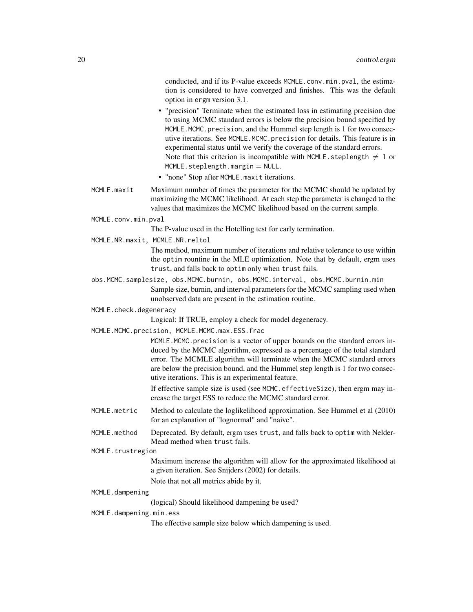conducted, and if its P-value exceeds MCMLE.conv.min.pval, the estimation is considered to have converged and finishes. This was the default option in ergm version 3.1.

- "precision" Terminate when the estimated loss in estimating precision due to using MCMC standard errors is below the precision bound specified by MCMLE.MCMC.precision, and the Hummel step length is 1 for two consecutive iterations. See MCMLE.MCMC.precision for details. This feature is in experimental status until we verify the coverage of the standard errors. Note that this criterion is incompatible with MCMLE. steplength  $\neq 1$  or  $MCMLE.setplength.maxgin = NULL$ .
- "none" Stop after MCMLE.maxit iterations.
- MCMLE.maxit Maximum number of times the parameter for the MCMC should be updated by maximizing the MCMC likelihood. At each step the parameter is changed to the values that maximizes the MCMC likelihood based on the current sample.
- MCMLE.conv.min.pval

The P-value used in the Hotelling test for early termination.

MCMLE.NR.maxit, MCMLE.NR.reltol

The method, maximum number of iterations and relative tolerance to use within the optim rountine in the MLE optimization. Note that by default, ergm uses trust, and falls back to optim only when trust fails.

- obs.MCMC.samplesize, obs.MCMC.burnin, obs.MCMC.interval, obs.MCMC.burnin.min Sample size, burnin, and interval parameters for the MCMC sampling used when unobserved data are present in the estimation routine.
- MCMLE.check.degeneracy

Logical: If TRUE, employ a check for model degeneracy.

MCMLE.MCMC.precision, MCMLE.MCMC.max.ESS.frac

MCMLE.MCMC.precision is a vector of upper bounds on the standard errors induced by the MCMC algorithm, expressed as a percentage of the total standard error. The MCMLE algorithm will terminate when the MCMC standard errors are below the precision bound, and the Hummel step length is 1 for two consecutive iterations. This is an experimental feature.

If effective sample size is used (see MCMC.effectiveSize), then ergm may increase the target ESS to reduce the MCMC standard error.

- MCMLE.metric Method to calculate the loglikelihood approximation. See Hummel et al (2010) for an explanation of "lognormal" and "naive".
- MCMLE.method Deprecated. By default, ergm uses trust, and falls back to optim with Nelder-Mead method when trust fails.
- MCMLE.trustregion

Maximum increase the algorithm will allow for the approximated likelihood at a given iteration. See Snijders (2002) for details.

Note that not all metrics abide by it.

# MCMLE.dampening

(logical) Should likelihood dampening be used?

#### MCMLE.dampening.min.ess

The effective sample size below which dampening is used.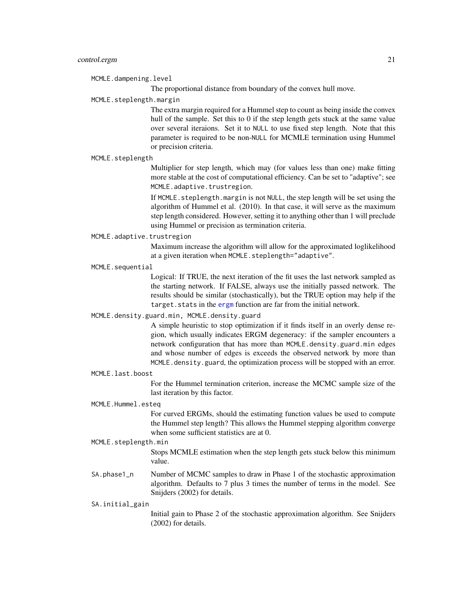MCMLE.dampening.level

The proportional distance from boundary of the convex hull move.

MCMLE.steplength.margin

The extra margin required for a Hummel step to count as being inside the convex hull of the sample. Set this to 0 if the step length gets stuck at the same value over several iteraions. Set it to NULL to use fixed step length. Note that this parameter is required to be non-NULL for MCMLE termination using Hummel or precision criteria.

#### MCMLE.steplength

Multiplier for step length, which may (for values less than one) make fitting more stable at the cost of computational efficiency. Can be set to "adaptive"; see MCMLE.adaptive.trustregion.

If MCMLE. steplength.margin is not NULL, the step length will be set using the algorithm of Hummel et al. (2010). In that case, it will serve as the maximum step length considered. However, setting it to anything other than 1 will preclude using Hummel or precision as termination criteria.

#### MCMLE.adaptive.trustregion

Maximum increase the algorithm will allow for the approximated loglikelihood at a given iteration when MCMLE.steplength="adaptive".

MCMLE.sequential

Logical: If TRUE, the next iteration of the fit uses the last network sampled as the starting network. If FALSE, always use the initially passed network. The results should be similar (stochastically), but the TRUE option may help if the target. stats in the [ergm](#page-35-1) function are far from the initial network.

#### MCMLE.density.guard.min, MCMLE.density.guard

A simple heuristic to stop optimization if it finds itself in an overly dense region, which usually indicates ERGM degeneracy: if the sampler encounters a network configuration that has more than MCMLE.density.guard.min edges and whose number of edges is exceeds the observed network by more than MCMLE.density.guard, the optimization process will be stopped with an error.

#### MCMLE.last.boost

For the Hummel termination criterion, increase the MCMC sample size of the last iteration by this factor.

#### MCMLE.Hummel.esteq

For curved ERGMs, should the estimating function values be used to compute the Hummel step length? This allows the Hummel stepping algorithm converge when some sufficient statistics are at 0.

#### MCMLE.steplength.min

Stops MCMLE estimation when the step length gets stuck below this minimum value.

SA.phase1\_n Number of MCMC samples to draw in Phase 1 of the stochastic approximation algorithm. Defaults to 7 plus 3 times the number of terms in the model. See Snijders (2002) for details.

### SA.initial\_gain

Initial gain to Phase 2 of the stochastic approximation algorithm. See Snijders (2002) for details.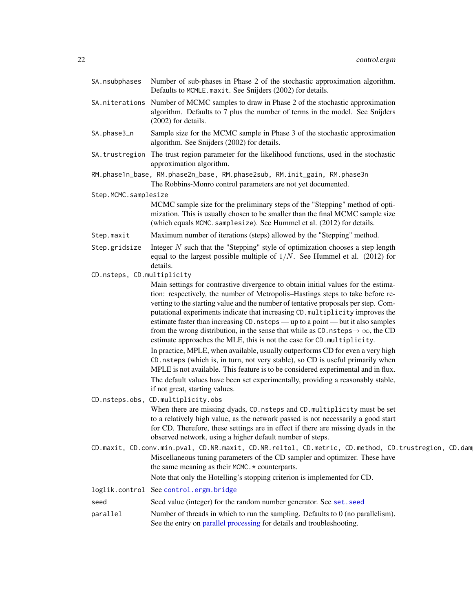|                            | SA. nsubphases Number of sub-phases in Phase 2 of the stochastic approximation algorithm.<br>Defaults to MCMLE.maxit. See Snijders (2002) for details.                                                                                                                                                                                                                                                                                                                                                                                                                                                                                                                                                                                                                                                                                                                                                                                                     |  |
|----------------------------|------------------------------------------------------------------------------------------------------------------------------------------------------------------------------------------------------------------------------------------------------------------------------------------------------------------------------------------------------------------------------------------------------------------------------------------------------------------------------------------------------------------------------------------------------------------------------------------------------------------------------------------------------------------------------------------------------------------------------------------------------------------------------------------------------------------------------------------------------------------------------------------------------------------------------------------------------------|--|
|                            | SA . niterations Number of MCMC samples to draw in Phase 2 of the stochastic approximation<br>algorithm. Defaults to 7 plus the number of terms in the model. See Snijders<br>$(2002)$ for details.                                                                                                                                                                                                                                                                                                                                                                                                                                                                                                                                                                                                                                                                                                                                                        |  |
| SA.phase3_n                | Sample size for the MCMC sample in Phase 3 of the stochastic approximation<br>algorithm. See Snijders (2002) for details.                                                                                                                                                                                                                                                                                                                                                                                                                                                                                                                                                                                                                                                                                                                                                                                                                                  |  |
|                            | SA. trustregion The trust region parameter for the likelihood functions, used in the stochastic<br>approximation algorithm.                                                                                                                                                                                                                                                                                                                                                                                                                                                                                                                                                                                                                                                                                                                                                                                                                                |  |
|                            | RM.phase1n_base, RM.phase2n_base, RM.phase2sub, RM.init_gain, RM.phase3n<br>The Robbins-Monro control parameters are not yet documented.                                                                                                                                                                                                                                                                                                                                                                                                                                                                                                                                                                                                                                                                                                                                                                                                                   |  |
| Step.MCMC.samplesize       |                                                                                                                                                                                                                                                                                                                                                                                                                                                                                                                                                                                                                                                                                                                                                                                                                                                                                                                                                            |  |
|                            | MCMC sample size for the preliminary steps of the "Stepping" method of opti-<br>mization. This is usually chosen to be smaller than the final MCMC sample size<br>(which equals MCMC. samplesize). See Hummel et al. (2012) for details.                                                                                                                                                                                                                                                                                                                                                                                                                                                                                                                                                                                                                                                                                                                   |  |
| Step.maxit                 | Maximum number of iterations (steps) allowed by the "Stepping" method.                                                                                                                                                                                                                                                                                                                                                                                                                                                                                                                                                                                                                                                                                                                                                                                                                                                                                     |  |
| Step.gridsize              | Integer $N$ such that the "Stepping" style of optimization chooses a step length<br>equal to the largest possible multiple of $1/N$ . See Hummel et al. (2012) for<br>details.                                                                                                                                                                                                                                                                                                                                                                                                                                                                                                                                                                                                                                                                                                                                                                             |  |
| CD.nsteps, CD.multiplicity |                                                                                                                                                                                                                                                                                                                                                                                                                                                                                                                                                                                                                                                                                                                                                                                                                                                                                                                                                            |  |
|                            | Main settings for contrastive divergence to obtain initial values for the estima-<br>tion: respectively, the number of Metropolis-Hastings steps to take before re-<br>verting to the starting value and the number of tentative proposals per step. Com-<br>putational experiments indicate that increasing CD. multiplicity improves the<br>estimate faster than increasing CD. nsteps — up to a point — but it also samples<br>from the wrong distribution, in the sense that while as CD. nsteps $\rightarrow \infty$ , the CD<br>estimate approaches the MLE, this is not the case for CD. multiplicity.<br>In practice, MPLE, when available, usually outperforms CD for even a very high<br>CD. nsteps (which is, in turn, not very stable), so CD is useful primarily when<br>MPLE is not available. This feature is to be considered experimental and in flux.<br>The default values have been set experimentally, providing a reasonably stable, |  |
|                            | if not great, starting values.<br>CD.nsteps.obs, CD.multiplicity.obs                                                                                                                                                                                                                                                                                                                                                                                                                                                                                                                                                                                                                                                                                                                                                                                                                                                                                       |  |
|                            | When there are missing dyads, CD. nsteps and CD. multiplicity must be set<br>to a relatively high value, as the network passed is not necessarily a good start<br>for CD. Therefore, these settings are in effect if there are missing dyads in the<br>observed network, using a higher default number of steps.                                                                                                                                                                                                                                                                                                                                                                                                                                                                                                                                                                                                                                           |  |
|                            | CD.maxit, CD.conv.min.pval, CD.NR.maxit, CD.NR.reltol, CD.metric, CD.method, CD.trustregion, CD.dam                                                                                                                                                                                                                                                                                                                                                                                                                                                                                                                                                                                                                                                                                                                                                                                                                                                        |  |
|                            | Miscellaneous tuning parameters of the CD sampler and optimizer. These have<br>the same meaning as their MCMC. * counterparts.                                                                                                                                                                                                                                                                                                                                                                                                                                                                                                                                                                                                                                                                                                                                                                                                                             |  |
|                            | Note that only the Hotelling's stopping criterion is implemented for CD.                                                                                                                                                                                                                                                                                                                                                                                                                                                                                                                                                                                                                                                                                                                                                                                                                                                                                   |  |
|                            | loglik.control See control.ergm.bridge                                                                                                                                                                                                                                                                                                                                                                                                                                                                                                                                                                                                                                                                                                                                                                                                                                                                                                                     |  |
| seed                       | Seed value (integer) for the random number generator. See set. seed                                                                                                                                                                                                                                                                                                                                                                                                                                                                                                                                                                                                                                                                                                                                                                                                                                                                                        |  |
| parallel                   | Number of threads in which to run the sampling. Defaults to 0 (no parallelism).<br>See the entry on parallel processing for details and troubleshooting.                                                                                                                                                                                                                                                                                                                                                                                                                                                                                                                                                                                                                                                                                                                                                                                                   |  |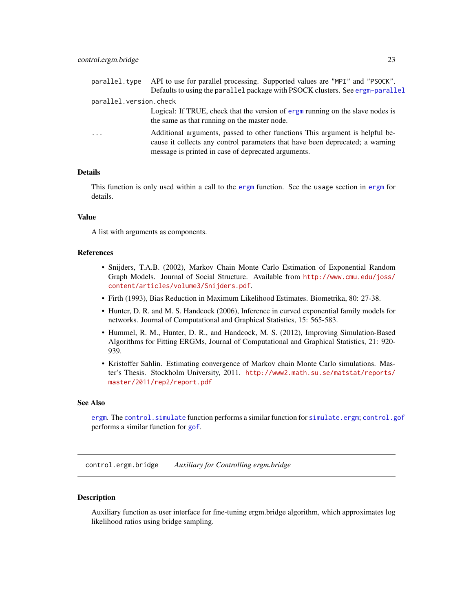<span id="page-22-0"></span>

| parallel.type          | API to use for parallel processing. Supported values are "MPI" and "PSOCK".                                                                                                                                          |
|------------------------|----------------------------------------------------------------------------------------------------------------------------------------------------------------------------------------------------------------------|
|                        | Defaults to using the parallel package with PSOCK clusters. See ergm-parallel                                                                                                                                        |
| parallel.version.check |                                                                                                                                                                                                                      |
|                        | Logical: If TRUE, check that the version of ergm running on the slave nodes is<br>the same as that running on the master node.                                                                                       |
| $\cdot$                | Additional arguments, passed to other functions This argument is helpful be-<br>cause it collects any control parameters that have been deprecated; a warning<br>message is printed in case of deprecated arguments. |

#### Details

This function is only used within a call to the [ergm](#page-35-1) function. See the usage section in [ergm](#page-35-1) for details.

#### Value

A list with arguments as components.

#### References

- Snijders, T.A.B. (2002), Markov Chain Monte Carlo Estimation of Exponential Random Graph Models. Journal of Social Structure. Available from [http://www.cmu.edu/joss/](http://www.cmu.edu/joss/content/articles/volume3/Snijders.pdf) [content/articles/volume3/Snijders.pdf](http://www.cmu.edu/joss/content/articles/volume3/Snijders.pdf).
- Firth (1993), Bias Reduction in Maximum Likelihood Estimates. Biometrika, 80: 27-38.
- Hunter, D. R. and M. S. Handcock (2006), Inference in curved exponential family models for networks. Journal of Computational and Graphical Statistics, 15: 565-583.
- Hummel, R. M., Hunter, D. R., and Handcock, M. S. (2012), Improving Simulation-Based Algorithms for Fitting ERGMs, Journal of Computational and Graphical Statistics, 21: 920- 939.
- Kristoffer Sahlin. Estimating convergence of Markov chain Monte Carlo simulations. Master's Thesis. Stockholm University, 2011. [http://www2.math.su.se/matstat/reports/](http://www2.math.su.se/matstat/reports/master/2011/rep2/report.pdf) [master/2011/rep2/report.pdf](http://www2.math.su.se/matstat/reports/master/2011/rep2/report.pdf)

#### See Also

[ergm](#page-35-1). The [control.simulate](#page-30-1) function performs a similar function for [simulate.ergm](#page-141-1); [control.gof](#page-24-1) performs a similar function for [gof](#page-108-2).

<span id="page-22-1"></span>control.ergm.bridge *Auxiliary for Controlling ergm.bridge*

#### Description

Auxiliary function as user interface for fine-tuning ergm.bridge algorithm, which approximates log likelihood ratios using bridge sampling.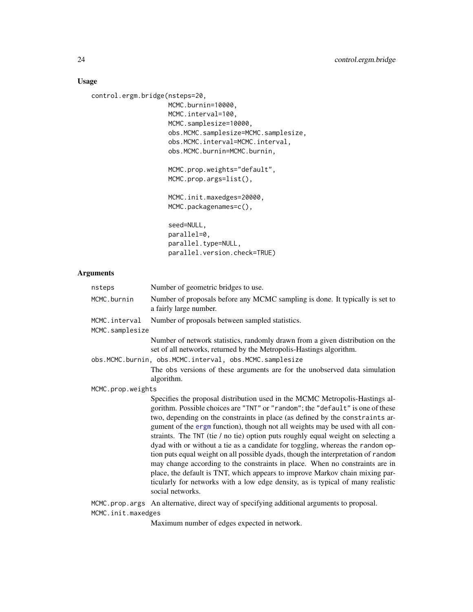# Usage

```
control.ergm.bridge(nsteps=20,
```

```
MCMC.burnin=10000,
MCMC.interval=100,
MCMC.samplesize=10000,
obs.MCMC.samplesize=MCMC.samplesize,
obs.MCMC.interval=MCMC.interval,
obs.MCMC.burnin=MCMC.burnin,
```
MCMC.prop.weights="default", MCMC.prop.args=list(),

MCMC.init.maxedges=20000, MCMC.packagenames=c(),

seed=NULL, parallel=0, parallel.type=NULL, parallel.version.check=TRUE)

# Arguments

| nsteps             | Number of geometric bridges to use.                                                                                                                                                                                                                                                                                                                                                                                                                                                                                                                                                                                                                                                                                                                                                                                                                                 |  |
|--------------------|---------------------------------------------------------------------------------------------------------------------------------------------------------------------------------------------------------------------------------------------------------------------------------------------------------------------------------------------------------------------------------------------------------------------------------------------------------------------------------------------------------------------------------------------------------------------------------------------------------------------------------------------------------------------------------------------------------------------------------------------------------------------------------------------------------------------------------------------------------------------|--|
| MCMC.burnin        | Number of proposals before any MCMC sampling is done. It typically is set to<br>a fairly large number.                                                                                                                                                                                                                                                                                                                                                                                                                                                                                                                                                                                                                                                                                                                                                              |  |
| MCMC.interval      | Number of proposals between sampled statistics.                                                                                                                                                                                                                                                                                                                                                                                                                                                                                                                                                                                                                                                                                                                                                                                                                     |  |
| MCMC.samplesize    |                                                                                                                                                                                                                                                                                                                                                                                                                                                                                                                                                                                                                                                                                                                                                                                                                                                                     |  |
|                    | Number of network statistics, randomly drawn from a given distribution on the<br>set of all networks, returned by the Metropolis-Hastings algorithm.                                                                                                                                                                                                                                                                                                                                                                                                                                                                                                                                                                                                                                                                                                                |  |
|                    | obs.MCMC.burnin, obs.MCMC.interval, obs.MCMC.samplesize                                                                                                                                                                                                                                                                                                                                                                                                                                                                                                                                                                                                                                                                                                                                                                                                             |  |
|                    | The obs versions of these arguments are for the unobserved data simulation<br>algorithm.                                                                                                                                                                                                                                                                                                                                                                                                                                                                                                                                                                                                                                                                                                                                                                            |  |
| MCMC.prop.weights  |                                                                                                                                                                                                                                                                                                                                                                                                                                                                                                                                                                                                                                                                                                                                                                                                                                                                     |  |
|                    | Specifies the proposal distribution used in the MCMC Metropolis-Hastings al-<br>gorithm. Possible choices are "TNT" or "random"; the "default" is one of these<br>two, depending on the constraints in place (as defined by the constraints ar-<br>gument of the ergm function), though not all weights may be used with all con-<br>straints. The TNT (tie / no tie) option puts roughly equal weight on selecting a<br>dyad with or without a tie as a candidate for toggling, whereas the random op-<br>tion puts equal weight on all possible dyads, though the interpretation of random<br>may change according to the constraints in place. When no constraints are in<br>place, the default is TNT, which appears to improve Markov chain mixing par-<br>ticularly for networks with a low edge density, as is typical of many realistic<br>social networks. |  |
|                    | MCMC.prop.args An alternative, direct way of specifying additional arguments to proposal.                                                                                                                                                                                                                                                                                                                                                                                                                                                                                                                                                                                                                                                                                                                                                                           |  |
| MCMC.init.maxedges |                                                                                                                                                                                                                                                                                                                                                                                                                                                                                                                                                                                                                                                                                                                                                                                                                                                                     |  |
|                    | Maximum number of edges expected in network                                                                                                                                                                                                                                                                                                                                                                                                                                                                                                                                                                                                                                                                                                                                                                                                                         |  |

Maximum number of edges expected in network.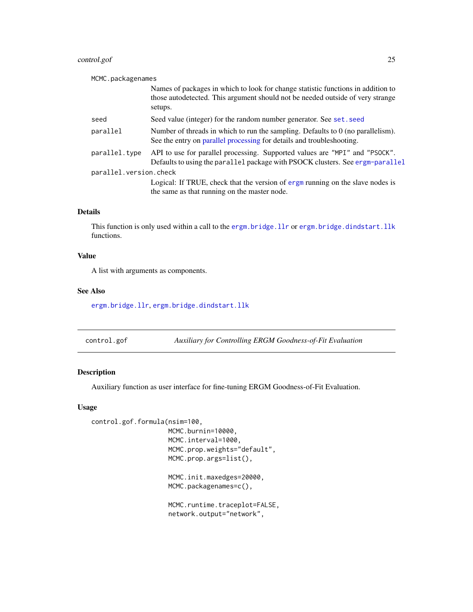# <span id="page-24-0"></span>control.gof 25

| MCMC.packagenames      |                                                                                                                                                                               |
|------------------------|-------------------------------------------------------------------------------------------------------------------------------------------------------------------------------|
|                        | Names of packages in which to look for change statistic functions in addition to<br>those autodetected. This argument should not be needed outside of very strange<br>setups. |
| seed                   | Seed value (integer) for the random number generator. See set. seed                                                                                                           |
| parallel               | Number of threads in which to run the sampling. Defaults to $0$ (no parallelism).<br>See the entry on parallel processing for details and troubleshooting.                    |
| parallel.type          | API to use for parallel processing. Supported values are "MPI" and "PSOCK".<br>Defaults to using the parallel package with PSOCK clusters. See ergm-parallel                  |
| parallel.version.check |                                                                                                                                                                               |
|                        | Logical: If TRUE, check that the version of ergm running on the slave nodes is<br>the same as that running on the master node.                                                |

# Details

This function is only used within a call to the [ergm.bridge.llr](#page-72-1) or [ergm.bridge.dindstart.llk](#page-71-1) functions.

# Value

A list with arguments as components.

# See Also

[ergm.bridge.llr](#page-72-1), [ergm.bridge.dindstart.llk](#page-71-1)

<span id="page-24-1"></span>control.gof *Auxiliary for Controlling ERGM Goodness-of-Fit Evaluation*

# Description

Auxiliary function as user interface for fine-tuning ERGM Goodness-of-Fit Evaluation.

# Usage

control.gof.formula(nsim=100,

MCMC.burnin=10000, MCMC.interval=1000, MCMC.prop.weights="default", MCMC.prop.args=list(), MCMC.init.maxedges=20000,

```
MCMC.packagenames=c(),
```
MCMC.runtime.traceplot=FALSE, network.output="network",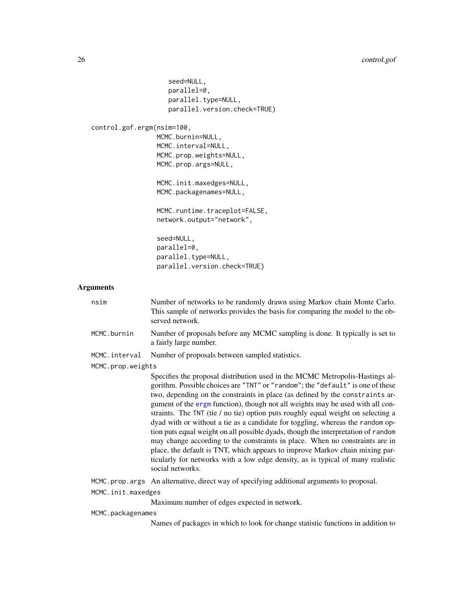```
seed=NULL,
                         parallel=0,
                         parallel.type=NULL,
                         parallel.version.check=TRUE)
    control.gof.ergm(nsim=100,
                      MCMC.burnin=NULL,
                      MCMC.interval=NULL,
                      MCMC.prop.weights=NULL,
                      MCMC.prop.args=NULL,
                      MCMC.init.maxedges=NULL,
                      MCMC.packagenames=NULL,
                      MCMC.runtime.traceplot=FALSE,
                      network.output="network",
                      seed=NULL,
                      parallel=0,
                      parallel.type=NULL,
                      parallel.version.check=TRUE)
Arguments
   nsim Number of networks to be randomly drawn using Markov chain Monte Carlo.
                    This sample of networks provides the basis for comparing the model to the ob-
                    served network.
   MCMC.burnin Number of proposals before any MCMC sampling is done. It typically is set to
                    a fairly large number.
   MCMC.interval Number of proposals between sampled statistics.
   MCMC.prop.weights
                    Specifies the proposal distribution used in the MCMC Metropolis-Hastings al-
```
gorithm. Possible choices are "TNT" or "random"; the "default" is one of these two, depending on the constraints in place (as defined by the constraints argument of the [ergm](#page-35-1) function), though not all weights may be used with all constraints. The TNT (tie / no tie) option puts roughly equal weight on selecting a dyad with or without a tie as a candidate for toggling, whereas the random option puts equal weight on all possible dyads, though the interpretation of random may change according to the constraints in place. When no constraints are in place, the default is TNT, which appears to improve Markov chain mixing particularly for networks with a low edge density, as is typical of many realistic social networks.

MCMC.prop.args An alternative, direct way of specifying additional arguments to proposal.

MCMC.init.maxedges

Maximum number of edges expected in network.

#### MCMC.packagenames

Names of packages in which to look for change statistic functions in addition to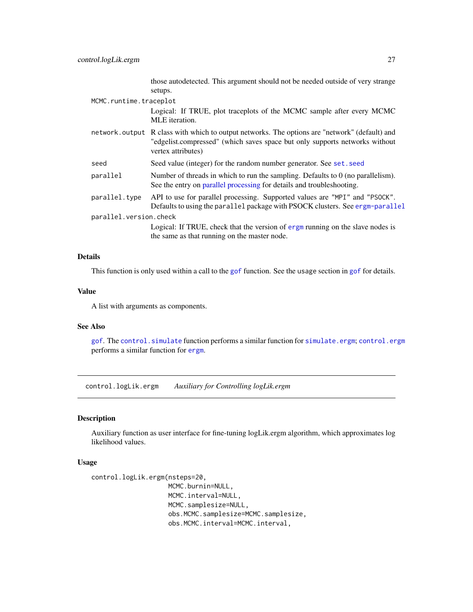those autodetected. This argument should not be needed outside of very strange setups.

# <span id="page-26-0"></span>MCMC.runtime.traceplot

Logical: If TRUE, plot traceplots of the MCMC sample after every MCMC MLE iteration.

- network.output R class with which to output networks. The options are "network" (default) and "edgelist.compressed" (which saves space but only supports networks without vertex attributes)
- seed Seed value (integer) for the random number generator. See set. seed
- parallel Number of threads in which to run the sampling. Defaults to 0 (no parallelism). See the entry on [parallel processing](#page-44-1) for details and troubleshooting.
- parallel.type API to use for parallel processing. Supported values are "MPI" and "PSOCK". Defaults to using the parallel package with PSOCK clusters. See [ergm-parallel](#page-44-1) parallel.version.check

Logical: If TRUE, check that the version of [ergm](#page-3-1) running on the slave nodes is the same as that running on the master node.

#### Details

This function is only used within a call to the [gof](#page-108-2) function. See the usage section in [gof](#page-108-2) for details.

#### Value

A list with arguments as components.

# See Also

[gof](#page-108-2). The [control.simulate](#page-30-1) function performs a similar function for [simulate.ergm](#page-141-1); [control.ergm](#page-13-1) performs a similar function for [ergm](#page-35-1).

control.logLik.ergm *Auxiliary for Controlling logLik.ergm*

#### **Description**

Auxiliary function as user interface for fine-tuning logLik.ergm algorithm, which approximates log likelihood values.

# Usage

```
control.logLik.ergm(nsteps=20,
                    MCMC.burnin=NULL,
                    MCMC.interval=NULL,
                    MCMC.samplesize=NULL,
                    obs.MCMC.samplesize=MCMC.samplesize,
                    obs.MCMC.interval=MCMC.interval,
```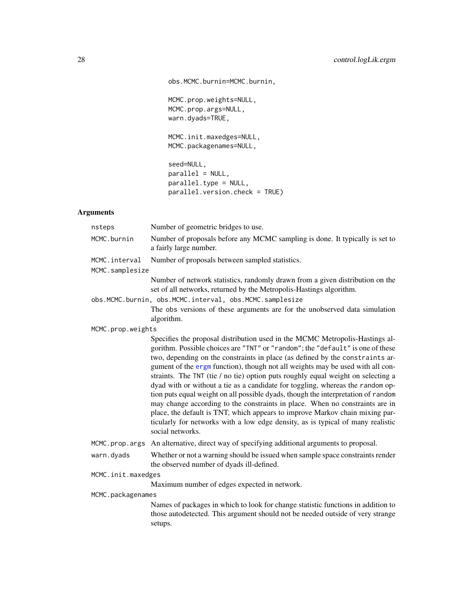obs.MCMC.burnin=MCMC.burnin,

```
MCMC.prop.weights=NULL,
MCMC.prop.args=NULL,
warn.dyads=TRUE,
```
MCMC.init.maxedges=NULL, MCMC.packagenames=NULL,

seed=NULL, parallel = NULL, parallel.type = NULL, parallel.version.check = TRUE)

# Arguments

| nsteps                           | Number of geometric bridges to use.                                                                                                                                                                                                                                                                                                                                                                                                                                                                                                                                                                                                                                                                                                                                                                                                                                 |
|----------------------------------|---------------------------------------------------------------------------------------------------------------------------------------------------------------------------------------------------------------------------------------------------------------------------------------------------------------------------------------------------------------------------------------------------------------------------------------------------------------------------------------------------------------------------------------------------------------------------------------------------------------------------------------------------------------------------------------------------------------------------------------------------------------------------------------------------------------------------------------------------------------------|
| MCMC.burnin                      | Number of proposals before any MCMC sampling is done. It typically is set to<br>a fairly large number.                                                                                                                                                                                                                                                                                                                                                                                                                                                                                                                                                                                                                                                                                                                                                              |
| MCMC.interval<br>MCMC.samplesize | Number of proposals between sampled statistics.                                                                                                                                                                                                                                                                                                                                                                                                                                                                                                                                                                                                                                                                                                                                                                                                                     |
|                                  | Number of network statistics, randomly drawn from a given distribution on the<br>set of all networks, returned by the Metropolis-Hastings algorithm.                                                                                                                                                                                                                                                                                                                                                                                                                                                                                                                                                                                                                                                                                                                |
|                                  | obs.MCMC.burnin, obs.MCMC.interval, obs.MCMC.samplesize                                                                                                                                                                                                                                                                                                                                                                                                                                                                                                                                                                                                                                                                                                                                                                                                             |
|                                  | The obs versions of these arguments are for the unobserved data simulation<br>algorithm.                                                                                                                                                                                                                                                                                                                                                                                                                                                                                                                                                                                                                                                                                                                                                                            |
| MCMC.prop.weights                |                                                                                                                                                                                                                                                                                                                                                                                                                                                                                                                                                                                                                                                                                                                                                                                                                                                                     |
|                                  | Specifies the proposal distribution used in the MCMC Metropolis-Hastings al-<br>gorithm. Possible choices are "TNT" or "random"; the "default" is one of these<br>two, depending on the constraints in place (as defined by the constraints ar-<br>gument of the ergm function), though not all weights may be used with all con-<br>straints. The TNT (tie / no tie) option puts roughly equal weight on selecting a<br>dyad with or without a tie as a candidate for toggling, whereas the random op-<br>tion puts equal weight on all possible dyads, though the interpretation of random<br>may change according to the constraints in place. When no constraints are in<br>place, the default is TNT, which appears to improve Markov chain mixing par-<br>ticularly for networks with a low edge density, as is typical of many realistic<br>social networks. |
| MCMC.prop.args                   | An alternative, direct way of specifying additional arguments to proposal.                                                                                                                                                                                                                                                                                                                                                                                                                                                                                                                                                                                                                                                                                                                                                                                          |
| warn.dyads                       | Whether or not a warning should be issued when sample space constraints render<br>the observed number of dyads ill-defined.                                                                                                                                                                                                                                                                                                                                                                                                                                                                                                                                                                                                                                                                                                                                         |
| MCMC.init.maxedges               |                                                                                                                                                                                                                                                                                                                                                                                                                                                                                                                                                                                                                                                                                                                                                                                                                                                                     |
|                                  | Maximum number of edges expected in network.                                                                                                                                                                                                                                                                                                                                                                                                                                                                                                                                                                                                                                                                                                                                                                                                                        |
| MCMC.packagenames                |                                                                                                                                                                                                                                                                                                                                                                                                                                                                                                                                                                                                                                                                                                                                                                                                                                                                     |
|                                  | Names of packages in which to look for change statistic functions in addition to<br>those autodetected. This argument should not be needed outside of very strange<br>setups.                                                                                                                                                                                                                                                                                                                                                                                                                                                                                                                                                                                                                                                                                       |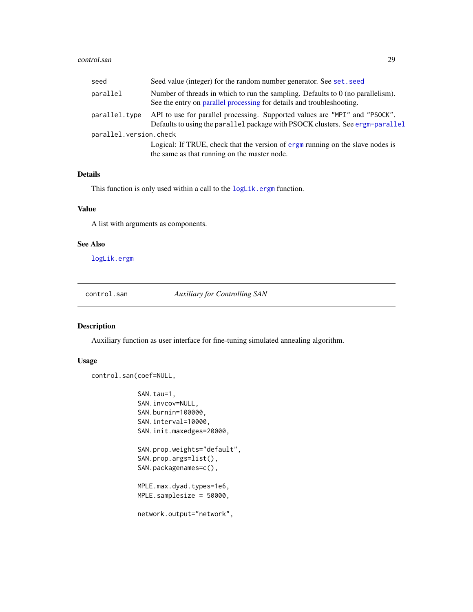#### <span id="page-28-0"></span>control.san 29

| seed                   | Seed value (integer) for the random number generator. See set. seed                                                                                          |
|------------------------|--------------------------------------------------------------------------------------------------------------------------------------------------------------|
| parallel               | Number of threads in which to run the sampling. Defaults to $0$ (no parallelism).<br>See the entry on parallel processing for details and troubleshooting.   |
| parallel.type          | API to use for parallel processing. Supported values are "MPI" and "PSOCK".<br>Defaults to using the parallel package with PSOCK clusters. See ergm-parallel |
| parallel.version.check |                                                                                                                                                              |
|                        | Logical: If TRUE, check that the version of ergm running on the slave nodes is<br>the same as that running on the master node.                               |

# Details

This function is only used within a call to the [logLik.ergm](#page-116-1) function.

# Value

A list with arguments as components.

# See Also

[logLik.ergm](#page-116-1)

<span id="page-28-1"></span>control.san *Auxiliary for Controlling SAN*

#### Description

Auxiliary function as user interface for fine-tuning simulated annealing algorithm.

# Usage

```
control.san(coef=NULL,
```

```
SAN.tau=1,
SAN.invcov=NULL,
SAN.burnin=100000,
SAN.interval=10000,
SAN.init.maxedges=20000,
SAN.prop.weights="default",
SAN.prop.args=list(),
SAN.packagenames=c(),
MPLE.max.dyad.types=1e6,
MPLE.samplesize = 50000,
network.output="network",
```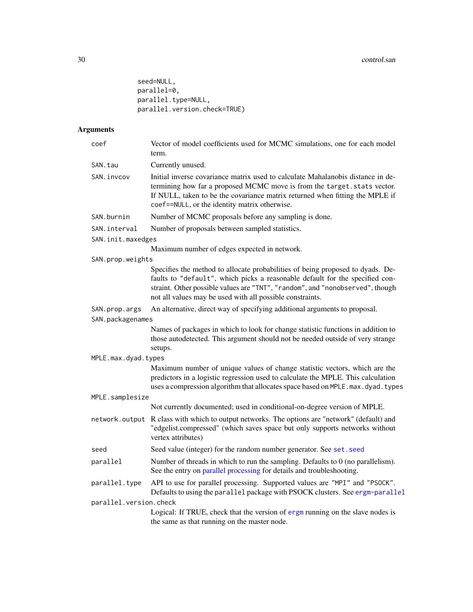```
seed=NULL,
parallel=0,
parallel.type=NULL,
parallel.version.check=TRUE)
```
# Arguments

| coef                   | Vector of model coefficients used for MCMC simulations, one for each model<br>term.                                                                                                                                                                                                                          |
|------------------------|--------------------------------------------------------------------------------------------------------------------------------------------------------------------------------------------------------------------------------------------------------------------------------------------------------------|
| SAN.tau                | Currently unused.                                                                                                                                                                                                                                                                                            |
| SAN.invcov             | Initial inverse covariance matrix used to calculate Mahalanobis distance in de-<br>termining how far a proposed MCMC move is from the target. stats vector.<br>If NULL, taken to be the covariance matrix returned when fitting the MPLE if<br>coef==NULL, or the identity matrix otherwise.                 |
| SAN.burnin             | Number of MCMC proposals before any sampling is done.                                                                                                                                                                                                                                                        |
| SAN.interval           | Number of proposals between sampled statistics.                                                                                                                                                                                                                                                              |
| SAN.init.maxedges      |                                                                                                                                                                                                                                                                                                              |
|                        | Maximum number of edges expected in network.                                                                                                                                                                                                                                                                 |
| SAN.prop.weights       |                                                                                                                                                                                                                                                                                                              |
|                        | Specifies the method to allocate probabilities of being proposed to dyads. De-<br>faults to "default", which picks a reasonable default for the specified con-<br>straint. Other possible values are "TNT", "random", and "nonobserved", though<br>not all values may be used with all possible constraints. |
| SAN.prop.args          | An alternative, direct way of specifying additional arguments to proposal.                                                                                                                                                                                                                                   |
| SAN.packagenames       |                                                                                                                                                                                                                                                                                                              |
|                        | Names of packages in which to look for change statistic functions in addition to<br>those autodetected. This argument should not be needed outside of very strange<br>setups.                                                                                                                                |
| MPLE.max.dyad.types    |                                                                                                                                                                                                                                                                                                              |
|                        | Maximum number of unique values of change statistic vectors, which are the<br>predictors in a logistic regression used to calculate the MPLE. This calculation<br>uses a compression algorithm that allocates space based on MPLE. max. dyad. types                                                          |
| MPLE.samplesize        |                                                                                                                                                                                                                                                                                                              |
|                        | Not currently documented; used in conditional-on-degree version of MPLE.                                                                                                                                                                                                                                     |
|                        | network. output R class with which to output networks. The options are "network" (default) and<br>"edgelist.compressed" (which saves space but only supports networks without<br>vertex attributes)                                                                                                          |
| seed                   | Seed value (integer) for the random number generator. See set. seed                                                                                                                                                                                                                                          |
| parallel               | Number of threads in which to run the sampling. Defaults to $0$ (no parallelism).<br>See the entry on parallel processing for details and troubleshooting.                                                                                                                                                   |
| parallel.type          | API to use for parallel processing. Supported values are "MPI" and "PSOCK".<br>Defaults to using the parallel package with PSOCK clusters. See ergm-parallel                                                                                                                                                 |
| parallel.version.check |                                                                                                                                                                                                                                                                                                              |
|                        | Logical: If TRUE, check that the version of ergm running on the slave nodes is<br>the same as that running on the master node.                                                                                                                                                                               |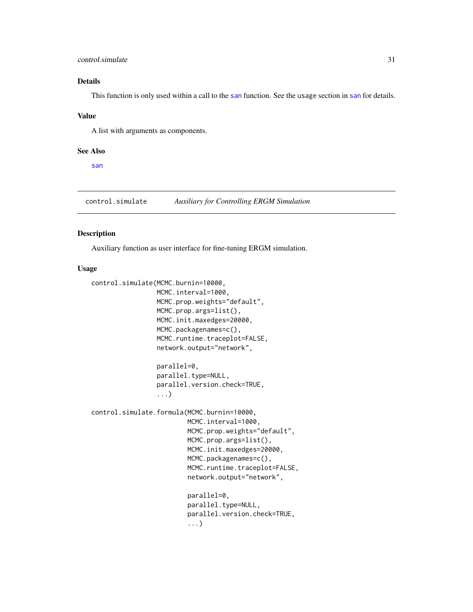# <span id="page-30-0"></span>control.simulate 31

# Details

This function is only used within a call to the [san](#page-138-1) function. See the usage section in [san](#page-138-1) for details.

#### Value

A list with arguments as components.

#### See Also

[san](#page-138-1)

<span id="page-30-1"></span>control.simulate *Auxiliary for Controlling ERGM Simulation*

# Description

Auxiliary function as user interface for fine-tuning ERGM simulation.

## Usage

```
control.simulate(MCMC.burnin=10000,
                 MCMC.interval=1000,
                 MCMC.prop.weights="default",
                 MCMC.prop.args=list(),
                 MCMC.init.maxedges=20000,
                 MCMC.packagenames=c(),
                 MCMC.runtime.traceplot=FALSE,
                 network.output="network",
                 parallel=0,
                 parallel.type=NULL,
                 parallel.version.check=TRUE,
                 ...)
control.simulate.formula(MCMC.burnin=10000,
                         MCMC.interval=1000,
                         MCMC.prop.weights="default",
                         MCMC.prop.args=list(),
                         MCMC.init.maxedges=20000,
                         MCMC.packagenames=c(),
                         MCMC.runtime.traceplot=FALSE,
                         network.output="network",
                         parallel=0,
                         parallel.type=NULL,
                         parallel.version.check=TRUE,
                         ...)
```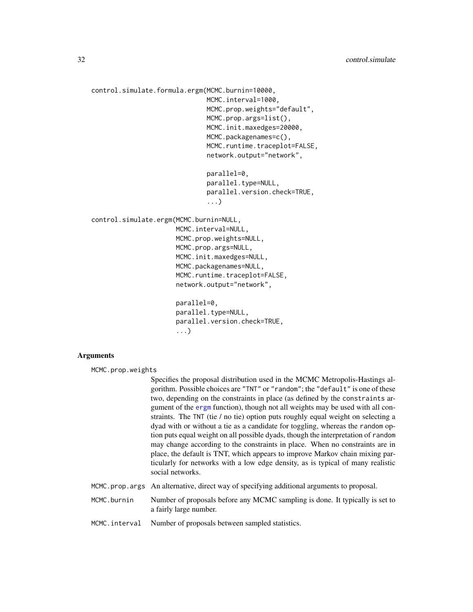```
control.simulate.formula.ergm(MCMC.burnin=10000,
                              MCMC.interval=1000,
                              MCMC.prop.weights="default",
                              MCMC.prop.args=list(),
                              MCMC.init.maxedges=20000,
                              MCMC.packagenames=c(),
                              MCMC.runtime.traceplot=FALSE,
                              network.output="network",
                              parallel=0,
                              parallel.type=NULL,
                              parallel.version.check=TRUE,
                               ...)
control.simulate.ergm(MCMC.burnin=NULL,
                      MCMC.interval=NULL,
                      MCMC.prop.weights=NULL,
                      MCMC.prop.args=NULL,
                      MCMC.init.maxedges=NULL,
                      MCMC.packagenames=NULL,
                      MCMC.runtime.traceplot=FALSE,
                      network.output="network",
                      parallel=0,
                      parallel.type=NULL,
                      parallel.version.check=TRUE,
                      ...)
```
#### Arguments

MCMC.prop.weights

Specifies the proposal distribution used in the MCMC Metropolis-Hastings algorithm. Possible choices are "TNT" or "random"; the "default" is one of these two, depending on the constraints in place (as defined by the constraints argument of the [ergm](#page-35-1) function), though not all weights may be used with all constraints. The TNT (tie / no tie) option puts roughly equal weight on selecting a dyad with or without a tie as a candidate for toggling, whereas the random option puts equal weight on all possible dyads, though the interpretation of random may change according to the constraints in place. When no constraints are in place, the default is TNT, which appears to improve Markov chain mixing particularly for networks with a low edge density, as is typical of many realistic social networks.

- MCMC.prop.args An alternative, direct way of specifying additional arguments to proposal.
- MCMC.burnin Number of proposals before any MCMC sampling is done. It typically is set to a fairly large number.
- MCMC.interval Number of proposals between sampled statistics.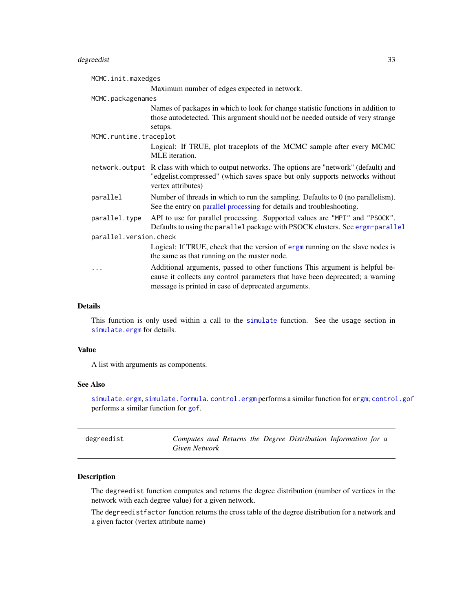# <span id="page-32-0"></span>degreedist 33

| MCMC.init.maxedges     |                                                                                                                                                                                                                      |  |
|------------------------|----------------------------------------------------------------------------------------------------------------------------------------------------------------------------------------------------------------------|--|
|                        | Maximum number of edges expected in network.                                                                                                                                                                         |  |
| MCMC.packagenames      |                                                                                                                                                                                                                      |  |
|                        | Names of packages in which to look for change statistic functions in addition to<br>those autodetected. This argument should not be needed outside of very strange<br>setups.                                        |  |
| MCMC.runtime.traceplot |                                                                                                                                                                                                                      |  |
|                        | Logical: If TRUE, plot traceplots of the MCMC sample after every MCMC<br>MLE iteration.                                                                                                                              |  |
|                        | network. output R class with which to output networks. The options are "network" (default) and<br>"edgelist.compressed" (which saves space but only supports networks without<br>vertex attributes)                  |  |
| parallel               | Number of threads in which to run the sampling. Defaults to 0 (no parallelism).<br>See the entry on parallel processing for details and troubleshooting.                                                             |  |
| parallel.type          | API to use for parallel processing. Supported values are "MPI" and "PSOCK".<br>Defaults to using the parallel package with PSOCK clusters. See ergm-parallel                                                         |  |
| parallel.version.check |                                                                                                                                                                                                                      |  |
|                        | Logical: If TRUE, check that the version of ergm running on the slave nodes is<br>the same as that running on the master node.                                                                                       |  |
| .                      | Additional arguments, passed to other functions This argument is helpful be-<br>cause it collects any control parameters that have been deprecated; a warning<br>message is printed in case of deprecated arguments. |  |

# Details

This function is only used within a call to the [simulate](#page-0-0) function. See the usage section in [simulate.ergm](#page-141-1) for details.

# Value

A list with arguments as components.

#### See Also

[simulate.ergm](#page-141-1), [simulate.formula](#page-141-2).[control.ergm](#page-13-1) performs a similar function for [ergm](#page-35-1); [control.gof](#page-24-1) performs a similar function for [gof](#page-108-2).

| degreedist | Computes and Returns the Degree Distribution Information for a |  |  |  |  |
|------------|----------------------------------------------------------------|--|--|--|--|
|            | Given Network                                                  |  |  |  |  |

# Description

The degreedist function computes and returns the degree distribution (number of vertices in the network with each degree value) for a given network.

The degreedistfactor function returns the cross table of the degree distribution for a network and a given factor (vertex attribute name)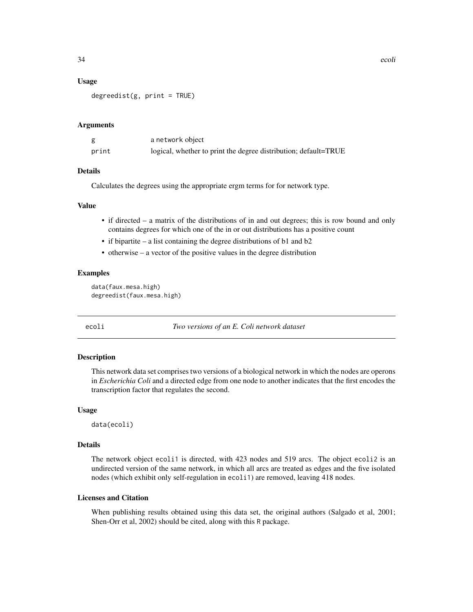#### <span id="page-33-0"></span>Usage

 $degreedist(g, print = TRUE)$ 

#### Arguments

|       | a network object                                                |
|-------|-----------------------------------------------------------------|
| print | logical, whether to print the degree distribution; default=TRUE |

#### Details

Calculates the degrees using the appropriate ergm terms for for network type.

#### Value

- if directed a matrix of the distributions of in and out degrees; this is row bound and only contains degrees for which one of the in or out distributions has a positive count
- if bipartite a list containing the degree distributions of b1 and b2
- otherwise a vector of the positive values in the degree distribution

#### Examples

```
data(faux.mesa.high)
degreedist(faux.mesa.high)
```
ecoli *Two versions of an E. Coli network dataset*

#### Description

This network data set comprises two versions of a biological network in which the nodes are operons in *Escherichia Coli* and a directed edge from one node to another indicates that the first encodes the transcription factor that regulates the second.

#### Usage

data(ecoli)

#### Details

The network object ecoli1 is directed, with 423 nodes and 519 arcs. The object ecoli2 is an undirected version of the same network, in which all arcs are treated as edges and the five isolated nodes (which exhibit only self-regulation in ecoli1) are removed, leaving 418 nodes.

#### Licenses and Citation

When publishing results obtained using this data set, the original authors (Salgado et al, 2001; Shen-Orr et al, 2002) should be cited, along with this R package.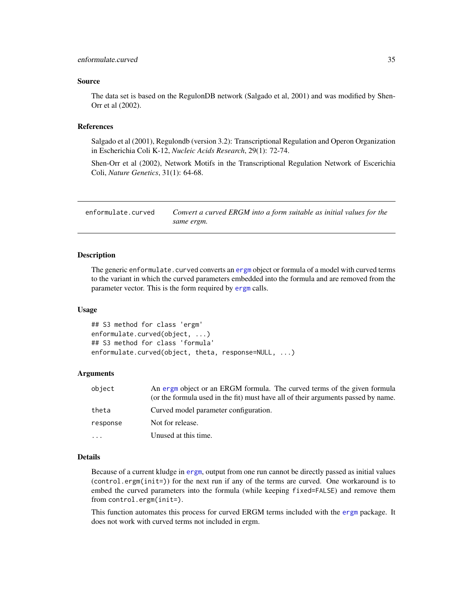#### <span id="page-34-0"></span>Source

The data set is based on the RegulonDB network (Salgado et al, 2001) and was modified by Shen-Orr et al (2002).

# References

Salgado et al (2001), Regulondb (version 3.2): Transcriptional Regulation and Operon Organization in Escherichia Coli K-12, *Nucleic Acids Research*, 29(1): 72-74.

Shen-Orr et al (2002), Network Motifs in the Transcriptional Regulation Network of Escerichia Coli, *Nature Genetics*, 31(1): 64-68.

<span id="page-34-1"></span>

| enformulate.curved | Convert a curved ERGM into a form suitable as initial values for the |
|--------------------|----------------------------------------------------------------------|
|                    | same ergm.                                                           |

#### Description

The generic enformulate.curved converts an [ergm](#page-35-1) object or formula of a model with curved terms to the variant in which the curved parameters embedded into the formula and are removed from the parameter vector. This is the form required by [ergm](#page-35-1) calls.

#### Usage

```
## S3 method for class 'ergm'
enformulate.curved(object, ...)
## S3 method for class 'formula'
enformulate.curved(object, theta, response=NULL, ...)
```
## Arguments

| object   | An ergm object or an ERGM formula. The curved terms of the given formula<br>(or the formula used in the fit) must have all of their arguments passed by name. |
|----------|---------------------------------------------------------------------------------------------------------------------------------------------------------------|
| theta    | Curved model parameter configuration.                                                                                                                         |
| response | Not for release.                                                                                                                                              |
| .        | Unused at this time.                                                                                                                                          |

## Details

Because of a current kludge in [ergm](#page-35-1), output from one run cannot be directly passed as initial values (control.ergm(init=)) for the next run if any of the terms are curved. One workaround is to embed the curved parameters into the formula (while keeping fixed=FALSE) and remove them from control.ergm(init=).

This function automates this process for curved ERGM terms included with the [ergm](#page-3-1) package. It does not work with curved terms not included in ergm.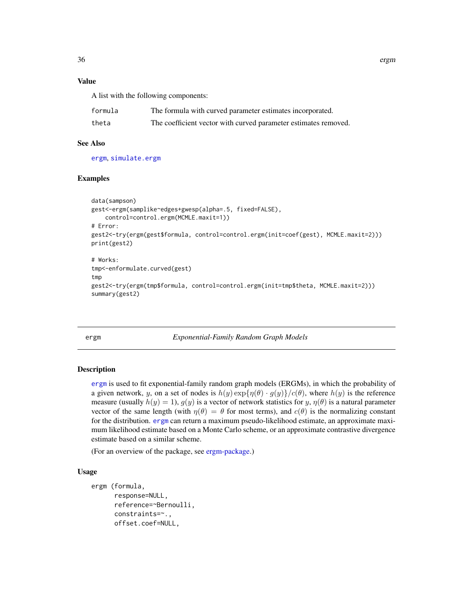<span id="page-35-0"></span>

# Value

A list with the following components:

| formula | The formula with curved parameter estimates incorporated.       |
|---------|-----------------------------------------------------------------|
| theta   | The coefficient vector with curved parameter estimates removed. |

## See Also

[ergm](#page-35-1), [simulate.ergm](#page-141-1)

# Examples

```
data(sampson)
gest<-ergm(samplike~edges+gwesp(alpha=.5, fixed=FALSE),
   control=control.ergm(MCMLE.maxit=1))
# Error:
gest2<-try(ergm(gest$formula, control=control.ergm(init=coef(gest), MCMLE.maxit=2)))
print(gest2)
# Works:
tmp<-enformulate.curved(gest)
tmp
gest2<-try(ergm(tmp$formula, control=control.ergm(init=tmp$theta, MCMLE.maxit=2)))
summary(gest2)
```
<span id="page-35-1"></span>ergm *Exponential-Family Random Graph Models*

# <span id="page-35-2"></span>Description

[ergm](#page-35-1) is used to fit exponential-family random graph models (ERGMs), in which the probability of a given network, y, on a set of nodes is  $h(y) \exp{\{\eta(\theta) \cdot g(y)\}}/c(\theta)$ , where  $h(y)$  is the reference measure (usually  $h(y) = 1$ ),  $g(y)$  is a vector of network statistics for y,  $\eta(\theta)$  is a natural parameter vector of the same length (with  $\eta(\theta) = \theta$  for most terms), and  $c(\theta)$  is the normalizing constant for the distribution. [ergm](#page-35-1) can return a maximum pseudo-likelihood estimate, an approximate maximum likelihood estimate based on a Monte Carlo scheme, or an approximate contrastive divergence estimate based on a similar scheme.

(For an overview of the package, see [ergm-package.](#page-3-1))

# Usage

```
ergm (formula,
      response=NULL,
      reference=~Bernoulli,
      constraints=~.,
      offset.coef=NULL,
```
36 ergm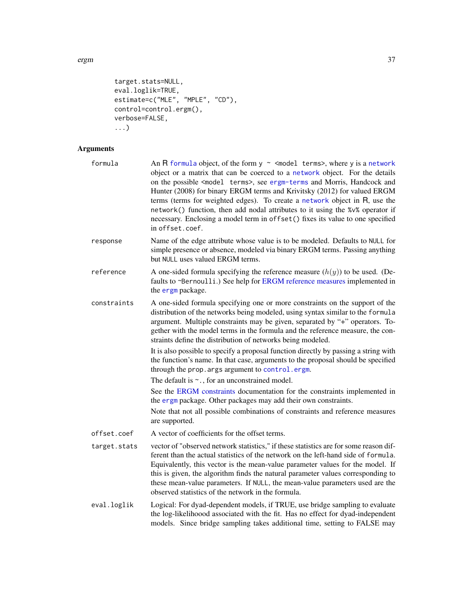ergm 37

```
target.stats=NULL,
eval.loglik=TRUE,
estimate=c("MLE", "MPLE", "CD"),
control=control.ergm(),
verbose=FALSE,
...)
```
# Arguments

| formula      | An R formula object, of the form $y \sim$ <model terms="">, where y is a network<br/>object or a matrix that can be coerced to a network object. For the details<br/>on the possible <model terms="">, see ergm-terms and Morris, Handcock and<br/>Hunter (2008) for binary ERGM terms and Krivitsky (2012) for valued ERGM<br/>terms (terms for weighted edges). To create a network object in R, use the<br/>network() function, then add nodal attributes to it using the %v% operator if<br/>necessary. Enclosing a model term in offset() fixes its value to one specified<br/>in offset.coef.</model></model> |
|--------------|---------------------------------------------------------------------------------------------------------------------------------------------------------------------------------------------------------------------------------------------------------------------------------------------------------------------------------------------------------------------------------------------------------------------------------------------------------------------------------------------------------------------------------------------------------------------------------------------------------------------|
| response     | Name of the edge attribute whose value is to be modeled. Defaults to NULL for<br>simple presence or absence, modeled via binary ERGM terms. Passing anything<br>but NULL uses valued ERGM terms.                                                                                                                                                                                                                                                                                                                                                                                                                    |
| reference    | A one-sided formula specifying the reference measure $(h(y))$ to be used. (De-<br>faults to ~Bernoulli.) See help for ERGM reference measures implemented in<br>the ergm package.                                                                                                                                                                                                                                                                                                                                                                                                                                   |
| constraints  | A one-sided formula specifying one or more constraints on the support of the<br>distribution of the networks being modeled, using syntax similar to the formula<br>argument. Multiple constraints may be given, separated by "+" operators. To-<br>gether with the model terms in the formula and the reference measure, the con-<br>straints define the distribution of networks being modeled.                                                                                                                                                                                                                    |
|              | It is also possible to specify a proposal function directly by passing a string with<br>the function's name. In that case, arguments to the proposal should be specified<br>through the prop. args argument to control. ergm.                                                                                                                                                                                                                                                                                                                                                                                       |
|              | The default is $\sim$ ., for an unconstrained model.                                                                                                                                                                                                                                                                                                                                                                                                                                                                                                                                                                |
|              | See the ERGM constraints documentation for the constraints implemented in<br>the ergm package. Other packages may add their own constraints.                                                                                                                                                                                                                                                                                                                                                                                                                                                                        |
|              | Note that not all possible combinations of constraints and reference measures<br>are supported.                                                                                                                                                                                                                                                                                                                                                                                                                                                                                                                     |
| offset.coef  | A vector of coefficients for the offset terms.                                                                                                                                                                                                                                                                                                                                                                                                                                                                                                                                                                      |
| target.stats | vector of "observed network statistics," if these statistics are for some reason dif-<br>ferent than the actual statistics of the network on the left-hand side of formula.<br>Equivalently, this vector is the mean-value parameter values for the model. If<br>this is given, the algorithm finds the natural parameter values corresponding to<br>these mean-value parameters. If NULL, the mean-value parameters used are the<br>observed statistics of the network in the formula.                                                                                                                             |
| eval.loglik  | Logical: For dyad-dependent models, if TRUE, use bridge sampling to evaluate<br>the log-likelihoood associated with the fit. Has no effect for dyad-independent<br>models. Since bridge sampling takes additional time, setting to FALSE may                                                                                                                                                                                                                                                                                                                                                                        |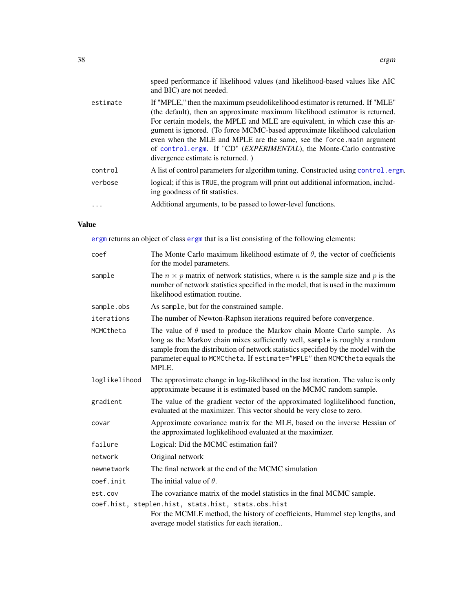|          | speed performance if likelihood values (and likelihood-based values like AIC<br>and BIC) are not needed.                                                                                                                                                                                                                                                                                                                                                                                                       |
|----------|----------------------------------------------------------------------------------------------------------------------------------------------------------------------------------------------------------------------------------------------------------------------------------------------------------------------------------------------------------------------------------------------------------------------------------------------------------------------------------------------------------------|
| estimate | If "MPLE," then the maximum pseudolikelihood estimator is returned. If "MLE"<br>(the default), then an approximate maximum likelihood estimator is returned.<br>For certain models, the MPLE and MLE are equivalent, in which case this ar-<br>gument is ignored. (To force MCMC-based approximate likelihood calculation<br>even when the MLE and MPLE are the same, see the force main argument<br>of control.ergm. If "CD" (EXPERIMENTAL), the Monte-Carlo contrastive<br>divergence estimate is returned.) |
| control  | A list of control parameters for algorithm tuning. Constructed using control.ergm.                                                                                                                                                                                                                                                                                                                                                                                                                             |
| verbose  | logical; if this is TRUE, the program will print out additional information, includ-<br>ing goodness of fit statistics.                                                                                                                                                                                                                                                                                                                                                                                        |
| .        | Additional arguments, to be passed to lower-level functions.                                                                                                                                                                                                                                                                                                                                                                                                                                                   |
|          |                                                                                                                                                                                                                                                                                                                                                                                                                                                                                                                |

# Value

[ergm](#page-35-0) returns an object of class [ergm](#page-35-0) that is a list consisting of the following elements:

| coef          | The Monte Carlo maximum likelihood estimate of $\theta$ , the vector of coefficients<br>for the model parameters.                                                                                                                                                                                                                              |
|---------------|------------------------------------------------------------------------------------------------------------------------------------------------------------------------------------------------------------------------------------------------------------------------------------------------------------------------------------------------|
| sample        | The $n \times p$ matrix of network statistics, where n is the sample size and p is the<br>number of network statistics specified in the model, that is used in the maximum<br>likelihood estimation routine.                                                                                                                                   |
| sample.obs    | As sample, but for the constrained sample.                                                                                                                                                                                                                                                                                                     |
| iterations    | The number of Newton-Raphson iterations required before convergence.                                                                                                                                                                                                                                                                           |
| MCMCtheta     | The value of $\theta$ used to produce the Markov chain Monte Carlo sample. As<br>long as the Markov chain mixes sufficiently well, sample is roughly a random<br>sample from the distribution of network statistics specified by the model with the<br>parameter equal to MCMC the ta. If estimate="MPLE" then MCMC the ta equals the<br>MPLE. |
| loglikelihood | The approximate change in log-likelihood in the last iteration. The value is only<br>approximate because it is estimated based on the MCMC random sample.                                                                                                                                                                                      |
| gradient      | The value of the gradient vector of the approximated loglikelihood function,<br>evaluated at the maximizer. This vector should be very close to zero.                                                                                                                                                                                          |
| covar         | Approximate covariance matrix for the MLE, based on the inverse Hessian of<br>the approximated loglikelihood evaluated at the maximizer.                                                                                                                                                                                                       |
| failure       | Logical: Did the MCMC estimation fail?                                                                                                                                                                                                                                                                                                         |
| network       | Original network                                                                                                                                                                                                                                                                                                                               |
| newnetwork    | The final network at the end of the MCMC simulation                                                                                                                                                                                                                                                                                            |
| coef.init     | The initial value of $\theta$ .                                                                                                                                                                                                                                                                                                                |
| est.cov       | The covariance matrix of the model statistics in the final MCMC sample.                                                                                                                                                                                                                                                                        |
|               | coef.hist, steplen.hist, stats.hist, stats.obs.hist                                                                                                                                                                                                                                                                                            |
|               | For the MCMLE method, the history of coefficients, Hummel step lengths, and<br>average model statistics for each iteration                                                                                                                                                                                                                     |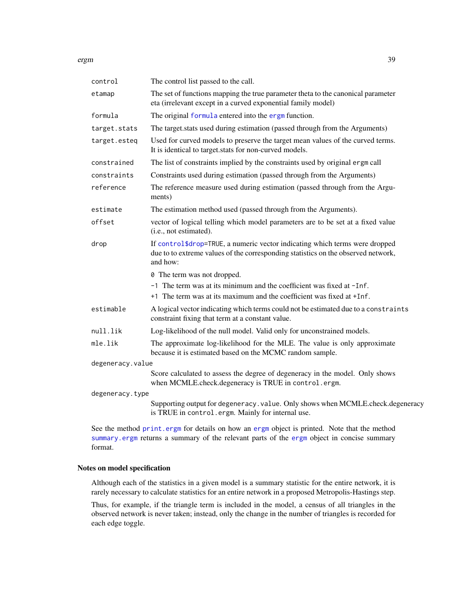ergm 39

| control          | The control list passed to the call.                                                                                                                                         |
|------------------|------------------------------------------------------------------------------------------------------------------------------------------------------------------------------|
| etamap           | The set of functions mapping the true parameter theta to the canonical parameter<br>eta (irrelevant except in a curved exponential family model)                             |
| formula          | The original formula entered into the ergm function.                                                                                                                         |
| target.stats     | The target stats used during estimation (passed through from the Arguments)                                                                                                  |
| target.esteq     | Used for curved models to preserve the target mean values of the curved terms.<br>It is identical to target stats for non-curved models.                                     |
| constrained      | The list of constraints implied by the constraints used by original ergm call                                                                                                |
| constraints      | Constraints used during estimation (passed through from the Arguments)                                                                                                       |
| reference        | The reference measure used during estimation (passed through from the Argu-<br>ments)                                                                                        |
| estimate         | The estimation method used (passed through from the Arguments).                                                                                                              |
| offset           | vector of logical telling which model parameters are to be set at a fixed value<br>(i.e., not estimated).                                                                    |
| drop             | If control\$drop=TRUE, a numeric vector indicating which terms were dropped<br>due to to extreme values of the corresponding statistics on the observed network,<br>and how: |
|                  | 0 The term was not dropped.                                                                                                                                                  |
|                  | -1 The term was at its minimum and the coefficient was fixed at -Inf.                                                                                                        |
|                  | +1 The term was at its maximum and the coefficient was fixed at +Inf.                                                                                                        |
| estimable        | A logical vector indicating which terms could not be estimated due to a constraints<br>constraint fixing that term at a constant value.                                      |
| null.lik         | Log-likelihood of the null model. Valid only for unconstrained models.                                                                                                       |
| mle.lik          | The approximate log-likelihood for the MLE. The value is only approximate<br>because it is estimated based on the MCMC random sample.                                        |
| degeneracy.value |                                                                                                                                                                              |
|                  | Score calculated to assess the degree of degeneracy in the model. Only shows<br>when MCMLE.check.degeneracy is TRUE in control.ergm.                                         |
| degeneracy.type  |                                                                                                                                                                              |
|                  | Supporting output for degeneracy. value. Only shows when MCMLE.check.degeneracy<br>is TRUE in control.ergm. Mainly for internal use.                                         |
|                  | $\alpha$ and $\alpha$ is $\alpha$ and $\alpha$ is the set of $\alpha$ in the set of $\alpha$ is the set of $\alpha$                                                          |

See the method [print.ergm](#page-134-0) for details on how an [ergm](#page-35-0) object is printed. Note that the method [summary.ergm](#page-145-0) returns a summary of the relevant parts of the [ergm](#page-35-0) object in concise summary format.

# Notes on model specification

Although each of the statistics in a given model is a summary statistic for the entire network, it is rarely necessary to calculate statistics for an entire network in a proposed Metropolis-Hastings step.

Thus, for example, if the triangle term is included in the model, a census of all triangles in the observed network is never taken; instead, only the change in the number of triangles is recorded for each edge toggle.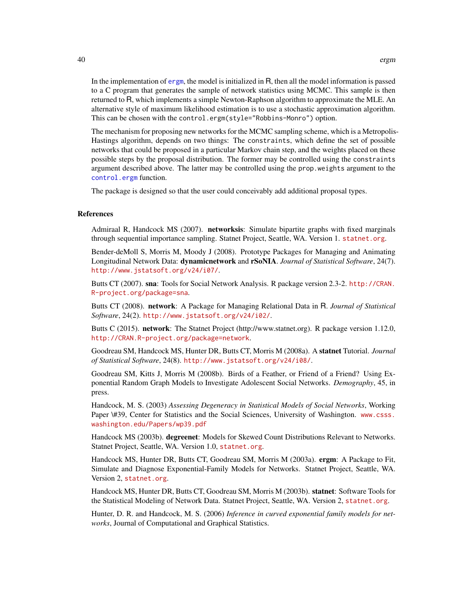In the implementation of [ergm](#page-35-0), the model is initialized in R, then all the model information is passed to a C program that generates the sample of network statistics using MCMC. This sample is then returned to R, which implements a simple Newton-Raphson algorithm to approximate the MLE. An alternative style of maximum likelihood estimation is to use a stochastic approximation algorithm. This can be chosen with the control.ergm(style="Robbins-Monro") option.

The mechanism for proposing new networks for the MCMC sampling scheme, which is a Metropolis-Hastings algorithm, depends on two things: The constraints, which define the set of possible networks that could be proposed in a particular Markov chain step, and the weights placed on these possible steps by the proposal distribution. The former may be controlled using the constraints argument described above. The latter may be controlled using the prop.weights argument to the [control.ergm](#page-13-0) function.

The package is designed so that the user could conceivably add additional proposal types.

#### References

Admiraal R, Handcock MS (2007). networksis: Simulate bipartite graphs with fixed marginals through sequential importance sampling. Statnet Project, Seattle, WA. Version 1. <statnet.org>.

Bender-deMoll S, Morris M, Moody J (2008). Prototype Packages for Managing and Animating Longitudinal Network Data: dynamicnetwork and rSoNIA. *Journal of Statistical Software*, 24(7). <http://www.jstatsoft.org/v24/i07/>.

Butts CT (2007). sna: Tools for Social Network Analysis. R package version 2.3-2. [http://CRAN.](http://CRAN.R-project.org/package=sna) [R-project.org/package=sna](http://CRAN.R-project.org/package=sna).

Butts CT (2008). network: A Package for Managing Relational Data in R. *Journal of Statistical Software*, 24(2). <http://www.jstatsoft.org/v24/i02/>.

Butts C (2015). **network**: The Statnet Project (http://www.statnet.org). R package version 1.12.0, <http://CRAN.R-project.org/package=network>.

Goodreau SM, Handcock MS, Hunter DR, Butts CT, Morris M (2008a). A statnet Tutorial. *Journal of Statistical Software*, 24(8). <http://www.jstatsoft.org/v24/i08/>.

Goodreau SM, Kitts J, Morris M (2008b). Birds of a Feather, or Friend of a Friend? Using Exponential Random Graph Models to Investigate Adolescent Social Networks. *Demography*, 45, in press.

Handcock, M. S. (2003) *Assessing Degeneracy in Statistical Models of Social Networks*, Working Paper \#39, Center for Statistics and the Social Sciences, University of Washington. [www.csss.](www.csss.washington.edu/Papers/wp39.pdf) [washington.edu/Papers/wp39.pdf](www.csss.washington.edu/Papers/wp39.pdf)

Handcock MS (2003b). degreenet: Models for Skewed Count Distributions Relevant to Networks. Statnet Project, Seattle, WA. Version 1.0, <statnet.org>.

Handcock MS, Hunter DR, Butts CT, Goodreau SM, Morris M (2003a). ergm: A Package to Fit, Simulate and Diagnose Exponential-Family Models for Networks. Statnet Project, Seattle, WA. Version 2, <statnet.org>.

Handcock MS, Hunter DR, Butts CT, Goodreau SM, Morris M (2003b). **statnet**: Software Tools for the Statistical Modeling of Network Data. Statnet Project, Seattle, WA. Version 2, <statnet.org>.

Hunter, D. R. and Handcock, M. S. (2006) *Inference in curved exponential family models for networks*, Journal of Computational and Graphical Statistics.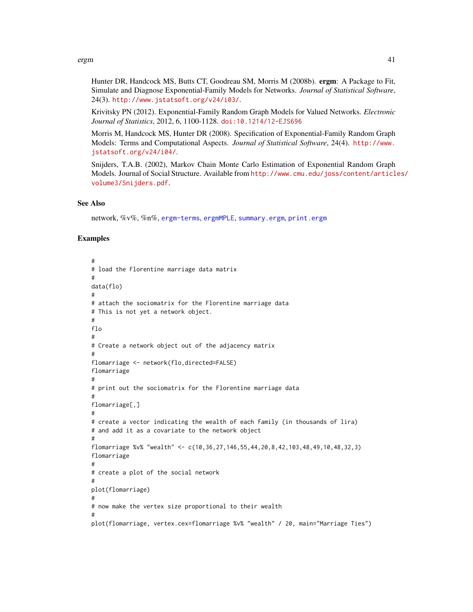#### ergm 41

Hunter DR, Handcock MS, Butts CT, Goodreau SM, Morris M (2008b). ergm: A Package to Fit, Simulate and Diagnose Exponential-Family Models for Networks. *Journal of Statistical Software*, 24(3). <http://www.jstatsoft.org/v24/i03/>.

Krivitsky PN (2012). Exponential-Family Random Graph Models for Valued Networks. *Electronic Journal of Statistics*, 2012, 6, 1100-1128. [doi:10.1214/12-EJS696](http://dx.doi.org/10.1214/12-EJS696)

Morris M, Handcock MS, Hunter DR (2008). Specification of Exponential-Family Random Graph Models: Terms and Computational Aspects. *Journal of Statistical Software*, 24(4). [http://www.](http://www.jstatsoft.org/v24/i04/) [jstatsoft.org/v24/i04/](http://www.jstatsoft.org/v24/i04/).

Snijders, T.A.B. (2002), Markov Chain Monte Carlo Estimation of Exponential Random Graph Models. Journal of Social Structure. Available from [http://www.cmu.edu/joss/content/articl](http://www.cmu.edu/joss/content/articles/volume3/Snijders.pdf)es/ [volume3/Snijders.pdf](http://www.cmu.edu/joss/content/articles/volume3/Snijders.pdf).

# See Also

network, %v%, %n%, [ergm-terms](#page-47-0), [ergmMPLE](#page-88-0), [summary.ergm](#page-145-0), [print.ergm](#page-134-0)

#### Examples

```
#
# load the Florentine marriage data matrix
#
data(flo)
#
# attach the sociomatrix for the Florentine marriage data
# This is not yet a network object.
#
flo
#
# Create a network object out of the adjacency matrix
#
flomarriage <- network(flo,directed=FALSE)
flomarriage
#
# print out the sociomatrix for the Florentine marriage data
#
flomarriage[,]
#
# create a vector indicating the wealth of each family (in thousands of lira)
# and add it as a covariate to the network object
#
flomarriage %v% "wealth" <- c(10,36,27,146,55,44,20,8,42,103,48,49,10,48,32,3)
flomarriage
#
# create a plot of the social network
#
plot(flomarriage)
#
# now make the vertex size proportional to their wealth
#
plot(flomarriage, vertex.cex=flomarriage %v% "wealth" / 20, main="Marriage Ties")
```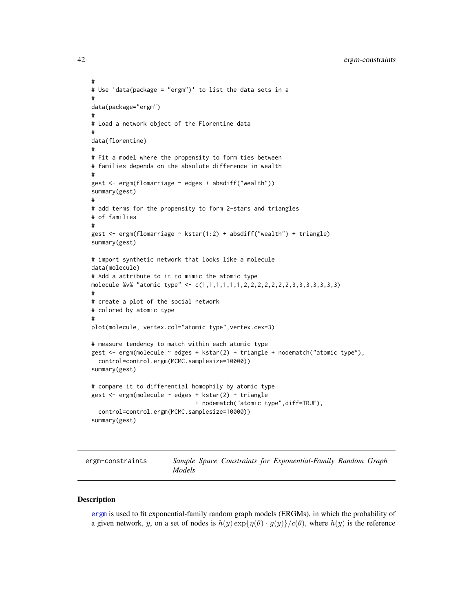```
#
# Use 'data(package = "ergm")' to list the data sets in a
#
data(package="ergm")
#
# Load a network object of the Florentine data
#
data(florentine)
#
# Fit a model where the propensity to form ties between
# families depends on the absolute difference in wealth
#
gest <- ergm(flomarriage ~ edges + absdiff("wealth"))
summary(gest)
#
# add terms for the propensity to form 2-stars and triangles
# of families
#
gest <- ergm(flomarriage ~ kstar(1:2) + absdiff("wealth") + triangle)
summary(gest)
# import synthetic network that looks like a molecule
data(molecule)
# Add a attribute to it to mimic the atomic type
molecule %v% "atomic type" <- c(1,1,1,1,1,1,2,2,2,2,2,2,2,3,3,3,3,3,3,3)
#
# create a plot of the social network
# colored by atomic type
#
plot(molecule, vertex.col="atomic type",vertex.cex=3)
# measure tendency to match within each atomic type
gest <- ergm(molecule ~ edges + kstar(2) + triangle + nodematch("atomic type"),
  control=control.ergm(MCMC.samplesize=10000))
summary(gest)
# compare it to differential homophily by atomic type
gest <- ergm(molecule ~ edges + kstar(2) + triangle
                              + nodematch("atomic type",diff=TRUE),
  control=control.ergm(MCMC.samplesize=10000))
summary(gest)
```
<span id="page-41-0"></span>ergm-constraints *Sample Space Constraints for Exponential-Family Random Graph Models*

#### **Description**

[ergm](#page-35-0) is used to fit exponential-family random graph models (ERGMs), in which the probability of a given network, y, on a set of nodes is  $h(y) \exp{\{\eta(\theta) \cdot g(y)\}}/c(\theta)$ , where  $h(y)$  is the reference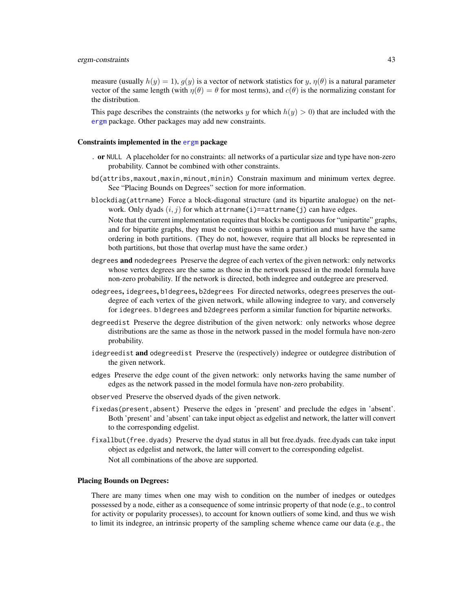### ergm-constraints 43

measure (usually  $h(y) = 1$ ),  $g(y)$  is a vector of network statistics for y,  $\eta(\theta)$  is a natural parameter vector of the same length (with  $\eta(\theta) = \theta$  for most terms), and  $c(\theta)$  is the normalizing constant for the distribution.

This page describes the constraints (the networks y for which  $h(y) > 0$ ) that are included with the [ergm](#page-3-0) package. Other packages may add new constraints.

#### Constraints implemented in the [ergm](#page-3-0) package

- . or NULL A placeholder for no constraints: all networks of a particular size and type have non-zero probability. Cannot be combined with other constraints.
- bd(attribs,maxout,maxin,minout,minin) Constrain maximum and minimum vertex degree. See "Placing Bounds on Degrees" section for more information.
- blockdiag(attrname) Force a block-diagonal structure (and its bipartite analogue) on the network. Only dyads  $(i, j)$  for which attrname(i)==attrname(j) can have edges.

Note that the current implementation requires that blocks be contiguous for "unipartite" graphs, and for bipartite graphs, they must be contiguous within a partition and must have the same ordering in both partitions. (They do not, however, require that all blocks be represented in both partitions, but those that overlap must have the same order.)

- degrees **and** nodedegrees Preserve the degree of each vertex of the given network: only networks whose vertex degrees are the same as those in the network passed in the model formula have non-zero probability. If the network is directed, both indegree and outdegree are preserved.
- odegrees, idegrees, b1degrees, b2degrees For directed networks, odegrees preserves the outdegree of each vertex of the given network, while allowing indegree to vary, and conversely for idegrees. b1degrees and b2degrees perform a similar function for bipartite networks.
- degreedist Preserve the degree distribution of the given network: only networks whose degree distributions are the same as those in the network passed in the model formula have non-zero probability.
- idegreedist and odegreedist Preserve the (respectively) indegree or outdegree distribution of the given network.
- edges Preserve the edge count of the given network: only networks having the same number of edges as the network passed in the model formula have non-zero probability.
- observed Preserve the observed dyads of the given network.
- fixedas(present,absent) Preserve the edges in 'present' and preclude the edges in 'absent'. Both 'present' and 'absent' can take input object as edgelist and network, the latter will convert to the corresponding edgelist.
- fixallbut(free.dyads) Preserve the dyad status in all but free.dyads. free.dyads can take input object as edgelist and network, the latter will convert to the corresponding edgelist. Not all combinations of the above are supported.

#### Placing Bounds on Degrees:

There are many times when one may wish to condition on the number of inedges or outedges possessed by a node, either as a consequence of some intrinsic property of that node (e.g., to control for activity or popularity processes), to account for known outliers of some kind, and thus we wish to limit its indegree, an intrinsic property of the sampling scheme whence came our data (e.g., the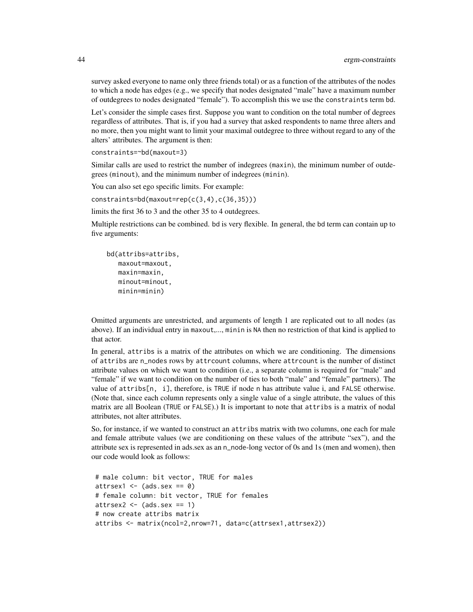survey asked everyone to name only three friends total) or as a function of the attributes of the nodes to which a node has edges (e.g., we specify that nodes designated "male" have a maximum number of outdegrees to nodes designated "female"). To accomplish this we use the constraints term bd.

Let's consider the simple cases first. Suppose you want to condition on the total number of degrees regardless of attributes. That is, if you had a survey that asked respondents to name three alters and no more, then you might want to limit your maximal outdegree to three without regard to any of the alters' attributes. The argument is then:

constraints=~bd(maxout=3)

Similar calls are used to restrict the number of indegrees (maxin), the minimum number of outdegrees (minout), and the minimum number of indegrees (minin).

You can also set ego specific limits. For example:

constraints=bd(maxout=rep(c(3,4),c(36,35)))

limits the first 36 to 3 and the other 35 to 4 outdegrees.

Multiple restrictions can be combined. bd is very flexible. In general, the bd term can contain up to five arguments:

bd(attribs=attribs, maxout=maxout, maxin=maxin, minout=minout, minin=minin)

Omitted arguments are unrestricted, and arguments of length 1 are replicated out to all nodes (as above). If an individual entry in maxout,..., minin is NA then no restriction of that kind is applied to that actor.

In general, attribs is a matrix of the attributes on which we are conditioning. The dimensions of attribs are n\_nodes rows by attrcount columns, where attrcount is the number of distinct attribute values on which we want to condition (i.e., a separate column is required for "male" and "female" if we want to condition on the number of ties to both "male" and "female" partners). The value of attribs[n, i], therefore, is TRUE if node n has attribute value i, and FALSE otherwise. (Note that, since each column represents only a single value of a single attribute, the values of this matrix are all Boolean (TRUE or FALSE).) It is important to note that attribs is a matrix of nodal attributes, not alter attributes.

So, for instance, if we wanted to construct an attribs matrix with two columns, one each for male and female attribute values (we are conditioning on these values of the attribute "sex"), and the attribute sex is represented in ads.sex as an n\_node-long vector of 0s and 1s (men and women), then our code would look as follows:

```
# male column: bit vector, TRUE for males
attrsex1 \le - (ads.sex == 0)
# female column: bit vector, TRUE for females
attrsex2 \leftarrow (ads.sex == 1)# now create attribs matrix
attribs <- matrix(ncol=2,nrow=71, data=c(attrsex1,attrsex2))
```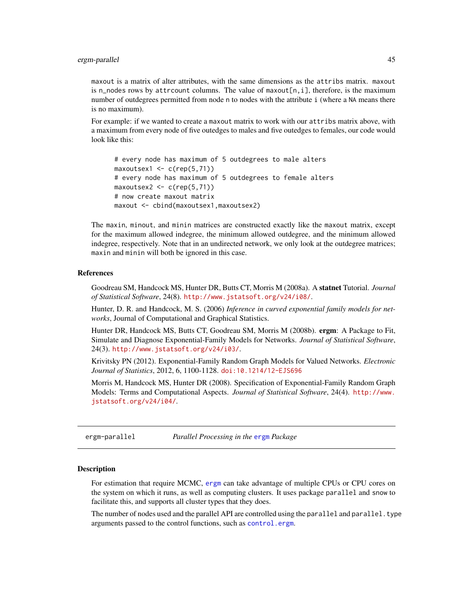maxout is a matrix of alter attributes, with the same dimensions as the attribs matrix. maxout is n\_nodes rows by attrcount columns. The value of maxout[n,i], therefore, is the maximum number of outdegrees permitted from node n to nodes with the attribute i (where a NA means there is no maximum).

For example: if we wanted to create a maxout matrix to work with our attribs matrix above, with a maximum from every node of five outedges to males and five outedges to females, our code would look like this:

```
# every node has maximum of 5 outdegrees to male alters
maxoutsex1 < -c(rep(5,71))# every node has maximum of 5 outdegrees to female alters
maxoutsex2 \leq c(rep(5,71))# now create maxout matrix
maxout <- cbind(maxoutsex1,maxoutsex2)
```
The maxin, minout, and minin matrices are constructed exactly like the maxout matrix, except for the maximum allowed indegree, the minimum allowed outdegree, and the minimum allowed indegree, respectively. Note that in an undirected network, we only look at the outdegree matrices; maxin and minin will both be ignored in this case.

### References

Goodreau SM, Handcock MS, Hunter DR, Butts CT, Morris M (2008a). A statnet Tutorial. *Journal of Statistical Software*, 24(8). <http://www.jstatsoft.org/v24/i08/>.

Hunter, D. R. and Handcock, M. S. (2006) *Inference in curved exponential family models for networks*, Journal of Computational and Graphical Statistics.

Hunter DR, Handcock MS, Butts CT, Goodreau SM, Morris M (2008b). ergm: A Package to Fit, Simulate and Diagnose Exponential-Family Models for Networks. *Journal of Statistical Software*, 24(3). <http://www.jstatsoft.org/v24/i03/>.

Krivitsky PN (2012). Exponential-Family Random Graph Models for Valued Networks. *Electronic Journal of Statistics*, 2012, 6, 1100-1128. [doi:10.1214/12-EJS696](http://dx.doi.org/10.1214/12-EJS696)

Morris M, Handcock MS, Hunter DR (2008). Specification of Exponential-Family Random Graph Models: Terms and Computational Aspects. *Journal of Statistical Software*, 24(4). [http://www.](http://www.jstatsoft.org/v24/i04/) [jstatsoft.org/v24/i04/](http://www.jstatsoft.org/v24/i04/).

ergm-parallel *Parallel Processing in the* [ergm](#page-3-0) *Package*

### **Description**

For estimation that require MCMC, [ergm](#page-3-0) can take advantage of multiple CPUs or CPU cores on the system on which it runs, as well as computing clusters. It uses package parallel and snow to facilitate this, and supports all cluster types that they does.

The number of nodes used and the parallel API are controlled using the parallel and parallel. type arguments passed to the control functions, such as [control.ergm](#page-13-0).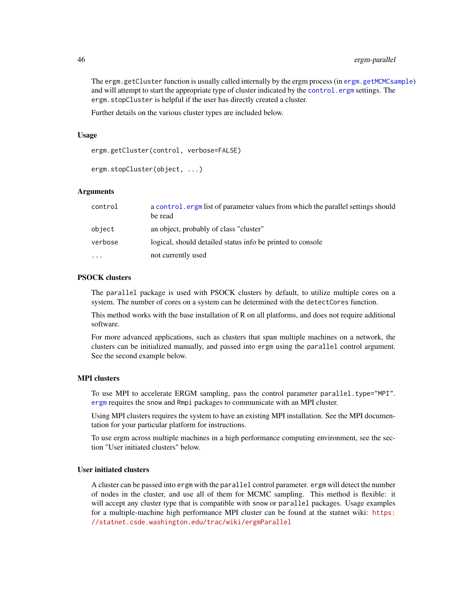The ergm.getCluster function is usually called internally by the ergm process (in [ergm.getMCMCsample](#page-83-0)) and will attempt to start the appropriate type of cluster indicated by the control. ergm settings. The ergm.stopCluster is helpful if the user has directly created a cluster.

Further details on the various cluster types are included below.

### Usage

ergm.getCluster(control, verbose=FALSE)

```
ergm.stopCluster(object, ...)
```
# Arguments

| control  | a control, ergm list of parameter values from which the parallel settings should<br>be read |
|----------|---------------------------------------------------------------------------------------------|
| object   | an object, probably of class "cluster"                                                      |
| verbose  | logical, should detailed status info be printed to console                                  |
| $\cdots$ | not currently used                                                                          |

# PSOCK clusters

The parallel package is used with PSOCK clusters by default, to utilize multiple cores on a system. The number of cores on a system can be determined with the detectCores function.

This method works with the base installation of R on all platforms, and does not require additional software.

For more advanced applications, such as clusters that span multiple machines on a network, the clusters can be initialized manually, and passed into ergm using the parallel control argument. See the second example below.

# MPI clusters

To use MPI to accelerate ERGM sampling, pass the control parameter parallel.type="MPI". [ergm](#page-3-0) requires the snow and Rmpi packages to communicate with an MPI cluster.

Using MPI clusters requires the system to have an existing MPI installation. See the MPI documentation for your particular platform for instructions.

To use ergm across multiple machines in a high performance computing environment, see the section "User initiated clusters" below.

# User initiated clusters

A cluster can be passed into ergm with the parallel control parameter. ergm will detect the number of nodes in the cluster, and use all of them for MCMC sampling. This method is flexible: it will accept any cluster type that is compatible with snow or parallel packages. Usage examples for a multiple-machine high performance MPI cluster can be found at the statnet wiki: [https:](https://statnet.csde.washington.edu/trac/wiki/ergmParallel) [//statnet.csde.washington.edu/trac/wiki/ergmParallel](https://statnet.csde.washington.edu/trac/wiki/ergmParallel)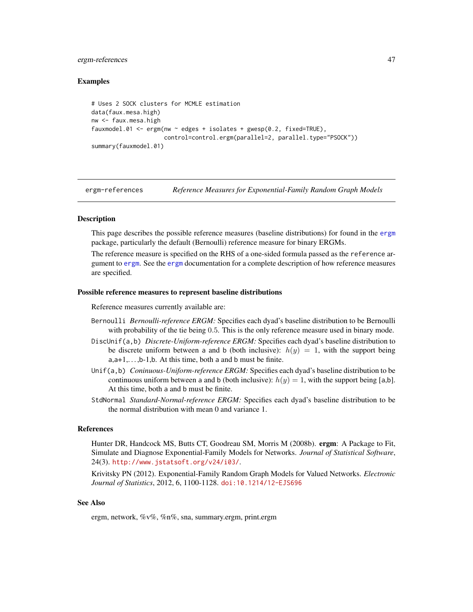## ergm-references 47

# Examples

```
# Uses 2 SOCK clusters for MCMLE estimation
data(faux.mesa.high)
nw <- faux.mesa.high
fauxmodel.01 \leq ergm(nw \sim edges + isolates + gwesp(0.2, fixed=TRUE),
                     control=control.ergm(parallel=2, parallel.type="PSOCK"))
summary(fauxmodel.01)
```
<span id="page-46-0"></span>ergm-references *Reference Measures for Exponential-Family Random Graph Models*

# **Description**

This page describes the possible reference measures (baseline distributions) for found in the [ergm](#page-3-0) package, particularly the default (Bernoulli) reference measure for binary ERGMs.

The reference measure is specified on the RHS of a one-sided formula passed as the reference argument to [ergm](#page-35-0). See the [ergm](#page-35-0) documentation for a complete description of how reference measures are specified.

#### Possible reference measures to represent baseline distributions

Reference measures currently available are:

- Bernoulli *Bernoulli-reference ERGM:* Specifies each dyad's baseline distribution to be Bernoulli with probability of the tie being 0.5. This is the only reference measure used in binary mode.
- DiscUnif(a,b) *Discrete-Uniform-reference ERGM:* Specifies each dyad's baseline distribution to be discrete uniform between a and b (both inclusive):  $h(y) = 1$ , with the support being  $a, a+1, \ldots, b-1, b$ . At this time, both a and b must be finite.
- Unif(a,b) *Coninuous-Uniform-reference ERGM:* Specifies each dyad's baseline distribution to be continuous uniform between a and b (both inclusive):  $h(y) = 1$ , with the support being [a,b]. At this time, both a and b must be finite.
- StdNormal *Standard-Normal-reference ERGM:* Specifies each dyad's baseline distribution to be the normal distribution with mean 0 and variance 1.

# References

Hunter DR, Handcock MS, Butts CT, Goodreau SM, Morris M (2008b). ergm: A Package to Fit, Simulate and Diagnose Exponential-Family Models for Networks. *Journal of Statistical Software*, 24(3). <http://www.jstatsoft.org/v24/i03/>.

Krivitsky PN (2012). Exponential-Family Random Graph Models for Valued Networks. *Electronic Journal of Statistics*, 2012, 6, 1100-1128. [doi:10.1214/12-EJS696](http://dx.doi.org/10.1214/12-EJS696)

### See Also

ergm, network, %v%, %n%, sna, summary.ergm, print.ergm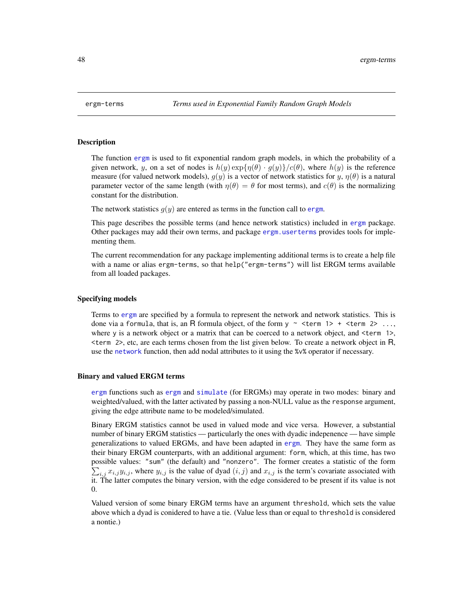#### **Description**

The function [ergm](#page-35-0) is used to fit exponential random graph models, in which the probability of a given network, y, on a set of nodes is  $h(y) \exp{\{\eta(\theta) \cdot g(y)\}}/c(\theta)$ , where  $h(y)$  is the reference measure (for valued network models),  $g(y)$  is a vector of network statistics for  $y, \eta(\theta)$  is a natural parameter vector of the same length (with  $\eta(\theta) = \theta$  for most terms), and  $c(\theta)$  is the normalizing constant for the distribution.

The network statistics  $q(y)$  are entered as terms in the function call to [ergm](#page-35-0).

This page describes the possible terms (and hence network statistics) included in [ergm](#page-3-0) package. Other packages may add their own terms, and package [ergm.userterms](#page-0-0) provides tools for implementing them.

The current recommendation for any package implementing additional terms is to create a help file with a name or alias ergm-terms, so that help("ergm-terms") will list ERGM terms available from all loaded packages.

#### Specifying models

Terms to [ergm](#page-35-0) are specified by a formula to represent the network and network statistics. This is done via a formula, that is, an R formula object, of the form  $y \sim$  <term 1> + <term 2> ..., where y is a network object or a matrix that can be coerced to a network object, and  $\leq$  term 1>,  $\epsilon$  term 2>, etc, are each terms chosen from the list given below. To create a network object in R, use the [network](#page-0-0) function, then add nodal attributes to it using the %v% operator if necessary.

#### Binary and valued ERGM terms

[ergm](#page-3-0) functions such as [ergm](#page-35-0) and [simulate](#page-141-0) (for ERGMs) may operate in two modes: binary and weighted/valued, with the latter activated by passing a non-NULL value as the response argument, giving the edge attribute name to be modeled/simulated.

Binary ERGM statistics cannot be used in valued mode and vice versa. However, a substantial number of binary ERGM statistics — particularly the ones with dyadic indepenence — have simple generalizations to valued ERGMs, and have been adapted in [ergm](#page-3-0). They have the same form as their binary ERGM counterparts, with an additional argument: form, which, at this time, has two possible values: "sum" (the default) and "nonzero". The former creates a statistic of the form  $\sum_{i,j} x_{i,j} y_{i,j}$ , where  $y_{i,j}$  is the value of dyad  $(i, j)$  and  $x_{i,j}$  is the term's covariate associated with it. The latter computes the binary version, with the edge considered to be present if its value is not 0.

Valued version of some binary ERGM terms have an argument threshold, which sets the value above which a dyad is conidered to have a tie. (Value less than or equal to threshold is considered a nontie.)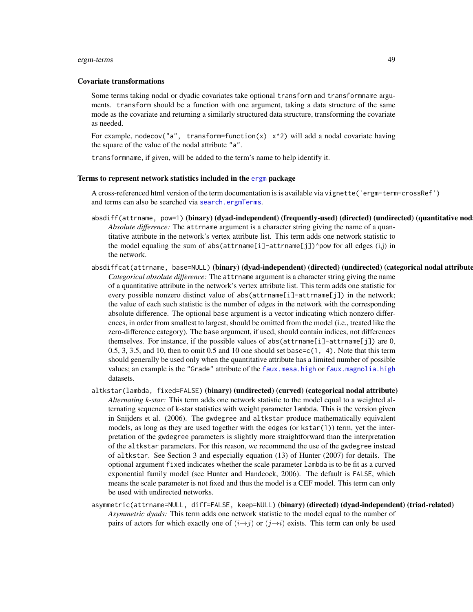#### ergm-terms 49

#### Covariate transformations

Some terms taking nodal or dyadic covariates take optional transform and transformname arguments. transform should be a function with one argument, taking a data structure of the same mode as the covariate and returning a similarly structured data structure, transforming the covariate as needed.

For example, nodecov("a", transform=function(x)  $x^2$ ) will add a nodal covariate having the square of the value of the nodal attribute "a".

transformname, if given, will be added to the term's name to help identify it.

### Terms to represent network statistics included in the [ergm](#page-3-0) package

A cross-referenced html version of the term documentation is is available via vignette('ergm-term-crossRef') and terms can also be searched via [search.ergmTerms](#page-140-0).

- absdiff(attrname, pow=1)(binary)(dyad-independent)(frequently-used)(directed)(undirected)(quantitative nod *Absolute difference:* The attrname argument is a character string giving the name of a quantitative attribute in the network's vertex attribute list. This term adds one network statistic to the model equaling the sum of abs(attrname[i]-attrname[j])^pow for all edges  $(i,j)$  in the network.
- absdiffcat(attrname, base=NULL)(binary)(dyad-independent)(directed)(undirected)(categorical nodal attribute *Categorical absolute difference:* The attrname argument is a character string giving the name of a quantitative attribute in the network's vertex attribute list. This term adds one statistic for every possible nonzero distinct value of abs(attrname[i]-attrname[j]) in the network; the value of each such statistic is the number of edges in the network with the corresponding absolute difference. The optional base argument is a vector indicating which nonzero differences, in order from smallest to largest, should be omitted from the model (i.e., treated like the zero-difference category). The base argument, if used, should contain indices, not differences themselves. For instance, if the possible values of abs(attrname[i]-attrname[j]) are 0,  $0.5, 3, 3.5,$  and 10, then to omit 0.5 and 10 one should set base=c(1, 4). Note that this term should generally be used only when the quantitative attribute has a limited number of possible values; an example is the "Grade" attribute of the [faux.mesa.high](#page-99-0) or [faux.magnolia.high](#page-97-0) datasets.
- altkstar(lambda, fixed=FALSE) (binary) (undirected) (curved) (categorical nodal attribute) *Alternating k-star:* This term adds one network statistic to the model equal to a weighted alternating sequence of k-star statistics with weight parameter lambda. This is the version given in Snijders et al. (2006). The gwdegree and altkstar produce mathematically equivalent models, as long as they are used together with the edges (or kstar(1)) term, yet the interpretation of the gwdegree parameters is slightly more straightforward than the interpretation of the altkstar parameters. For this reason, we recommend the use of the gwdegree instead of altkstar. See Section 3 and especially equation (13) of Hunter (2007) for details. The optional argument fixed indicates whether the scale parameter lambda is to be fit as a curved exponential family model (see Hunter and Handcock, 2006). The default is FALSE, which means the scale parameter is not fixed and thus the model is a CEF model. This term can only be used with undirected networks.
- asymmetric(attrname=NULL, diff=FALSE, keep=NULL) (binary) (directed) (dyad-independent) (triad-related) *Asymmetric dyads:* This term adds one network statistic to the model equal to the number of pairs of actors for which exactly one of  $(i\rightarrow j)$  or  $(j\rightarrow i)$  exists. This term can only be used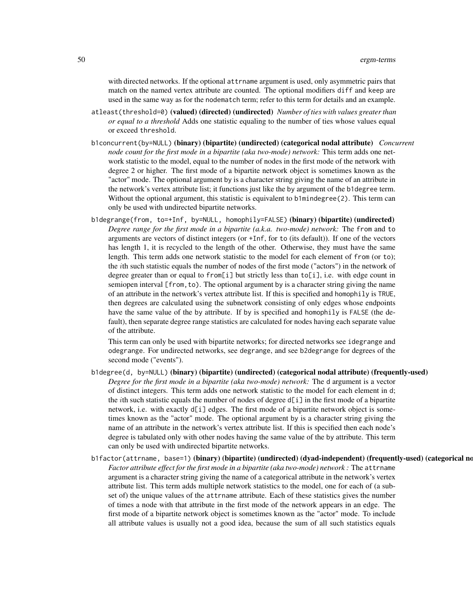with directed networks. If the optional attrname argument is used, only asymmetric pairs that match on the named vertex attribute are counted. The optional modifiers diff and keep are used in the same way as for the nodematch term; refer to this term for details and an example.

- atleast(threshold=0) (valued) (directed) (undirected) *Number of ties with values greater than or equal to a threshold* Adds one statistic equaling to the number of ties whose values equal or exceed threshold.
- b1concurrent(by=NULL) (binary) (bipartite) (undirected) (categorical nodal attribute) *Concurrent node count for the first mode in a bipartite (aka two-mode) network:* This term adds one network statistic to the model, equal to the number of nodes in the first mode of the network with degree 2 or higher. The first mode of a bipartite network object is sometimes known as the "actor" mode. The optional argument by is a character string giving the name of an attribute in the network's vertex attribute list; it functions just like the by argument of the b1degree term. Without the optional argument, this statistic is equivalent to b1mindegree(2). This term can only be used with undirected bipartite networks.
- b1degrange(from, to=+Inf, by=NULL, homophily=FALSE) (binary) (bipartite) (undirected) *Degree range for the first mode in a bipartite (a.k.a. two-mode) network:* The from and to arguments are vectors of distinct integers (or +Inf, for to (its default)). If one of the vectors has length 1, it is recycled to the length of the other. Otherwise, they must have the same length. This term adds one network statistic to the model for each element of from (or to); the ith such statistic equals the number of nodes of the first mode ("actors") in the network of degree greater than or equal to from[i] but strictly less than to[i], i.e. with edge count in semiopen interval [from,to). The optional argument by is a character string giving the name of an attribute in the network's vertex attribute list. If this is specified and homophily is TRUE, then degrees are calculated using the subnetwork consisting of only edges whose endpoints have the same value of the by attribute. If by is specified and homophily is FALSE (the default), then separate degree range statistics are calculated for nodes having each separate value of the attribute.

This term can only be used with bipartite networks; for directed networks see idegrange and odegrange. For undirected networks, see degrange, and see b2degrange for degrees of the second mode ("events").

- b1degree(d, by=NULL) (binary) (bipartite) (undirected) (categorical nodal attribute) (frequently-used) *Degree for the first mode in a bipartite (aka two-mode) network:* The d argument is a vector of distinct integers. This term adds one network statistic to the model for each element in d; the *i*th such statistic equals the number of nodes of degree  $d[i]$  in the first mode of a bipartite network, i.e. with exactly d[i] edges. The first mode of a bipartite network object is sometimes known as the "actor" mode. The optional argument by is a character string giving the name of an attribute in the network's vertex attribute list. If this is specified then each node's degree is tabulated only with other nodes having the same value of the by attribute. This term can only be used with undirected bipartite networks.
- b1factor(attrname, base=1) (binary) (bipartite) (undirected) (dyad-independent) (frequently-used) (categorical no *Factor attribute effect for the first mode in a bipartite (aka two-mode) network :* The attrname argument is a character string giving the name of a categorical attribute in the network's vertex attribute list. This term adds multiple network statistics to the model, one for each of (a subset of) the unique values of the attrname attribute. Each of these statistics gives the number of times a node with that attribute in the first mode of the network appears in an edge. The first mode of a bipartite network object is sometimes known as the "actor" mode. To include all attribute values is usually not a good idea, because the sum of all such statistics equals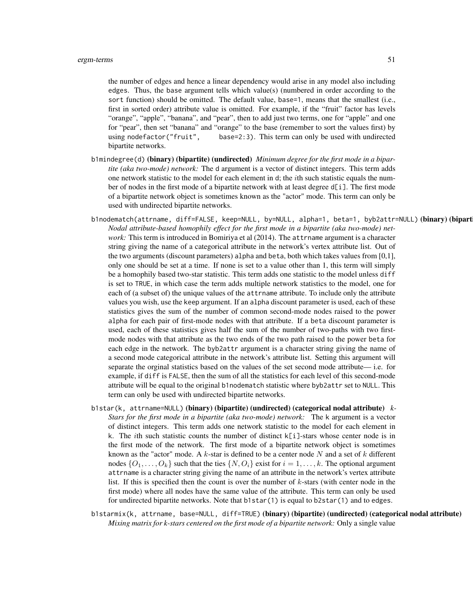the number of edges and hence a linear dependency would arise in any model also including edges. Thus, the base argument tells which value(s) (numbered in order according to the sort function) should be omitted. The default value, base=1, means that the smallest (i.e., first in sorted order) attribute value is omitted. For example, if the "fruit" factor has levels "orange", "apple", "banana", and "pear", then to add just two terms, one for "apple" and one for "pear", then set "banana" and "orange" to the base (remember to sort the values first) by using nodefactor("fruit", base=2:3). This term can only be used with undirected bipartite networks.

- b1mindegree(d) (binary) (bipartite) (undirected) *Minimum degree for the first mode in a bipartite (aka two-mode) network:* The d argument is a vector of distinct integers. This term adds one network statistic to the model for each element in d; the  $i$ th such statistic equals the number of nodes in the first mode of a bipartite network with at least degree d[i]. The first mode of a bipartite network object is sometimes known as the "actor" mode. This term can only be used with undirected bipartite networks.
- b1nodematch(attrname, diff=FALSE, keep=NULL, by=NULL, alpha=1, beta=1, byb2attr=NULL) (binary) (bipart *Nodal attribute-based homophily effect for the first mode in a bipartite (aka two-mode) network:* This term is introduced in Bomiriya et al (2014). The attrname argument is a character string giving the name of a categorical attribute in the network's vertex attribute list. Out of the two arguments (discount parameters) alpha and beta, both which takes values from [0,1], only one should be set at a time. If none is set to a value other than 1, this term will simply be a homophily based two-star statistic. This term adds one statistic to the model unless diff is set to TRUE, in which case the term adds multiple network statistics to the model, one for each of (a subset of) the unique values of the attrname attribute. To include only the attribute values you wish, use the keep argument. If an alpha discount parameter is used, each of these statistics gives the sum of the number of common second-mode nodes raised to the power alpha for each pair of first-mode nodes with that attribute. If a beta discount parameter is used, each of these statistics gives half the sum of the number of two-paths with two firstmode nodes with that attribute as the two ends of the two path raised to the power beta for each edge in the network. The byb2attr argument is a character string giving the name of a second mode categorical attribute in the network's attribute list. Setting this argument will separate the orginal statistics based on the values of the set second mode attribute— i.e. for example, if diff is FALSE, then the sum of all the statistics for each level of this second-mode attribute will be equal to the original b1nodematch statistic where byb2attr set to NULL. This term can only be used with undirected bipartite networks.
- b1star(k, attrname=NULL) (binary) (bipartite) (undirected) (categorical nodal attribute) *k-Stars for the first mode in a bipartite (aka two-mode) network:* The k argument is a vector of distinct integers. This term adds one network statistic to the model for each element in k. The *i*th such statistic counts the number of distinct  $k[i]$ -stars whose center node is in the first mode of the network. The first mode of a bipartite network object is sometimes known as the "actor" mode. A  $k$ -star is defined to be a center node N and a set of  $k$  different nodes  $\{O_1, \ldots, O_k\}$  such that the ties  $\{N, O_i\}$  exist for  $i = 1, \ldots, k$ . The optional argument attrname is a character string giving the name of an attribute in the network's vertex attribute list. If this is specified then the count is over the number of k-stars (with center node in the first mode) where all nodes have the same value of the attribute. This term can only be used for undirected bipartite networks. Note that b1star(1) is equal to b2star(1) and to edges.
- b1starmix(k, attrname, base=NULL, diff=TRUE) (binary) (bipartite) (undirected) (categorical nodal attribute) *Mixing matrix for k-stars centered on the first mode of a bipartite network:* Only a single value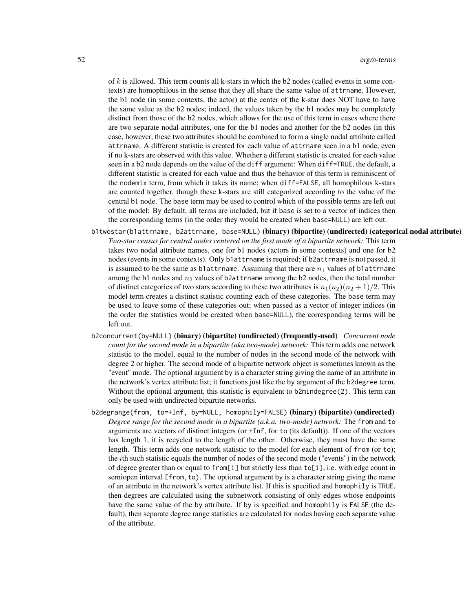of  $k$  is allowed. This term counts all k-stars in which the b2 nodes (called events in some contexts) are homophilous in the sense that they all share the same value of attrname. However, the b1 node (in some contexts, the actor) at the center of the k-star does NOT have to have the same value as the b2 nodes; indeed, the values taken by the b1 nodes may be completely distinct from those of the b2 nodes, which allows for the use of this term in cases where there are two separate nodal attributes, one for the b1 nodes and another for the b2 nodes (in this case, however, these two attributes should be combined to form a single nodal attribute called attrname. A different statistic is created for each value of attrname seen in a b1 node, even if no k-stars are observed with this value. Whether a different statistic is created for each value seen in a b2 node depends on the value of the diff argument: When diff=TRUE, the default, a different statistic is created for each value and thus the behavior of this term is reminiscent of the nodemix term, from which it takes its name; when diff=FALSE, all homophilous k-stars are counted together, though these k-stars are still categorized according to the value of the central b1 node. The base term may be used to control which of the possible terms are left out of the model: By default, all terms are included, but if base is set to a vector of indices then the corresponding terms (in the order they would be created when base=NULL) are left out.

- b1twostar(b1attrname, b2attrname, base=NULL) (binary) (bipartite) (undirected) (categorical nodal attribute) *Two-star census for central nodes centered on the first mode of a bipartite network:* This term takes two nodal attribute names, one for b1 nodes (actors in some contexts) and one for b2 nodes (events in some contexts). Only b1attrname is required; if b2attrname is not passed, it is assumed to be the same as b1attrname. Assuming that there are  $n_1$  values of b1attrname among the b1 nodes and  $n_2$  values of b2attrname among the b2 nodes, then the total number of distinct categories of two stars according to these two attributes is  $n_1(n_2)(n_2 + 1)/2$ . This model term creates a distinct statistic counting each of these categories. The base term may be used to leave some of these categories out; when passed as a vector of integer indices (in the order the statistics would be created when base=NULL), the corresponding terms will be left out.
- b2concurrent(by=NULL) (binary) (bipartite) (undirected) (frequently-used) *Concurrent node count for the second mode in a bipartite (aka two-mode) network:* This term adds one network statistic to the model, equal to the number of nodes in the second mode of the network with degree 2 or higher. The second mode of a bipartite network object is sometimes known as the "event" mode. The optional argument by is a character string giving the name of an attribute in the network's vertex attribute list; it functions just like the by argument of the b2degree term. Without the optional argument, this statistic is equivalent to b2mindegree(2). This term can only be used with undirected bipartite networks.
- b2degrange(from, to=+Inf, by=NULL, homophily=FALSE) (binary) (bipartite) (undirected) *Degree range for the second mode in a bipartite (a.k.a. two-mode) network:* The from and to arguments are vectors of distinct integers (or +Inf, for to (its default)). If one of the vectors has length 1, it is recycled to the length of the other. Otherwise, they must have the same length. This term adds one network statistic to the model for each element of from (or to); the ith such statistic equals the number of nodes of the second mode ("events") in the network of degree greater than or equal to from[i] but strictly less than to[i], i.e. with edge count in semiopen interval [from,to). The optional argument by is a character string giving the name of an attribute in the network's vertex attribute list. If this is specified and homophily is TRUE, then degrees are calculated using the subnetwork consisting of only edges whose endpoints have the same value of the by attribute. If by is specified and homophily is FALSE (the default), then separate degree range statistics are calculated for nodes having each separate value of the attribute.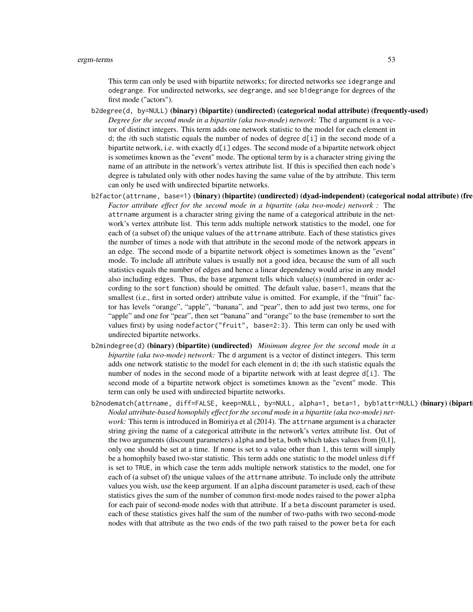This term can only be used with bipartite networks; for directed networks see idegrange and odegrange. For undirected networks, see degrange, and see b1degrange for degrees of the first mode ("actors").

- b2degree(d, by=NULL) (binary) (bipartite) (undirected) (categorical nodal attribute) (frequently-used) *Degree for the second mode in a bipartite (aka two-mode) network:* The d argument is a vector of distinct integers. This term adds one network statistic to the model for each element in d; the *i*th such statistic equals the number of nodes of degree  $d[i]$  in the second mode of a bipartite network, i.e. with exactly d[i] edges. The second mode of a bipartite network object is sometimes known as the "event" mode. The optional term by is a character string giving the name of an attribute in the network's vertex attribute list. If this is specified then each node's degree is tabulated only with other nodes having the same value of the by attribute. This term can only be used with undirected bipartite networks.
- b2factor(attrname, base=1) (binary) (bipartite) (undirected) (dyad-independent) (categorical nodal attribute) (fre *Factor attribute effect for the second mode in a bipartite (aka two-mode) network :* The attrname argument is a character string giving the name of a categorical attribute in the network's vertex attribute list. This term adds multiple network statistics to the model, one for each of (a subset of) the unique values of the attrname attribute. Each of these statistics gives the number of times a node with that attribute in the second mode of the network appears in an edge. The second mode of a bipartite network object is sometimes known as the "event" mode. To include all attribute values is usually not a good idea, because the sum of all such statistics equals the number of edges and hence a linear dependency would arise in any model also including edges. Thus, the base argument tells which value(s) (numbered in order according to the sort function) should be omitted. The default value, base=1, means that the smallest (i.e., first in sorted order) attribute value is omitted. For example, if the "fruit" factor has levels "orange", "apple", "banana", and "pear", then to add just two terms, one for "apple" and one for "pear", then set "banana" and "orange" to the base (remember to sort the values first) by using nodefactor("fruit", base=2:3). This term can only be used with undirected bipartite networks.
- b2mindegree(d) (binary) (bipartite) (undirected) *Minimum degree for the second mode in a bipartite (aka two-mode) network:* The d argument is a vector of distinct integers. This term adds one network statistic to the model for each element in d; the ith such statistic equals the number of nodes in the second mode of a bipartite network with at least degree d[i]. The second mode of a bipartite network object is sometimes known as the "event" mode. This term can only be used with undirected bipartite networks.
- b2nodematch(attrname, diff=FALSE, keep=NULL, by=NULL, alpha=1, beta=1, byb1attr=NULL) (binary) (bipart *Nodal attribute-based homophily effect for the second mode in a bipartite (aka two-mode) network:* This term is introduced in Bomiriya et al (2014). The attrname argument is a character string giving the name of a categorical attribute in the network's vertex attribute list. Out of the two arguments (discount parameters) alpha and beta, both which takes values from [0,1], only one should be set at a time. If none is set to a value other than 1, this term will simply be a homophily based two-star statistic. This term adds one statistic to the model unless diff is set to TRUE, in which case the term adds multiple network statistics to the model, one for each of (a subset of) the unique values of the attrname attribute. To include only the attribute values you wish, use the keep argument. If an alpha discount parameter is used, each of these statistics gives the sum of the number of common first-mode nodes raised to the power alpha for each pair of second-mode nodes with that attribute. If a beta discount parameter is used, each of these statistics gives half the sum of the number of two-paths with two second-mode nodes with that attribute as the two ends of the two path raised to the power beta for each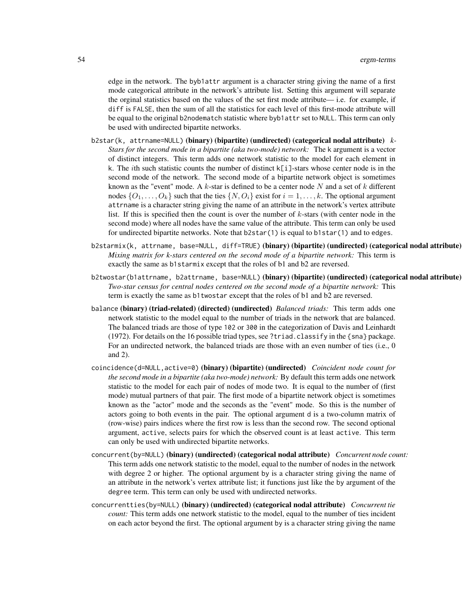edge in the network. The byb1attr argument is a character string giving the name of a first mode categorical attribute in the network's attribute list. Setting this argument will separate the orginal statistics based on the values of the set first mode attribute— i.e. for example, if diff is FALSE, then the sum of all the statistics for each level of this first-mode attribute will be equal to the original b2nodematch statistic where byb1attr set to NULL. This term can only be used with undirected bipartite networks.

- b2star(k, attrname=NULL) (binary) (bipartite) (undirected) (categorical nodal attribute) *k-Stars for the second mode in a bipartite (aka two-mode) network:* The k argument is a vector of distinct integers. This term adds one network statistic to the model for each element in k. The ith such statistic counts the number of distinct k[i]-stars whose center node is in the second mode of the network. The second mode of a bipartite network object is sometimes known as the "event" mode. A  $k$ -star is defined to be a center node N and a set of  $k$  different nodes  $\{O_1, \ldots, O_k\}$  such that the ties  $\{N, O_i\}$  exist for  $i = 1, \ldots, k$ . The optional argument attrname is a character string giving the name of an attribute in the network's vertex attribute list. If this is specified then the count is over the number of  $k$ -stars (with center node in the second mode) where all nodes have the same value of the attribute. This term can only be used for undirected bipartite networks. Note that b2star(1) is equal to b1star(1) and to edges.
- b2starmix(k, attrname, base=NULL, diff=TRUE) (binary) (bipartite) (undirected) (categorical nodal attribute) *Mixing matrix for k-stars centered on the second mode of a bipartite network:* This term is exactly the same as b1starmix except that the roles of b1 and b2 are reversed.
- b2twostar(b1attrname, b2attrname, base=NULL) (binary) (bipartite) (undirected) (categorical nodal attribute) *Two-star census for central nodes centered on the second mode of a bipartite network:* This term is exactly the same as b1twostar except that the roles of b1 and b2 are reversed.
- balance (binary) (triad-related) (directed) (undirected) *Balanced triads:* This term adds one network statistic to the model equal to the number of triads in the network that are balanced. The balanced triads are those of type 102 or 300 in the categorization of Davis and Leinhardt (1972). For details on the 16 possible triad types, see ?triad.classify in the {sna} package. For an undirected network, the balanced triads are those with an even number of ties (i.e., 0) and 2).
- coincidence(d=NULL,active=0) (binary) (bipartite) (undirected) *Coincident node count for the second mode in a bipartite (aka two-mode) network:* By default this term adds one network statistic to the model for each pair of nodes of mode two. It is equal to the number of (first mode) mutual partners of that pair. The first mode of a bipartite network object is sometimes known as the "actor" mode and the seconds as the "event" mode. So this is the number of actors going to both events in the pair. The optional argument d is a two-column matrix of (row-wise) pairs indices where the first row is less than the second row. The second optional argument, active, selects pairs for which the observed count is at least active. This term can only be used with undirected bipartite networks.
- concurrent(by=NULL) (binary) (undirected) (categorical nodal attribute) *Concurrent node count:* This term adds one network statistic to the model, equal to the number of nodes in the network with degree 2 or higher. The optional argument by is a character string giving the name of an attribute in the network's vertex attribute list; it functions just like the by argument of the degree term. This term can only be used with undirected networks.
- concurrentties(by=NULL) (binary) (undirected) (categorical nodal attribute) *Concurrent tie count:* This term adds one network statistic to the model, equal to the number of ties incident on each actor beyond the first. The optional argument by is a character string giving the name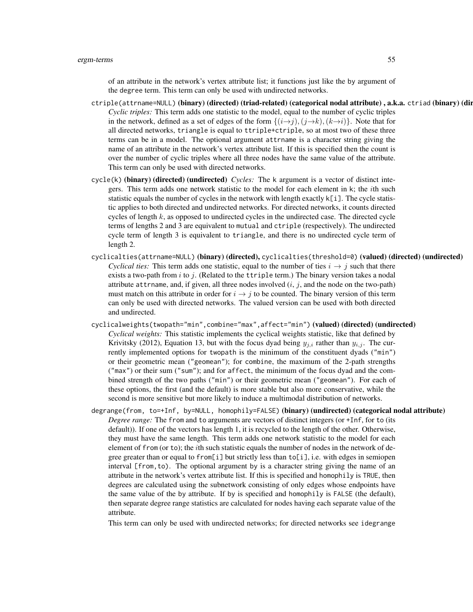of an attribute in the network's vertex attribute list; it functions just like the by argument of the degree term. This term can only be used with undirected networks.

- ctriple(attrname=NULL) (binary) (directed) (triad-related) (categorical nodal attribute) , a.k.a. ctriad (binary) (directed) (triad-related) (categorical nodal attribute) *Cyclic triples:* This term adds one statistic to the model, equal to the number of cyclic triples in the network, defined as a set of edges of the form  $\{(i \rightarrow j), (j \rightarrow k), (k \rightarrow i)\}$ . Note that for all directed networks, triangle is equal to ttriple+ctriple, so at most two of these three terms can be in a model. The optional argument attrname is a character string giving the name of an attribute in the network's vertex attribute list. If this is specified then the count is over the number of cyclic triples where all three nodes have the same value of the attribute. This term can only be used with directed networks.
- cycle(k) (binary) (directed) (undirected) *Cycles:* The k argument is a vector of distinct integers. This term adds one network statistic to the model for each element in  $k$ ; the *i*th such statistic equals the number of cycles in the network with length exactly  $k[i]$ . The cycle statistic applies to both directed and undirected networks. For directed networks, it counts directed cycles of length  $k$ , as opposed to undirected cycles in the undirected case. The directed cycle terms of lengths 2 and 3 are equivalent to mutual and ctriple (respectively). The undirected cycle term of length 3 is equivalent to triangle, and there is no undirected cycle term of length 2.
- cyclicalties(attrname=NULL) (binary) (directed), cyclicalties(threshold=0) (valued) (directed) (undirected) *Cyclical ties:* This term adds one statistic, equal to the number of ties  $i \rightarrow j$  such that there exists a two-path from i to j. (Related to the ttriple term.) The binary version takes a nodal attribute attribute, and, if given, all three nodes involved  $(i, j)$ , and the node on the two-path) must match on this attribute in order for  $i \rightarrow j$  to be counted. The binary version of this term can only be used with directed networks. The valued version can be used with both directed and undirected.
- cyclicalweights(twopath="min",combine="max",affect="min") (valued) (directed) (undirected) *Cyclical weights:* This statistic implements the cyclical weights statistic, like that defined by Krivitsky (2012), Equation 13, but with the focus dyad being  $y_{j,i}$  rather than  $y_{i,j}$ . The currently implemented options for twopath is the minimum of the constituent dyads ("min") or their geometric mean ("geomean"); for combine, the maximum of the 2-path strengths ("max") or their sum ("sum"); and for affect, the minimum of the focus dyad and the combined strength of the two paths ("min") or their geometric mean ("geomean"). For each of these options, the first (and the default) is more stable but also more conservative, while the second is more sensitive but more likely to induce a multimodal distribution of networks.
- degrange(from, to=+Inf, by=NULL, homophily=FALSE) (binary) (undirected) (categorical nodal attribute) *Degree range:* The from and to arguments are vectors of distinct integers (or +Inf, for to (its default)). If one of the vectors has length 1, it is recycled to the length of the other. Otherwise, they must have the same length. This term adds one network statistic to the model for each element of from (or to); the *i*th such statistic equals the number of nodes in the network of degree greater than or equal to from [i] but strictly less than  $\text{to}$  [i], i.e. with edges in semiopen interval [from,to). The optional argument by is a character string giving the name of an attribute in the network's vertex attribute list. If this is specified and homophily is TRUE, then degrees are calculated using the subnetwork consisting of only edges whose endpoints have the same value of the by attribute. If by is specified and homophily is FALSE (the default), then separate degree range statistics are calculated for nodes having each separate value of the attribute.

This term can only be used with undirected networks; for directed networks see idegrange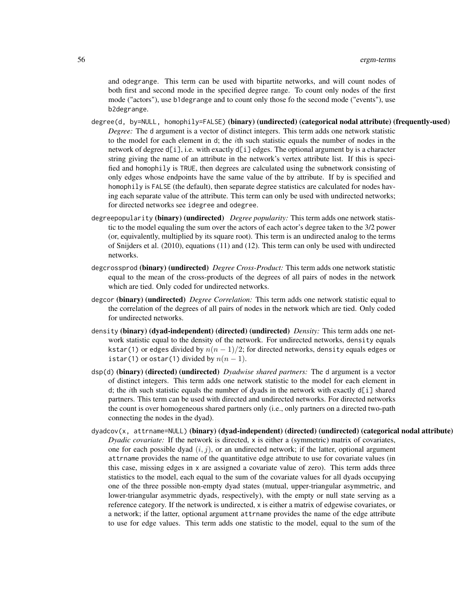and odegrange. This term can be used with bipartite networks, and will count nodes of both first and second mode in the specified degree range. To count only nodes of the first mode ("actors"), use b1degrange and to count only those fo the second mode ("events"), use b2degrange.

- degree(d, by=NULL, homophily=FALSE) (binary) (undirected) (categorical nodal attribute) (frequently-used) *Degree:* The d argument is a vector of distinct integers. This term adds one network statistic to the model for each element in d; the ith such statistic equals the number of nodes in the network of degree  $d[i]$ , i.e. with exactly  $d[i]$  edges. The optional argument by is a character string giving the name of an attribute in the network's vertex attribute list. If this is specified and homophily is TRUE, then degrees are calculated using the subnetwork consisting of only edges whose endpoints have the same value of the by attribute. If by is specified and homophily is FALSE (the default), then separate degree statistics are calculated for nodes having each separate value of the attribute. This term can only be used with undirected networks; for directed networks see idegree and odegree.
- degreepopularity (binary) (undirected) *Degree popularity:* This term adds one network statistic to the model equaling the sum over the actors of each actor's degree taken to the 3/2 power (or, equivalently, multiplied by its square root). This term is an undirected analog to the terms of Snijders et al. (2010), equations (11) and (12). This term can only be used with undirected networks.
- degcrossprod (binary) (undirected) *Degree Cross-Product:* This term adds one network statistic equal to the mean of the cross-products of the degrees of all pairs of nodes in the network which are tied. Only coded for undirected networks.
- degcor (binary) (undirected) *Degree Correlation:* This term adds one network statistic equal to the correlation of the degrees of all pairs of nodes in the network which are tied. Only coded for undirected networks.
- density (binary) (dyad-independent) (directed) (undirected) *Density*: This term adds one network statistic equal to the density of the network. For undirected networks, density equals kstar(1) or edges divided by  $n(n - 1)/2$ ; for directed networks, density equals edges or istar(1) or ostar(1) divided by  $n(n-1)$ .
- dsp(d) (binary) (directed) (undirected) *Dyadwise shared partners:* The d argument is a vector of distinct integers. This term adds one network statistic to the model for each element in d; the *i*th such statistic equals the number of dyads in the network with exactly  $d[i]$  shared partners. This term can be used with directed and undirected networks. For directed networks the count is over homogeneous shared partners only (i.e., only partners on a directed two-path connecting the nodes in the dyad).
- dyadcov(x, attrname=NULL) (binary) (dyad-independent) (directed) (undirected) (categorical nodal attribute) *Dyadic covariate:* If the network is directed, x is either a (symmetric) matrix of covariates, one for each possible dyad  $(i, j)$ , or an undirected network; if the latter, optional argument attrname provides the name of the quantitative edge attribute to use for covariate values (in this case, missing edges in x are assigned a covariate value of zero). This term adds three statistics to the model, each equal to the sum of the covariate values for all dyads occupying one of the three possible non-empty dyad states (mutual, upper-triangular asymmetric, and lower-triangular asymmetric dyads, respectively), with the empty or null state serving as a reference category. If the network is undirected, x is either a matrix of edgewise covariates, or a network; if the latter, optional argument attrname provides the name of the edge attribute to use for edge values. This term adds one statistic to the model, equal to the sum of the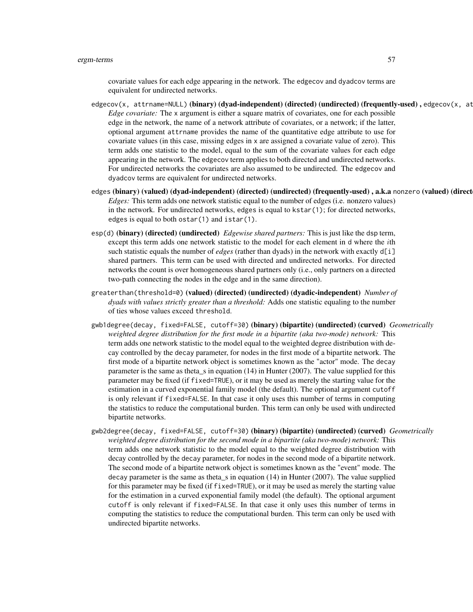#### ergm-terms 57

covariate values for each edge appearing in the network. The edgecov and dyadcov terms are equivalent for undirected networks.

- edgecov(x, attrname=NULL) (binary) (dyad-independent) (directed) (undirected) (frequently-used), edgecov(x, at *Edge covariate:* The x argument is either a square matrix of covariates, one for each possible edge in the network, the name of a network attribute of covariates, or a network; if the latter, optional argument attrname provides the name of the quantitative edge attribute to use for covariate values (in this case, missing edges in x are assigned a covariate value of zero). This term adds one statistic to the model, equal to the sum of the covariate values for each edge appearing in the network. The edgecov term applies to both directed and undirected networks. For undirected networks the covariates are also assumed to be undirected. The edgecov and dyadcov terms are equivalent for undirected networks.
- edges (binary) (valued) (dyad-independent) (directed) (undirected) (frequently-used), a.k.a nonzero (valued) (direct *Edges:* This term adds one network statistic equal to the number of edges (i.e. nonzero values) in the network. For undirected networks, edges is equal to kstar(1); for directed networks, edges is equal to both ostar(1) and istar(1).
- esp(d) (binary) (directed) (undirected) *Edgewise shared partners:* This is just like the dsp term, except this term adds one network statistic to the model for each element in d where the ith such statistic equals the number of *edges* (rather than dyads) in the network with exactly d[i] shared partners. This term can be used with directed and undirected networks. For directed networks the count is over homogeneous shared partners only (i.e., only partners on a directed two-path connecting the nodes in the edge and in the same direction).
- greaterthan(threshold=0) (valued) (directed) (undirected) (dyadic-independent) *Number of dyads with values strictly greater than a threshold:* Adds one statistic equaling to the number of ties whose values exceed threshold.
- gwb1degree(decay, fixed=FALSE, cutoff=30) (binary) (bipartite) (undirected) (curved) *Geometrically weighted degree distribution for the first mode in a bipartite (aka two-mode) network:* This term adds one network statistic to the model equal to the weighted degree distribution with decay controlled by the decay parameter, for nodes in the first mode of a bipartite network. The first mode of a bipartite network object is sometimes known as the "actor" mode. The decay parameter is the same as theta\_s in equation (14) in Hunter (2007). The value supplied for this parameter may be fixed (if fixed=TRUE), or it may be used as merely the starting value for the estimation in a curved exponential family model (the default). The optional argument cutoff is only relevant if fixed=FALSE. In that case it only uses this number of terms in computing the statistics to reduce the computational burden. This term can only be used with undirected bipartite networks.
- gwb2degree(decay, fixed=FALSE, cutoff=30) (binary) (bipartite) (undirected) (curved) *Geometrically weighted degree distribution for the second mode in a bipartite (aka two-mode) network:* This term adds one network statistic to the model equal to the weighted degree distribution with decay controlled by the decay parameter, for nodes in the second mode of a bipartite network. The second mode of a bipartite network object is sometimes known as the "event" mode. The decay parameter is the same as theta  $\overline{s}$  in equation (14) in Hunter (2007). The value supplied for this parameter may be fixed (if fixed=TRUE), or it may be used as merely the starting value for the estimation in a curved exponential family model (the default). The optional argument cutoff is only relevant if fixed=FALSE. In that case it only uses this number of terms in computing the statistics to reduce the computational burden. This term can only be used with undirected bipartite networks.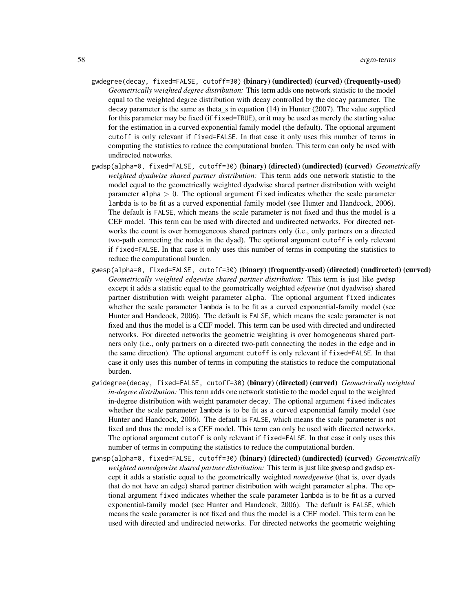- gwdegree(decay, fixed=FALSE, cutoff=30) (binary) (undirected) (curved) (frequently-used) *Geometrically weighted degree distribution:* This term adds one network statistic to the model equal to the weighted degree distribution with decay controlled by the decay parameter. The decay parameter is the same as theta\_s in equation (14) in Hunter (2007). The value supplied for this parameter may be fixed (if fixed=TRUE), or it may be used as merely the starting value for the estimation in a curved exponential family model (the default). The optional argument cutoff is only relevant if fixed=FALSE. In that case it only uses this number of terms in computing the statistics to reduce the computational burden. This term can only be used with undirected networks.
- gwdsp(alpha=0, fixed=FALSE, cutoff=30) (binary) (directed) (undirected) (curved) *Geometrically weighted dyadwise shared partner distribution:* This term adds one network statistic to the model equal to the geometrically weighted dyadwise shared partner distribution with weight parameter alpha  $> 0$ . The optional argument fixed indicates whether the scale parameter lambda is to be fit as a curved exponential family model (see Hunter and Handcock, 2006). The default is FALSE, which means the scale parameter is not fixed and thus the model is a CEF model. This term can be used with directed and undirected networks. For directed networks the count is over homogeneous shared partners only (i.e., only partners on a directed two-path connecting the nodes in the dyad). The optional argument cutoff is only relevant if fixed=FALSE. In that case it only uses this number of terms in computing the statistics to reduce the computational burden.
- gwesp(alpha=0, fixed=FALSE, cutoff=30) (binary) (frequently-used) (directed) (undirected) (curved) *Geometrically weighted edgewise shared partner distribution:* This term is just like gwdsp except it adds a statistic equal to the geometrically weighted *edgewise* (not dyadwise) shared partner distribution with weight parameter alpha. The optional argument fixed indicates whether the scale parameter lambda is to be fit as a curved exponential-family model (see Hunter and Handcock, 2006). The default is FALSE, which means the scale parameter is not fixed and thus the model is a CEF model. This term can be used with directed and undirected networks. For directed networks the geometric weighting is over homogeneous shared partners only (i.e., only partners on a directed two-path connecting the nodes in the edge and in the same direction). The optional argument cutoff is only relevant if fixed=FALSE. In that case it only uses this number of terms in computing the statistics to reduce the computational burden.
- gwidegree(decay, fixed=FALSE, cutoff=30) (binary) (directed) (curved) *Geometrically weighted in-degree distribution:* This term adds one network statistic to the model equal to the weighted in-degree distribution with weight parameter decay. The optional argument fixed indicates whether the scale parameter lambda is to be fit as a curved exponential family model (see Hunter and Handcock, 2006). The default is FALSE, which means the scale parameter is not fixed and thus the model is a CEF model. This term can only be used with directed networks. The optional argument cutoff is only relevant if fixed=FALSE. In that case it only uses this number of terms in computing the statistics to reduce the computational burden.
- gwnsp(alpha=0, fixed=FALSE, cutoff=30) (binary) (directed) (undirected) (curved) *Geometrically weighted nonedgewise shared partner distribution:* This term is just like gwesp and gwdsp except it adds a statistic equal to the geometrically weighted *nonedgewise* (that is, over dyads that do not have an edge) shared partner distribution with weight parameter alpha. The optional argument fixed indicates whether the scale parameter lambda is to be fit as a curved exponential-family model (see Hunter and Handcock, 2006). The default is FALSE, which means the scale parameter is not fixed and thus the model is a CEF model. This term can be used with directed and undirected networks. For directed networks the geometric weighting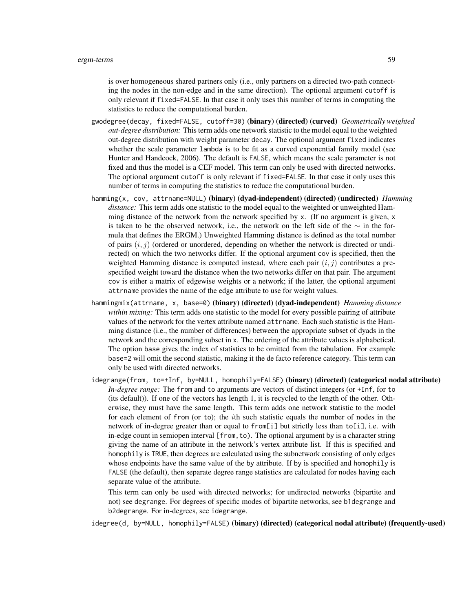is over homogeneous shared partners only (i.e., only partners on a directed two-path connecting the nodes in the non-edge and in the same direction). The optional argument cutoff is only relevant if fixed=FALSE. In that case it only uses this number of terms in computing the statistics to reduce the computational burden.

- gwodegree(decay, fixed=FALSE, cutoff=30) (binary) (directed) (curved) *Geometrically weighted out-degree distribution:* This term adds one network statistic to the model equal to the weighted out-degree distribution with weight parameter decay. The optional argument fixed indicates whether the scale parameter lambda is to be fit as a curved exponential family model (see Hunter and Handcock, 2006). The default is FALSE, which means the scale parameter is not fixed and thus the model is a CEF model. This term can only be used with directed networks. The optional argument cutoff is only relevant if fixed=FALSE. In that case it only uses this number of terms in computing the statistics to reduce the computational burden.
- hamming(x, cov, attrname=NULL) (binary) (dyad-independent) (directed) (undirected) *Hamming distance:* This term adds one statistic to the model equal to the weighted or unweighted Hamming distance of the network from the network specified by  $x$ . (If no argument is given,  $x$ is taken to be the observed network, i.e., the network on the left side of the  $\sim$  in the formula that defines the ERGM.) Unweighted Hamming distance is defined as the total number of pairs  $(i, j)$  (ordered or unordered, depending on whether the network is directed or undirected) on which the two networks differ. If the optional argument cov is specified, then the weighted Hamming distance is computed instead, where each pair  $(i, j)$  contributes a prespecified weight toward the distance when the two networks differ on that pair. The argument cov is either a matrix of edgewise weights or a network; if the latter, the optional argument attrname provides the name of the edge attribute to use for weight values.
- hammingmix(attrname, x, base=0) (binary) (directed) (dyad-independent) *Hamming distance within mixing:* This term adds one statistic to the model for every possible pairing of attribute values of the network for the vertex attribute named attrname. Each such statistic is the Hamming distance (i.e., the number of differences) between the appropriate subset of dyads in the network and the corresponding subset in x. The ordering of the attribute values is alphabetical. The option base gives the index of statistics to be omitted from the tabulation. For example base=2 will omit the second statistic, making it the de facto reference category. This term can only be used with directed networks.
- idegrange(from, to=+Inf, by=NULL, homophily=FALSE) (binary) (directed) (categorical nodal attribute) *In-degree range:* The from and to arguments are vectors of distinct integers (or +Inf, for to (its default)). If one of the vectors has length 1, it is recycled to the length of the other. Otherwise, they must have the same length. This term adds one network statistic to the model for each element of from (or to); the ith such statistic equals the number of nodes in the network of in-degree greater than or equal to from [i] but strictly less than  $to$  [i], i.e. with in-edge count in semiopen interval [from,to). The optional argument by is a character string giving the name of an attribute in the network's vertex attribute list. If this is specified and homophily is TRUE, then degrees are calculated using the subnetwork consisting of only edges whose endpoints have the same value of the by attribute. If by is specified and homophily is FALSE (the default), then separate degree range statistics are calculated for nodes having each separate value of the attribute.

This term can only be used with directed networks; for undirected networks (bipartite and not) see degrange. For degrees of specific modes of bipartite networks, see b1degrange and b2degrange. For in-degrees, see idegrange.

idegree(d, by=NULL, homophily=FALSE) (binary) (directed) (categorical nodal attribute) (frequently-used)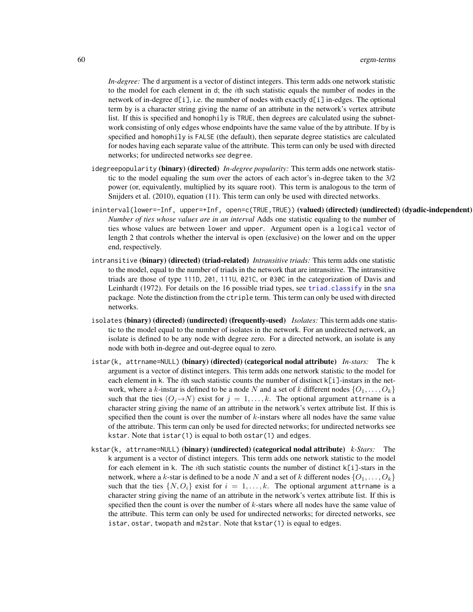*In-degree:* The d argument is a vector of distinct integers. This term adds one network statistic to the model for each element in d; the ith such statistic equals the number of nodes in the network of in-degree  $d[i]$ , i.e. the number of nodes with exactly  $d[i]$  in-edges. The optional term by is a character string giving the name of an attribute in the network's vertex attribute list. If this is specified and homophily is TRUE, then degrees are calculated using the subnetwork consisting of only edges whose endpoints have the same value of the by attribute. If by is specified and homophily is FALSE (the default), then separate degree statistics are calculated for nodes having each separate value of the attribute. This term can only be used with directed networks; for undirected networks see degree.

- idegreepopularity (binary) (directed) *In-degree popularity:* This term adds one network statistic to the model equaling the sum over the actors of each actor's in-degree taken to the 3/2 power (or, equivalently, multiplied by its square root). This term is analogous to the term of Snijders et al. (2010), equation (11). This term can only be used with directed networks.
- ininterval(lower=-Inf, upper=+Inf, open=c(TRUE,TRUE)) (valued) (directed) (undirected) (dyadic-independent) *Number of ties whose values are in an interval* Adds one statistic equaling to the number of ties whose values are between lower and upper. Argument open is a logical vector of length 2 that controls whether the interval is open (exclusive) on the lower and on the upper end, respectively.
- intransitive (binary) (directed) (triad-related) *Intransitive triads:* This term adds one statistic to the model, equal to the number of triads in the network that are intransitive. The intransitive triads are those of type 111D, 201, 111U, 021C, or 030C in the categorization of Davis and Leinhardt (1972). For details on the 16 possible triad types, see [triad.classify](#page-0-0) in the [sna](#page-0-0) package. Note the distinction from the ctriple term. This term can only be used with directed networks.
- isolates (binary) (directed) (undirected) (frequently-used) *Isolates:* This term adds one statistic to the model equal to the number of isolates in the network. For an undirected network, an isolate is defined to be any node with degree zero. For a directed network, an isolate is any node with both in-degree and out-degree equal to zero.
- istar(k, attrname=NULL) (binary) (directed) (categorical nodal attribute) *In-stars:* The k argument is a vector of distinct integers. This term adds one network statistic to the model for each element in k. The *i*th such statistic counts the number of distinct k[i]-instars in the network, where a k-instar is defined to be a node N and a set of k different nodes  $\{O_1, \ldots, O_k\}$ such that the ties  $(O_i \rightarrow N)$  exist for  $j = 1, ..., k$ . The optional argument attrname is a character string giving the name of an attribute in the network's vertex attribute list. If this is specified then the count is over the number of  $k$ -instars where all nodes have the same value of the attribute. This term can only be used for directed networks; for undirected networks see kstar. Note that istar(1) is equal to both ostar(1) and edges.
- kstar(k, attrname=NULL) (binary) (undirected) (categorical nodal attribute) *k-Stars:* The k argument is a vector of distinct integers. This term adds one network statistic to the model for each element in k. The *i*th such statistic counts the number of distinct k[i]-stars in the network, where a k-star is defined to be a node N and a set of k different nodes  $\{O_1, \ldots, O_k\}$ such that the ties  $\{N, O_i\}$  exist for  $i = 1, ..., k$ . The optional argument attrname is a character string giving the name of an attribute in the network's vertex attribute list. If this is specified then the count is over the number of k-stars where all nodes have the same value of the attribute. This term can only be used for undirected networks; for directed networks, see istar, ostar, twopath and m2star. Note that kstar(1) is equal to edges.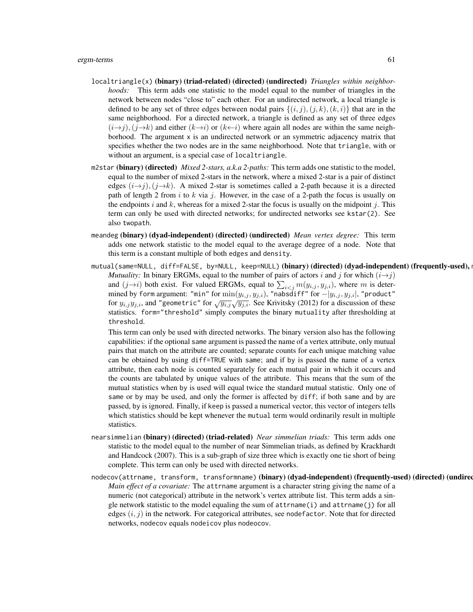- localtriangle(x) (binary) (triad-related) (directed) (undirected) *Triangles within neighborhoods:* This term adds one statistic to the model equal to the number of triangles in the network between nodes "close to" each other. For an undirected network, a local triangle is defined to be any set of three edges between nodal pairs  $\{(i, j), (j, k), (k, i)\}\$  that are in the same neighborhood. For a directed network, a triangle is defined as any set of three edges  $(i\rightarrow j)$ ,  $(j\rightarrow k)$  and either  $(k\rightarrow i)$  or  $(k\leftarrow i)$  where again all nodes are within the same neighborhood. The argument x is an undirected network or an symmetric adjacency matrix that specifies whether the two nodes are in the same neighborhood. Note that triangle, with or without an argument, is a special case of localtriangle.
- m2star (binary) (directed) *Mixed 2-stars, a.k.a 2-paths:* This term adds one statistic to the model, equal to the number of mixed 2-stars in the network, where a mixed 2-star is a pair of distinct edges  $(i\rightarrow j)$ ,  $(j\rightarrow k)$ . A mixed 2-star is sometimes called a 2-path because it is a directed path of length 2 from i to k via j. However, in the case of a 2-path the focus is usually on the endpoints i and k, whereas for a mixed 2-star the focus is usually on the midpoint j. This term can only be used with directed networks; for undirected networks see kstar(2). See also twopath.
- meandeg (binary) (dyad-independent) (directed) (undirected) *Mean vertex degree:* This term adds one network statistic to the model equal to the average degree of a node. Note that this term is a constant multiple of both edges and density.
- mutual(same=NULL, diff=FALSE, by=NULL, keep=NULL) (binary) (directed) (dyad-independent) (frequently-used), *Mutuality:* In binary ERGMs, equal to the number of pairs of actors i and j for which  $(i \rightarrow j)$ and  $(j \rightarrow i)$  both exist. For valued ERGMs, equal to  $\sum_{i < j} m(y_{i,j}, y_{j,i})$ , where m is determined by form argument: "min" for  $\min(y_{i,j}, y_{j,i})$ , "nabsdiff" for  $-|y_{i,j}, y_{j,i}|$ , "product" for  $y_{i,j}y_{j,i}$ , and "geometric" for  $\sqrt{y_{i,j}}\sqrt{y_{j,i}}$ . See Krivitsky (2012) for a discussion of these statistics. form="threshold" simply computes the binary mutuality after thresholding at threshold.

This term can only be used with directed networks. The binary version also has the following capabilities: if the optional same argument is passed the name of a vertex attribute, only mutual pairs that match on the attribute are counted; separate counts for each unique matching value can be obtained by using diff=TRUE with same; and if by is passed the name of a vertex attribute, then each node is counted separately for each mutual pair in which it occurs and the counts are tabulated by unique values of the attribute. This means that the sum of the mutual statistics when by is used will equal twice the standard mutual statistic. Only one of same or by may be used, and only the former is affected by diff; if both same and by are passed, by is ignored. Finally, if keep is passed a numerical vector, this vector of integers tells which statistics should be kept whenever the mutual term would ordinarily result in multiple statistics.

- nearsimmelian (binary) (directed) (triad-related) *Near simmelian triads:* This term adds one statistic to the model equal to the number of near Simmelian triads, as defined by Krackhardt and Handcock (2007). This is a sub-graph of size three which is exactly one tie short of being complete. This term can only be used with directed networks.
- nodecov(attrname, transform, transformname)(binary)(dyad-independent)(frequently-used)(directed)(undired *Main effect of a covariate:* The attrname argument is a character string giving the name of a numeric (not categorical) attribute in the network's vertex attribute list. This term adds a single network statistic to the model equaling the sum of attrname(i) and attrname(j) for all edges  $(i, j)$  in the network. For categorical attributes, see nodefactor. Note that for directed networks, nodecov equals nodeicov plus nodeocov.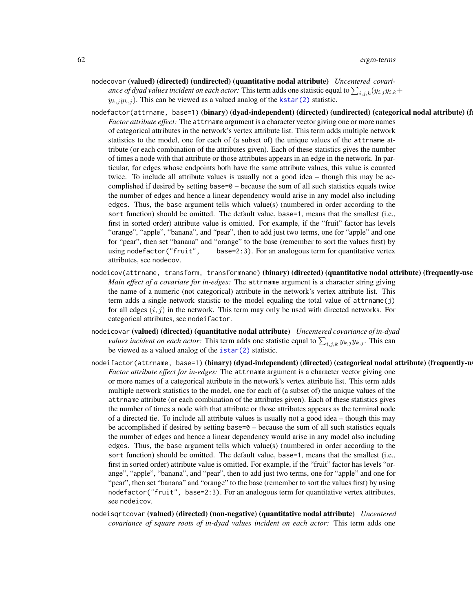- nodecovar (valued) (directed) (undirected) (quantitative nodal attribute) *Uncentered covariance of dyad values incident on each actor:* This term adds one statistic equal to  $\sum_{i,j,k}(y_{i,j}y_{i,k}+)$  $y_{k,j}y_{k,j}$ ). This can be viewed as a valued analog of the [kstar\(2\)](#page-47-0) statistic.
- nodefactor(attrname, base=1)(binary)(dyad-independent)(directed)(undirected)(categorical nodal attribute)(f *Factor attribute effect:* The attrname argument is a character vector giving one or more names of categorical attributes in the network's vertex attribute list. This term adds multiple network statistics to the model, one for each of (a subset of) the unique values of the attrname attribute (or each combination of the attributes given). Each of these statistics gives the number of times a node with that attribute or those attributes appears in an edge in the network. In particular, for edges whose endpoints both have the same attribute values, this value is counted twice. To include all attribute values is usually not a good idea – though this may be accomplished if desired by setting base=0 – because the sum of all such statistics equals twice the number of edges and hence a linear dependency would arise in any model also including edges. Thus, the base argument tells which value(s) (numbered in order according to the sort function) should be omitted. The default value, base=1, means that the smallest (i.e., first in sorted order) attribute value is omitted. For example, if the "fruit" factor has levels "orange", "apple", "banana", and "pear", then to add just two terms, one for "apple" and one for "pear", then set "banana" and "orange" to the base (remember to sort the values first) by using nodefactor("fruit", base=2:3). For an analogous term for quantitative vertex attributes, see nodecov.
- nodeicov(attrname, transform, transformname) (binary) (directed) (quantitative nodal attribute) (frequently-use *Main effect of a covariate for in-edges:* The attrname argument is a character string giving the name of a numeric (not categorical) attribute in the network's vertex attribute list. This term adds a single network statistic to the model equaling the total value of attrname(j) for all edges  $(i, j)$  in the network. This term may only be used with directed networks. For categorical attributes, see nodeifactor.
- nodeicovar (valued) (directed) (quantitative nodal attribute) *Uncentered covariance of in-dyad values incident on each actor:* This term adds one statistic equal to  $\sum_{i,j,k} y_{k,j} y_{k,j}$ . This can be viewed as a valued analog of the [istar\(2\)](#page-47-0) statistic.
- nodeifactor(attrname, base=1)(binary)(dyad-independent)(directed)(categorical nodal attribute)(frequently-u *Factor attribute effect for in-edges:* The attrname argument is a character vector giving one or more names of a categorical attribute in the network's vertex attribute list. This term adds multiple network statistics to the model, one for each of (a subset of) the unique values of the attrname attribute (or each combination of the attributes given). Each of these statistics gives the number of times a node with that attribute or those attributes appears as the terminal node of a directed tie. To include all attribute values is usually not a good idea – though this may be accomplished if desired by setting base= $\theta$  – because the sum of all such statistics equals the number of edges and hence a linear dependency would arise in any model also including edges. Thus, the base argument tells which value(s) (numbered in order according to the sort function) should be omitted. The default value, base=1, means that the smallest (i.e., first in sorted order) attribute value is omitted. For example, if the "fruit" factor has levels "orange", "apple", "banana", and "pear", then to add just two terms, one for "apple" and one for "pear", then set "banana" and "orange" to the base (remember to sort the values first) by using nodefactor("fruit", base=2:3). For an analogous term for quantitative vertex attributes, see nodeicov.
- nodeisqrtcovar (valued) (directed) (non-negative) (quantitative nodal attribute) *Uncentered covariance of square roots of in-dyad values incident on each actor:* This term adds one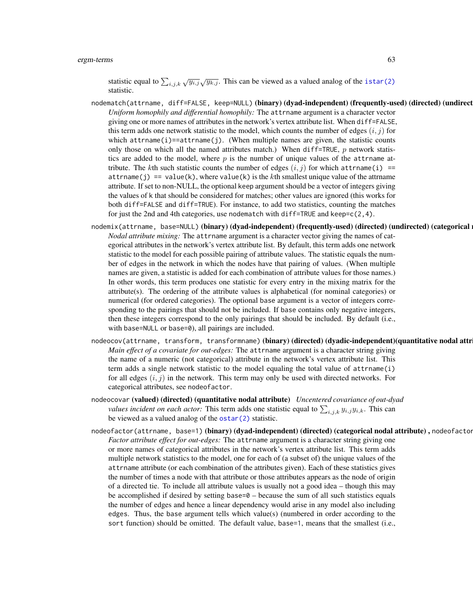statistic equal to  $\sum_{i,j,k} \sqrt{y_{i,j}} \sqrt{y_{k,j}}$ . This can be viewed as a valued analog of the [istar\(2\)](#page-47-0) statistic.

- nodematch(attrname, diff=FALSE, keep=NULL)(binary)(dyad-independent)(frequently-used)(directed)(undirect *Uniform homophily and differential homophily:* The attrname argument is a character vector giving one or more names of attributes in the network's vertex attribute list. When diff=FALSE, this term adds one network statistic to the model, which counts the number of edges  $(i, j)$  for which  $attrname(i) == attrname(j)$ . (When multiple names are given, the statistic counts only those on which all the named attributes match.) When diff=TRUE,  $p$  network statistics are added to the model, where  $p$  is the number of unique values of the attrname attribute. The kth such statistic counts the number of edges  $(i, j)$  for which attrname(i) == attrname(j) == value(k), where value(k) is the kth smallest unique value of the attrname attribute. If set to non-NULL, the optional keep argument should be a vector of integers giving the values of k that should be considered for matches; other values are ignored (this works for both diff=FALSE and diff=TRUE). For instance, to add two statistics, counting the matches for just the 2nd and 4th categories, use nodematch with diff=TRUE and keep= $c(2,4)$ .
- nodemix(attrname, base=NULL)(binary)(dyad-independent)(frequently-used)(directed)(undirected)(categorical) *Nodal attribute mixing:* The attrname argument is a character vector giving the names of categorical attributes in the network's vertex attribute list. By default, this term adds one network statistic to the model for each possible pairing of attribute values. The statistic equals the number of edges in the network in which the nodes have that pairing of values. (When multiple names are given, a statistic is added for each combination of attribute values for those names.) In other words, this term produces one statistic for every entry in the mixing matrix for the attribute(s). The ordering of the attribute values is alphabetical (for nominal categories) or numerical (for ordered categories). The optional base argument is a vector of integers corresponding to the pairings that should not be included. If base contains only negative integers, then these integers correspond to the only pairings that should be included. By default (i.e., with base=NULL or base=0), all pairings are included.
- nodeocov(attrname, transform, transformname) (binary) (directed) (dyadic-independent) (quantitative nodal attr *Main effect of a covariate for out-edges:* The attrname argument is a character string giving the name of a numeric (not categorical) attribute in the network's vertex attribute list. This term adds a single network statistic to the model equaling the total value of attrname(i) for all edges  $(i, j)$  in the network. This term may only be used with directed networks. For categorical attributes, see nodeofactor.
- nodeocovar (valued) (directed) (quantitative nodal attribute) *Uncentered covariance of out-dyad values incident on each actor:* This term adds one statistic equal to  $\sum_{i,j,k} y_{i,j} y_{i,k}$ . This can be viewed as a valued analog of the [ostar\(2\)](#page-47-0) statistic.
- nodeofactor(attrname, base=1) (binary) (dyad-independent) (directed) (categorical nodal attribute), nodeofactor *Factor attribute effect for out-edges:* The attrname argument is a character string giving one or more names of categorical attributes in the network's vertex attribute list. This term adds multiple network statistics to the model, one for each of (a subset of) the unique values of the attrname attribute (or each combination of the attributes given). Each of these statistics gives the number of times a node with that attribute or those attributes appears as the node of origin of a directed tie. To include all attribute values is usually not a good idea – though this may be accomplished if desired by setting base= $\theta$  – because the sum of all such statistics equals the number of edges and hence a linear dependency would arise in any model also including edges. Thus, the base argument tells which value(s) (numbered in order according to the sort function) should be omitted. The default value, base=1, means that the smallest (i.e.,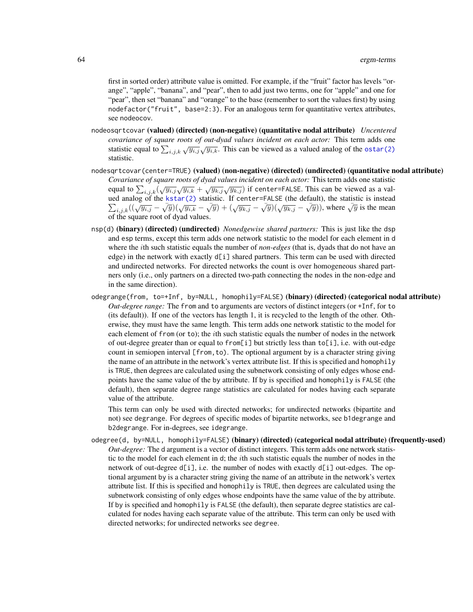first in sorted order) attribute value is omitted. For example, if the "fruit" factor has levels "orange", "apple", "banana", and "pear", then to add just two terms, one for "apple" and one for "pear", then set "banana" and "orange" to the base (remember to sort the values first) by using nodefactor("fruit", base=2:3). For an analogous term for quantitative vertex attributes, see nodeocov.

- nodeosqrtcovar (valued) (directed) (non-negative) (quantitative nodal attribute) *Uncentered covariance of square roots of out-dyad values incident on each actor:* This term adds one statistic equal to  $\sum_{i,j,k} \sqrt{y_{i,j}} \sqrt{y_{i,k}}$ . This can be viewed as a valued analog of the [ostar\(2\)](#page-47-0) statistic.
- nodesqrtcovar(center=TRUE) (valued) (non-negative) (directed) (undirected) (quantitative nodal attribute) *Covariance of square roots of dyad values incident on each actor:* This term adds one statistic equal to  $\sum_{i,j,k} (\sqrt{y_{i,j}}\sqrt{y_{i,k}} + \sqrt{y_{k,j}}\sqrt{y_{k,j}})$  if center=FALSE. This can be viewed as a valued analog of the P d analog of the [kstar\(2\)](#page-47-0) statistic. If center=FALSE (the default), the statistic is instead  $i,j,k((\sqrt{y_{i,j}} - \sqrt{y})(\sqrt{y_{i,k}} - \sqrt{y}) + (\sqrt{y_{k,j}} - \sqrt{y})(\sqrt{y_{k,j}} - \sqrt{y}))$ , where  $\sqrt{y}$  is the mean of the square root of dyad values.
- nsp(d) (binary) (directed) (undirected) *Nonedgewise shared partners:* This is just like the dsp and esp terms, except this term adds one network statistic to the model for each element in d where the ith such statistic equals the number of *non-edges* (that is, dyads that do not have an edge) in the network with exactly  $d[i]$  shared partners. This term can be used with directed and undirected networks. For directed networks the count is over homogeneous shared partners only (i.e., only partners on a directed two-path connecting the nodes in the non-edge and in the same direction).
- odegrange(from, to=+Inf, by=NULL, homophily=FALSE) (binary) (directed) (categorical nodal attribute) *Out-degree range:* The from and to arguments are vectors of distinct integers (or +Inf, for to (its default)). If one of the vectors has length 1, it is recycled to the length of the other. Otherwise, they must have the same length. This term adds one network statistic to the model for each element of from (or to); the ith such statistic equals the number of nodes in the network of out-degree greater than or equal to from[i] but strictly less than to[i], i.e. with out-edge count in semiopen interval [from, to). The optional argument by is a character string giving the name of an attribute in the network's vertex attribute list. If this is specified and homophily is TRUE, then degrees are calculated using the subnetwork consisting of only edges whose endpoints have the same value of the by attribute. If by is specified and homophily is FALSE (the default), then separate degree range statistics are calculated for nodes having each separate value of the attribute.

This term can only be used with directed networks; for undirected networks (bipartite and not) see degrange. For degrees of specific modes of bipartite networks, see b1degrange and b2degrange. For in-degrees, see idegrange.

odegree(d, by=NULL, homophily=FALSE) (binary) (directed) (categorical nodal attribute) (frequently-used) *Out-degree:* The d argument is a vector of distinct integers. This term adds one network statistic to the model for each element in d; the ith such statistic equals the number of nodes in the network of out-degree d[i], i.e. the number of nodes with exactly d[i] out-edges. The optional argument by is a character string giving the name of an attribute in the network's vertex attribute list. If this is specified and homophily is TRUE, then degrees are calculated using the subnetwork consisting of only edges whose endpoints have the same value of the by attribute. If by is specified and homophily is FALSE (the default), then separate degree statistics are calculated for nodes having each separate value of the attribute. This term can only be used with directed networks; for undirected networks see degree.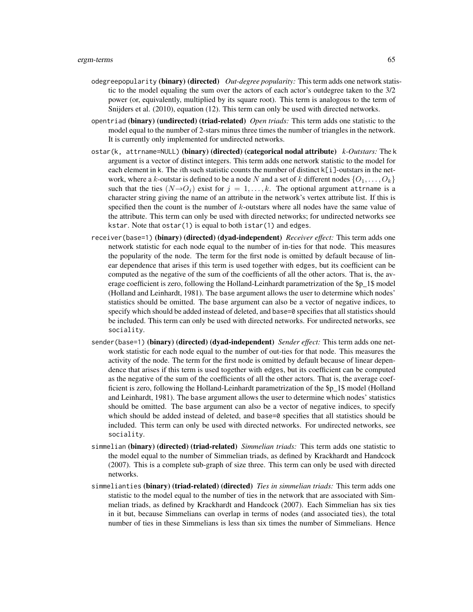- odegreepopularity (binary) (directed) *Out-degree popularity:* This term adds one network statistic to the model equaling the sum over the actors of each actor's outdegree taken to the 3/2 power (or, equivalently, multiplied by its square root). This term is analogous to the term of Snijders et al. (2010), equation (12). This term can only be used with directed networks.
- opentriad (binary) (undirected) (triad-related) *Open triads:* This term adds one statistic to the model equal to the number of 2-stars minus three times the number of triangles in the network. It is currently only implemented for undirected networks.
- ostar(k, attrname=NULL) (binary) (directed) (categorical nodal attribute) *k-Outstars:* The k argument is a vector of distinct integers. This term adds one network statistic to the model for each element in k. The *i*th such statistic counts the number of distinct  $k[i]$ -outstars in the network, where a k-outstar is defined to be a node N and a set of k different nodes  $\{O_1, \ldots, O_k\}$ such that the ties  $(N\rightarrow O_i)$  exist for  $j = 1, \ldots, k$ . The optional argument attrname is a character string giving the name of an attribute in the network's vertex attribute list. If this is specified then the count is the number of k-outstars where all nodes have the same value of the attribute. This term can only be used with directed networks; for undirected networks see kstar. Note that  $ostar(1)$  is equal to both  $istr(1)$  and edges.
- receiver(base=1) (binary) (directed) (dyad-independent) *Receiver effect:* This term adds one network statistic for each node equal to the number of in-ties for that node. This measures the popularity of the node. The term for the first node is omitted by default because of linear dependence that arises if this term is used together with edges, but its coefficient can be computed as the negative of the sum of the coefficients of all the other actors. That is, the average coefficient is zero, following the Holland-Leinhardt parametrization of the \$p\_1\$ model (Holland and Leinhardt, 1981). The base argument allows the user to determine which nodes' statistics should be omitted. The base argument can also be a vector of negative indices, to specify which should be added instead of deleted, and base=0 specifies that all statistics should be included. This term can only be used with directed networks. For undirected networks, see sociality.
- sender(base=1) (binary) (directed) (dyad-independent) *Sender effect:* This term adds one network statistic for each node equal to the number of out-ties for that node. This measures the activity of the node. The term for the first node is omitted by default because of linear dependence that arises if this term is used together with edges, but its coefficient can be computed as the negative of the sum of the coefficients of all the other actors. That is, the average coefficient is zero, following the Holland-Leinhardt parametrization of the \$p\_1\$ model (Holland and Leinhardt, 1981). The base argument allows the user to determine which nodes' statistics should be omitted. The base argument can also be a vector of negative indices, to specify which should be added instead of deleted, and base=0 specifies that all statistics should be included. This term can only be used with directed networks. For undirected networks, see sociality.
- simmelian (binary) (directed) (triad-related) *Simmelian triads:* This term adds one statistic to the model equal to the number of Simmelian triads, as defined by Krackhardt and Handcock (2007). This is a complete sub-graph of size three. This term can only be used with directed networks.
- simmelianties (binary) (triad-related) (directed) *Ties in simmelian triads:* This term adds one statistic to the model equal to the number of ties in the network that are associated with Simmelian triads, as defined by Krackhardt and Handcock (2007). Each Simmelian has six ties in it but, because Simmelians can overlap in terms of nodes (and associated ties), the total number of ties in these Simmelians is less than six times the number of Simmelians. Hence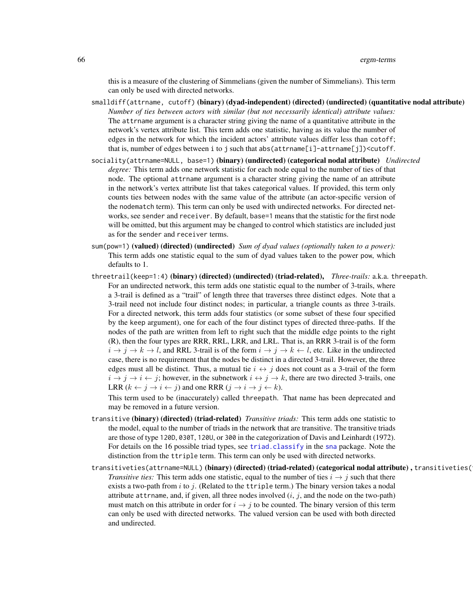this is a measure of the clustering of Simmelians (given the number of Simmelians). This term can only be used with directed networks.

- smalldiff(attrname, cutoff) (binary) (dyad-independent) (directed) (undirected) (quantitative nodal attribute) *Number of ties between actors with similar (but not necessarily identical) attribute values:* The attrname argument is a character string giving the name of a quantitative attribute in the network's vertex attribute list. This term adds one statistic, having as its value the number of edges in the network for which the incident actors' attribute values differ less than cotoff; that is, number of edges between i to j such that abs (attrname[i]-attrname[j])<cutoff.
- sociality(attrname=NULL, base=1) (binary) (undirected) (categorical nodal attribute) *Undirected degree:* This term adds one network statistic for each node equal to the number of ties of that node. The optional attrname argument is a character string giving the name of an attribute in the network's vertex attribute list that takes categorical values. If provided, this term only counts ties between nodes with the same value of the attribute (an actor-specific version of the nodematch term). This term can only be used with undirected networks. For directed networks, see sender and receiver. By default, base=1 means that the statistic for the first node will be omitted, but this argument may be changed to control which statistics are included just as for the sender and receiver terms.
- sum(pow=1) (valued) (directed) (undirected) *Sum of dyad values (optionally taken to a power)*: This term adds one statistic equal to the sum of dyad values taken to the power pow, which defaults to 1.
- threetrail(keep=1:4) (binary) (directed) (undirected) (triad-related), *Three-trails:* a.k.a. threepath. For an undirected network, this term adds one statistic equal to the number of 3-trails, where a 3-trail is defined as a "trail" of length three that traverses three distinct edges. Note that a 3-trail need not include four distinct nodes; in particular, a triangle counts as three 3-trails. For a directed network, this term adds four statistics (or some subset of these four specified by the keep argument), one for each of the four distinct types of directed three-paths. If the nodes of the path are written from left to right such that the middle edge points to the right (R), then the four types are RRR, RRL, LRR, and LRL. That is, an RRR 3-trail is of the form  $i \to j \to k \to l$ , and RRL 3-trail is of the form  $i \to j \to k \leftarrow l$ , etc. Like in the undirected case, there is no requirement that the nodes be distinct in a directed 3-trail. However, the three edges must all be distinct. Thus, a mutual tie  $i \leftrightarrow j$  does not count as a 3-trail of the form  $i \to j \to i \leftarrow j$ ; however, in the subnetwork  $i \leftrightarrow j \to k$ , there are two directed 3-trails, one LRR  $(k \leftarrow j \rightarrow i \leftarrow j)$  and one RRR  $(j \rightarrow i \rightarrow j \leftarrow k)$ .

This term used to be (inaccurately) called threepath. That name has been deprecated and may be removed in a future version.

- transitive (binary) (directed) (triad-related) *Transitive triads:* This term adds one statistic to the model, equal to the number of triads in the network that are transitive. The transitive triads are those of type 120D, 030T, 120U, or 300 in the categorization of Davis and Leinhardt (1972). For details on the 16 possible triad types, see [triad.classify](#page-0-0) in the [sna](#page-0-0) package. Note the distinction from the ttriple term. This term can only be used with directed networks.
- transitiveties(attrname=NULL) (binary) (directed) (triad-related) (categorical nodal attribute), transitiveties( *Transitive ties:* This term adds one statistic, equal to the number of ties  $i \rightarrow j$  such that there exists a two-path from i to j. (Related to the ttriple term.) The binary version takes a nodal attribute attribute, and, if given, all three nodes involved  $(i, j)$ , and the node on the two-path) must match on this attribute in order for  $i \rightarrow j$  to be counted. The binary version of this term can only be used with directed networks. The valued version can be used with both directed and undirected.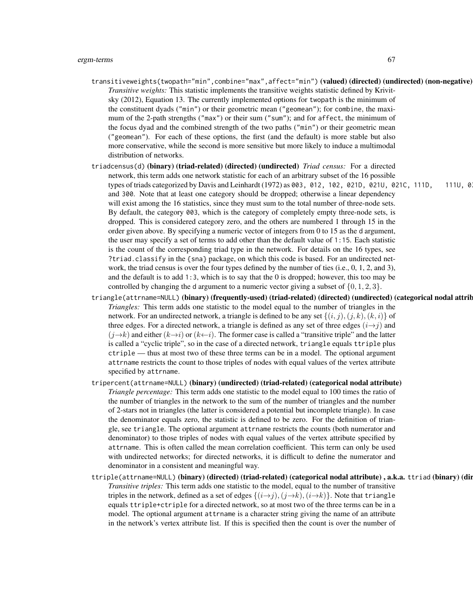- transitiveweights(twopath="min",combine="max",affect="min") (valued) (directed) (undirected) (non-negative) *Transitive weights:* This statistic implements the transitive weights statistic defined by Krivitsky (2012), Equation 13. The currently implemented options for twopath is the minimum of the constituent dyads ("min") or their geometric mean ("geomean"); for combine, the maximum of the 2-path strengths ("max") or their sum ("sum"); and for affect, the minimum of the focus dyad and the combined strength of the two paths ("min") or their geometric mean ("geomean"). For each of these options, the first (and the default) is more stable but also more conservative, while the second is more sensitive but more likely to induce a multimodal distribution of networks.
- triadcensus(d) (binary) (triad-related) (directed) (undirected) *Triad census:* For a directed network, this term adds one network statistic for each of an arbitrary subset of the 16 possible types of triads categorized by Davis and Leinhardt (1972) as 003, 012, 102, 021D, 021U, 021C, 111D, 111U, 0 and 300. Note that at least one category should be dropped; otherwise a linear dependency will exist among the 16 statistics, since they must sum to the total number of three-node sets. By default, the category 003, which is the category of completely empty three-node sets, is dropped. This is considered category zero, and the others are numbered 1 through 15 in the order given above. By specifying a numeric vector of integers from 0 to 15 as the d argument, the user may specify a set of terms to add other than the default value of 1:15. Each statistic is the count of the corresponding triad type in the network. For details on the 16 types, see ?triad.classify in the {sna} package, on which this code is based. For an undirected network, the triad census is over the four types defined by the number of ties (i.e., 0, 1, 2, and 3), and the default is to add 1:3, which is to say that the 0 is dropped; however, this too may be controlled by changing the d argument to a numeric vector giving a subset of  $\{0, 1, 2, 3\}$ .
- triangle(attrname=NULL) (binary) (frequently-used) (triad-related) (directed) (undirected) (categorical nodal attrib *Triangles:* This term adds one statistic to the model equal to the number of triangles in the network. For an undirected network, a triangle is defined to be any set  $\{(i, j), (j, k), (k, i)\}$  of three edges. For a directed network, a triangle is defined as any set of three edges  $(i \rightarrow j)$  and  $(j \rightarrow k)$  and either  $(k \rightarrow i)$  or  $(k \leftarrow i)$ . The former case is called a "transitive triple" and the latter is called a "cyclic triple", so in the case of a directed network, triangle equals ttriple plus ctriple — thus at most two of these three terms can be in a model. The optional argument attrname restricts the count to those triples of nodes with equal values of the vertex attribute specified by attrname.
- tripercent(attrname=NULL) (binary) (undirected) (triad-related) (categorical nodal attribute) *Triangle percentage:* This term adds one statistic to the model equal to 100 times the ratio of the number of triangles in the network to the sum of the number of triangles and the number of 2-stars not in triangles (the latter is considered a potential but incomplete triangle). In case the denominator equals zero, the statistic is defined to be zero. For the definition of triangle, see triangle. The optional argument attrname restricts the counts (both numerator and denominator) to those triples of nodes with equal values of the vertex attribute specified by attrname. This is often called the mean correlation coefficient. This term can only be used with undirected networks; for directed networks, it is difficult to define the numerator and denominator in a consistent and meaningful way.
- ttriple(attrname=NULL) (binary) (directed) (triad-related) (categorical nodal attribute) , a.k.a. ttriad (binary) (directed) (triad-related) (categorical nodal attribute) *Transitive triples:* This term adds one statistic to the model, equal to the number of transitive triples in the network, defined as a set of edges  $\{(i\rightarrow j), (j\rightarrow k), (i\rightarrow k)\}\.$  Note that triangle equals ttriple+ctriple for a directed network, so at most two of the three terms can be in a model. The optional argument attrname is a character string giving the name of an attribute in the network's vertex attribute list. If this is specified then the count is over the number of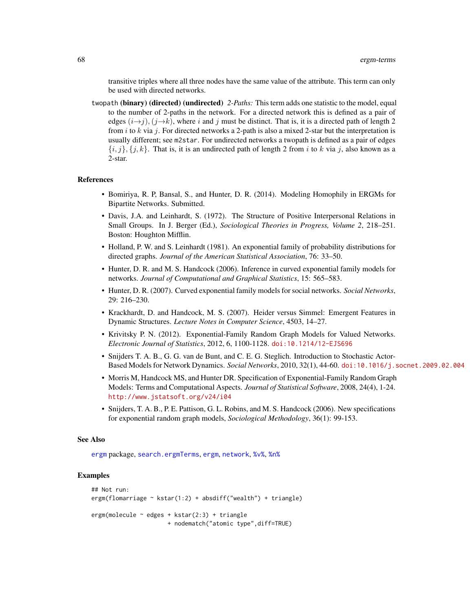transitive triples where all three nodes have the same value of the attribute. This term can only be used with directed networks.

twopath (binary) (directed) (undirected) *2-Paths:* This term adds one statistic to the model, equal to the number of 2-paths in the network. For a directed network this is defined as a pair of edges  $(i\rightarrow j)$ ,  $(j\rightarrow k)$ , where i and j must be distinct. That is, it is a directed path of length 2 from i to k via j. For directed networks a 2-path is also a mixed 2-star but the interpretation is usually different; see m2star. For undirected networks a twopath is defined as a pair of edges  $\{i, j\}, \{j, k\}$ . That is, it is an undirected path of length 2 from i to k via j, also known as a 2-star.

#### References

- Bomiriya, R. P, Bansal, S., and Hunter, D. R. (2014). Modeling Homophily in ERGMs for Bipartite Networks. Submitted.
- Davis, J.A. and Leinhardt, S. (1972). The Structure of Positive Interpersonal Relations in Small Groups. In J. Berger (Ed.), *Sociological Theories in Progress, Volume 2*, 218–251. Boston: Houghton Mifflin.
- Holland, P. W. and S. Leinhardt (1981). An exponential family of probability distributions for directed graphs. *Journal of the American Statistical Association*, 76: 33–50.
- Hunter, D. R. and M. S. Handcock (2006). Inference in curved exponential family models for networks. *Journal of Computational and Graphical Statistics*, 15: 565–583.
- Hunter, D. R. (2007). Curved exponential family models for social networks. *Social Networks*, 29: 216–230.
- Krackhardt, D. and Handcock, M. S. (2007). Heider versus Simmel: Emergent Features in Dynamic Structures. *Lecture Notes in Computer Science*, 4503, 14–27.
- Krivitsky P. N. (2012). Exponential-Family Random Graph Models for Valued Networks. *Electronic Journal of Statistics*, 2012, 6, 1100-1128. [doi:10.1214/12-EJS696](http://dx.doi.org/10.1214/12-EJS696)
- Snijders T. A. B., G. G. van de Bunt, and C. E. G. Steglich. Introduction to Stochastic Actor-Based Models for Network Dynamics. *Social Networks*, 2010, 32(1), 44-60. [doi:10.1016/j.socnet.2009.02.004](http://dx.doi.org/10.1016/j.socnet.2009.02.004)
- Morris M, Handcock MS, and Hunter DR. Specification of Exponential-Family Random Graph Models: Terms and Computational Aspects. *Journal of Statistical Software*, 2008, 24(4), 1-24. <http://www.jstatsoft.org/v24/i04>
- Snijders, T. A. B., P. E. Pattison, G. L. Robins, and M. S. Handcock (2006). New specifications for exponential random graph models, *Sociological Methodology*, 36(1): 99-153.

#### See Also

[ergm](#page-3-0) package, [search.ergmTerms](#page-140-0), [ergm](#page-35-0), [network](#page-0-0), [%v%](#page-0-0), [%n%](#page-0-0)

# Examples

```
## Not run:
ergm(flomarriage ~ kstar(1:2) + absdiff("wealth") + triangle)
ergm(molecule ~ edges + kstar(2:3) + triangle
                     + nodematch("atomic type",diff=TRUE)
```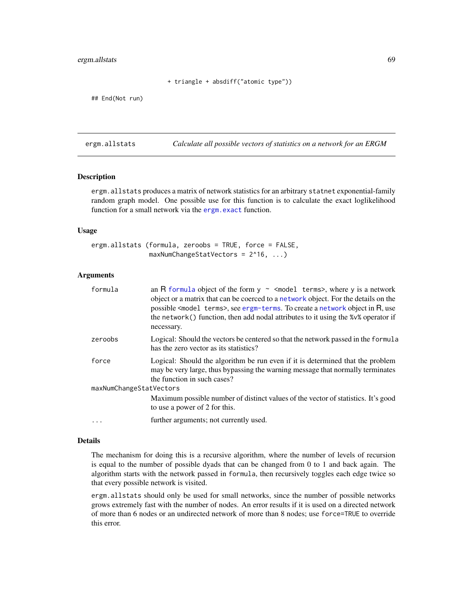# ergm.allstats 69

+ triangle + absdiff("atomic type"))

## End(Not run)

ergm.allstats *Calculate all possible vectors of statistics on a network for an ERGM*

# Description

ergm.allstats produces a matrix of network statistics for an arbitrary statnet exponential-family random graph model. One possible use for this function is to calculate the exact loglikelihood function for a small network via the [ergm.exact](#page-78-0) function.

#### Usage

ergm.allstats (formula, zeroobs = TRUE, force = FALSE, maxNumChangeStatVectors = 2^16, ...)

# Arguments

| formula                 | an R formula object of the form $y \sim$ <model terms="">, where y is a network<br/>object or a matrix that can be coerced to a network object. For the details on the<br/>possible <model terms="">, see ergm-terms. To create a network object in R, use<br/>the network() function, then add nodal attributes to it using the %<math>v</math>% operator if<br/>necessary.</model></model> |
|-------------------------|----------------------------------------------------------------------------------------------------------------------------------------------------------------------------------------------------------------------------------------------------------------------------------------------------------------------------------------------------------------------------------------------|
| zeroobs                 | Logical: Should the vectors be centered so that the network passed in the formular<br>has the zero vector as its statistics?                                                                                                                                                                                                                                                                 |
| force                   | Logical: Should the algorithm be run even if it is determined that the problem<br>may be very large, thus bypassing the warning message that normally terminates<br>the function in such cases?                                                                                                                                                                                              |
| maxNumChangeStatVectors |                                                                                                                                                                                                                                                                                                                                                                                              |
|                         | Maximum possible number of distinct values of the vector of statistics. It's good<br>to use a power of 2 for this.                                                                                                                                                                                                                                                                           |
| $\cdot$                 | further arguments; not currently used.                                                                                                                                                                                                                                                                                                                                                       |

#### Details

The mechanism for doing this is a recursive algorithm, where the number of levels of recursion is equal to the number of possible dyads that can be changed from 0 to 1 and back again. The algorithm starts with the network passed in formula, then recursively toggles each edge twice so that every possible network is visited.

ergm.allstats should only be used for small networks, since the number of possible networks grows extremely fast with the number of nodes. An error results if it is used on a directed network of more than 6 nodes or an undirected network of more than 8 nodes; use force=TRUE to override this error.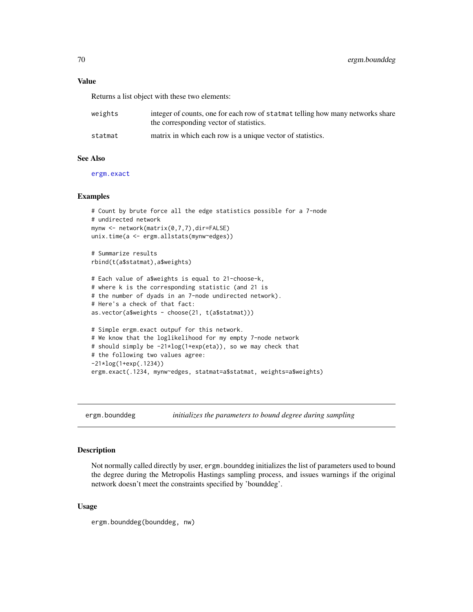### Value

Returns a list object with these two elements:

| weights | integer of counts, one for each row of statmat telling how many networks share<br>the corresponding vector of statistics. |
|---------|---------------------------------------------------------------------------------------------------------------------------|
| statmat | matrix in which each row is a unique vector of statistics.                                                                |

#### See Also

[ergm.exact](#page-78-0)

# Examples

```
# Count by brute force all the edge statistics possible for a 7-node
# undirected network
mynw <- network(matrix(0,7,7),dir=FALSE)
unix.time(a <- ergm.allstats(mynw~edges))
# Summarize results
rbind(t(a$statmat),a$weights)
# Each value of a$weights is equal to 21-choose-k,
# where k is the corresponding statistic (and 21 is
# the number of dyads in an 7-node undirected network).
# Here's a check of that fact:
as.vector(a$weights - choose(21, t(a$statmat)))
# Simple ergm.exact outpuf for this network.
# We know that the loglikelihood for my empty 7-node network
# should simply be -21*log(1+exp(eta)), so we may check that
# the following two values agree:
```
-21\*log(1+exp(.1234))

ergm.exact(.1234, mynw~edges, statmat=a\$statmat, weights=a\$weights)

ergm.bounddeg *initializes the parameters to bound degree during sampling*

# **Description**

Not normally called directly by user, ergm.bounddeg initializes the list of parameters used to bound the degree during the Metropolis Hastings sampling process, and issues warnings if the original network doesn't meet the constraints specified by 'bounddeg'.

### Usage

```
ergm.bounddeg(bounddeg, nw)
```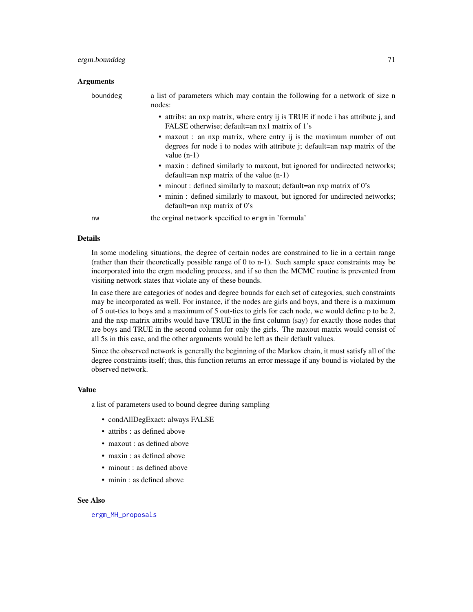# ergm.bounddeg 71

#### **Arguments**

| bounddeg | a list of parameters which may contain the following for a network of size n<br>nodes:                                                                               |
|----------|----------------------------------------------------------------------------------------------------------------------------------------------------------------------|
|          | • attribs: an nxp matrix, where entry ij is TRUE if node i has attribute j, and<br>FALSE otherwise; default=an nx1 matrix of 1's                                     |
|          | • maxout : an nxp matrix, where entry ij is the maximum number of out<br>degrees for node i to nodes with attribute i; default=an nxp matrix of the<br>value $(n-1)$ |
|          | • maxin : defined similarly to maxout, but ignored for undirected networks;<br>$default = an nxp matrix of the value (n-1)$                                          |
|          | • minout: defined similarly to maxout; default=an nxp matrix of 0's                                                                                                  |
|          | • minin : defined similarly to maxout, but ignored for undirected networks;<br>default=an nxp matrix of $0$ 's                                                       |
| nw       | the orginal network specified to ergm in 'formula'                                                                                                                   |

# Details

In some modeling situations, the degree of certain nodes are constrained to lie in a certain range (rather than their theoretically possible range of 0 to n-1). Such sample space constraints may be incorporated into the ergm modeling process, and if so then the MCMC routine is prevented from visiting network states that violate any of these bounds.

In case there are categories of nodes and degree bounds for each set of categories, such constraints may be incorporated as well. For instance, if the nodes are girls and boys, and there is a maximum of 5 out-ties to boys and a maximum of 5 out-ties to girls for each node, we would define p to be 2, and the nxp matrix attribs would have TRUE in the first column (say) for exactly those nodes that are boys and TRUE in the second column for only the girls. The maxout matrix would consist of all 5s in this case, and the other arguments would be left as their default values.

Since the observed network is generally the beginning of the Markov chain, it must satisfy all of the degree constraints itself; thus, this function returns an error message if any bound is violated by the observed network.

#### Value

a list of parameters used to bound degree during sampling

- condAllDegExact: always FALSE
- attribs : as defined above
- maxout : as defined above
- maxin : as defined above
- minout : as defined above
- minin : as defined above

# See Also

[ergm\\_MH\\_proposals](#page-91-0)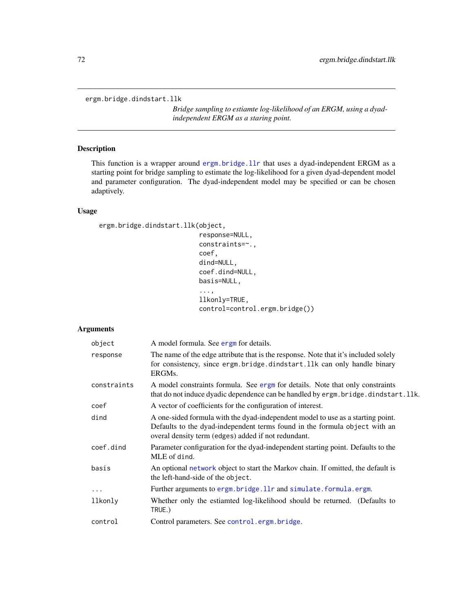ergm.bridge.dindstart.llk

*Bridge sampling to estiamte log-likelihood of an ERGM, using a dyadindependent ERGM as a staring point.*

# Description

This function is a wrapper around [ergm.bridge.llr](#page-72-0) that uses a dyad-independent ERGM as a starting point for bridge sampling to estimate the log-likelihood for a given dyad-dependent model and parameter configuration. The dyad-independent model may be specified or can be chosen adaptively.

### Usage

```
ergm.bridge.dindstart.llk(object,
```
response=NULL, constraints=~., coef, dind=NULL, coef.dind=NULL, basis=NULL, ..., llkonly=TRUE,

control=control.ergm.bridge())

# Arguments

| The name of the edge attribute that is the response. Note that it's included solely<br>for consistency, since ergm.bridge.dindstart.llk can only handle binary<br>ERGMs.                                             |
|----------------------------------------------------------------------------------------------------------------------------------------------------------------------------------------------------------------------|
| A model constraints formula. See ergm for details. Note that only constraints<br>that do not induce dyadic dependence can be handled by ergm. bridge. dindstart. llk.                                                |
| A vector of coefficients for the configuration of interest.                                                                                                                                                          |
| A one-sided formula with the dyad-independent model to use as a starting point.<br>Defaults to the dyad-independent terms found in the formula object with an<br>overal density term (edges) added if not redundant. |
| Parameter configuration for the dyad-independent starting point. Defaults to the<br>MLE of dind.                                                                                                                     |
| An optional network object to start the Markov chain. If omitted, the default is<br>the left-hand-side of the object.                                                                                                |
| Further arguments to ergm.bridge.llr and simulate.formula.ergm.                                                                                                                                                      |
| Whether only the estiamted log-likelihood should be returned. (Defaults to<br>TRUE.)                                                                                                                                 |
| Control parameters. See control.ergm.bridge.                                                                                                                                                                         |
|                                                                                                                                                                                                                      |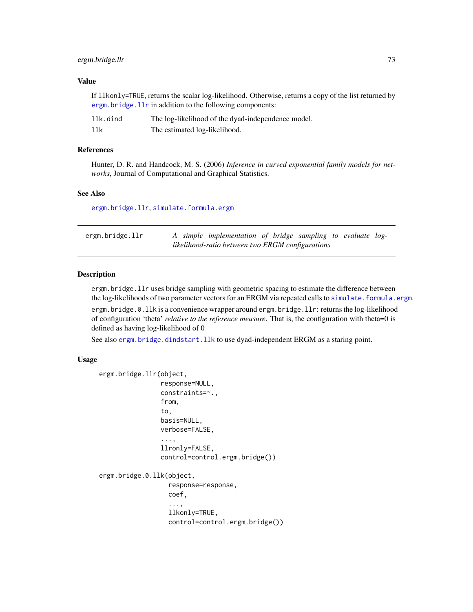# ergm.bridge.llr 73

# Value

If llkonly=TRUE, returns the scalar log-likelihood. Otherwise, returns a copy of the list returned by [ergm.bridge.llr](#page-72-0) in addition to the following components:

| llk.dind | The log-likelihood of the dyad-independence model. |
|----------|----------------------------------------------------|
| llk      | The estimated log-likelihood.                      |

# References

Hunter, D. R. and Handcock, M. S. (2006) *Inference in curved exponential family models for networks*, Journal of Computational and Graphical Statistics.

#### See Also

[ergm.bridge.llr](#page-72-0), [simulate.formula.ergm](#page-141-0)

<span id="page-72-0"></span>

| ergm.bridge.llr |  | A simple implementation of bridge sampling to evaluate log- |  |  |  |
|-----------------|--|-------------------------------------------------------------|--|--|--|
|                 |  | likelihood-ratio between two ERGM configurations            |  |  |  |

## Description

ergm.bridge.llr uses bridge sampling with geometric spacing to estimate the difference between the log-likelihoods of two parameter vectors for an ERGM via repeated calls to simulate. formula.ergm.

ergm.bridge.0.llk is a convenience wrapper around ergm.bridge.llr: returns the log-likelihood of configuration 'theta' *relative to the reference measure*. That is, the configuration with theta=0 is defined as having log-likelihood of 0

See also [ergm.bridge.dindstart.llk](#page-71-0) to use dyad-independent ERGM as a staring point.

# Usage

```
ergm.bridge.llr(object,
                response=NULL,
                constraints=~.,
                from,
                to,
                basis=NULL,
                verbose=FALSE,
                 ...,
                llronly=FALSE,
                control=control.ergm.bridge())
ergm.bridge.0.llk(object,
                  response=response,
                  coef,
                  ...,
                  llkonly=TRUE,
                  control=control.ergm.bridge())
```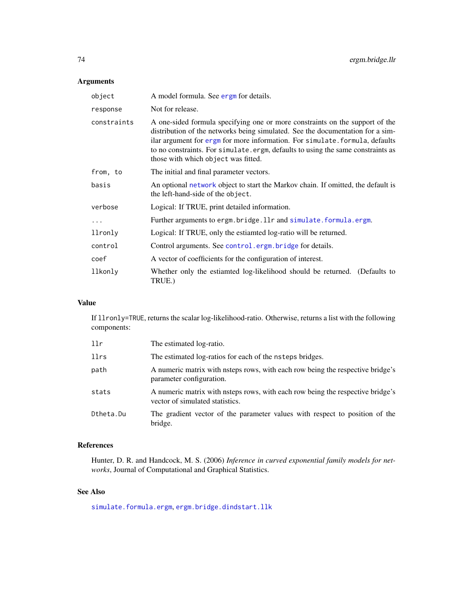# Arguments

| object      | A model formula. See ergn for details.                                                                                                                                                                                                                                                                                                                                  |  |  |
|-------------|-------------------------------------------------------------------------------------------------------------------------------------------------------------------------------------------------------------------------------------------------------------------------------------------------------------------------------------------------------------------------|--|--|
| response    | Not for release.                                                                                                                                                                                                                                                                                                                                                        |  |  |
| constraints | A one-sided formula specifying one or more constraints on the support of the<br>distribution of the networks being simulated. See the documentation for a sim-<br>ilar argument for ergm for more information. For simulate formula, defaults<br>to no constraints. For simulate.ergm, defaults to using the same constraints as<br>those with which object was fitted. |  |  |
| from, to    | The initial and final parameter vectors.                                                                                                                                                                                                                                                                                                                                |  |  |
| basis       | An optional network object to start the Markov chain. If omitted, the default is<br>the left-hand-side of the object.                                                                                                                                                                                                                                                   |  |  |
| verbose     | Logical: If TRUE, print detailed information.                                                                                                                                                                                                                                                                                                                           |  |  |
| $\ddots$ .  | Further arguments to ergm.bridge.llr and simulate.formula.ergm.                                                                                                                                                                                                                                                                                                         |  |  |
| llronly     | Logical: If TRUE, only the estiamted log-ratio will be returned.                                                                                                                                                                                                                                                                                                        |  |  |
| control     | Control arguments. See control.ergm.bridge for details.                                                                                                                                                                                                                                                                                                                 |  |  |
| coef        | A vector of coefficients for the configuration of interest.                                                                                                                                                                                                                                                                                                             |  |  |
| llkonly     | Whether only the estiamted log-likelihood should be returned. (Defaults to<br>TRUE.)                                                                                                                                                                                                                                                                                    |  |  |

# Value

If llronly=TRUE, returns the scalar log-likelihood-ratio. Otherwise, returns a list with the following components:

| llr       | The estimated log-ratio.                                                                                          |
|-----------|-------------------------------------------------------------------------------------------------------------------|
| llrs      | The estimated log-ratios for each of the nsteps bridges.                                                          |
| path      | A numeric matrix with nateps rows, with each row being the respective bridge's<br>parameter configuration.        |
| stats     | A numeric matrix with nateps rows, with each row being the respective bridge's<br>vector of simulated statistics. |
| Dtheta.Du | The gradient vector of the parameter values with respect to position of the<br>bridge.                            |

# References

Hunter, D. R. and Handcock, M. S. (2006) *Inference in curved exponential family models for networks*, Journal of Computational and Graphical Statistics.

# See Also

[simulate.formula.ergm](#page-141-0), [ergm.bridge.dindstart.llk](#page-71-0)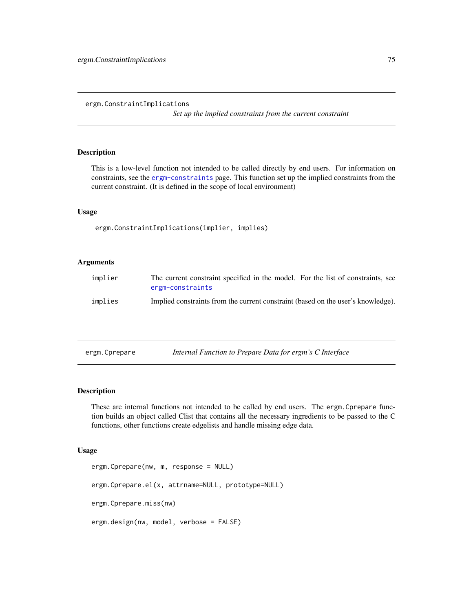#### ergm.ConstraintImplications

*Set up the implied constraints from the current constraint*

# Description

This is a low-level function not intended to be called directly by end users. For information on constraints, see the [ergm-constraints](#page-41-0) page. This function set up the implied constraints from the current constraint. (It is defined in the scope of local environment)

# Usage

ergm.ConstraintImplications(implier, implies)

# Arguments

| implier | The current constraint specified in the model. For the list of constraints, see<br>ergm-constraints |
|---------|-----------------------------------------------------------------------------------------------------|
| implies | Implied constraints from the current constraint (based on the user's knowledge).                    |

<span id="page-74-0"></span>

| ergm.Cprepare |  | Internal Function to Prepare Data for ergm's C Interface |
|---------------|--|----------------------------------------------------------|
|               |  |                                                          |

# <span id="page-74-1"></span>Description

These are internal functions not intended to be called by end users. The ergm.Cprepare function builds an object called Clist that contains all the necessary ingredients to be passed to the C functions, other functions create edgelists and handle missing edge data.

#### Usage

```
ergm.Cprepare(nw, m, response = NULL)
ergm.Cprepare.el(x, attrname=NULL, prototype=NULL)
ergm.Cprepare.miss(nw)
ergm.design(nw, model, verbose = FALSE)
```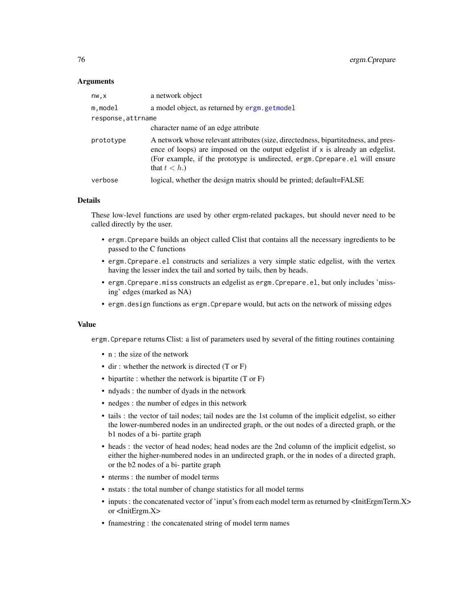# Arguments

| nw,x               | a network object                                                                                                                                                                                                                                                          |
|--------------------|---------------------------------------------------------------------------------------------------------------------------------------------------------------------------------------------------------------------------------------------------------------------------|
| m.model            | a model object, as returned by ergm. getmodel                                                                                                                                                                                                                             |
| response, attrname |                                                                                                                                                                                                                                                                           |
|                    | character name of an edge attribute                                                                                                                                                                                                                                       |
| prototype          | A network whose relevant attributes (size, directedness, bipartitedness, and pres-<br>ence of loops) are imposed on the output edgelist if $x$ is already an edgelist.<br>(For example, if the prototype is undirected, ergm. Cprepare. el will ensure<br>that $t < h$ .) |
| verbose            | logical, whether the design matrix should be printed; default=FALSE                                                                                                                                                                                                       |
|                    |                                                                                                                                                                                                                                                                           |

# Details

These low-level functions are used by other ergm-related packages, but should never need to be called directly by the user.

- ergm.Cprepare builds an object called Clist that contains all the necessary ingredients to be passed to the C functions
- ergm.Cprepare.el constructs and serializes a very simple static edgelist, with the vertex having the lesser index the tail and sorted by tails, then by heads.
- ergm.Cprepare.miss constructs an edgelist as ergm.Cprepare.el, but only includes 'missing' edges (marked as NA)
- ergm.design functions as ergm.Cprepare would, but acts on the network of missing edges

## Value

ergm.Cprepare returns Clist: a list of parameters used by several of the fitting routines containing

- n : the size of the network
- dir : whether the network is directed (T or F)
- bipartite : whether the network is bipartite (T or F)
- ndyads : the number of dyads in the network
- nedges : the number of edges in this network
- tails : the vector of tail nodes; tail nodes are the 1st column of the implicit edgelist, so either the lower-numbered nodes in an undirected graph, or the out nodes of a directed graph, or the b1 nodes of a bi- partite graph
- heads : the vector of head nodes; head nodes are the 2nd column of the implicit edgelist, so either the higher-numbered nodes in an undirected graph, or the in nodes of a directed graph, or the b2 nodes of a bi- partite graph
- nterms : the number of model terms
- nstats : the total number of change statistics for all model terms
- inputs : the concatenated vector of 'input's from each model term as returned by <InitErgmTerm.X> or <InitErgm.X>
- fnamestring : the concatenated string of model term names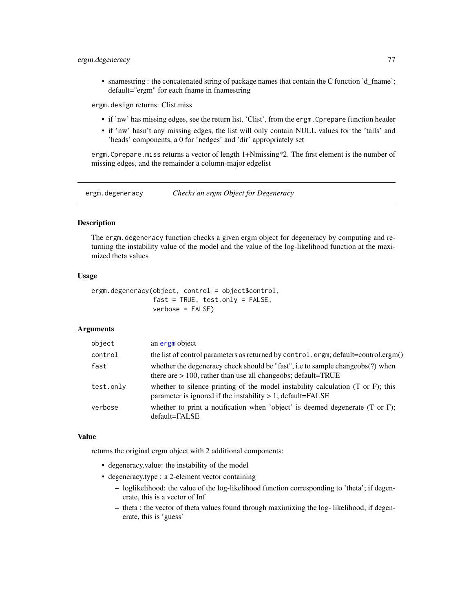# ergm.degeneracy 77

• snamestring : the concatenated string of package names that contain the C function 'd\_fname'; default="ergm" for each fname in fnamestring

ergm.design returns: Clist.miss

- if 'nw' has missing edges, see the return list, 'Clist', from the ergm.Cprepare function header
- if 'nw' hasn't any missing edges, the list will only contain NULL values for the 'tails' and 'heads' components, a 0 for 'nedges' and 'dir' appropriately set

ergm.Cprepare.miss returns a vector of length 1+Nmissing\*2. The first element is the number of missing edges, and the remainder a column-major edgelist

ergm.degeneracy *Checks an ergm Object for Degeneracy*

# **Description**

The ergm.degeneracy function checks a given ergm object for degeneracy by computing and returning the instability value of the model and the value of the log-likelihood function at the maximized theta values

# Usage

ergm.degeneracy(object, control = object\$control,  $fast = TRUE, test-only = FALSE,$ verbose = FALSE)

# Arguments

| an ergm object                                                                                                                                               |
|--------------------------------------------------------------------------------------------------------------------------------------------------------------|
| the list of control parameters as returned by control.ergm; default=control.ergm()                                                                           |
| whether the degeneracy check should be "fast", i.e to sample changeobs(?) when<br>there are $> 100$ , rather than use all changeobs; default=TRUE            |
| whether to silence printing of the model instability calculation $(T \text{ or } F)$ ; this<br>parameter is ignored if the instability $> 1$ ; default=FALSE |
| whether to print a notification when 'object' is deemed degenerate $(T \text{ or } F)$ ;<br>default=FALSE                                                    |
|                                                                                                                                                              |

## Value

returns the original ergm object with 2 additional components:

- degeneracy.value: the instability of the model
- degeneracy.type : a 2-element vector containing
	- loglikelihood: the value of the log-likelihood function corresponding to 'theta'; if degenerate, this is a vector of Inf
	- theta : the vector of theta values found through maximixing the log- likelihood; if degenerate, this is 'guess'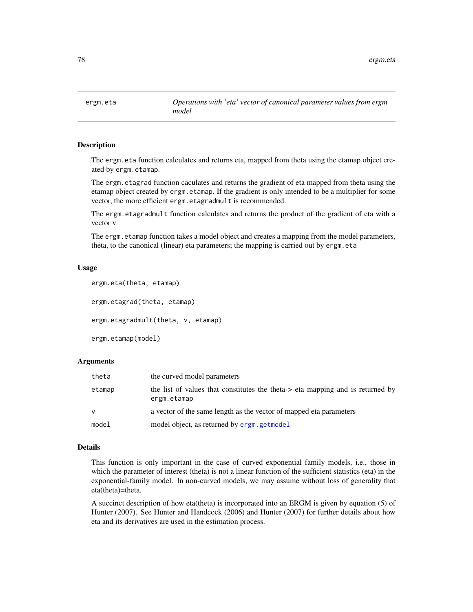# Description

The ergm.eta function calculates and returns eta, mapped from theta using the etamap object created by ergm.etamap.

The ergm.etagrad function caculates and returns the gradient of eta mapped from theta using the etamap object created by ergm.etamap. If the gradient is only intended to be a multiplier for some vector, the more efficient ergm.etagradmult is recommended.

The ergm.etagradmult function calculates and returns the product of the gradient of eta with a vector v

The ergm. etamap function takes a model object and creates a mapping from the model parameters, theta, to the canonical (linear) eta parameters; the mapping is carried out by ergm.eta

# Usage

```
ergm.eta(theta, etamap)
ergm.etagrad(theta, etamap)
ergm.etagradmult(theta, v, etamap)
ergm.etamap(model)
```
# Arguments

| theta        | the curved model parameters                                                                   |
|--------------|-----------------------------------------------------------------------------------------------|
| etamap       | the list of values that constitutes the theta-> eta mapping and is returned by<br>ergm.etamap |
| $\mathsf{V}$ | a vector of the same length as the vector of mapped eta parameters                            |
| model        | model object, as returned by ergm, get model                                                  |

# Details

This function is only important in the case of curved exponential family models, i.e., those in which the parameter of interest (theta) is not a linear function of the sufficient statistics (eta) in the exponential-family model. In non-curved models, we may assume without loss of generality that eta(theta)=theta.

A succinct description of how eta(theta) is incorporated into an ERGM is given by equation (5) of Hunter (2007). See Hunter and Handcock (2006) and Hunter (2007) for further details about how eta and its derivatives are used in the estimation process.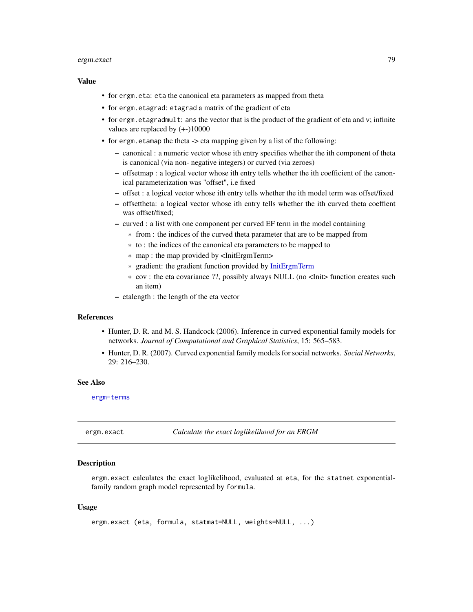#### ergm.exact 79

# Value

- for ergm.eta: eta the canonical eta parameters as mapped from theta
- for ergm.etagrad: etagrad a matrix of the gradient of eta
- for ergm. etagradmult: ans the vector that is the product of the gradient of eta and  $v$ ; infinite values are replaced by (+-)10000
- for ergm.etamap the theta -> eta mapping given by a list of the following:
	- canonical : a numeric vector whose ith entry specifies whether the ith component of theta is canonical (via non- negative integers) or curved (via zeroes)
	- offsetmap : a logical vector whose ith entry tells whether the ith coefficient of the canonical parameterization was "offset", i.e fixed
	- offset : a logical vector whose ith entry tells whether the ith model term was offset/fixed
	- offsettheta: a logical vector whose ith entry tells whether the ith curved theta coeffient was offset/fixed;
	- curved : a list with one component per curved EF term in the model containing
		- \* from : the indices of the curved theta parameter that are to be mapped from
		- \* to : the indices of the canonical eta parameters to be mapped to
		- \* map : the map provided by <InitErgmTerm>
		- \* gradient: the gradient function provided by [InitErgmTerm](#page-47-0)
		- \* cov : the eta covariance ??, possibly always NULL (no <Init> function creates such an item)
	- etalength : the length of the eta vector

# References

- Hunter, D. R. and M. S. Handcock (2006). Inference in curved exponential family models for networks. *Journal of Computational and Graphical Statistics*, 15: 565–583.
- Hunter, D. R. (2007). Curved exponential family models for social networks. *Social Networks*, 29: 216–230.

# See Also

[ergm-terms](#page-47-1)

ergm.exact *Calculate the exact loglikelihood for an ERGM*

# **Description**

ergm.exact calculates the exact loglikelihood, evaluated at eta, for the statnet exponentialfamily random graph model represented by formula.

#### Usage

ergm.exact (eta, formula, statmat=NULL, weights=NULL, ...)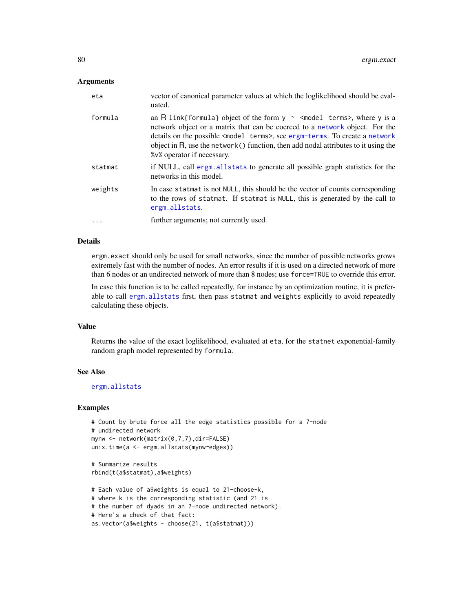# Arguments

| eta     | vector of canonical parameter values at which the loglikelihood should be eval-<br>uated.                                                                                                                                                                                                                                                                                                          |
|---------|----------------------------------------------------------------------------------------------------------------------------------------------------------------------------------------------------------------------------------------------------------------------------------------------------------------------------------------------------------------------------------------------------|
| formula | an R link{formula} object of the form $y \sim$ <model terms="">, where y is a<br/>network object or a matrix that can be coerced to a network object. For the<br/>details on the possible <model terms="">, see ergm-terms. To create a network<br/>object in <math>R</math>, use the network() function, then add nodal attributes to it using the<br/>% % operator if necessary.</model></model> |
| statmat | if NULL, call ergm. all stats to generate all possible graph statistics for the<br>networks in this model.                                                                                                                                                                                                                                                                                         |
| weights | In case statmat is not NULL, this should be the vector of counts corresponding<br>to the rows of statmat. If statmat is NULL, this is generated by the call to<br>ergm.allstats.                                                                                                                                                                                                                   |
| .       | further arguments; not currently used.                                                                                                                                                                                                                                                                                                                                                             |

# Details

ergm.exact should only be used for small networks, since the number of possible networks grows extremely fast with the number of nodes. An error results if it is used on a directed network of more than 6 nodes or an undirected network of more than 8 nodes; use force=TRUE to override this error.

In case this function is to be called repeatedly, for instance by an optimization routine, it is preferable to call [ergm.allstats](#page-68-0) first, then pass statmat and weights explicitly to avoid repeatedly calculating these objects.

# Value

Returns the value of the exact loglikelihood, evaluated at eta, for the statnet exponential-family random graph model represented by formula.

#### See Also

[ergm.allstats](#page-68-0)

#### Examples

```
# Count by brute force all the edge statistics possible for a 7-node
# undirected network
mynw <- network(matrix(0,7,7),dir=FALSE)
unix.time(a <- ergm.allstats(mynw~edges))
```

```
# Summarize results
rbind(t(a$statmat),a$weights)
```

```
# Each value of a$weights is equal to 21-choose-k,
# where k is the corresponding statistic (and 21 is
# the number of dyads in an 7-node undirected network).
# Here's a check of that fact:
as.vector(a$weights - choose(21, t(a$statmat)))
```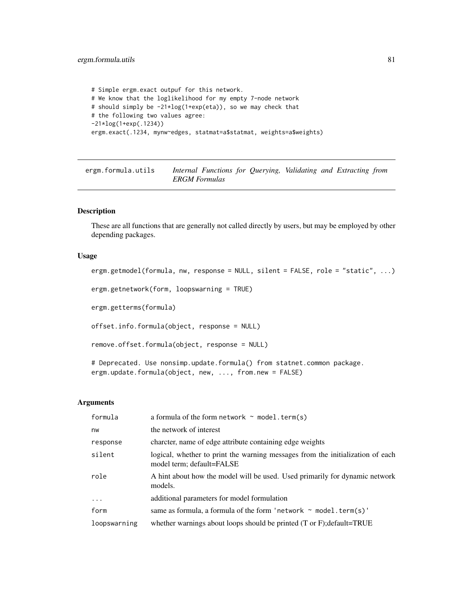# ergm.formula.utils 81

```
# Simple ergm.exact outpuf for this network.
# We know that the loglikelihood for my empty 7-node network
# should simply be -21*log(1+exp(eta)), so we may check that
# the following two values agree:
-21*log(1+exp(.1234))
ergm.exact(.1234, mynw~edges, statmat=a$statmat, weights=a$weights)
```
ergm.formula.utils *Internal Functions for Querying, Validating and Extracting from ERGM Formulas*

# <span id="page-80-0"></span>Description

These are all functions that are generally not called directly by users, but may be employed by other depending packages.

# Usage

```
ergm.getmodel(formula, nw, response = NULL, silent = FALSE, role = "static", ...)
```
ergm.getnetwork(form, loopswarning = TRUE)

ergm.getterms(formula)

offset.info.formula(object, response = NULL)

remove.offset.formula(object, response = NULL)

# Deprecated. Use nonsimp.update.formula() from statnet.common package. ergm.update.formula(object, new, ..., from.new = FALSE)

#### Arguments

| formula      | a formula of the form network $\sim$ model. term(s)                                                         |
|--------------|-------------------------------------------------------------------------------------------------------------|
| nw           | the network of interest                                                                                     |
| response     | charcter, name of edge attribute containing edge weights                                                    |
| silent       | logical, whether to print the warning messages from the initialization of each<br>model term; default=FALSE |
| role         | A hint about how the model will be used. Used primarily for dynamic network<br>models.                      |
| $\ddots$     | additional parameters for model formulation                                                                 |
| form         | same as formula, a formula of the form 'network $\sim$ model. term(s)'                                      |
| loopswarning | whether warnings about loops should be printed $(T \text{ or } F)$ ; default=TRUE                           |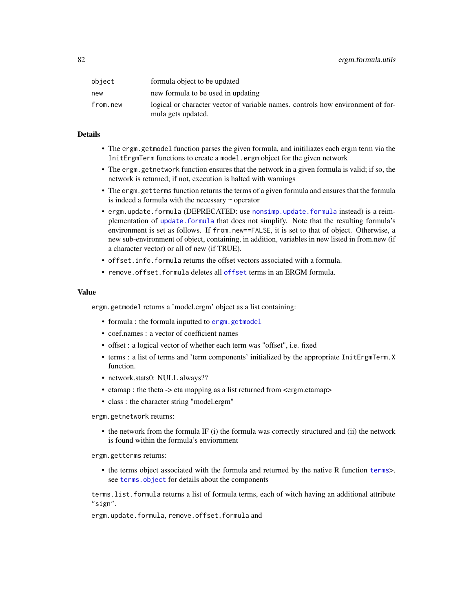| object   | formula object to be updated                                                                          |
|----------|-------------------------------------------------------------------------------------------------------|
| new      | new formula to be used in updating                                                                    |
| from.new | logical or character vector of variable names, controls how environment of for-<br>mula gets updated. |

## Details

- The ergm.getmodel function parses the given formula, and initiliazes each ergm term via the InitErgmTerm functions to create a model.ergm object for the given network
- The ergm.getnetwork function ensures that the network in a given formula is valid; if so, the network is returned; if not, execution is halted with warnings
- The ergm.getterms function returns the terms of a given formula and ensures that the formula is indeed a formula with the necessary ~ operator
- ergm.update.formula (DEPRECATED: use [nonsimp.update.formula](#page-0-0) instead) is a reimplementation of [update.formula](#page-0-0) that does not simplify. Note that the resulting formula's environment is set as follows. If from.new==FALSE, it is set to that of object. Otherwise, a new sub-environment of object, containing, in addition, variables in new listed in from.new (if a character vector) or all of new (if TRUE).
- offset.info.formula returns the offset vectors associated with a formula.
- remove.[offset](#page-0-0).formula deletes all offset terms in an ERGM formula.

# Value

ergm.getmodel returns a 'model.ergm' object as a list containing:

- formula : the formula inputted to [ergm.getmodel](#page-80-0)
- coef.names : a vector of coefficient names
- offset : a logical vector of whether each term was "offset", i.e. fixed
- terms : a list of terms and 'term components' initialized by the appropriate InitErgmTerm.X function.
- network.stats0: NULL always??
- etamap : the theta -> eta mapping as a list returned from <ergm.etamap>
- class : the character string "model.ergm"

ergm.getnetwork returns:

• the network from the formula IF (i) the formula was correctly structured and (ii) the network is found within the formula's enviornment

ergm.getterms returns:

• the terms object associated with the formula and returned by the native R function [terms](#page-0-0)>. see [terms.object](#page-0-0) for details about the components

terms.list.formula returns a list of formula terms, each of witch having an additional attribute "sign".

ergm.update.formula, remove.offset.formula and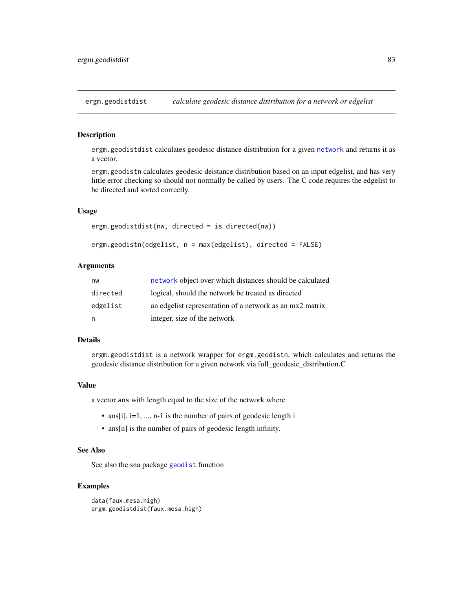ergm.geodistdist *calculate geodesic distance distribution for a network or edgelist*

## Description

ergm.geodistdist calculates geodesic distance distribution for a given [network](#page-0-0) and returns it as a vector.

ergm.geodistn calculates geodesic deistance distribution based on an input edgelist, and has very little error checking so should not normally be called by users. The C code requires the edgelist to be directed and sorted correctly.

## Usage

```
ergm.geodistdist(nw, directed = is.directed(nw))
```

```
ergm.geodistn(edgelist, n = max(edgelist), directed = FALSE)
```
# Arguments

| nw       | network object over which distances should be calculated |
|----------|----------------------------------------------------------|
| directed | logical, should the network be treated as directed       |
| edgelist | an edgelist representation of a network as an mx2 matrix |
| n.       | integer, size of the network                             |

# Details

ergm.geodistdist is a network wrapper for ergm.geodistn, which calculates and returns the geodesic distance distribution for a given network via full\_geodesic\_distribution.C

#### Value

a vector ans with length equal to the size of the network where

- ans[i],  $i=1, ..., n-1$  is the number of pairs of geodesic length i
- ans[n] is the number of pairs of geodesic length infinity.

#### See Also

See also the sna package [geodist](#page-0-0) function

#### Examples

```
data(faux.mesa.high)
ergm.geodistdist(faux.mesa.high)
```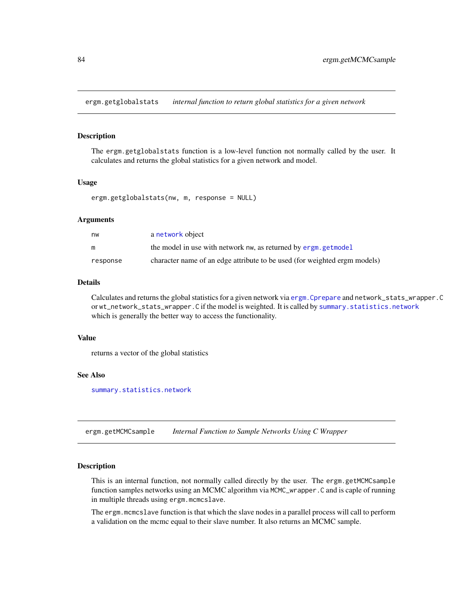ergm.getglobalstats *internal function to return global statistics for a given network*

# **Description**

The ergm.getglobalstats function is a low-level function not normally called by the user. It calculates and returns the global statistics for a given network and model.

# Usage

```
ergm.getglobalstats(nw, m, response = NULL)
```
## Arguments

| nw       | a network object                                                          |
|----------|---------------------------------------------------------------------------|
| m        | the model in use with network nw, as returned by ergm.getmodel            |
| response | character name of an edge attribute to be used (for weighted ergm models) |

# Details

Calculates and returns the global statistics for a given network via [ergm.Cprepare](#page-74-0) and network\_stats\_wrapper.C or wt\_network\_stats\_wrapper.C if the model is weighted. It is called by [summary.statistics.network](#page-148-0) which is generally the better way to access the functionality.

#### Value

returns a vector of the global statistics

#### See Also

[summary.statistics.network](#page-148-0)

ergm.getMCMCsample *Internal Function to Sample Networks Using C Wrapper*

# Description

This is an internal function, not normally called directly by the user. The ergm.getMCMCsample function samples networks using an MCMC algorithm via MCMC\_wrapper. C and is caple of running in multiple threads using ergm.mcmcslave.

The ergm.mcmcslave function is that which the slave nodes in a parallel process will call to perform a validation on the mcmc equal to their slave number. It also returns an MCMC sample.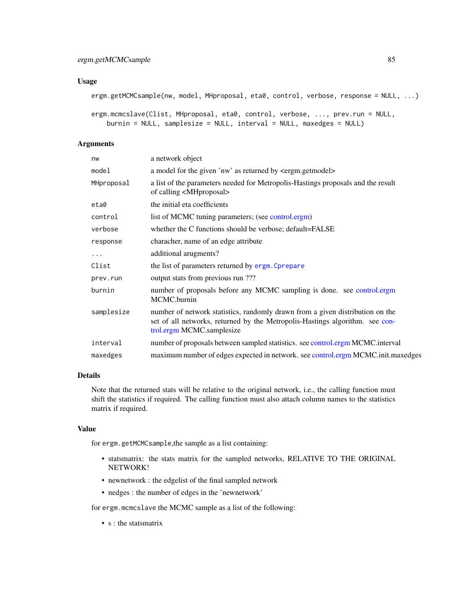# Usage

```
ergm.getMCMCsample(nw, model, MHproposal, eta0, control, verbose, response = NULL, ...)
```

```
ergm.mcmcslave(Clist, MHproposal, eta0, control, verbose, ..., prev.run = NULL,
   burnin = NULL, samplesize = NULL, interval = NULL, maxedges = NULL)
```
# Arguments

| nw         | a network object                                                                                                                                                                           |
|------------|--------------------------------------------------------------------------------------------------------------------------------------------------------------------------------------------|
| model      | a model for the given 'nw' as returned by <ergm.getmodel></ergm.getmodel>                                                                                                                  |
| MHproposal | a list of the parameters needed for Metropolis-Hastings proposals and the result<br>of calling <mhproposal></mhproposal>                                                                   |
| eta0       | the initial eta coefficients                                                                                                                                                               |
| control    | list of MCMC tuning parameters; (see control.ergm)                                                                                                                                         |
| verbose    | whether the C functions should be verbose; default=FALSE                                                                                                                                   |
| response   | characher, name of an edge attribute                                                                                                                                                       |
| $\cdots$   | additional arugments?                                                                                                                                                                      |
| Clist      | the list of parameters returned by ergm. Cprepare                                                                                                                                          |
| prev.run   | output stats from previous run ???                                                                                                                                                         |
| burnin     | number of proposals before any MCMC sampling is done. see control.ergm<br>MCMC.burnin                                                                                                      |
| samplesize | number of network statistics, randomly drawn from a given distribution on the<br>set of all networks, returned by the Metropolis-Hastings algorithm. see con-<br>trol.ergm MCMC.samplesize |
| interval   | number of proposals between sampled statistics. see control.ergm MCMC.interval                                                                                                             |
| maxedges   | maximum number of edges expected in network. see control.ergm MCMC.init.maxedges                                                                                                           |
|            |                                                                                                                                                                                            |

# Details

Note that the returned stats will be relative to the original network, i.e., the calling function must shift the statistics if required. The calling function must also attach column names to the statistics matrix if required.

# Value

for ergm.getMCMCsample,the sample as a list containing:

- statsmatrix: the stats matrix for the sampled networks, RELATIVE TO THE ORIGINAL NETWORK!
- newnetwork : the edgelist of the final sampled network
- nedges : the number of edges in the 'newnetwork'

for ergm.mcmcslave the MCMC sample as a list of the following:

• s : the statsmatrix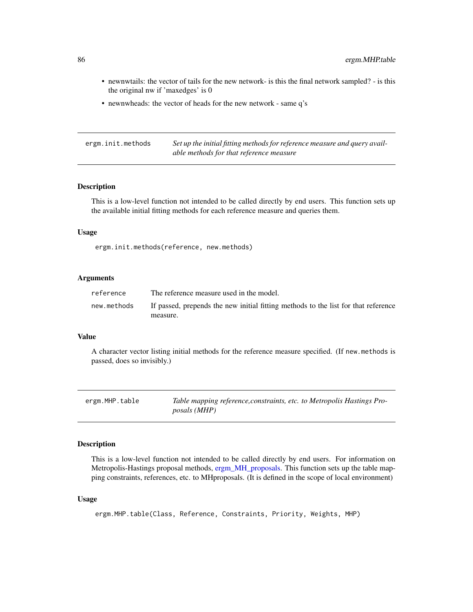- newnwtails: the vector of tails for the new network- is this the final network sampled? is this the original nw if 'maxedges' is 0
- newnwheads: the vector of heads for the new network same q's

ergm.init.methods *Set up the initial fitting methods for reference measure and query available methods for that reference measure*

# Description

This is a low-level function not intended to be called directly by end users. This function sets up the available initial fitting methods for each reference measure and queries them.

# Usage

ergm.init.methods(reference, new.methods)

# Arguments

| reference   | The reference measure used in the model.                                           |
|-------------|------------------------------------------------------------------------------------|
| new.methods | If passed, prepends the new initial fitting methods to the list for that reference |
|             | measure.                                                                           |

#### Value

A character vector listing initial methods for the reference measure specified. (If new.methods is passed, does so invisibly.)

| ergm.MHP.table | Table mapping reference, constraints, etc. to Metropolis Hastings Pro- |
|----------------|------------------------------------------------------------------------|
|                | <i>posals</i> ( <i>MHP</i> )                                           |

# Description

This is a low-level function not intended to be called directly by end users. For information on Metropolis-Hastings proposal methods, [ergm\\_MH\\_proposals.](#page-91-0) This function sets up the table mapping constraints, references, etc. to MHproposals. (It is defined in the scope of local environment)

# Usage

```
ergm.MHP.table(Class, Reference, Constraints, Priority, Weights, MHP)
```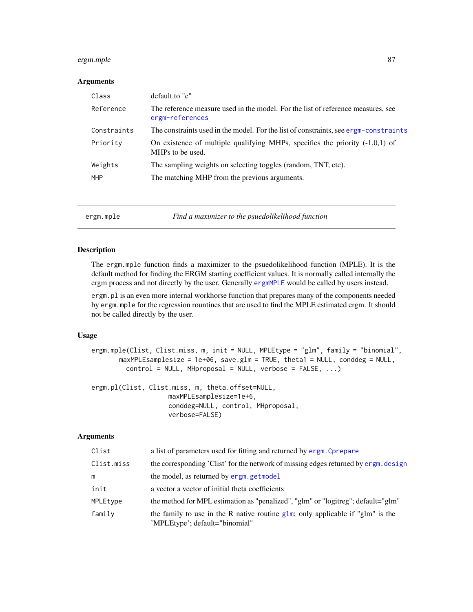# ergm.mple 87

# Arguments

| default to "c"                                                                                      |
|-----------------------------------------------------------------------------------------------------|
| The reference measure used in the model. For the list of reference measures, see<br>ergm-references |
| The constraints used in the model. For the list of constraints, see ergm-constraints                |
| On existence of multiple qualifying MHPs, specifies the priority $(-1,0,1)$ of<br>MHPs to be used.  |
| The sampling weights on selecting toggles (random, TNT, etc).                                       |
| The matching MHP from the previous arguments.                                                       |
|                                                                                                     |

ergm.mple *Find a maximizer to the psuedolikelihood function*

# Description

The ergm.mple function finds a maximizer to the psuedolikelihood function (MPLE). It is the default method for finding the ERGM starting coefficient values. It is normally called internally the ergm process and not directly by the user. Generally [ergmMPLE](#page-88-0) would be called by users instead.

ergm.pl is an even more internal workhorse function that prepares many of the components needed by ergm.mple for the regression rountines that are used to find the MPLE estimated ergm. It should not be called directly by the user.

# Usage

```
ergm.mple(Clist, Clist.miss, m, init = NULL, MPLEtype = "glm", family = "binomial",
       maxMPLEsamplesize = 1e+06, save.glm = TRUE, theta1 = NULL, conddeg = NULL,
         control = NULL, MHproposal = NULL, verbose = FALSE, ...)
```

```
ergm.pl(Clist, Clist.miss, m, theta.offset=NULL,
                    maxMPLEsamplesize=1e+6,
                    conddeg=NULL, control, MHproposal,
                    verbose=FALSE)
```
# Arguments

| Clist      | a list of parameters used for fitting and returned by ergm. Cprepare                                             |
|------------|------------------------------------------------------------------------------------------------------------------|
| Clist.miss | the corresponding 'Clist' for the network of missing edges returned by ergm. design                              |
| m          | the model, as returned by ergm. getmodel                                                                         |
| init       | a vector a vector of initial theta coefficients                                                                  |
| MPLEtype   | the method for MPL estimation as "penalized", "glm" or "logitreg"; default="glm"                                 |
| family     | the family to use in the R native routine glm; only applicable if "glm" is the<br>'MPLEtype'; default="binomial" |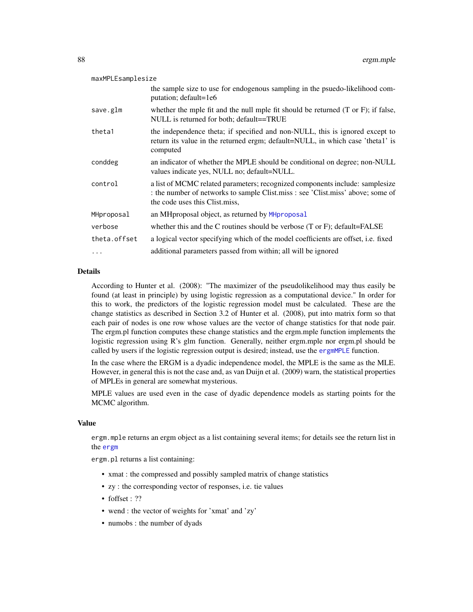| maxMPLEsamplesize |                                                                                                                                                                                                   |
|-------------------|---------------------------------------------------------------------------------------------------------------------------------------------------------------------------------------------------|
|                   | the sample size to use for endogenous sampling in the psuedo-likelihood com-<br>putation; default=1e6                                                                                             |
| save.glm          | whether the mple fit and the null mple fit should be returned $(T \text{ or } F)$ ; if false,<br>NULL is returned for both; default==TRUE                                                         |
| theta1            | the independence theta; if specified and non-NULL, this is ignored except to<br>return its value in the returned ergm; default=NULL, in which case 'thetal' is<br>computed                        |
| conddeg           | an indicator of whether the MPLE should be conditional on degree; non-NULL<br>values indicate yes, NULL no; default=NULL.                                                                         |
| control           | a list of MCMC related parameters; recognized components include: samplesize<br>: the number of networks to sample Clist.miss : see 'Clist.miss' above; some of<br>the code uses this Clist.miss. |
| MHproposal        | an MHproposal object, as returned by MHproposal                                                                                                                                                   |
| verbose           | whether this and the C routines should be verbose $(T$ or $F)$ ; default=FALSE                                                                                                                    |
| theta.offset      | a logical vector specifying which of the model coefficients are offset, i.e. fixed                                                                                                                |
| .                 | additional parameters passed from within; all will be ignored                                                                                                                                     |

# Details

According to Hunter et al. (2008): "The maximizer of the pseudolikelihood may thus easily be found (at least in principle) by using logistic regression as a computational device." In order for this to work, the predictors of the logistic regression model must be calculated. These are the change statistics as described in Section 3.2 of Hunter et al. (2008), put into matrix form so that each pair of nodes is one row whose values are the vector of change statistics for that node pair. The ergm.pl function computes these change statistics and the ergm.mple function implements the logistic regression using R's glm function. Generally, neither ergm.mple nor ergm.pl should be called by users if the logistic regression output is desired; instead, use the [ergmMPLE](#page-88-0) function.

In the case where the ERGM is a dyadic independence model, the MPLE is the same as the MLE. However, in general this is not the case and, as van Duijn et al. (2009) warn, the statistical properties of MPLEs in general are somewhat mysterious.

MPLE values are used even in the case of dyadic dependence models as starting points for the MCMC algorithm.

#### Value

ergm.mple returns an ergm object as a list containing several items; for details see the return list in the [ergm](#page-35-0)

ergm.pl returns a list containing:

- xmat : the compressed and possibly sampled matrix of change statistics
- zy : the corresponding vector of responses, i.e. tie values
- foffset : ??
- wend : the vector of weights for 'xmat' and 'zy'
- numobs : the number of dyads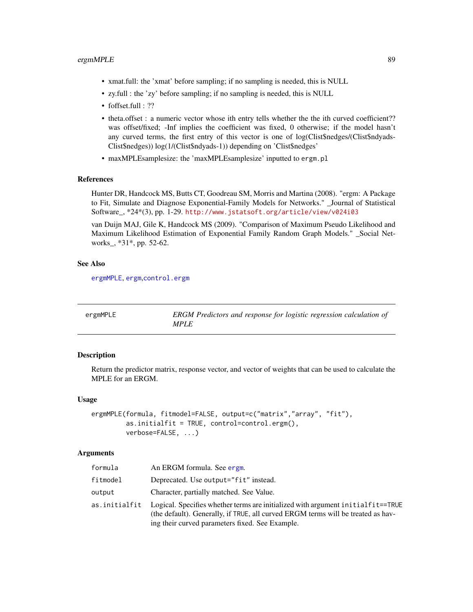- xmat.full: the 'xmat' before sampling; if no sampling is needed, this is NULL
- zy.full : the 'zy' before sampling; if no sampling is needed, this is NULL
- foffset.full : ??
- theta.offset : a numeric vector whose ith entry tells whether the the ith curved coefficient?? was offset/fixed; -Inf implies the coefficient was fixed, 0 otherwise; if the model hasn't any curved terms, the first entry of this vector is one of log(Clist\$nedges/(Clist\$ndyads-Clist\$nedges)) log(1/(Clist\$ndyads-1)) depending on 'Clist\$nedges'
- maxMPLEsamplesize: the 'maxMPLEsamplesize' inputted to ergm.pl

#### References

Hunter DR, Handcock MS, Butts CT, Goodreau SM, Morris and Martina (2008). "ergm: A Package to Fit, Simulate and Diagnose Exponential-Family Models for Networks." \_Journal of Statistical Software\_, \*24\*(3), pp. 1-29. <http://www.jstatsoft.org/article/view/v024i03>

van Duijn MAJ, Gile K, Handcock MS (2009). "Comparison of Maximum Pseudo Likelihood and Maximum Likelihood Estimation of Exponential Family Random Graph Models." \_Social Networks\_, \*31\*, pp. 52-62.

# See Also

[ergmMPLE](#page-88-0), [ergm](#page-35-0),[control.ergm](#page-13-0)

<span id="page-88-0"></span>

| ergmMPLE | <b>ERGM</b> Predictors and response for logistic regression calculation of |
|----------|----------------------------------------------------------------------------|
|          | <i>MPLE</i>                                                                |

# **Description**

Return the predictor matrix, response vector, and vector of weights that can be used to calculate the MPLE for an ERGM.

## Usage

```
ergmMPLE(formula, fitmodel=FALSE, output=c("matrix","array", "fit"),
         as.initialfit = TRUE, control=control.ergm(),
         verbose=FALSE, ...)
```
# Arguments

| formula  | An ERGM formula. See ergm.                                                                                                                                                                                                           |
|----------|--------------------------------------------------------------------------------------------------------------------------------------------------------------------------------------------------------------------------------------|
| fitmodel | Deprecated. Use output="fit" instead.                                                                                                                                                                                                |
| output   | Character, partially matched. See Value.                                                                                                                                                                                             |
|          | as initialfit Logical. Specifies whether terms are initialized with argument initialfit==TRUE<br>(the default). Generally, if TRUE, all curved ERGM terms will be treated as hav-<br>ing their curved parameters fixed. See Example. |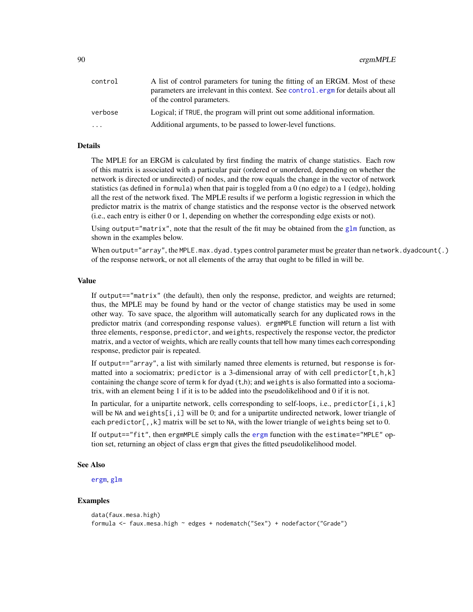| control                 | A list of control parameters for tuning the fitting of an ERGM. Most of these<br>parameters are irrelevant in this context. See control. ergm for details about all<br>of the control parameters. |
|-------------------------|---------------------------------------------------------------------------------------------------------------------------------------------------------------------------------------------------|
| verbose                 | Logical; if TRUE, the program will print out some additional information.                                                                                                                         |
| $\cdot$ $\cdot$ $\cdot$ | Additional arguments, to be passed to lower-level functions.                                                                                                                                      |

# Details

The MPLE for an ERGM is calculated by first finding the matrix of change statistics. Each row of this matrix is associated with a particular pair (ordered or unordered, depending on whether the network is directed or undirected) of nodes, and the row equals the change in the vector of network statistics (as defined in formula) when that pair is toggled from a 0 (no edge) to a 1 (edge), holding all the rest of the network fixed. The MPLE results if we perform a logistic regression in which the predictor matrix is the matrix of change statistics and the response vector is the observed network (i.e., each entry is either 0 or 1, depending on whether the corresponding edge exists or not).

Using output="matrix", note that the result of the fit may be obtained from the  $g1m$  function, as shown in the examples below.

When output="array", the MPLE.max.dyad.types control parameter must be greater than network.dyadcount(.) of the response network, or not all elements of the array that ought to be filled in will be.

### Value

If output=="matrix" (the default), then only the response, predictor, and weights are returned; thus, the MPLE may be found by hand or the vector of change statistics may be used in some other way. To save space, the algorithm will automatically search for any duplicated rows in the predictor matrix (and corresponding response values). ergmMPLE function will return a list with three elements, response, predictor, and weights, respectively the response vector, the predictor matrix, and a vector of weights, which are really counts that tell how many times each corresponding response, predictor pair is repeated.

If output=="array", a list with similarly named three elements is returned, but response is formatted into a sociomatrix; predictor is a 3-dimensional array of with cell predictor  $[t,h,k]$ containing the change score of term  $k$  for dyad  $(t,h)$ ; and weights is also formatted into a sociomatrix, with an element being 1 if it is to be added into the pseudolikelihood and 0 if it is not.

In particular, for a unipartite network, cells corresponding to self-loops, i.e., predictor $[i, i, k]$ will be NA and weights $[i, i]$  will be 0; and for a unipartite undirected network, lower triangle of each predictor[,, $k$ ] matrix will be set to NA, with the lower triangle of weights being set to 0.

If output=="fit", then ergmMPLE simply calls the [ergm](#page-35-0) function with the estimate="MPLE" option set, returning an object of class ergm that gives the fitted pseudolikelihood model.

#### See Also

[ergm](#page-35-0), [glm](#page-0-0)

# Examples

```
data(faux.mesa.high)
formula <- faux.mesa.high ~ edges + nodematch("Sex") + nodefactor("Grade")
```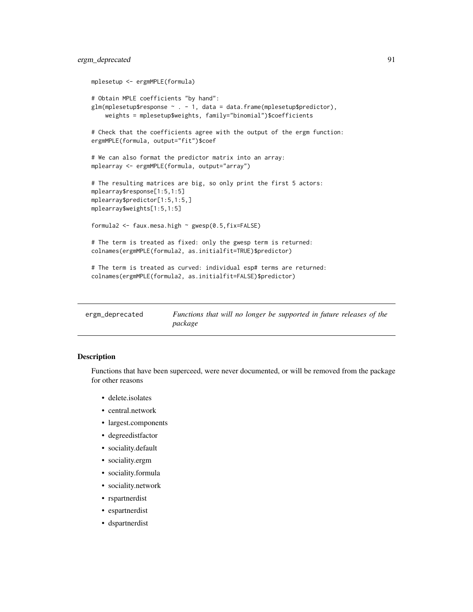# ergm\_deprecated 91

```
mplesetup <- ergmMPLE(formula)
# Obtain MPLE coefficients "by hand":
glm(mple setup$response ~ . - 1, data = data frame(mple setup$predictor),weights = mplesetup$weights, family="binomial")$coefficients
# Check that the coefficients agree with the output of the ergm function:
ergmMPLE(formula, output="fit")$coef
# We can also format the predictor matrix into an array:
mplearray <- ergmMPLE(formula, output="array")
# The resulting matrices are big, so only print the first 5 actors:
mplearray$response[1:5,1:5]
mplearray$predictor[1:5,1:5,]
mplearray$weights[1:5,1:5]
formula2 <- faux.mesa.high ~ gwesp(0.5,fix=FALSE)
# The term is treated as fixed: only the gwesp term is returned:
colnames(ergmMPLE(formula2, as.initialfit=TRUE)$predictor)
# The term is treated as curved: individual esp# terms are returned:
colnames(ergmMPLE(formula2, as.initialfit=FALSE)$predictor)
```

| ergm_deprecated | Functions that will no longer be supported in future releases of the |
|-----------------|----------------------------------------------------------------------|
|                 | package                                                              |

# Description

Functions that have been superceed, were never documented, or will be removed from the package for other reasons

- delete.isolates
- central.network
- largest.components
- degreedistfactor
- sociality.default
- sociality.ergm
- sociality.formula
- sociality.network
- rspartnerdist
- espartnerdist
- dspartnerdist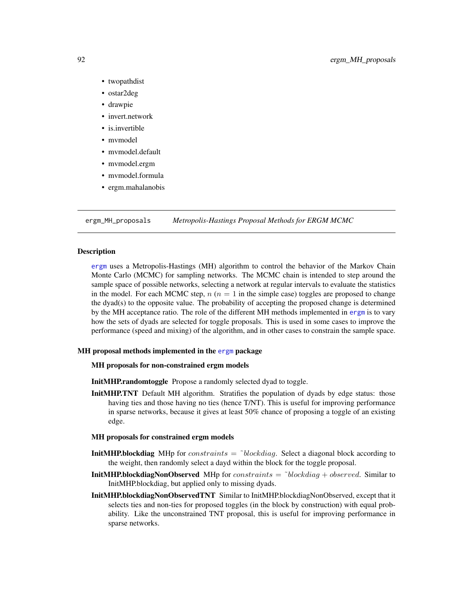- twopathdist
- ostar2deg
- drawpie
- invert.network
- is.invertible
- mvmodel
- mvmodel.default
- mvmodel.ergm
- mvmodel.formula
- ergm.mahalanobis

<span id="page-91-0"></span>ergm\_MH\_proposals *Metropolis-Hastings Proposal Methods for ERGM MCMC*

## Description

[ergm](#page-35-0) uses a Metropolis-Hastings (MH) algorithm to control the behavior of the Markov Chain Monte Carlo (MCMC) for sampling networks. The MCMC chain is intended to step around the sample space of possible networks, selecting a network at regular intervals to evaluate the statistics in the model. For each MCMC step,  $n (n = 1$  in the simple case) toggles are proposed to change the dyad(s) to the opposite value. The probability of accepting the proposed change is determined by the MH acceptance ratio. The role of the different MH methods implemented in [ergm](#page-35-0) is to vary how the sets of dyads are selected for toggle proposals. This is used in some cases to improve the performance (speed and mixing) of the algorithm, and in other cases to constrain the sample space.

# MH proposal methods implemented in the [ergm](#page-3-0) package

#### MH proposals for non-constrained ergm models

- InitMHP.randomtoggle Propose a randomly selected dyad to toggle.
- **InitMHP.TNT** Default MH algorithm. Stratifies the population of dyads by edge status: those having ties and those having no ties (hence T/NT). This is useful for improving performance in sparse networks, because it gives at least 50% chance of proposing a toggle of an existing edge.

#### MH proposals for constrained ergm models

- **InitMHP.blockdiag** MHp for *constraints* =  $\delta$ *blockdiag*. Select a diagonal block according to the weight, then randomly select a dayd within the block for the toggle proposal.
- **InitMHP.blockdiagNonObserved** MHp for *constraints*  $=$   $\tilde{c}$  blockdiag + observed. Similar to InitMHP.blockdiag, but applied only to missing dyads.
- InitMHP.blockdiagNonObservedTNT Similar to InitMHP.blockdiagNonObserved, except that it selects ties and non-ties for proposed toggles (in the block by construction) with equal probability. Like the unconstrained TNT proposal, this is useful for improving performance in sparse networks.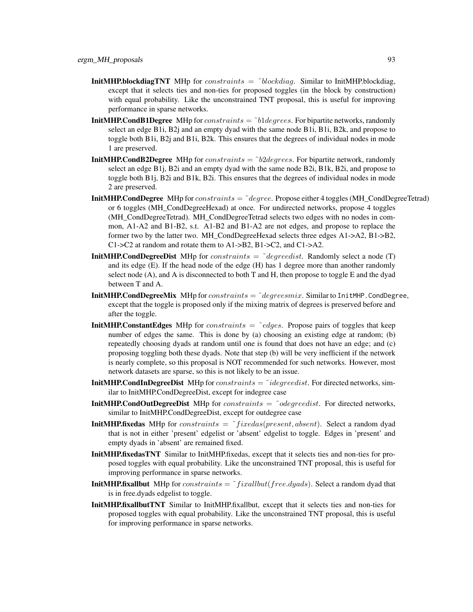- **InitMHP.blockdiagTNT** MHp for *constraints*  $=$  ~blockdiag. Similar to InitMHP.blockdiag, except that it selects ties and non-ties for proposed toggles (in the block by construction) with equal probability. Like the unconstrained TNT proposal, this is useful for improving performance in sparse networks.
- **InitMHP.CondB1Degree** MHp for *constraints*  $=$   $\tilde{v}$ 1*degrees*. For bipartite networks, randomly select an edge B1i, B2j and an empty dyad with the same node B1i, B1i, B2k, and propose to toggle both B1i, B2j and B1i, B2k. This ensures that the degrees of individual nodes in mode 1 are preserved.
- **InitMHP.CondB2Degree** MHp for *constraints*  $=$   $\delta$ *b2degrees*. For bipartite network, randomly select an edge B1j, B2i and an empty dyad with the same node B2i, B1k, B2i, and propose to toggle both B1j, B2i and B1k, B2i. This ensures that the degrees of individual nodes in mode 2 are preserved.
- **InitMHP.CondDegree** MHp for *constraints*  $=$  ~ $degree$ . Propose either 4 toggles (MH\_CondDegreeTetrad) or 6 toggles (MH\_CondDegreeHexad) at once. For undirected networks, propose 4 toggles (MH\_CondDegreeTetrad). MH\_CondDegreeTetrad selects two edges with no nodes in common, A1-A2 and B1-B2, s.t. A1-B2 and B1-A2 are not edges, and propose to replace the former two by the latter two. MH\_CondDegreeHexad selects three edges  $A1$ -> $A2$ ,  $B1$ -> $B2$ , C1->C2 at random and rotate them to A1->B2, B1->C2, and C1->A2.
- **InitMHP.CondDegreeDist** MHp for *constraints*  $=$   $\vec{a}$  *degreedist.* Randomly select a node (T) and its edge (E). If the head node of the edge (H) has 1 degree more than another randomly select node (A), and A is disconnected to both T and H, then propose to toggle E and the dyad between T and A.
- **InitMHP.CondDegreeMix** MHp for *constraints*  $=$   $\tilde{\ }$  *degreesmix.* Similar to InitMHP.CondDegree, except that the toggle is proposed only if the mixing matrix of degrees is preserved before and after the toggle.
- **InitMHP.ConstantEdges** MHp for *constraints*  $=$   $\tilde{\phantom{a}}$  *edges.* Propose pairs of toggles that keep number of edges the same. This is done by (a) choosing an existing edge at random; (b) repeatedly choosing dyads at random until one is found that does not have an edge; and (c) proposing toggling both these dyads. Note that step (b) will be very inefficient if the network is nearly complete, so this proposal is NOT recommended for such networks. However, most network datasets are sparse, so this is not likely to be an issue.
- **InitMHP.CondInDegreeDist** MHp for *constraints*  $=$  ~*idegreedist*. For directed networks, similar to InitMHP.CondDegreeDist, except for indegree case
- **InitMHP.CondOutDegreeDist** MHp for *constraints =*  $\tilde{\phantom{a}}$  *odegreedist*. For directed networks, similar to InitMHP.CondDegreeDist, except for outdegree case
- **InitMHP.fixedas** MHp for *constraints* =  $\tilde{\ }$ *fixedas*(*present, absent*). Select a random dyad that is not in either 'present' edgelist or 'absent' edgelist to toggle. Edges in 'present' and empty dyads in 'absent' are remained fixed.
- InitMHP.fixedasTNT Similar to InitMHP.fixedas, except that it selects ties and non-ties for proposed toggles with equal probability. Like the unconstrained TNT proposal, this is useful for improving performance in sparse networks.
- **InitMHP.fixallbut** MHp for *constraints* =  $\tilde{\ }$ *fixallbut*(*free.dyads*). Select a random dyad that is in free.dyads edgelist to toggle.
- InitMHP.fixallbutTNT Similar to InitMHP.fixallbut, except that it selects ties and non-ties for proposed toggles with equal probability. Like the unconstrained TNT proposal, this is useful for improving performance in sparse networks.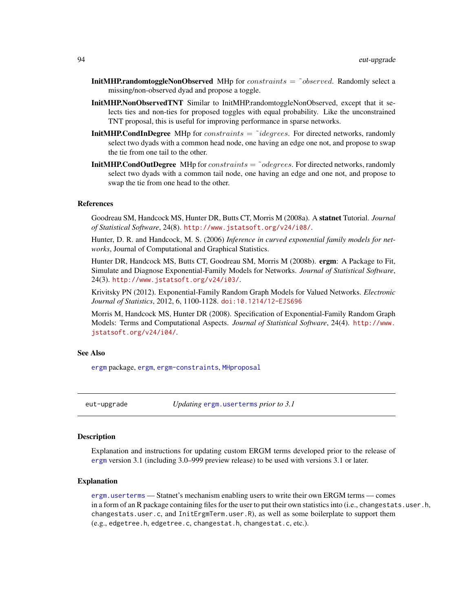- **InitMHP.randomtoggleNonObserved** MHp for *constraints =*  $\degree$ *observed*. Randomly select a missing/non-observed dyad and propose a toggle.
- InitMHP.NonObservedTNT Similar to InitMHP.randomtoggleNonObserved, except that it selects ties and non-ties for proposed toggles with equal probability. Like the unconstrained TNT proposal, this is useful for improving performance in sparse networks.
- **InitMHP.CondInDegree** MHp for *constraints*  $=$   $\tilde{\tau}$ *idegrees*. For directed networks, randomly select two dyads with a common head node, one having an edge one not, and propose to swap the tie from one tail to the other.
- **InitMHP.CondOutDegree** MHp for *constraints*  $=$  ~*odegrees*. For directed networks, randomly select two dyads with a common tail node, one having an edge and one not, and propose to swap the tie from one head to the other.

## References

Goodreau SM, Handcock MS, Hunter DR, Butts CT, Morris M (2008a). A statnet Tutorial. *Journal of Statistical Software*, 24(8). <http://www.jstatsoft.org/v24/i08/>.

Hunter, D. R. and Handcock, M. S. (2006) *Inference in curved exponential family models for networks*, Journal of Computational and Graphical Statistics.

Hunter DR, Handcock MS, Butts CT, Goodreau SM, Morris M (2008b). ergm: A Package to Fit, Simulate and Diagnose Exponential-Family Models for Networks. *Journal of Statistical Software*, 24(3). <http://www.jstatsoft.org/v24/i03/>.

Krivitsky PN (2012). Exponential-Family Random Graph Models for Valued Networks. *Electronic Journal of Statistics*, 2012, 6, 1100-1128. [doi:10.1214/12-EJS696](http://dx.doi.org/10.1214/12-EJS696)

Morris M, Handcock MS, Hunter DR (2008). Specification of Exponential-Family Random Graph Models: Terms and Computational Aspects. *Journal of Statistical Software*, 24(4). [http://www.](http://www.jstatsoft.org/v24/i04/) [jstatsoft.org/v24/i04/](http://www.jstatsoft.org/v24/i04/).

## See Also

[ergm](#page-3-0) package, [ergm](#page-35-0), [ergm-constraints](#page-41-0), [MHproposal](#page-120-0)

eut-upgrade *Updating* [ergm.userterms](#page-0-0) *prior to 3.1*

# Description

Explanation and instructions for updating custom ERGM terms developed prior to the release of [ergm](#page-3-0) version 3.1 (including 3.0–999 preview release) to be used with versions 3.1 or later.

#### Explanation

[ergm.userterms](#page-0-0) — Statnet's mechanism enabling users to write their own ERGM terms — comes in a form of an R package containing files for the user to put their own statistics into (i.e., changestats.user.h, changestats.user.c, and InitErgmTerm.user.R), as well as some boilerplate to support them (e.g., edgetree.h, edgetree.c, changestat.h, changestat.c, etc.).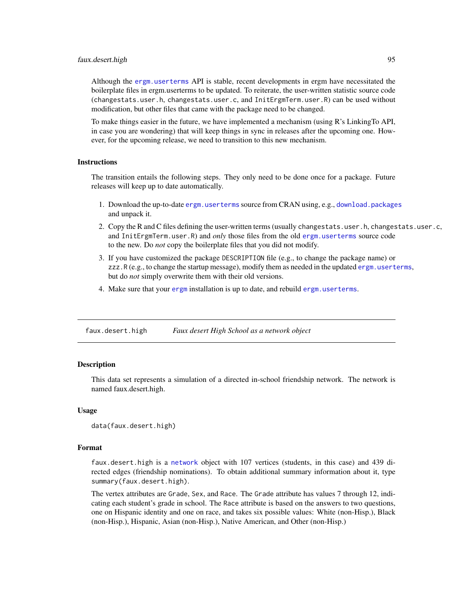#### faux.desert.high 95

Although the [ergm.userterms](#page-0-0) API is stable, recent developments in ergm have necessitated the boilerplate files in ergm.userterms to be updated. To reiterate, the user-written statistic source code (changestats.user.h, changestats.user.c, and InitErgmTerm.user.R) can be used without modification, but other files that came with the package need to be changed.

To make things easier in the future, we have implemented a mechanism (using R's LinkingTo API, in case you are wondering) that will keep things in sync in releases after the upcoming one. However, for the upcoming release, we need to transition to this new mechanism.

## **Instructions**

The transition entails the following steps. They only need to be done once for a package. Future releases will keep up to date automatically.

- 1. Download the up-to-date [ergm.userterms](#page-0-0) source from CRAN using, e.g., [download.packages](#page-0-0) and unpack it.
- 2. Copy the R and C files defining the user-written terms (usually changestats.user.h, changestats.user.c, and InitErgmTerm.user.R) and *only* those files from the old [ergm.userterms](#page-0-0) source code to the new. Do *not* copy the boilerplate files that you did not modify.
- 3. If you have customized the package DESCRIPTION file (e.g., to change the package name) or zzz.R (e.g., to change the startup message), modify them as needed in the updated [ergm.userterms](#page-0-0), but do *not* simply overwrite them with their old versions.
- 4. Make sure that your [ergm](#page-3-0) installation is up to date, and rebuild [ergm.userterms](#page-0-0).

<span id="page-94-0"></span>faux.desert.high *Faux desert High School as a network object*

# Description

This data set represents a simulation of a directed in-school friendship network. The network is named faux.desert.high.

#### Usage

```
data(faux.desert.high)
```
## Format

faux.desert.high is a [network](#page-0-0) object with 107 vertices (students, in this case) and 439 directed edges (friendship nominations). To obtain additional summary information about it, type summary(faux.desert.high).

The vertex attributes are Grade, Sex, and Race. The Grade attribute has values 7 through 12, indicating each student's grade in school. The Race attribute is based on the answers to two questions, one on Hispanic identity and one on race, and takes six possible values: White (non-Hisp.), Black (non-Hisp.), Hispanic, Asian (non-Hisp.), Native American, and Other (non-Hisp.)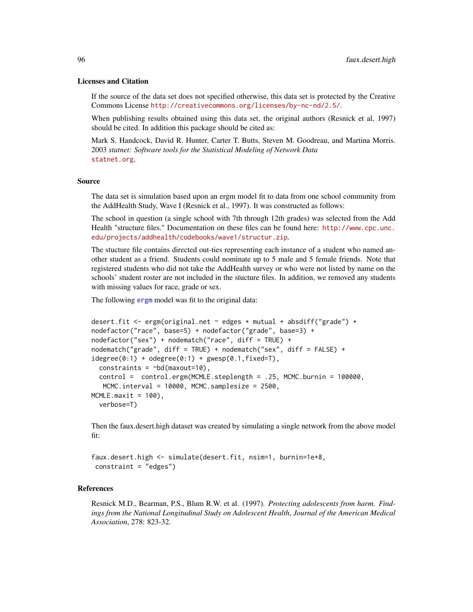## Licenses and Citation

If the source of the data set does not specified otherwise, this data set is protected by the Creative Commons License <http://creativecommons.org/licenses/by-nc-nd/2.5/>.

When publishing results obtained using this data set, the original authors (Resnick et al, 1997) should be cited. In addition this package should be cited as:

Mark S. Handcock, David R. Hunter, Carter T. Butts, Steven M. Goodreau, and Martina Morris. 2003 *statnet: Software tools for the Statistical Modeling of Network Data* <statnet.org>.

#### Source

The data set is simulation based upon an ergm model fit to data from one school community from the AddHealth Study, Wave I (Resnick et al., 1997). It was constructed as follows:

The school in question (a single school with 7th through 12th grades) was selected from the Add Health "structure files." Documentation on these files can be found here: [http://www.cpc.unc.](http://www.cpc.unc.edu/projects/addhealth/codebooks/wave1/structur.zip) [edu/projects/addhealth/codebooks/wave1/structur.zip](http://www.cpc.unc.edu/projects/addhealth/codebooks/wave1/structur.zip).

The stucture file contains directed out-ties representing each instance of a student who named another student as a friend. Students could nominate up to 5 male and 5 female friends. Note that registered students who did not take the AddHealth survey or who were not listed by name on the schools' student roster are not included in the stucture files. In addition, we removed any students with missing values for race, grade or sex.

The following [ergm](#page-35-0) model was fit to the original data:

```
desert.fit <- ergm(original.net ~ edges + mutual + absdiff("grade") +
nodefactor("race", base=5) + nodefactor("grade", base=3) +
nodefactor("sex") + nodematch("race", diff = TRUE) +
nodematch("grade", diff = TRUE) + nodematch("sex", diff = FALSE) +
idegree(0:1) + odegree(0:1) + gwesp(0.1, fixed=T),constraints = \neg bd(maxout=10),
  control = control.ergm(MCMLE.steplength = .25, MCMC.burnin = 100000,
  MCMC.interval = 10000, MCMC.samplesize = 2500,
MCMLE.maxit = 100,
  verbose=T)
```
Then the faux.desert.high dataset was created by simulating a single network from the above model fit:

```
faux.desert.high <- simulate(desert.fit, nsim=1, burnin=1e+8,
constraint = "edges")
```
# References

Resnick M.D., Bearman, P.S., Blum R.W. et al. (1997). *Protecting adolescents from harm. Findings from the National Longitudinal Study on Adolescent Health*, *Journal of the American Medical Association*, 278: 823-32.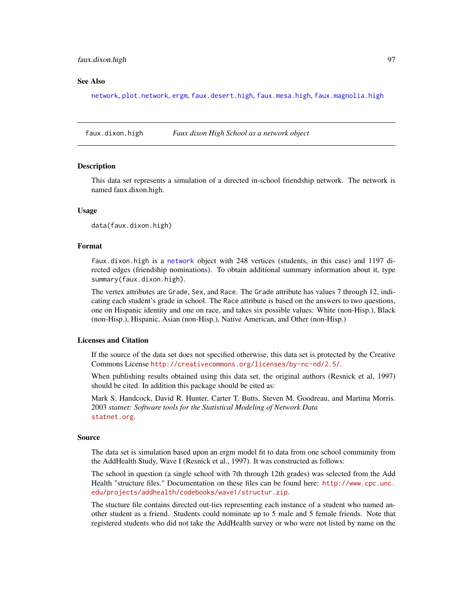## faux.dixon.high 97

## See Also

[network](#page-0-0), [plot.network](#page-0-0), [ergm](#page-35-0), [faux.desert.high](#page-94-0), [faux.mesa.high](#page-99-0), [faux.magnolia.high](#page-97-0)

faux.dixon.high *Faux dixon High School as a network object*

## **Description**

This data set represents a simulation of a directed in-school friendship network. The network is named faux.dixon.high.

# Usage

data(faux.dixon.high)

## Format

faux.dixon.high is a [network](#page-0-0) object with 248 vertices (students, in this case) and 1197 directed edges (friendship nominations). To obtain additional summary information about it, type summary(faux.dixon.high).

The vertex attributes are Grade, Sex, and Race. The Grade attribute has values 7 through 12, indicating each student's grade in school. The Race attribute is based on the answers to two questions, one on Hispanic identity and one on race, and takes six possible values: White (non-Hisp.), Black (non-Hisp.), Hispanic, Asian (non-Hisp.), Native American, and Other (non-Hisp.)

# Licenses and Citation

If the source of the data set does not specified otherwise, this data set is protected by the Creative Commons License <http://creativecommons.org/licenses/by-nc-nd/2.5/>.

When publishing results obtained using this data set, the original authors (Resnick et al, 1997) should be cited. In addition this package should be cited as:

Mark S. Handcock, David R. Hunter, Carter T. Butts, Steven M. Goodreau, and Martina Morris. 2003 *statnet: Software tools for the Statistical Modeling of Network Data* <statnet.org>.

## Source

The data set is simulation based upon an ergm model fit to data from one school community from the AddHealth Study, Wave I (Resnick et al., 1997). It was constructed as follows:

The school in question (a single school with 7th through 12th grades) was selected from the Add Health "structure files." Documentation on these files can be found here: [http://www.cpc.unc.](http://www.cpc.unc.edu/projects/addhealth/codebooks/wave1/structur.zip) [edu/projects/addhealth/codebooks/wave1/structur.zip](http://www.cpc.unc.edu/projects/addhealth/codebooks/wave1/structur.zip).

The stucture file contains directed out-ties representing each instance of a student who named another student as a friend. Students could nominate up to 5 male and 5 female friends. Note that registered students who did not take the AddHealth survey or who were not listed by name on the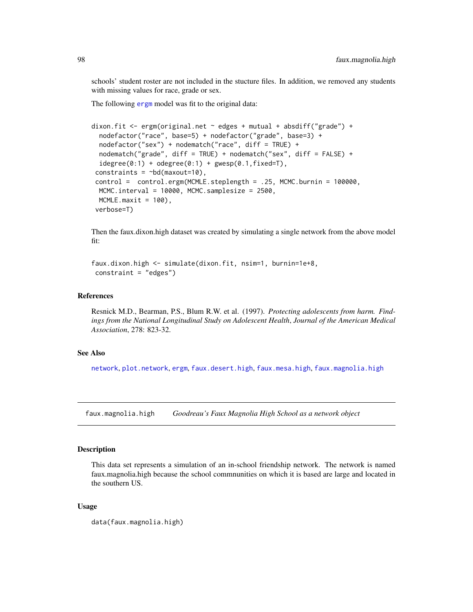schools' student roster are not included in the stucture files. In addition, we removed any students with missing values for race, grade or sex.

The following [ergm](#page-35-0) model was fit to the original data:

```
dixon.fit <- ergm(original.net ~ edges + mutual + absdiff("grade") +
 nodefactor("race", base=5) + nodefactor("grade", base=3) +
 nodefactor("sex") + nodematch("race", diff = TRUE) +
 nodematch("grade", diff = TRUE) + nodematch("sex", diff = FALSE) +
 idegree(0:1) + odegree(0:1) + gwesp(0.1, fixed=T),constraints = \neg bd(maxout=10),
control = control.ergm(MCMLE.steplength = .25, MCMC.burnin = 100000,
 MCMC.interval = 10000, MCMC.samplesize = 2500,
 MCMLE.maxit = 100,
verbose=T)
```
Then the faux.dixon.high dataset was created by simulating a single network from the above model fit:

```
faux.dixon.high <- simulate(dixon.fit, nsim=1, burnin=1e+8,
constraint = "edges")
```
## References

Resnick M.D., Bearman, P.S., Blum R.W. et al. (1997). *Protecting adolescents from harm. Findings from the National Longitudinal Study on Adolescent Health*, *Journal of the American Medical Association*, 278: 823-32.

## See Also

[network](#page-0-0), [plot.network](#page-0-0), [ergm](#page-35-0), [faux.desert.high](#page-94-0), [faux.mesa.high](#page-99-0), [faux.magnolia.high](#page-97-0)

<span id="page-97-0"></span>faux.magnolia.high *Goodreau's Faux Magnolia High School as a network object*

## Description

This data set represents a simulation of an in-school friendship network. The network is named faux.magnolia.high because the school commnunities on which it is based are large and located in the southern US.

## Usage

```
data(faux.magnolia.high)
```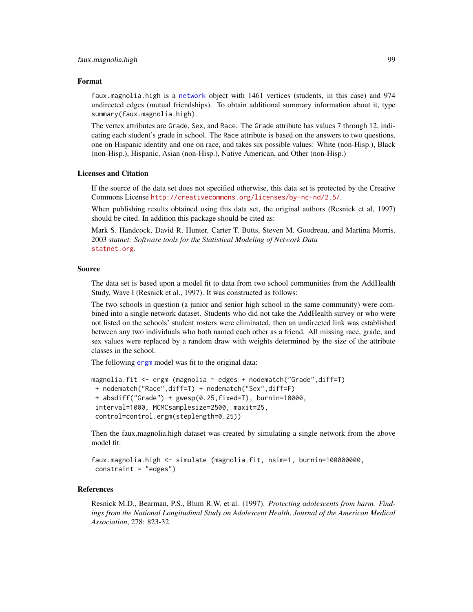## Format

faux.magnolia.high is a [network](#page-0-0) object with 1461 vertices (students, in this case) and 974 undirected edges (mutual friendships). To obtain additional summary information about it, type summary(faux.magnolia.high).

The vertex attributes are Grade, Sex, and Race. The Grade attribute has values 7 through 12, indicating each student's grade in school. The Race attribute is based on the answers to two questions, one on Hispanic identity and one on race, and takes six possible values: White (non-Hisp.), Black (non-Hisp.), Hispanic, Asian (non-Hisp.), Native American, and Other (non-Hisp.)

# Licenses and Citation

If the source of the data set does not specified otherwise, this data set is protected by the Creative Commons License <http://creativecommons.org/licenses/by-nc-nd/2.5/>.

When publishing results obtained using this data set, the original authors (Resnick et al, 1997) should be cited. In addition this package should be cited as:

Mark S. Handcock, David R. Hunter, Carter T. Butts, Steven M. Goodreau, and Martina Morris. 2003 *statnet: Software tools for the Statistical Modeling of Network Data* <statnet.org>.

#### Source

The data set is based upon a model fit to data from two school communities from the AddHealth Study, Wave I (Resnick et al., 1997). It was constructed as follows:

The two schools in question (a junior and senior high school in the same community) were combined into a single network dataset. Students who did not take the AddHealth survey or who were not listed on the schools' student rosters were eliminated, then an undirected link was established between any two individuals who both named each other as a friend. All missing race, grade, and sex values were replaced by a random draw with weights determined by the size of the attribute classes in the school.

The following [ergm](#page-35-0) model was fit to the original data:

```
magnolia.fit <- ergm (magnolia ~ edges + nodematch("Grade",diff=T)
+ nodematch("Race",diff=T) + nodematch("Sex",diff=F)
+ absdiff("Grade") + gwesp(0.25,fixed=T), burnin=10000,
interval=1000, MCMCsamplesize=2500, maxit=25,
control=control.ergm(steplength=0.25))
```
Then the faux.magnolia.high dataset was created by simulating a single network from the above model fit:

```
faux.magnolia.high <- simulate (magnolia.fit, nsim=1, burnin=100000000,
constraint = "edges")
```
# References

Resnick M.D., Bearman, P.S., Blum R.W. et al. (1997). *Protecting adolescents from harm. Findings from the National Longitudinal Study on Adolescent Health*, *Journal of the American Medical Association*, 278: 823-32.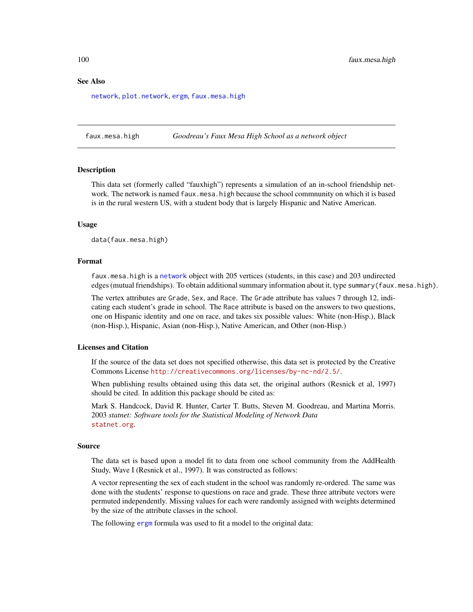#### See Also

[network](#page-0-0), [plot.network](#page-0-0), [ergm](#page-35-0), [faux.mesa.high](#page-99-0)

<span id="page-99-0"></span>faux.mesa.high *Goodreau's Faux Mesa High School as a network object*

# Description

This data set (formerly called "fauxhigh") represents a simulation of an in-school friendship network. The network is named faux.mesa.high because the school commnunity on which it is based is in the rural western US, with a student body that is largely Hispanic and Native American.

## Usage

data(faux.mesa.high)

## Format

faux.mesa.high is a [network](#page-0-0) object with 205 vertices (students, in this case) and 203 undirected edges (mutual friendships). To obtain additional summary information about it, type summary(faux.mesa.high).

The vertex attributes are Grade, Sex, and Race. The Grade attribute has values 7 through 12, indicating each student's grade in school. The Race attribute is based on the answers to two questions, one on Hispanic identity and one on race, and takes six possible values: White (non-Hisp.), Black (non-Hisp.), Hispanic, Asian (non-Hisp.), Native American, and Other (non-Hisp.)

# Licenses and Citation

If the source of the data set does not specified otherwise, this data set is protected by the Creative Commons License <http://creativecommons.org/licenses/by-nc-nd/2.5/>.

When publishing results obtained using this data set, the original authors (Resnick et al, 1997) should be cited. In addition this package should be cited as:

Mark S. Handcock, David R. Hunter, Carter T. Butts, Steven M. Goodreau, and Martina Morris. 2003 *statnet: Software tools for the Statistical Modeling of Network Data* <statnet.org>.

## Source

The data set is based upon a model fit to data from one school community from the AddHealth Study, Wave I (Resnick et al., 1997). It was constructed as follows:

A vector representing the sex of each student in the school was randomly re-ordered. The same was done with the students' response to questions on race and grade. These three attribute vectors were permuted independently. Missing values for each were randomly assigned with weights determined by the size of the attribute classes in the school.

The following [ergm](#page-35-0) formula was used to fit a model to the original data: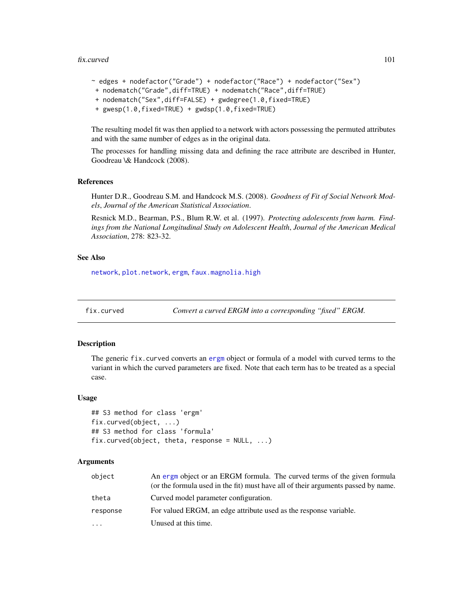## fix.curved 101

```
~ edges + nodefactor("Grade") + nodefactor("Race") + nodefactor("Sex")
+ nodematch("Grade",diff=TRUE) + nodematch("Race",diff=TRUE)
+ nodematch("Sex",diff=FALSE) + gwdegree(1.0,fixed=TRUE)
+ gwesp(1.0,fixed=TRUE) + gwdsp(1.0,fixed=TRUE)
```
The resulting model fit was then applied to a network with actors possessing the permuted attributes and with the same number of edges as in the original data.

The processes for handling missing data and defining the race attribute are described in Hunter, Goodreau \& Handcock (2008).

## References

Hunter D.R., Goodreau S.M. and Handcock M.S. (2008). *Goodness of Fit of Social Network Models*, *Journal of the American Statistical Association*.

Resnick M.D., Bearman, P.S., Blum R.W. et al. (1997). *Protecting adolescents from harm. Findings from the National Longitudinal Study on Adolescent Health*, *Journal of the American Medical Association*, 278: 823-32.

# See Also

[network](#page-0-0), [plot.network](#page-0-0), [ergm](#page-35-0), [faux.magnolia.high](#page-97-0)

```
fix.curved Convert a curved ERGM into a corresponding "fixed" ERGM.
```
# Description

The generic fix.curved converts an [ergm](#page-35-0) object or formula of a model with curved terms to the variant in which the curved parameters are fixed. Note that each term has to be treated as a special case.

# Usage

```
## S3 method for class 'ergm'
fix.curved(object, ...)
## S3 method for class 'formula'
fix.curved(object, theta, response = NULL, ...)
```
# Arguments

| object   | An ergm object or an ERGM formula. The curved terms of the given formula<br>(or the formula used in the fit) must have all of their arguments passed by name. |
|----------|---------------------------------------------------------------------------------------------------------------------------------------------------------------|
| theta    | Curved model parameter configuration.                                                                                                                         |
| response | For valued ERGM, an edge attribute used as the response variable.                                                                                             |
| .        | Unused at this time.                                                                                                                                          |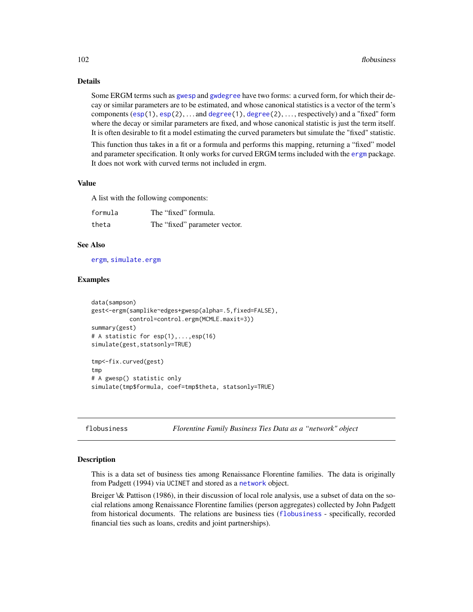# Details

Some ERGM terms such as [gwesp](#page-47-0) and [gwdegree](#page-47-0) have two forms: a curved form, for which their decay or similar parameters are to be estimated, and whose canonical statistics is a vector of the term's components  $(\exp(1), \exp(2), \ldots)$  and  $\deg(\exp(1), \deg(\exp(2), \ldots)$ , respectively) and a "fixed" form where the decay or similar parameters are fixed, and whose canonical statistic is just the term itself. It is often desirable to fit a model estimating the curved parameters but simulate the "fixed" statistic.

This function thus takes in a fit or a formula and performs this mapping, returning a "fixed" model and parameter specification. It only works for curved ERGM terms included with the [ergm](#page-3-0) package. It does not work with curved terms not included in ergm.

# Value

A list with the following components:

| formula | The "fixed" formula.          |
|---------|-------------------------------|
| theta   | The "fixed" parameter vector. |

#### See Also

[ergm](#page-35-0), [simulate.ergm](#page-141-1)

# Examples

```
data(sampson)
gest<-ergm(samplike~edges+gwesp(alpha=.5,fixed=FALSE),
           control=control.ergm(MCMLE.maxit=3))
summary(gest)
# A statistic for esp(1),...,esp(16)
simulate(gest,statsonly=TRUE)
tmp<-fix.curved(gest)
tmp
# A gwesp() statistic only
simulate(tmp$formula, coef=tmp$theta, statsonly=TRUE)
```
<span id="page-101-0"></span>flobusiness *Florentine Family Business Ties Data as a "network" object*

#### Description

This is a data set of business ties among Renaissance Florentine families. The data is originally from Padgett (1994) via UCINET and stored as a [network](#page-0-0) object.

Breiger \& Pattison (1986), in their discussion of local role analysis, use a subset of data on the social relations among Renaissance Florentine families (person aggregates) collected by John Padgett from historical documents. The relations are business ties ([flobusiness](#page-101-0) - specifically, recorded financial ties such as loans, credits and joint partnerships).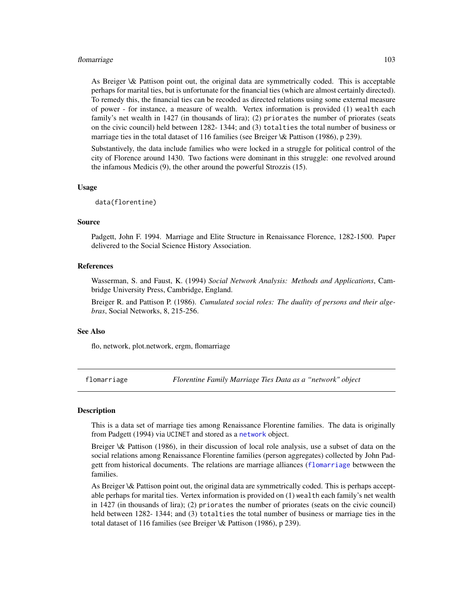#### flomarriage the control of the control of the control of the control of the control of the control of the control of the control of the control of the control of the control of the control of the control of the control of

As Breiger \& Pattison point out, the original data are symmetrically coded. This is acceptable perhaps for marital ties, but is unfortunate for the financial ties (which are almost certainly directed). To remedy this, the financial ties can be recoded as directed relations using some external measure of power - for instance, a measure of wealth. Vertex information is provided (1) wealth each family's net wealth in 1427 (in thousands of lira); (2) priorates the number of priorates (seats on the civic council) held between 1282- 1344; and (3) totalties the total number of business or marriage ties in the total dataset of 116 families (see Breiger \& Pattison (1986), p 239).

Substantively, the data include families who were locked in a struggle for political control of the city of Florence around 1430. Two factions were dominant in this struggle: one revolved around the infamous Medicis (9), the other around the powerful Strozzis (15).

# Usage

data(florentine)

## Source

Padgett, John F. 1994. Marriage and Elite Structure in Renaissance Florence, 1282-1500. Paper delivered to the Social Science History Association.

# References

Wasserman, S. and Faust, K. (1994) *Social Network Analysis: Methods and Applications*, Cambridge University Press, Cambridge, England.

Breiger R. and Pattison P. (1986). *Cumulated social roles: The duality of persons and their algebras*, Social Networks, 8, 215-256.

# See Also

flo, network, plot.network, ergm, flomarriage

<span id="page-102-0"></span>flomarriage *Florentine Family Marriage Ties Data as a "network" object*

# **Description**

This is a data set of marriage ties among Renaissance Florentine families. The data is originally from Padgett (1994) via UCINET and stored as a [network](#page-0-0) object.

Breiger \& Pattison (1986), in their discussion of local role analysis, use a subset of data on the social relations among Renaissance Florentine families (person aggregates) collected by John Padgett from historical documents. The relations are marriage alliances ([flomarriage](#page-102-0) betwween the families.

As Breiger \& Pattison point out, the original data are symmetrically coded. This is perhaps acceptable perhaps for marital ties. Vertex information is provided on (1) wealth each family's net wealth in 1427 (in thousands of lira); (2) priorates the number of priorates (seats on the civic council) held between 1282- 1344; and (3) totalties the total number of business or marriage ties in the total dataset of 116 families (see Breiger \& Pattison (1986), p 239).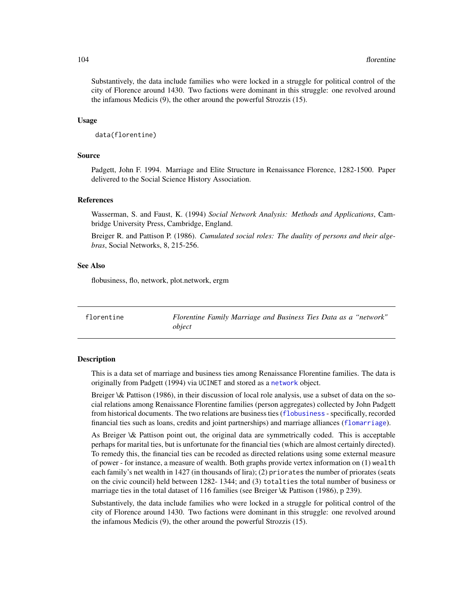Substantively, the data include families who were locked in a struggle for political control of the city of Florence around 1430. Two factions were dominant in this struggle: one revolved around the infamous Medicis (9), the other around the powerful Strozzis (15).

## Usage

```
data(florentine)
```
### Source

Padgett, John F. 1994. Marriage and Elite Structure in Renaissance Florence, 1282-1500. Paper delivered to the Social Science History Association.

# References

Wasserman, S. and Faust, K. (1994) *Social Network Analysis: Methods and Applications*, Cambridge University Press, Cambridge, England.

Breiger R. and Pattison P. (1986). *Cumulated social roles: The duality of persons and their algebras*, Social Networks, 8, 215-256.

# See Also

flobusiness, flo, network, plot.network, ergm

florentine *Florentine Family Marriage and Business Ties Data as a "network" object*

# **Description**

This is a data set of marriage and business ties among Renaissance Florentine families. The data is originally from Padgett (1994) via UCINET and stored as a [network](#page-0-0) object.

Breiger \& Pattison (1986), in their discussion of local role analysis, use a subset of data on the social relations among Renaissance Florentine families (person aggregates) collected by John Padgett from historical documents. The two relations are business ties ([flobusiness](#page-101-0) - specifically, recorded financial ties such as loans, credits and joint partnerships) and marriage alliances ([flomarriage](#page-102-0)).

As Breiger \& Pattison point out, the original data are symmetrically coded. This is acceptable perhaps for marital ties, but is unfortunate for the financial ties (which are almost certainly directed). To remedy this, the financial ties can be recoded as directed relations using some external measure of power - for instance, a measure of wealth. Both graphs provide vertex information on (1) wealth each family's net wealth in 1427 (in thousands of lira); (2) priorates the number of priorates (seats on the civic council) held between 1282- 1344; and (3) totalties the total number of business or marriage ties in the total dataset of 116 families (see Breiger \& Pattison (1986), p 239).

Substantively, the data include families who were locked in a struggle for political control of the city of Florence around 1430. Two factions were dominant in this struggle: one revolved around the infamous Medicis (9), the other around the powerful Strozzis (15).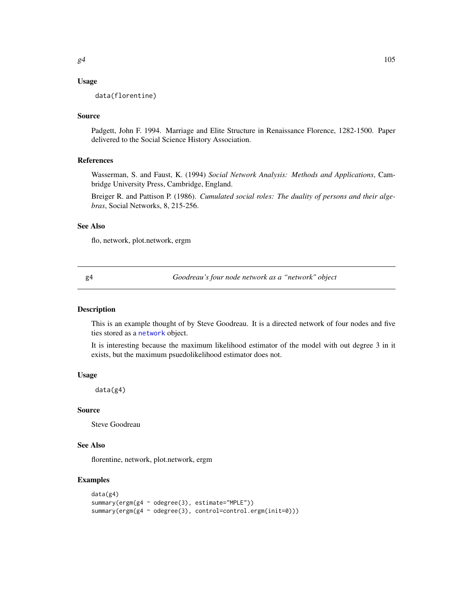# Usage

data(florentine)

# Source

Padgett, John F. 1994. Marriage and Elite Structure in Renaissance Florence, 1282-1500. Paper delivered to the Social Science History Association.

# References

Wasserman, S. and Faust, K. (1994) *Social Network Analysis: Methods and Applications*, Cambridge University Press, Cambridge, England.

Breiger R. and Pattison P. (1986). *Cumulated social roles: The duality of persons and their algebras*, Social Networks, 8, 215-256.

# See Also

flo, network, plot.network, ergm

g4 *Goodreau's four node network as a "network" object*

# Description

This is an example thought of by Steve Goodreau. It is a directed network of four nodes and five ties stored as a [network](#page-0-0) object.

It is interesting because the maximum likelihood estimator of the model with out degree 3 in it exists, but the maximum psuedolikelihood estimator does not.

# Usage

data(g4)

#### Source

Steve Goodreau

# See Also

florentine, network, plot.network, ergm

# Examples

```
data(g4)
summary(ergm(g4 ~ odegree(3), estimate="MPLE"))
summary(ergm(g4 ~ odegree(3), control=control.ergm(init=0)))
```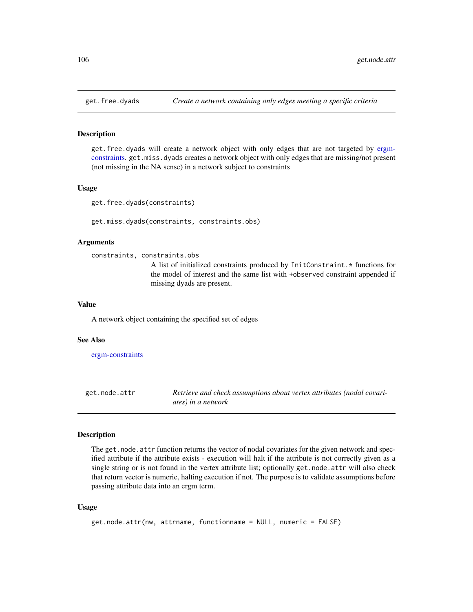#### Description

get.free.dyads will create a network object with only edges that are not targeted by [ergm](#page-41-0)[constraints.](#page-41-0) get.miss.dyads creates a network object with only edges that are missing/not present (not missing in the NA sense) in a network subject to constraints

#### Usage

get.free.dyads(constraints)

get.miss.dyads(constraints, constraints.obs)

# Arguments

constraints, constraints.obs

A list of initialized constraints produced by InitConstraint.\* functions for the model of interest and the same list with +observed constraint appended if missing dyads are present.

## Value

A network object containing the specified set of edges

#### See Also

[ergm-constraints](#page-41-0)

get.node.attr *Retrieve and check assumptions about vertex attributes (nodal covariates) in a network*

## Description

The get.node.attr function returns the vector of nodal covariates for the given network and specified attribute if the attribute exists - execution will halt if the attribute is not correctly given as a single string or is not found in the vertex attribute list; optionally get.node.attr will also check that return vector is numeric, halting execution if not. The purpose is to validate assumptions before passing attribute data into an ergm term.

# Usage

```
get.node.attr(nw, attrname, functionname = NULL, numeric = FALSE)
```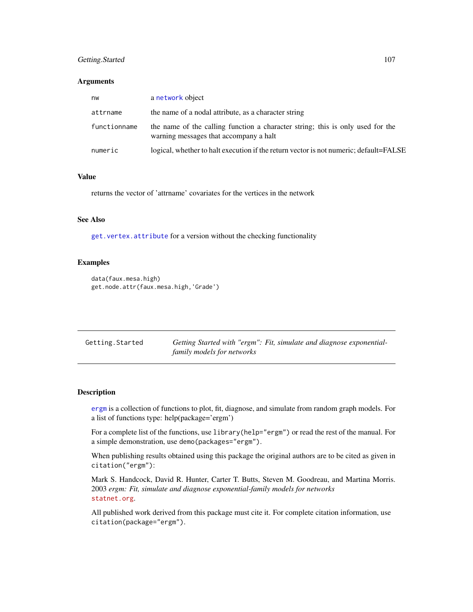# Getting.Started 107

## Arguments

| nw           | a network object                                                                                                         |
|--------------|--------------------------------------------------------------------------------------------------------------------------|
| attrname     | the name of a nodal attribute, as a character string                                                                     |
| functionname | the name of the calling function a character string; this is only used for the<br>warning messages that accompany a halt |
| numeric      | logical, whether to halt execution if the return vector is not numeric; default=FALSE                                    |

# Value

returns the vector of 'attrname' covariates for the vertices in the network

# See Also

[get.vertex.attribute](#page-0-0) for a version without the checking functionality

## Examples

```
data(faux.mesa.high)
get.node.attr(faux.mesa.high,'Grade')
```

| Getting.Started | Getting Started with "ergm": Fit, simulate and diagnose exponential- |
|-----------------|----------------------------------------------------------------------|
|                 | family models for networks                                           |

# Description

[ergm](#page-35-0) is a collection of functions to plot, fit, diagnose, and simulate from random graph models. For a list of functions type: help(package='ergm')

For a complete list of the functions, use library(help="ergm") or read the rest of the manual. For a simple demonstration, use demo(packages="ergm").

When publishing results obtained using this package the original authors are to be cited as given in citation("ergm"):

Mark S. Handcock, David R. Hunter, Carter T. Butts, Steven M. Goodreau, and Martina Morris. 2003 *ergm: Fit, simulate and diagnose exponential-family models for networks* <statnet.org>.

All published work derived from this package must cite it. For complete citation information, use citation(package="ergm").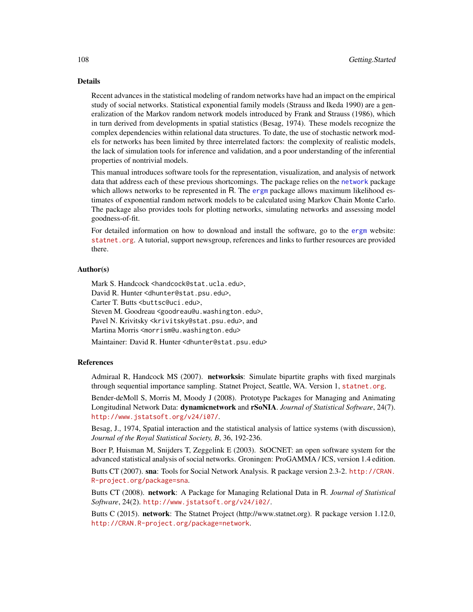# Details

Recent advances in the statistical modeling of random networks have had an impact on the empirical study of social networks. Statistical exponential family models (Strauss and Ikeda 1990) are a generalization of the Markov random network models introduced by Frank and Strauss (1986), which in turn derived from developments in spatial statistics (Besag, 1974). These models recognize the complex dependencies within relational data structures. To date, the use of stochastic network models for networks has been limited by three interrelated factors: the complexity of realistic models, the lack of simulation tools for inference and validation, and a poor understanding of the inferential properties of nontrivial models.

This manual introduces software tools for the representation, visualization, and analysis of network data that address each of these previous shortcomings. The package relies on the [network](#page-0-0) package which allows networks to be represented in R. The [ergm](#page-35-0) package allows maximum likelihood estimates of exponential random network models to be calculated using Markov Chain Monte Carlo. The package also provides tools for plotting networks, simulating networks and assessing model goodness-of-fit.

For detailed information on how to download and install the software, go to the [ergm](#page-35-0) website: <statnet.org>. A tutorial, support newsgroup, references and links to further resources are provided there.

# Author(s)

Mark S. Handcock <handcock@stat.ucla.edu>. David R. Hunter <dhunter@stat.psu.edu>, Carter T. Butts <br/>buttsc@uci.edu>, Steven M. Goodreau <goodreau@u.washington.edu>, Pavel N. Krivitsky <krivitsky@stat.psu.edu>, and Martina Morris <morrism@u.washington.edu>

Maintainer: David R. Hunter <dhunter@stat.psu.edu>

#### References

Admiraal R, Handcock MS (2007). networksis: Simulate bipartite graphs with fixed marginals through sequential importance sampling. Statnet Project, Seattle, WA. Version 1, <statnet.org>.

Bender-deMoll S, Morris M, Moody J (2008). Prototype Packages for Managing and Animating Longitudinal Network Data: dynamicnetwork and rSoNIA. *Journal of Statistical Software*, 24(7). <http://www.jstatsoft.org/v24/i07/>.

Besag, J., 1974, Spatial interaction and the statistical analysis of lattice systems (with discussion), *Journal of the Royal Statistical Society, B*, 36, 192-236.

Boer P, Huisman M, Snijders T, Zeggelink E (2003). StOCNET: an open software system for the advanced statistical analysis of social networks. Groningen: ProGAMMA / ICS, version 1.4 edition.

Butts CT (2007). sna: Tools for Social Network Analysis. R package version 2.3-2. [http://CRAN.](http://CRAN.R-project.org/package=sna) [R-project.org/package=sna](http://CRAN.R-project.org/package=sna).

Butts CT (2008). network: A Package for Managing Relational Data in R. *Journal of Statistical Software*, 24(2). <http://www.jstatsoft.org/v24/i02/>.

Butts C (2015). **network**: The Statnet Project (http://www.statnet.org). R package version 1.12.0, <http://CRAN.R-project.org/package=network>.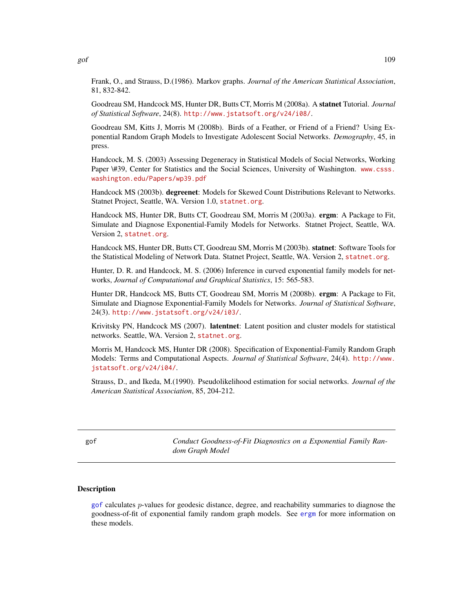gof  $109$ 

Frank, O., and Strauss, D.(1986). Markov graphs. *Journal of the American Statistical Association*, 81, 832-842.

Goodreau SM, Handcock MS, Hunter DR, Butts CT, Morris M (2008a). A statnet Tutorial. *Journal of Statistical Software*, 24(8). <http://www.jstatsoft.org/v24/i08/>.

Goodreau SM, Kitts J, Morris M (2008b). Birds of a Feather, or Friend of a Friend? Using Exponential Random Graph Models to Investigate Adolescent Social Networks. *Demography*, 45, in press.

Handcock, M. S. (2003) Assessing Degeneracy in Statistical Models of Social Networks, Working Paper \#39, Center for Statistics and the Social Sciences, University of Washington. [www.csss.](www.csss.washington.edu/Papers/wp39.pdf) [washington.edu/Papers/wp39.pdf](www.csss.washington.edu/Papers/wp39.pdf)

Handcock MS (2003b). degreenet: Models for Skewed Count Distributions Relevant to Networks. Statnet Project, Seattle, WA. Version 1.0, <statnet.org>.

Handcock MS, Hunter DR, Butts CT, Goodreau SM, Morris M (2003a). ergm: A Package to Fit, Simulate and Diagnose Exponential-Family Models for Networks. Statnet Project, Seattle, WA. Version 2, <statnet.org>.

Handcock MS, Hunter DR, Butts CT, Goodreau SM, Morris M (2003b). statnet: Software Tools for the Statistical Modeling of Network Data. Statnet Project, Seattle, WA. Version 2, <statnet.org>.

Hunter, D. R. and Handcock, M. S. (2006) Inference in curved exponential family models for networks, *Journal of Computational and Graphical Statistics*, 15: 565-583.

Hunter DR, Handcock MS, Butts CT, Goodreau SM, Morris M (2008b). ergm: A Package to Fit, Simulate and Diagnose Exponential-Family Models for Networks. *Journal of Statistical Software*, 24(3). <http://www.jstatsoft.org/v24/i03/>.

Krivitsky PN, Handcock MS (2007). latentnet: Latent position and cluster models for statistical networks. Seattle, WA. Version 2, <statnet.org>.

Morris M, Handcock MS, Hunter DR (2008). Specification of Exponential-Family Random Graph Models: Terms and Computational Aspects. *Journal of Statistical Software*, 24(4). [http://www.](http://www.jstatsoft.org/v24/i04/) [jstatsoft.org/v24/i04/](http://www.jstatsoft.org/v24/i04/).

Strauss, D., and Ikeda, M.(1990). Pseudolikelihood estimation for social networks. *Journal of the American Statistical Association*, 85, 204-212.

<span id="page-108-0"></span>gof *Conduct Goodness-of-Fit Diagnostics on a Exponential Family Random Graph Model*

#### <span id="page-108-1"></span>Description

[gof](#page-108-0) calculates p-values for geodesic distance, degree, and reachability summaries to diagnose the goodness-of-fit of exponential family random graph models. See [ergm](#page-35-0) for more information on these models.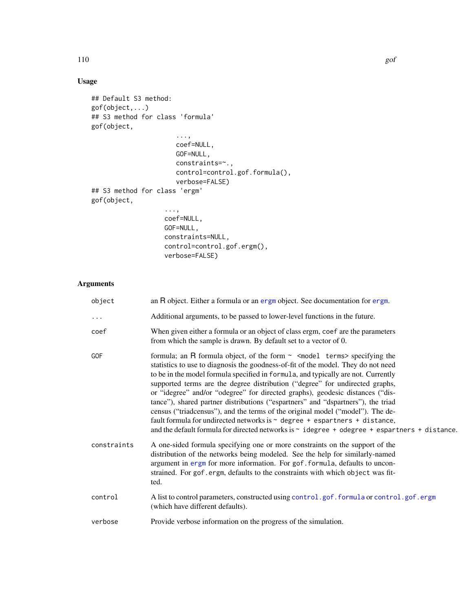# Usage

```
## Default S3 method:
gof(object,...)
## S3 method for class 'formula'
gof(object,
                      ...,
                      coef=NULL,
                      GOF=NULL,
                      constraints=~.,
                      control=control.gof.formula(),
                      verbose=FALSE)
## S3 method for class 'ergm'
gof(object,
                   ...,
                   coef=NULL,
                   GOF=NULL,
                   constraints=NULL,
                   control=control.gof.ergm(),
                   verbose=FALSE)
```
# Arguments

| object      | an R object. Either a formula or an ergm object. See documentation for ergm.                                                                                                                                                                                                                                                                                                                                                                                                                                                                                                                                                                                                                                                                                                                                                     |  |
|-------------|----------------------------------------------------------------------------------------------------------------------------------------------------------------------------------------------------------------------------------------------------------------------------------------------------------------------------------------------------------------------------------------------------------------------------------------------------------------------------------------------------------------------------------------------------------------------------------------------------------------------------------------------------------------------------------------------------------------------------------------------------------------------------------------------------------------------------------|--|
|             | Additional arguments, to be passed to lower-level functions in the future.                                                                                                                                                                                                                                                                                                                                                                                                                                                                                                                                                                                                                                                                                                                                                       |  |
| coef        | When given either a formula or an object of class ergm, coef are the parameters<br>from which the sample is drawn. By default set to a vector of 0.                                                                                                                                                                                                                                                                                                                                                                                                                                                                                                                                                                                                                                                                              |  |
| GOF         | formula; an R formula object, of the form $\sim$ <model terms=""> specifying the<br/>statistics to use to diagnosis the goodness-of-fit of the model. They do not need<br/>to be in the model formula specified in formula, and typically are not. Currently<br/>supported terms are the degree distribution ("degree" for undirected graphs,<br/>or "idegree" and/or "odegree" for directed graphs), geodesic distances ("dis-<br/>tance"), shared partner distributions ("espartners" and "dspartners"), the triad<br/>census ("triadcensus"), and the terms of the original model ("model"). The de-<br/>fault formula for undirected networks is <math>\sim</math> degree + espartners + distance,<br/>and the default formula for directed networks is <math>\sim</math> idegree + odegree + espartners + distance.</model> |  |
| constraints | A one-sided formula specifying one or more constraints on the support of the<br>distribution of the networks being modeled. See the help for similarly-named<br>argument in ergm for more information. For gof.formula, defaults to uncon-<br>strained. For gof.ergm, defaults to the constraints with which object was fit-<br>ted.                                                                                                                                                                                                                                                                                                                                                                                                                                                                                             |  |
| control     | A list to control parameters, constructed using control.gof.formula or control.gof.ergm<br>(which have different defaults).                                                                                                                                                                                                                                                                                                                                                                                                                                                                                                                                                                                                                                                                                                      |  |
| verbose     | Provide verbose information on the progress of the simulation.                                                                                                                                                                                                                                                                                                                                                                                                                                                                                                                                                                                                                                                                                                                                                                   |  |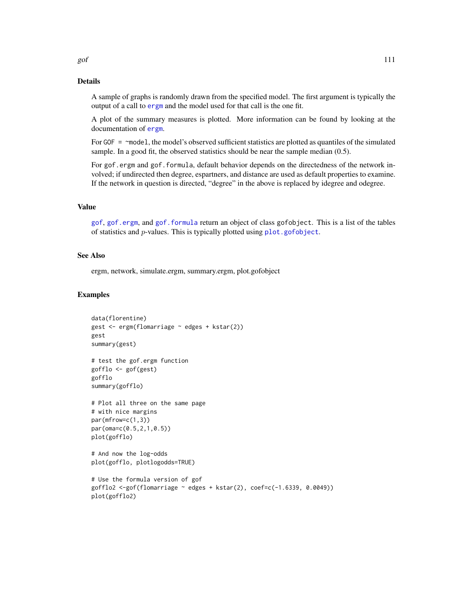## Details

A sample of graphs is randomly drawn from the specified model. The first argument is typically the output of a call to [ergm](#page-35-0) and the model used for that call is the one fit.

A plot of the summary measures is plotted. More information can be found by looking at the documentation of [ergm](#page-35-0).

For GOF = ~model, the model's observed sufficient statistics are plotted as quantiles of the simulated sample. In a good fit, the observed statistics should be near the sample median (0.5).

For gof.ergm and gof.formula, default behavior depends on the directedness of the network involved; if undirected then degree, espartners, and distance are used as default properties to examine. If the network in question is directed, "degree" in the above is replaced by idegree and odegree.

## Value

[gof](#page-108-0), [gof.ergm](#page-108-1), and [gof.formula](#page-108-1) return an object of class gofobject. This is a list of the tables of statistics and  $p$ -values. This is typically plotted using  $plot.gofobject$ .

## See Also

ergm, network, simulate.ergm, summary.ergm, plot.gofobject

#### Examples

```
data(florentine)
gest <- ergm(flomarriage ~ edges + kstar(2))
gest
summary(gest)
# test the gof.ergm function
gofflo <- gof(gest)
gofflo
summary(gofflo)
# Plot all three on the same page
# with nice margins
par(mfrow=c(1,3))
par(oma=c(0.5,2,1,0.5))
plot(gofflo)
# And now the log-odds
plot(gofflo, plotlogodds=TRUE)
# Use the formula version of gof
gofflo2 \le-gof(flomarriage \sim edges + kstar(2), coef=c(-1.6339, 0.0049))plot(gofflo2)
```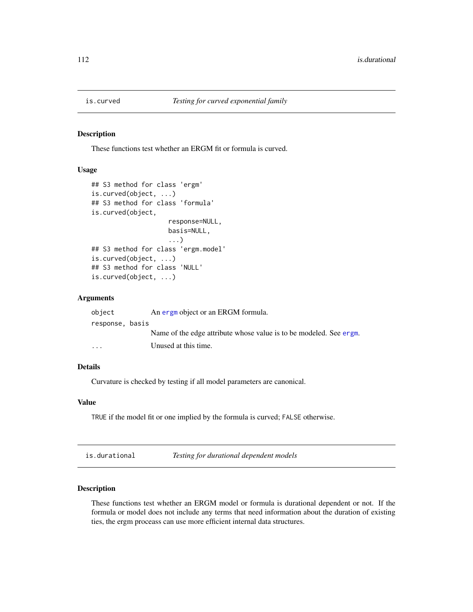#### Description

These functions test whether an ERGM fit or formula is curved.

## Usage

```
## S3 method for class 'ergm'
is.curved(object, ...)
## S3 method for class 'formula'
is.curved(object,
                    response=NULL,
                    basis=NULL,
                    ...)
## S3 method for class 'ergm.model'
is.curved(object, ...)
## S3 method for class 'NULL'
is.curved(object, ...)
```
## Arguments

| object                  | An ergm object or an ERGM formula.                                 |
|-------------------------|--------------------------------------------------------------------|
| response, basis         |                                                                    |
|                         | Name of the edge attribute whose value is to be modeled. See ergm. |
| $\cdot$ $\cdot$ $\cdot$ | Unused at this time.                                               |

# Details

Curvature is checked by testing if all model parameters are canonical.

#### Value

TRUE if the model fit or one implied by the formula is curved; FALSE otherwise.

is.durational *Testing for durational dependent models*

## Description

These functions test whether an ERGM model or formula is durational dependent or not. If the formula or model does not include any terms that need information about the duration of existing ties, the ergm proceass can use more efficient internal data structures.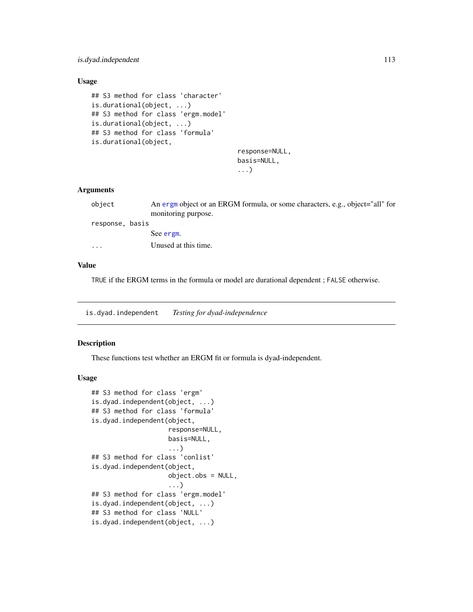## is.dyad.independent 113

## Usage

```
## S3 method for class 'character'
is.durational(object, ...)
## S3 method for class 'ergm.model'
is.durational(object, ...)
## S3 method for class 'formula'
is.durational(object,
```
# response=NULL, basis=NULL, ...)

## Arguments

| object                  | An ergm object or an ERGM formula, or some characters, e.g., object="all" for<br>monitoring purpose. |
|-------------------------|------------------------------------------------------------------------------------------------------|
| response, basis         |                                                                                                      |
|                         | See ergm.                                                                                            |
| $\cdot$ $\cdot$ $\cdot$ | Unused at this time.                                                                                 |
|                         |                                                                                                      |

#### Value

TRUE if the ERGM terms in the formula or model are durational dependent ; FALSE otherwise.

is.dyad.independent *Testing for dyad-independence*

## Description

These functions test whether an ERGM fit or formula is dyad-independent.

## Usage

```
## S3 method for class 'ergm'
is.dyad.independent(object, ...)
## S3 method for class 'formula'
is.dyad.independent(object,
                    response=NULL,
                    basis=NULL,
                    ...)
## S3 method for class 'conlist'
is.dyad.independent(object,
                    object.obs = NULL,
                    ...)
## S3 method for class 'ergm.model'
is.dyad.independent(object, ...)
## S3 method for class 'NULL'
is.dyad.independent(object, ...)
```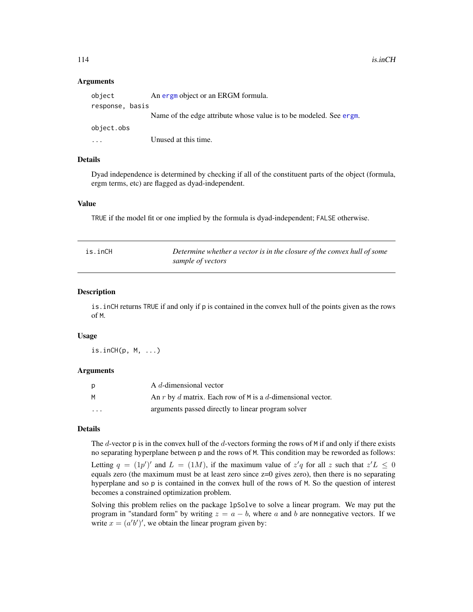#### Arguments

| object                  | An ergm object or an ERGM formula.                                 |
|-------------------------|--------------------------------------------------------------------|
| response, basis         |                                                                    |
|                         | Name of the edge attribute whose value is to be modeled. See ergm. |
| object.obs              |                                                                    |
| $\cdot$ $\cdot$ $\cdot$ | Unused at this time.                                               |

## Details

Dyad independence is determined by checking if all of the constituent parts of the object (formula, ergm terms, etc) are flagged as dyad-independent.

## Value

TRUE if the model fit or one implied by the formula is dyad-independent; FALSE otherwise.

| is.inCH | Determine whether a vector is in the closure of the convex hull of some |
|---------|-------------------------------------------------------------------------|
|         | sample of vectors                                                       |

### Description

is.inCH returns TRUE if and only if p is contained in the convex hull of the points given as the rows of M.

#### Usage

is.inCH(p, M, ...)

#### Arguments

| p        | A d-dimensional vector                                     |
|----------|------------------------------------------------------------|
| M        | An r by d matrix. Each row of M is a d-dimensional vector. |
| $\cdots$ | arguments passed directly to linear program solver         |

## Details

The  $d$ -vector p is in the convex hull of the  $d$ -vectors forming the rows of M if and only if there exists no separating hyperplane between p and the rows of M. This condition may be reworded as follows:

Letting  $q = (1p')'$  and  $L = (1M)$ , if the maximum value of  $z'q$  for all z such that  $z'L \leq 0$ equals zero (the maximum must be at least zero since z=0 gives zero), then there is no separating hyperplane and so p is contained in the convex hull of the rows of M. So the question of interest becomes a constrained optimization problem.

Solving this problem relies on the package lpSolve to solve a linear program. We may put the program in "standard form" by writing  $z = a - b$ , where a and b are nonnegative vectors. If we write  $x = (a'b')'$ , we obtain the linear program given by: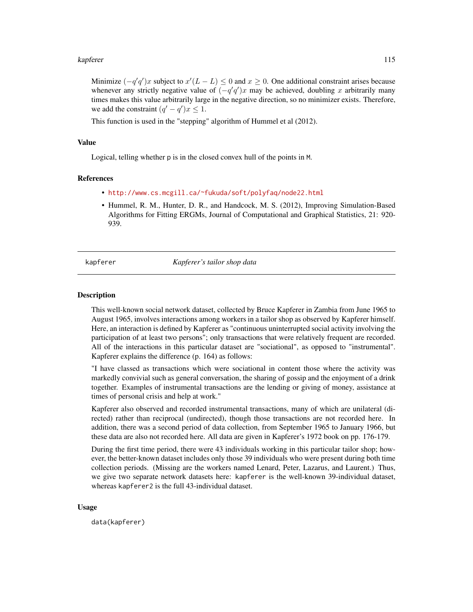#### kapferer til 115

Minimize  $(-q'q')x$  subject to  $x'(L - L) \leq 0$  and  $x \geq 0$ . One additional constraint arises because whenever any strictly negative value of  $(-q'q')x$  may be achieved, doubling x arbitrarily many times makes this value arbitrarily large in the negative direction, so no minimizer exists. Therefore, we add the constraint  $(q' - q')x \leq 1$ .

This function is used in the "stepping" algorithm of Hummel et al (2012).

#### Value

Logical, telling whether p is in the closed convex hull of the points in M.

## References

- <http://www.cs.mcgill.ca/~fukuda/soft/polyfaq/node22.html>
- Hummel, R. M., Hunter, D. R., and Handcock, M. S. (2012), Improving Simulation-Based Algorithms for Fitting ERGMs, Journal of Computational and Graphical Statistics, 21: 920- 939.

#### kapferer *Kapferer's tailor shop data*

#### **Description**

This well-known social network dataset, collected by Bruce Kapferer in Zambia from June 1965 to August 1965, involves interactions among workers in a tailor shop as observed by Kapferer himself. Here, an interaction is defined by Kapferer as "continuous uninterrupted social activity involving the participation of at least two persons"; only transactions that were relatively frequent are recorded. All of the interactions in this particular dataset are "sociational", as opposed to "instrumental". Kapferer explains the difference (p. 164) as follows:

"I have classed as transactions which were sociational in content those where the activity was markedly convivial such as general conversation, the sharing of gossip and the enjoyment of a drink together. Examples of instrumental transactions are the lending or giving of money, assistance at times of personal crisis and help at work."

Kapferer also observed and recorded instrumental transactions, many of which are unilateral (directed) rather than reciprocal (undirected), though those transactions are not recorded here. In addition, there was a second period of data collection, from September 1965 to January 1966, but these data are also not recorded here. All data are given in Kapferer's 1972 book on pp. 176-179.

During the first time period, there were 43 individuals working in this particular tailor shop; however, the better-known dataset includes only those 39 individuals who were present during both time collection periods. (Missing are the workers named Lenard, Peter, Lazarus, and Laurent.) Thus, we give two separate network datasets here: kapferer is the well-known 39-individual dataset, whereas kapferer2 is the full 43-individual dataset.

#### Usage

data(kapferer)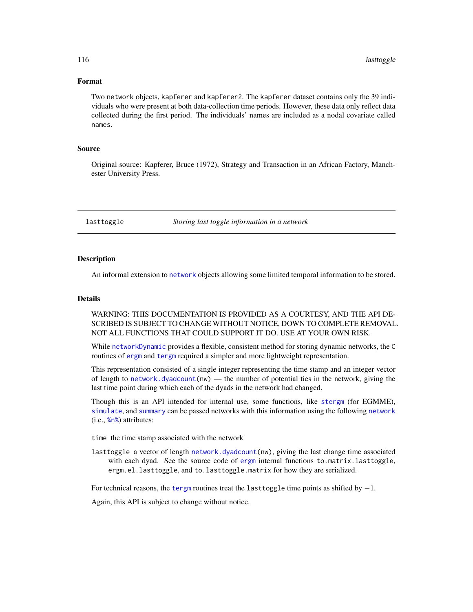#### Format

Two network objects, kapferer and kapferer2. The kapferer dataset contains only the 39 individuals who were present at both data-collection time periods. However, these data only reflect data collected during the first period. The individuals' names are included as a nodal covariate called names.

## Source

Original source: Kapferer, Bruce (1972), Strategy and Transaction in an African Factory, Manchester University Press.

lasttoggle *Storing last toggle information in a network*

#### Description

An informal extension to [network](#page-0-0) objects allowing some limited temporal information to be stored.

## Details

WARNING: THIS DOCUMENTATION IS PROVIDED AS A COURTESY, AND THE API DE-SCRIBED IS SUBJECT TO CHANGE WITHOUT NOTICE, DOWN TO COMPLETE REMOVAL. NOT ALL FUNCTIONS THAT COULD SUPPORT IT DO. USE AT YOUR OWN RISK.

While [networkDynamic](#page-0-0) provides a flexible, consistent method for storing dynamic networks, the C routines of [ergm](#page-3-0) and [tergm](#page-0-0) required a simpler and more lightweight representation.

This representation consisted of a single integer representing the time stamp and an integer vector of length to [network.dyadcount\(](#page-0-0)nw) — the number of potential ties in the network, giving the last time point during which each of the dyads in the network had changed.

Though this is an API intended for internal use, some functions, like [stergm](#page-0-0) (for EGMME), [simulate](#page-0-0), and [summary](#page-148-0) can be passed networks with this information using the following [network](#page-0-0) (i.e., [%n%](#page-0-0)) attributes:

time the time stamp associated with the network

lasttoggle a vector of length [network.dyadcount\(](#page-0-0)nw), giving the last change time associated with each dyad. See the source code of [ergm](#page-3-0) internal functions to.matrix.lasttoggle, ergm.el.lasttoggle, and to.lasttoggle.matrix for how they are serialized.

For technical reasons, the [tergm](#page-0-0) routines treat the lasttoggle time points as shifted by  $-1$ .

Again, this API is subject to change without notice.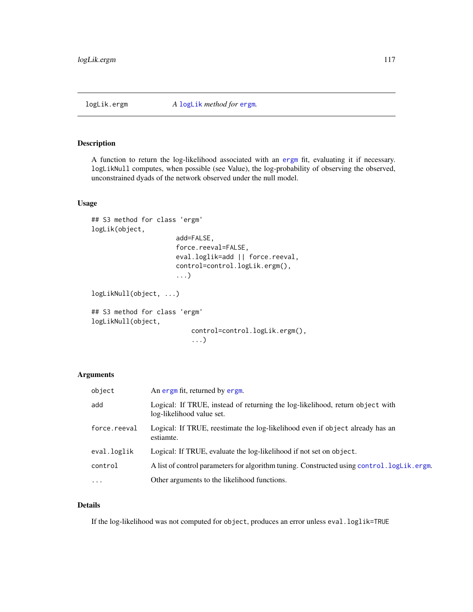## Description

A function to return the log-likelihood associated with an [ergm](#page-35-1) fit, evaluating it if necessary. logLikNull computes, when possible (see Value), the log-probability of observing the observed, unconstrained dyads of the network observed under the null model.

## Usage

```
## S3 method for class 'ergm'
logLik(object,
                      add=FALSE,
                      force.reeval=FALSE,
                      eval.loglik=add || force.reeval,
                      control=control.logLik.ergm(),
                      ...)
logLikNull(object, ...)
## S3 method for class 'ergm'
logLikNull(object,
                          control=control.logLik.ergm(),
                          ...)
```
## Arguments

| object       | An ergm fit, returned by ergm.                                                                             |
|--------------|------------------------------------------------------------------------------------------------------------|
| add          | Logical: If TRUE, instead of returning the log-likelihood, return object with<br>log-likelihood value set. |
| force.reeval | Logical: If TRUE, reestimate the log-likelihood even if object already has an<br>estiamte.                 |
| eval.loglik  | Logical: If TRUE, evaluate the log-likelihood if not set on object.                                        |
| control      | A list of control parameters for algorithm tuning. Constructed using control. logLik.ergm.                 |
| $\ddotsc$    | Other arguments to the likelihood functions.                                                               |

## Details

If the log-likelihood was not computed for object, produces an error unless eval.loglik=TRUE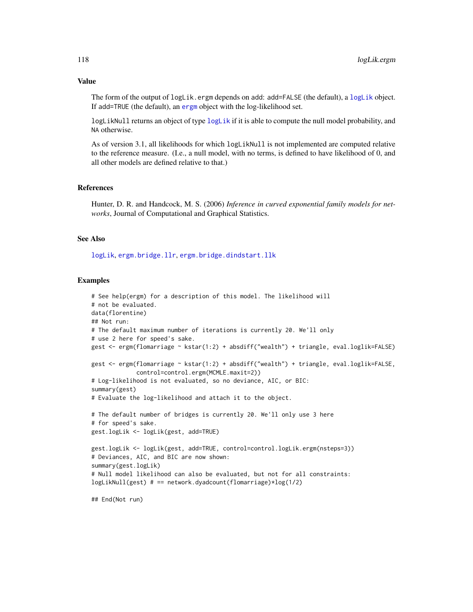The form of the output of [logLik](#page-0-0).ergm depends on add: add=FALSE (the default), a logLik object. If add=TRUE (the default), an [ergm](#page-35-1) object with the log-likelihood set.

[logLik](#page-0-0)Null returns an object of type logLik if it is able to compute the null model probability, and NA otherwise.

As of version 3.1, all likelihoods for which logLikNull is not implemented are computed relative to the reference measure. (I.e., a null model, with no terms, is defined to have likelihood of 0, and all other models are defined relative to that.)

## References

Hunter, D. R. and Handcock, M. S. (2006) *Inference in curved exponential family models for networks*, Journal of Computational and Graphical Statistics.

#### See Also

[logLik](#page-0-0), [ergm.bridge.llr](#page-72-0), [ergm.bridge.dindstart.llk](#page-71-0)

## Examples

```
# See help(ergm) for a description of this model. The likelihood will
# not be evaluated.
data(florentine)
## Not run:
# The default maximum number of iterations is currently 20. We'll only
# use 2 here for speed's sake.
gest <- ergm(flomarriage ~ kstar(1:2) + absdiff("wealth") + triangle, eval.loglik=FALSE)
gest <- ergm(flomarriage ~ kstar(1:2) + absdiff("wealth") + triangle, eval.loglik=FALSE,
             control=control.ergm(MCMLE.maxit=2))
# Log-likelihood is not evaluated, so no deviance, AIC, or BIC:
summary(gest)
# Evaluate the log-likelihood and attach it to the object.
# The default number of bridges is currently 20. We'll only use 3 here
# for speed's sake.
gest.logLik <- logLik(gest, add=TRUE)
gest.logLik <- logLik(gest, add=TRUE, control=control.logLik.ergm(nsteps=3))
# Deviances, AIC, and BIC are now shown:
summary(gest.logLik)
# Null model likelihood can also be evaluated, but not for all constraints:
logLikNull(gest) # == network.dyadcount(flomarriage)*log(1/2)
## End(Not run)
```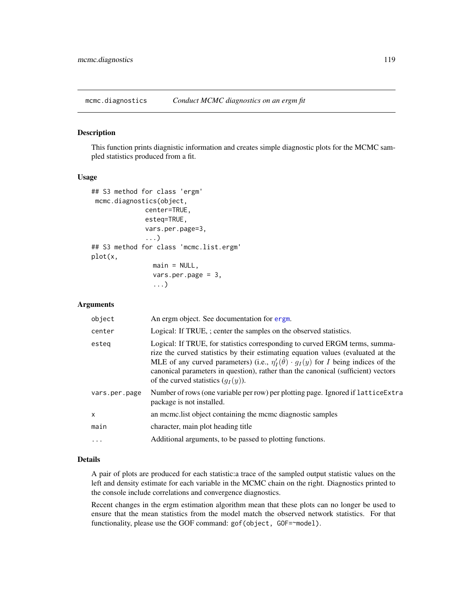<span id="page-118-1"></span>

#### <span id="page-118-0"></span>Description

This function prints diagnistic information and creates simple diagnostic plots for the MCMC sampled statistics produced from a fit.

### Usage

```
## S3 method for class 'ergm'
mcmc.diagnostics(object,
              center=TRUE,
              esteq=TRUE,
              vars.per.page=3,
              ...)
## S3 method for class 'mcmc.list.ergm'
plot(x,
                main = NULL,vars.per.page = 3,
                ...)
```
#### Arguments

| object        | An ergm object. See documentation for ergm.                                                                                                                                                                                                                                                                                                                                                           |
|---------------|-------------------------------------------------------------------------------------------------------------------------------------------------------------------------------------------------------------------------------------------------------------------------------------------------------------------------------------------------------------------------------------------------------|
| center        | Logical: If TRUE, ; center the samples on the observed statistics.                                                                                                                                                                                                                                                                                                                                    |
| esteg         | Logical: If TRUE, for statistics corresponding to curved ERGM terms, summa-<br>rize the curved statistics by their estimating equation values (evaluated at the<br>MLE of any curved parameters) (i.e., $\eta'_I(\hat{\theta}) \cdot g_I(y)$ for I being indices of the<br>canonical parameters in question), rather than the canonical (sufficient) vectors<br>of the curved statistics $(q_I(y))$ . |
| vars.per.page | Number of rows (one variable per row) per plotting page. Ignored if lattice Extra<br>package is not installed.                                                                                                                                                                                                                                                                                        |
| $\mathsf{x}$  | an mome. Itst object containing the mome diagnostic samples                                                                                                                                                                                                                                                                                                                                           |
| main          | character, main plot heading title                                                                                                                                                                                                                                                                                                                                                                    |
| $\ddotsc$     | Additional arguments, to be passed to plotting functions.                                                                                                                                                                                                                                                                                                                                             |
|               |                                                                                                                                                                                                                                                                                                                                                                                                       |

## Details

A pair of plots are produced for each statistic:a trace of the sampled output statistic values on the left and density estimate for each variable in the MCMC chain on the right. Diagnostics printed to the console include correlations and convergence diagnostics.

Recent changes in the ergm estimation algorithm mean that these plots can no longer be used to ensure that the mean statistics from the model match the observed network statistics. For that functionality, please use the GOF command: gof(object, GOF=~model).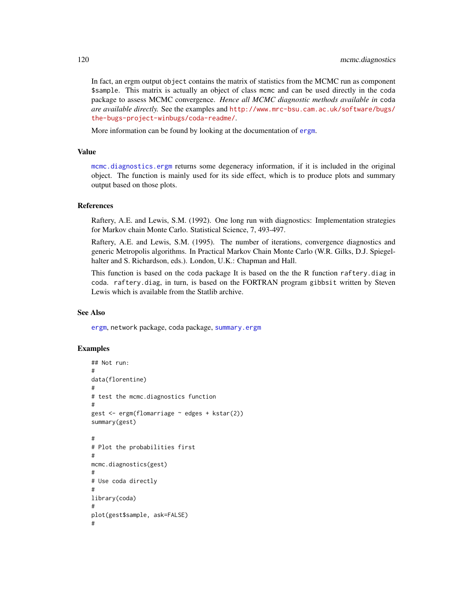In fact, an ergm output object contains the matrix of statistics from the MCMC run as component \$sample. This matrix is actually an object of class mcmc and can be used directly in the coda package to assess MCMC convergence. *Hence all MCMC diagnostic methods available in* coda *are available directly.* See the examples and [http://www.mrc-bsu.cam.ac.uk/software/bugs/](http://www.mrc-bsu.cam.ac.uk/software/bugs/the-bugs-project-winbugs/coda-readme/) [the-bugs-project-winbugs/coda-readme/](http://www.mrc-bsu.cam.ac.uk/software/bugs/the-bugs-project-winbugs/coda-readme/).

More information can be found by looking at the documentation of [ergm](#page-35-0).

#### Value

[mcmc.diagnostics.ergm](#page-118-0) returns some degeneracy information, if it is included in the original object. The function is mainly used for its side effect, which is to produce plots and summary output based on those plots.

#### References

Raftery, A.E. and Lewis, S.M. (1992). One long run with diagnostics: Implementation strategies for Markov chain Monte Carlo. Statistical Science, 7, 493-497.

Raftery, A.E. and Lewis, S.M. (1995). The number of iterations, convergence diagnostics and generic Metropolis algorithms. In Practical Markov Chain Monte Carlo (W.R. Gilks, D.J. Spiegelhalter and S. Richardson, eds.). London, U.K.: Chapman and Hall.

This function is based on the coda package It is based on the the R function raftery.diag in coda. raftery.diag, in turn, is based on the FORTRAN program gibbsit written by Steven Lewis which is available from the Statlib archive.

#### See Also

[ergm](#page-35-0), network package, coda package, [summary.ergm](#page-145-0)

## Examples

```
## Not run:
#
data(florentine)
#
# test the mcmc.diagnostics function
#
gest <- ergm(flomarriage ~ edges + kstar(2))
summary(gest)
#
# Plot the probabilities first
#
mcmc.diagnostics(gest)
#
# Use coda directly
#
library(coda)
#
plot(gest$sample, ask=FALSE)
#
```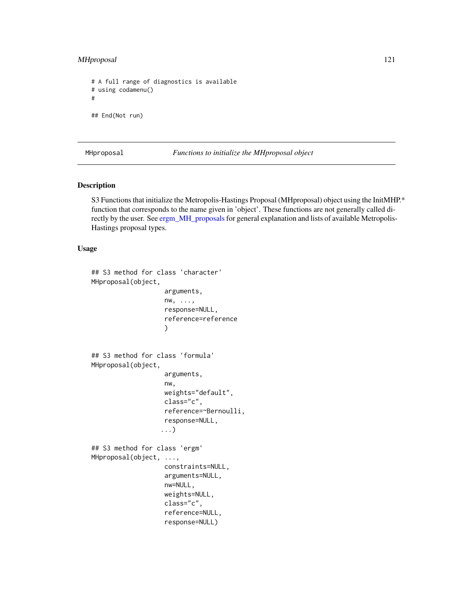## MHproposal 121

```
# A full range of diagnostics is available
# using codamenu()
#
## End(Not run)
```
MHproposal *Functions to initialize the MHproposal object*

#### Description

S3 Functions that initialize the Metropolis-Hastings Proposal (MHproposal) object using the InitMHP.\* function that corresponds to the name given in 'object'. These functions are not generally called directly by the user. See [ergm\\_MH\\_proposals](#page-91-0) for general explanation and lists of available Metropolis-Hastings proposal types.

#### Usage

```
## S3 method for class 'character'
MHproposal(object,
                   arguments,
                   nw, ...,
                   response=NULL,
                   reference=reference
                   )
## S3 method for class 'formula'
MHproposal(object,
                   arguments,
                   nw,
                   weights="default",
                   class="c",
                   reference=~Bernoulli,
                   response=NULL,
                  ...)
## S3 method for class 'ergm'
MHproposal(object, ...,
                   constraints=NULL,
                   arguments=NULL,
                   nw=NULL,
                   weights=NULL,
                   class="c",
                   reference=NULL,
                   response=NULL)
```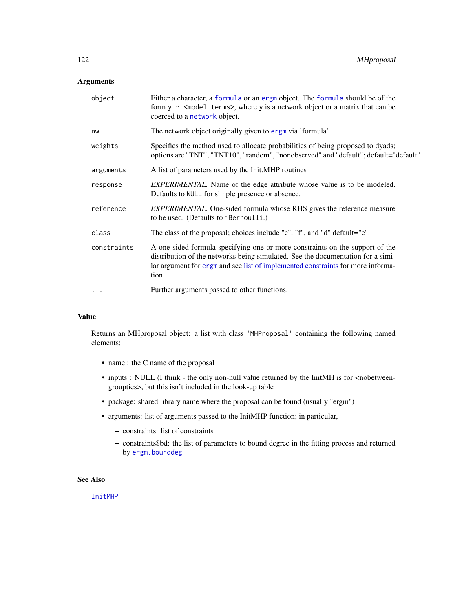## Arguments

| object      | Either a character, a formula or an ergm object. The formula should be of the<br>form $y \sim$ <model terms="">, where y is a network object or a matrix that can be<br/>coerced to a network object.</model>                                               |
|-------------|-------------------------------------------------------------------------------------------------------------------------------------------------------------------------------------------------------------------------------------------------------------|
| nw          | The network object originally given to ergm via 'formula'                                                                                                                                                                                                   |
| weights     | Specifies the method used to allocate probabilities of being proposed to dyads;<br>options are "TNT", "TNT10", "random", "nonobserved" and "default"; default="default"                                                                                     |
| arguments   | A list of parameters used by the Init.MHP routines                                                                                                                                                                                                          |
| response    | <b>EXPERIMENTAL.</b> Name of the edge attribute whose value is to be modeled.<br>Defaults to NULL for simple presence or absence.                                                                                                                           |
| reference   | <i>EXPERIMENTAL</i> . One-sided formula whose RHS gives the reference measure<br>to be used. (Defaults to $\sim$ Bernoulli.)                                                                                                                                |
| class       | The class of the proposal; choices include "c", "f", and "d" default="c".                                                                                                                                                                                   |
| constraints | A one-sided formula specifying one or more constraints on the support of the<br>distribution of the networks being simulated. See the documentation for a simi-<br>lar argument for ergm and see list of implemented constraints for more informa-<br>tion. |
| $\cdots$    | Further arguments passed to other functions.                                                                                                                                                                                                                |

## Value

Returns an MHproposal object: a list with class 'MHProposal' containing the following named elements:

- name : the C name of the proposal
- inputs : NULL (I think the only non-null value returned by the InitMH is for <nobetweengroupties>, but this isn't included in the look-up table
- package: shared library name where the proposal can be found (usually "ergm")
- arguments: list of arguments passed to the InitMHP function; in particular,
	- constraints: list of constraints
	- constraints\$bd: the list of parameters to bound degree in the fitting process and returned by [ergm.bounddeg](#page-69-0)

## See Also

[InitMHP](#page-91-1)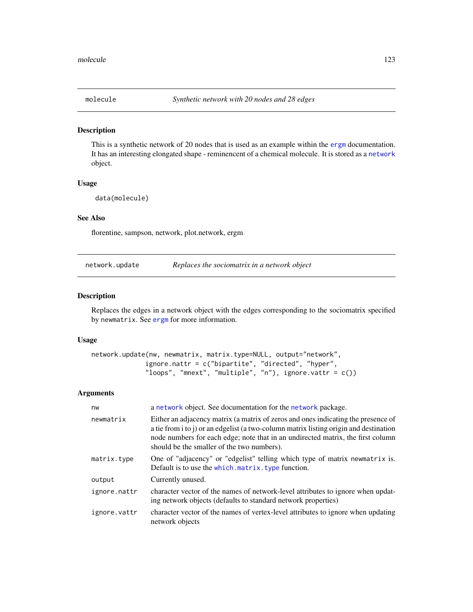#### Description

This is a synthetic network of 20 nodes that is used as an example within the [ergm](#page-35-0) documentation. It has an interesting elongated shape - reminencent of a chemical molecule. It is stored as a [network](#page-0-0) object.

#### Usage

data(molecule)

## See Also

florentine, sampson, network, plot.network, ergm

<span id="page-122-0"></span>network.update *Replaces the sociomatrix in a network object*

## Description

Replaces the edges in a network object with the edges corresponding to the sociomatrix specified by newmatrix. See [ergm](#page-35-0) for more information.

#### Usage

```
network.update(nw, newmatrix, matrix.type=NULL, output="network",
              ignore.nattr = c("bipartite", "directed", "hyper",
              "loops", "mnext", "multiple", "n"), ignore.vattr = c())
```
## Arguments

| nw           | a network object. See documentation for the network package.                                                                                                                                                                                                                                                |
|--------------|-------------------------------------------------------------------------------------------------------------------------------------------------------------------------------------------------------------------------------------------------------------------------------------------------------------|
| newmatrix    | Either an adjacency matrix (a matrix of zeros and ones indicating the presence of<br>a tie from i to j) or an edgelist (a two-column matrix listing origin and destination<br>node numbers for each edge; note that in an undirected matrix, the first column<br>should be the smaller of the two numbers). |
| matrix.type  | One of "adjacency" or "edgelist" telling which type of matrix newmatrix is.<br>Default is to use the which. matrix. type function.                                                                                                                                                                          |
| output       | Currently unused.                                                                                                                                                                                                                                                                                           |
| ignore.nattr | character vector of the names of network-level attributes to ignore when updat-<br>ing network objects (defaults to standard network properties)                                                                                                                                                            |
| ignore.vattr | character vector of the names of vertex-level attributes to ignore when updating<br>network objects                                                                                                                                                                                                         |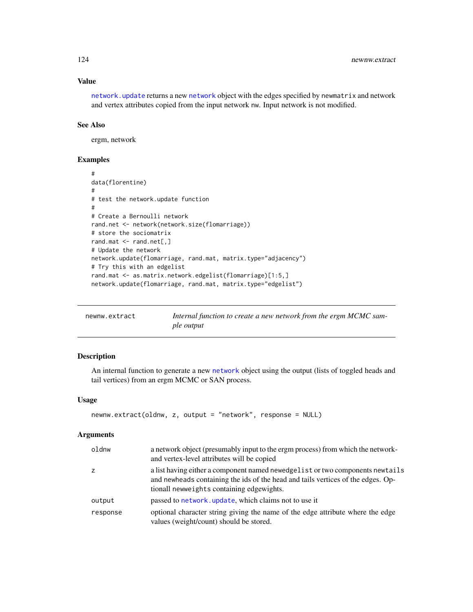## Value

[network.update](#page-122-0) returns a new [network](#page-0-0) object with the edges specified by newmatrix and network and vertex attributes copied from the input network nw. Input network is not modified.

## See Also

ergm, network

## Examples

```
#
data(florentine)
#
# test the network.update function
#
# Create a Bernoulli network
rand.net <- network(network.size(flomarriage))
# store the sociomatrix
rand.mat <- rand.net[,]
# Update the network
network.update(flomarriage, rand.mat, matrix.type="adjacency")
# Try this with an edgelist
rand.mat <- as.matrix.network.edgelist(flomarriage)[1:5,]
network.update(flomarriage, rand.mat, matrix.type="edgelist")
```

| newnw.extract | Internal function to create a new network from the ergm MCMC sam- |
|---------------|-------------------------------------------------------------------|
|               | ple output                                                        |

## Description

An internal function to generate a new [network](#page-0-0) object using the output (lists of toggled heads and tail vertices) from an ergm MCMC or SAN process.

## Usage

```
newnw.extract(oldnw, z, output = "network", response = NULL)
```
## Arguments

| oldnw    | a network object (presumably input to the ergm process) from which the network-<br>and vertex-level attributes will be copied                                                                                   |
|----------|-----------------------------------------------------------------------------------------------------------------------------------------------------------------------------------------------------------------|
| z        | a list having either a component named newedge list or two components newtails<br>and newheads containing the ids of the head and tails vertices of the edges. Op-<br>tionall newweights containing edgewights. |
| output   | passed to network, update, which claims not to use it                                                                                                                                                           |
| response | optional character string giving the name of the edge attribute where the edge<br>values (weight/count) should be stored.                                                                                       |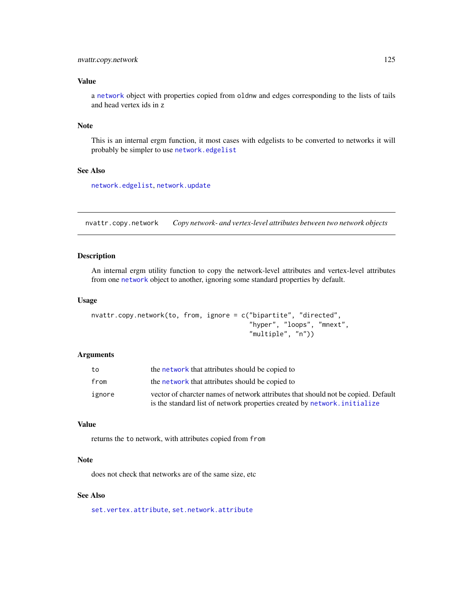## nvattr.copy.network 125

## Value

a [network](#page-0-0) object with properties copied from oldnw and edges corresponding to the lists of tails and head vertex ids in z

#### Note

This is an internal ergm function, it most cases with edgelists to be converted to networks it will probably be simpler to use [network.edgelist](#page-0-0)

## See Also

[network.edgelist](#page-0-0), [network.update](#page-122-0)

nvattr.copy.network *Copy network- and vertex-level attributes between two network objects*

## Description

An internal ergm utility function to copy the network-level attributes and vertex-level attributes from one [network](#page-0-0) object to another, ignoring some standard properties by default.

### Usage

```
nvattr.copy.network(to, from, ignore = c("bipartite", "directed",
                                          "hyper", "loops", "mnext",
                                          "multiple", "n"))
```
#### Arguments

| to     | the network that attributes should be copied to                                   |
|--------|-----------------------------------------------------------------------------------|
| from   | the network that attributes should be copied to                                   |
| ignore | vector of charcter names of network attributes that should not be copied. Default |
|        | is the standard list of network properties created by network. initialize         |

#### Value

returns the to network, with attributes copied from from

## Note

does not check that networks are of the same size, etc

## See Also

[set.vertex.attribute](#page-0-0), [set.network.attribute](#page-0-0)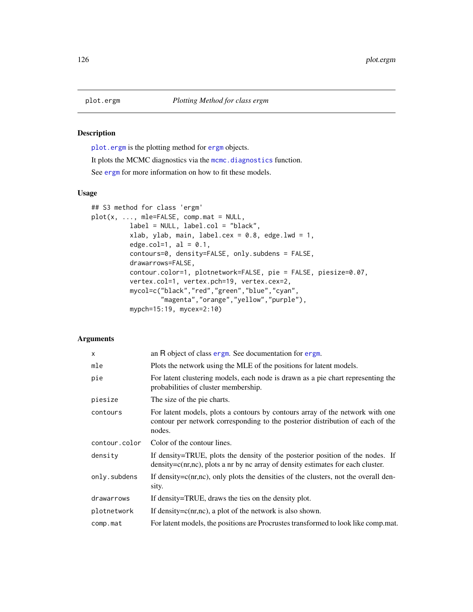## Description

[plot.ergm](#page-125-0) is the plotting method for [ergm](#page-35-0) objects.

It plots the MCMC diagnostics via the [mcmc.diagnostics](#page-118-1) function.

See [ergm](#page-35-0) for more information on how to fit these models.

#### Usage

```
## S3 method for class 'ergm'
plot(x, ..., mle=FALSE, comp.mat = NULL,
          label = NULL, label.col = "black",
          xlab, ylab, main, label.cex = 0.8, edge.lwd = 1,
          edge.col=1, al = 0.1,contours=0, density=FALSE, only.subdens = FALSE,
          drawarrows=FALSE,
          contour.color=1, plotnetwork=FALSE, pie = FALSE, piesize=0.07,
          vertex.col=1, vertex.pch=19, vertex.cex=2,
          mycol=c("black","red","green","blue","cyan",
                  "magenta","orange","yellow","purple"),
          mypch=15:19, mycex=2:10)
```
## Arguments

| X             | an R object of class ergm. See documentation for ergm.                                                                                                                    |
|---------------|---------------------------------------------------------------------------------------------------------------------------------------------------------------------------|
| mle           | Plots the network using the MLE of the positions for latent models.                                                                                                       |
| pie           | For latent clustering models, each node is drawn as a pie chart representing the<br>probabilities of cluster membership.                                                  |
| piesize       | The size of the pie charts.                                                                                                                                               |
| contours      | For latent models, plots a contours by contours array of the network with one<br>contour per network corresponding to the posterior distribution of each of the<br>nodes. |
| contour.color | Color of the contour lines.                                                                                                                                               |
| density       | If density=TRUE, plots the density of the posterior position of the nodes. If<br>$density=c(nr,nc)$ , plots a nr by nc array of density estimates for each cluster.       |
| only.subdens  | If density= $c(nr,nc)$ , only plots the densities of the clusters, not the overall den-<br>sity.                                                                          |
| drawarrows    | If density=TRUE, draws the ties on the density plot.                                                                                                                      |
| plotnetwork   | If density= $c(nr,nc)$ , a plot of the network is also shown.                                                                                                             |
| comp.mat      | For latent models, the positions are Procrustes transformed to look like comp.mat.                                                                                        |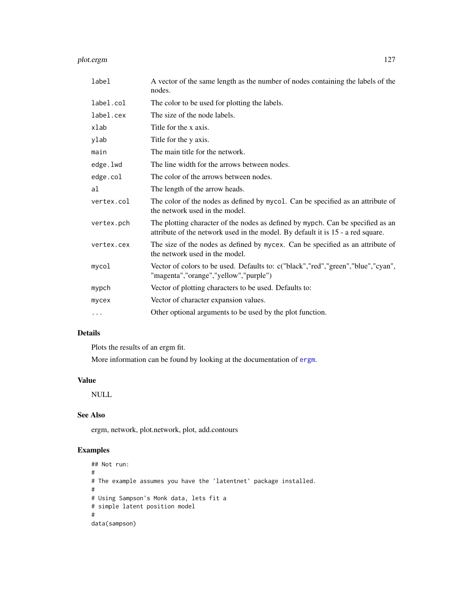#### plot.ergm 127

| label      | A vector of the same length as the number of nodes containing the labels of the<br>nodes.                                                                          |
|------------|--------------------------------------------------------------------------------------------------------------------------------------------------------------------|
| label.col  | The color to be used for plotting the labels.                                                                                                                      |
| label.cex  | The size of the node labels.                                                                                                                                       |
| xlab       | Title for the x axis.                                                                                                                                              |
| ylab       | Title for the y axis.                                                                                                                                              |
| main       | The main title for the network.                                                                                                                                    |
| edge.lwd   | The line width for the arrows between nodes.                                                                                                                       |
| edge.col   | The color of the arrows between nodes.                                                                                                                             |
| al         | The length of the arrow heads.                                                                                                                                     |
| vertex.col | The color of the nodes as defined by mycol. Can be specified as an attribute of<br>the network used in the model.                                                  |
| vertex.pch | The plotting character of the nodes as defined by mypch. Can be specified as an<br>attribute of the network used in the model. By default it is 15 - a red square. |
| vertex.cex | The size of the nodes as defined by mycex. Can be specified as an attribute of<br>the network used in the model.                                                   |
| mycol      | Vector of colors to be used. Defaults to: c("black","red","green","blue","cyan",<br>"magenta","orange","yellow","purple")                                          |
| mypch      | Vector of plotting characters to be used. Defaults to:                                                                                                             |
| mycex      | Vector of character expansion values.                                                                                                                              |
| .          | Other optional arguments to be used by the plot function.                                                                                                          |

# Details

Plots the results of an ergm fit.

More information can be found by looking at the documentation of [ergm](#page-35-0).

# Value

NULL

# See Also

ergm, network, plot.network, plot, add.contours

## Examples

```
## Not run:
#
# The example assumes you have the 'latentnet' package installed.
#
# Using Sampson's Monk data, lets fit a
# simple latent position model
#
data(sampson)
```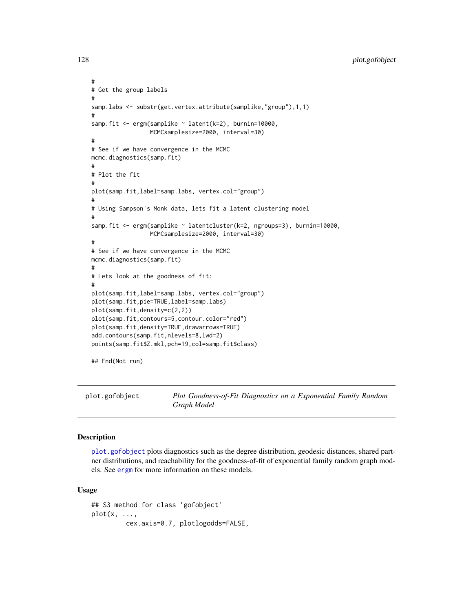```
128 plot.gofobject
```

```
#
# Get the group labels
#
samp.labs <- substr(get.vertex.attribute(samplike,"group"),1,1)
#
samp.fit <- ergm(samplike ~ latent(k=2), burnin=10000,
                 MCMCsamplesize=2000, interval=30)
#
# See if we have convergence in the MCMC
mcmc.diagnostics(samp.fit)
#
# Plot the fit
#
plot(samp.fit,label=samp.labs, vertex.col="group")
#
# Using Sampson's Monk data, lets fit a latent clustering model
#
samp.fit <- ergm(samplike ~ latentcluster(k=2, ngroups=3), burnin=10000,
                 MCMCsamplesize=2000, interval=30)
#
# See if we have convergence in the MCMC
mcmc.diagnostics(samp.fit)
#
# Lets look at the goodness of fit:
#
plot(samp.fit,label=samp.labs, vertex.col="group")
plot(samp.fit,pie=TRUE,label=samp.labs)
plot(samp.fit,density=c(2,2))
plot(samp.fit,contours=5,contour.color="red")
plot(samp.fit,density=TRUE,drawarrows=TRUE)
add.contours(samp.fit,nlevels=8,lwd=2)
points(samp.fit$Z.mkl,pch=19,col=samp.fit$class)
```
## End(Not run)

<span id="page-127-0"></span>plot.gofobject *Plot Goodness-of-Fit Diagnostics on a Exponential Family Random Graph Model*

## Description

[plot.gofobject](#page-127-0) plots diagnostics such as the degree distribution, geodesic distances, shared partner distributions, and reachability for the goodness-of-fit of exponential family random graph models. See [ergm](#page-35-0) for more information on these models.

#### Usage

```
## S3 method for class 'gofobject'
plot(x, \ldots,cex.axis=0.7, plotlogodds=FALSE,
```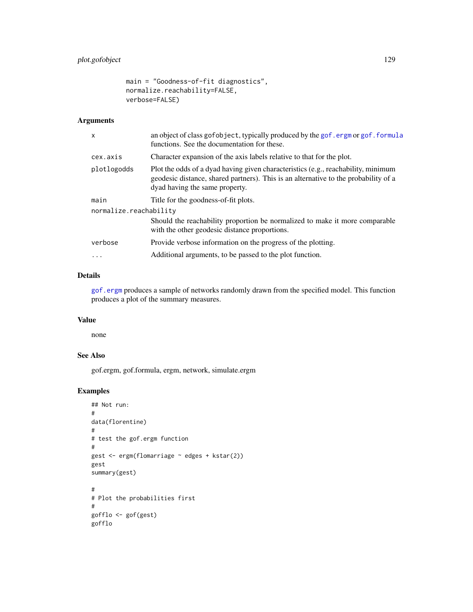```
main = "Goodness-of-fit diagnostics",
normalize.reachability=FALSE,
verbose=FALSE)
```
## Arguments

| $\mathsf{x}$           | an object of class gofobject, typically produced by the gof. ergm or gof. formula<br>functions. See the documentation for these.                                                                           |  |
|------------------------|------------------------------------------------------------------------------------------------------------------------------------------------------------------------------------------------------------|--|
| cex.axis               | Character expansion of the axis labels relative to that for the plot.                                                                                                                                      |  |
| plotlogodds            | Plot the odds of a dyad having given characteristics (e.g., reachability, minimum<br>geodesic distance, shared partners). This is an alternative to the probability of a<br>dyad having the same property. |  |
| main                   | Title for the goodness-of-fit plots.                                                                                                                                                                       |  |
| normalize.reachability |                                                                                                                                                                                                            |  |
|                        | Should the reachability proportion be normalized to make it more comparable<br>with the other geodesic distance proportions.                                                                               |  |
| verbose                | Provide verbose information on the progress of the plotting.                                                                                                                                               |  |
| $\cdots$               | Additional arguments, to be passed to the plot function.                                                                                                                                                   |  |
|                        |                                                                                                                                                                                                            |  |

## Details

[gof.ergm](#page-108-1) produces a sample of networks randomly drawn from the specified model. This function produces a plot of the summary measures.

## Value

none

# See Also

gof.ergm, gof.formula, ergm, network, simulate.ergm

# Examples

```
## Not run:
#
data(florentine)
#
# test the gof.ergm function
#
gest <- ergm(flomarriage ~ edges + kstar(2))
gest
summary(gest)
#
# Plot the probabilities first
#
gofflo <- gof(gest)
gofflo
```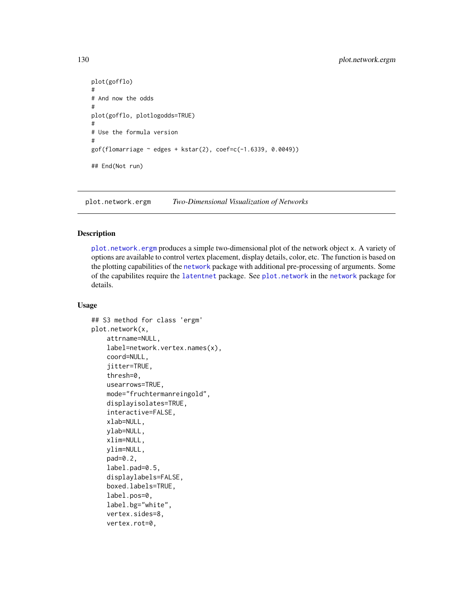```
plot(gofflo)
#
# And now the odds
#
plot(gofflo, plotlogodds=TRUE)
#
# Use the formula version
#
gof(flomarriage ~ edges + kstar(2), coef=c(-1.6339, 0.0049))## End(Not run)
```
<span id="page-129-0"></span>plot.network.ergm *Two-Dimensional Visualization of Networks*

## Description

[plot.network.ergm](#page-129-0) produces a simple two-dimensional plot of the network object x. A variety of options are available to control vertex placement, display details, color, etc. The function is based on the plotting capabilities of the [network](#page-0-0) package with additional pre-processing of arguments. Some of the capabilites require the [latentnet](#page-0-0) package. See [plot.network](#page-0-0) in the [network](#page-0-0) package for details.

#### Usage

```
## S3 method for class 'ergm'
plot.network(x,
    attrname=NULL,
    label=network.vertex.names(x),
    coord=NULL,
    jitter=TRUE,
    thresh=0,
    usearrows=TRUE,
    mode="fruchtermanreingold",
    displayisolates=TRUE,
    interactive=FALSE,
    xlab=NULL,
    ylab=NULL,
    xlim=NULL,
    ylim=NULL,
    pad=0.2,
    label.pad=0.5,
    displaylabels=FALSE,
    boxed.labels=TRUE,
    label.pos=0,
    label.bg="white",
    vertex.sides=8,
    vertex.rot=0,
```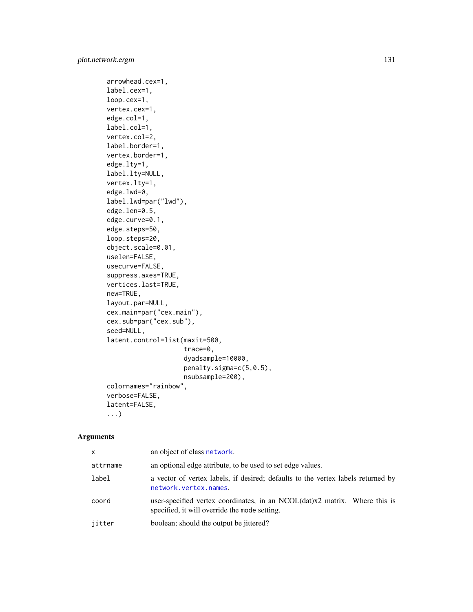```
arrowhead.cex=1,
label.cex=1,
loop.cex=1,
vertex.cex=1,
edge.col=1,
label.col=1,
vertex.col=2,
label.border=1,
vertex.border=1,
edge.lty=1,
label.lty=NULL,
vertex.lty=1,
edge.lwd=0,
label.lwd=par("lwd"),
edge.len=0.5,
edge.curve=0.1,
edge.steps=50,
loop.steps=20,
object.scale=0.01,
uselen=FALSE,
usecurve=FALSE,
suppress.axes=TRUE,
vertices.last=TRUE,
new=TRUE,
layout.par=NULL,
cex.main=par("cex.main"),
cex.sub=par("cex.sub"),
seed=NULL,
latent.control=list(maxit=500,
                    trace=0,
                    dyadsample=10000,
                    penalty.sigma=c(5,0.5),
                    nsubsample=200),
colornames="rainbow",
verbose=FALSE,
latent=FALSE,
...)
```
## Arguments

| x        | an object of class network.                                                                                                    |
|----------|--------------------------------------------------------------------------------------------------------------------------------|
| attrname | an optional edge attribute, to be used to set edge values.                                                                     |
| label    | a vector of vertex labels, if desired; defaults to the vertex labels returned by<br>network.vertex.names.                      |
| coord    | user-specified vertex coordinates, in an $NCOL(data)x2$ matrix. Where this is<br>specified, it will override the mode setting. |
| jitter   | boolean; should the output be jittered?                                                                                        |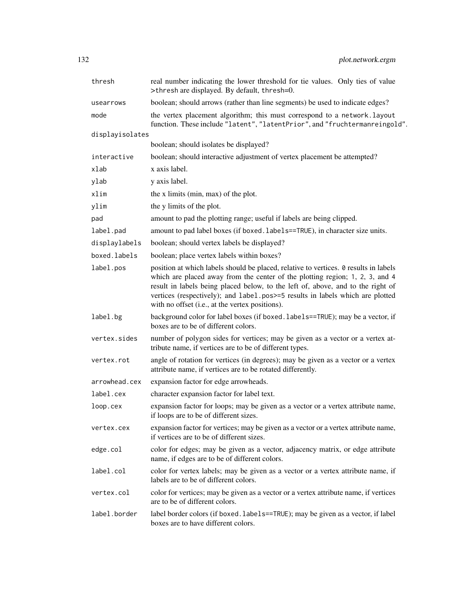| thresh          | real number indicating the lower threshold for tie values. Only ties of value<br>>thresh are displayed. By default, thresh=0.                                                                                                                                                                                                                                                               |
|-----------------|---------------------------------------------------------------------------------------------------------------------------------------------------------------------------------------------------------------------------------------------------------------------------------------------------------------------------------------------------------------------------------------------|
| usearrows       | boolean; should arrows (rather than line segments) be used to indicate edges?                                                                                                                                                                                                                                                                                                               |
| mode            | the vertex placement algorithm; this must correspond to a network. layout<br>function. These include "latent", "latentPrior", and "fruchtermanreingold".                                                                                                                                                                                                                                    |
| displayisolates |                                                                                                                                                                                                                                                                                                                                                                                             |
|                 | boolean; should isolates be displayed?                                                                                                                                                                                                                                                                                                                                                      |
| interactive     | boolean; should interactive adjustment of vertex placement be attempted?                                                                                                                                                                                                                                                                                                                    |
| xlab            | x axis label.                                                                                                                                                                                                                                                                                                                                                                               |
| ylab            | y axis label.                                                                                                                                                                                                                                                                                                                                                                               |
| xlim            | the x limits (min, max) of the plot.                                                                                                                                                                                                                                                                                                                                                        |
| ylim            | the y limits of the plot.                                                                                                                                                                                                                                                                                                                                                                   |
| pad             | amount to pad the plotting range; useful if labels are being clipped.                                                                                                                                                                                                                                                                                                                       |
| label.pad       | amount to pad label boxes (if boxed.labels==TRUE), in character size units.                                                                                                                                                                                                                                                                                                                 |
| displaylabels   | boolean; should vertex labels be displayed?                                                                                                                                                                                                                                                                                                                                                 |
| boxed.labels    | boolean; place vertex labels within boxes?                                                                                                                                                                                                                                                                                                                                                  |
| label.pos       | position at which labels should be placed, relative to vertices. 0 results in labels<br>which are placed away from the center of the plotting region; 1, 2, 3, and 4<br>result in labels being placed below, to the left of, above, and to the right of<br>vertices (respectively); and label.pos>=5 results in labels which are plotted<br>with no offset (i.e., at the vertex positions). |
| label.bg        | background color for label boxes (if boxed. labels==TRUE); may be a vector, if<br>boxes are to be of different colors.                                                                                                                                                                                                                                                                      |
| vertex.sides    | number of polygon sides for vertices; may be given as a vector or a vertex at-<br>tribute name, if vertices are to be of different types.                                                                                                                                                                                                                                                   |
| vertex.rot      | angle of rotation for vertices (in degrees); may be given as a vector or a vertex<br>attribute name, if vertices are to be rotated differently.                                                                                                                                                                                                                                             |
| arrowhead.cex   | expansion factor for edge arrowheads.                                                                                                                                                                                                                                                                                                                                                       |
| label.cex       | character expansion factor for label text.                                                                                                                                                                                                                                                                                                                                                  |
| loop.cex        | expansion factor for loops; may be given as a vector or a vertex attribute name,<br>if loops are to be of different sizes.                                                                                                                                                                                                                                                                  |
| vertex.cex      | expansion factor for vertices; may be given as a vector or a vertex attribute name,<br>if vertices are to be of different sizes.                                                                                                                                                                                                                                                            |
| edge.col        | color for edges; may be given as a vector, adjacency matrix, or edge attribute<br>name, if edges are to be of different colors.                                                                                                                                                                                                                                                             |
| label.col       | color for vertex labels; may be given as a vector or a vertex attribute name, if<br>labels are to be of different colors.                                                                                                                                                                                                                                                                   |
| vertex.col      | color for vertices; may be given as a vector or a vertex attribute name, if vertices<br>are to be of different colors.                                                                                                                                                                                                                                                                      |
| label.border    | label border colors (if boxed.labels==TRUE); may be given as a vector, if label<br>boxes are to have different colors.                                                                                                                                                                                                                                                                      |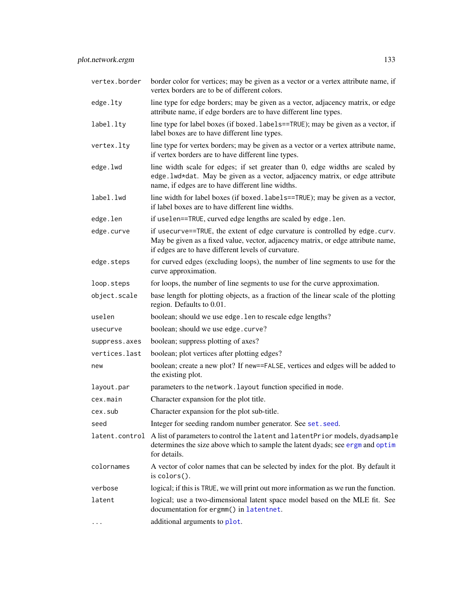| vertex.border  | border color for vertices; may be given as a vector or a vertex attribute name, if<br>vertex borders are to be of different colors.                                                                                    |
|----------------|------------------------------------------------------------------------------------------------------------------------------------------------------------------------------------------------------------------------|
| edge.lty       | line type for edge borders; may be given as a vector, adjacency matrix, or edge<br>attribute name, if edge borders are to have different line types.                                                                   |
| label.lty      | line type for label boxes (if boxed. labels==TRUE); may be given as a vector, if<br>label boxes are to have different line types.                                                                                      |
| vertex.lty     | line type for vertex borders; may be given as a vector or a vertex attribute name,<br>if vertex borders are to have different line types.                                                                              |
| edge.lwd       | line width scale for edges; if set greater than 0, edge widths are scaled by<br>edge. lwd*dat. May be given as a vector, adjacency matrix, or edge attribute<br>name, if edges are to have different line widths.      |
| label.lwd      | line width for label boxes (if boxed. labels==TRUE); may be given as a vector,<br>if label boxes are to have different line widths.                                                                                    |
| edge.len       | if uselen==TRUE, curved edge lengths are scaled by edge.len.                                                                                                                                                           |
| edge.curve     | if usecurve==TRUE, the extent of edge curvature is controlled by edge.curv.<br>May be given as a fixed value, vector, adjacency matrix, or edge attribute name,<br>if edges are to have different levels of curvature. |
| edge.steps     | for curved edges (excluding loops), the number of line segments to use for the<br>curve approximation.                                                                                                                 |
| loop.steps     | for loops, the number of line segments to use for the curve approximation.                                                                                                                                             |
| object.scale   | base length for plotting objects, as a fraction of the linear scale of the plotting<br>region. Defaults to 0.01.                                                                                                       |
| uselen         | boolean; should we use edge. Len to rescale edge lengths?                                                                                                                                                              |
| usecurve       | boolean; should we use edge.curve?                                                                                                                                                                                     |
| suppress.axes  | boolean; suppress plotting of axes?                                                                                                                                                                                    |
| vertices.last  | boolean; plot vertices after plotting edges?                                                                                                                                                                           |
| new            | boolean; create a new plot? If new==FALSE, vertices and edges will be added to<br>the existing plot.                                                                                                                   |
| layout.par     | parameters to the network. layout function specified in mode.                                                                                                                                                          |
| cex.main       | Character expansion for the plot title.                                                                                                                                                                                |
| cex.sub        | Character expansion for the plot sub-title.                                                                                                                                                                            |
| seed           | Integer for seeding random number generator. See set. seed.                                                                                                                                                            |
| latent.control | A list of parameters to control the latent and latent Prior models, dyadsample<br>determines the size above which to sample the latent dyads; see ergm and optim<br>for details.                                       |
| colornames     | A vector of color names that can be selected by index for the plot. By default it<br>is colors().                                                                                                                      |
| verbose        | logical; if this is TRUE, we will print out more information as we run the function.                                                                                                                                   |
| latent         | logical; use a two-dimensional latent space model based on the MLE fit. See<br>documentation for ergmm() in latentnet.                                                                                                 |
| $\cdots$       | additional arguments to plot.                                                                                                                                                                                          |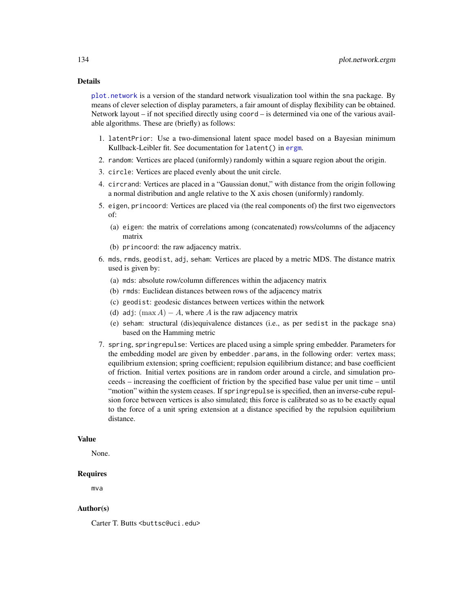#### Details

[plot.network](#page-0-0) is a version of the standard network visualization tool within the sna package. By means of clever selection of display parameters, a fair amount of display flexibility can be obtained. Network layout – if not specified directly using coord – is determined via one of the various available algorithms. These are (briefly) as follows:

- 1. latentPrior: Use a two-dimensional latent space model based on a Bayesian minimum Kullback-Leibler fit. See documentation for latent() in [ergm](#page-35-0).
- 2. random: Vertices are placed (uniformly) randomly within a square region about the origin.
- 3. circle: Vertices are placed evenly about the unit circle.
- 4. circrand: Vertices are placed in a "Gaussian donut," with distance from the origin following a normal distribution and angle relative to the X axis chosen (uniformly) randomly.
- 5. eigen, princoord: Vertices are placed via (the real components of) the first two eigenvectors of:
	- (a) eigen: the matrix of correlations among (concatenated) rows/columns of the adjacency matrix
	- (b) princoord: the raw adjacency matrix.
- 6. mds, rmds, geodist, adj, seham: Vertices are placed by a metric MDS. The distance matrix used is given by:
	- (a) mds: absolute row/column differences within the adjacency matrix
	- (b) rmds: Euclidean distances between rows of the adjacency matrix
	- (c) geodist: geodesic distances between vertices within the network
	- (d) adj:  $(\max A) A$ , where A is the raw adjacency matrix
	- (e) seham: structural (dis)equivalence distances (i.e., as per sedist in the package sna) based on the Hamming metric
- 7. spring, springrepulse: Vertices are placed using a simple spring embedder. Parameters for the embedding model are given by embedder.params, in the following order: vertex mass; equilibrium extension; spring coefficient; repulsion equilibrium distance; and base coefficient of friction. Initial vertex positions are in random order around a circle, and simulation proceeds – increasing the coefficient of friction by the specified base value per unit time – until "motion" within the system ceases. If springrepulse is specified, then an inverse-cube repulsion force between vertices is also simulated; this force is calibrated so as to be exactly equal to the force of a unit spring extension at a distance specified by the repulsion equilibrium distance.

## Value

None.

## Requires

mva

## Author(s)

Carter T. Butts <br/>buttsc@uci.edu>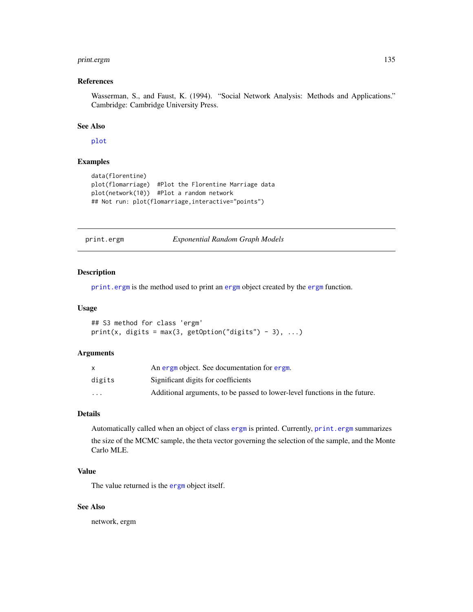## print.ergm 135

## References

Wasserman, S., and Faust, K. (1994). "Social Network Analysis: Methods and Applications." Cambridge: Cambridge University Press.

#### See Also

[plot](#page-0-0)

# Examples

```
data(florentine)
plot(flomarriage) #Plot the Florentine Marriage data
plot(network(10)) #Plot a random network
## Not run: plot(flomarriage,interactive="points")
```
<span id="page-134-0"></span>print.ergm *Exponential Random Graph Models*

## Description

[print.ergm](#page-134-0) is the method used to print an [ergm](#page-35-0) object created by the [ergm](#page-35-0) function.

#### Usage

```
## S3 method for class 'ergm'
print(x, digits = max(3, getOption("digits") - 3), ...)
```
#### Arguments

|          | An ergm object. See documentation for ergm.                                |
|----------|----------------------------------------------------------------------------|
| digits   | Significant digits for coefficients                                        |
| $\cdots$ | Additional arguments, to be passed to lower-level functions in the future. |

# Details

Automatically called when an object of class [ergm](#page-35-0) is printed. Currently, [print.ergm](#page-134-0) summarizes

the size of the MCMC sample, the theta vector governing the selection of the sample, and the Monte Carlo MLE.

## Value

The value returned is the [ergm](#page-35-0) object itself.

## See Also

network, ergm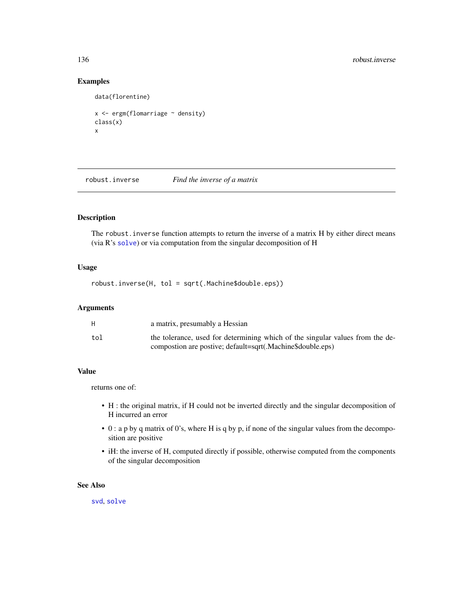## Examples

```
data(florentine)
x \leftarrow \text{ergm}(\text{flonarriage} \sim \text{density})class(x)
x
```
robust.inverse *Find the inverse of a matrix*

# Description

The robust. inverse function attempts to return the inverse of a matrix H by either direct means (via R's [solve](#page-0-0)) or via computation from the singular decomposition of H

## Usage

robust.inverse(H, tol = sqrt(.Machine\$double.eps))

#### Arguments

|     | a matrix, presumably a Hessian                                                                                                              |
|-----|---------------------------------------------------------------------------------------------------------------------------------------------|
| tol | the tolerance, used for determining which of the singular values from the de-<br>compostion are postive; default=sqrt(.Machine\$double.eps) |

## Value

returns one of:

- H : the original matrix, if H could not be inverted directly and the singular decomposition of H incurred an error
- 0 : a p by q matrix of 0's, where H is q by p, if none of the singular values from the decomposition are positive
- iH: the inverse of H, computed directly if possible, otherwise computed from the components of the singular decomposition

## See Also

[svd](#page-0-0), [solve](#page-0-0)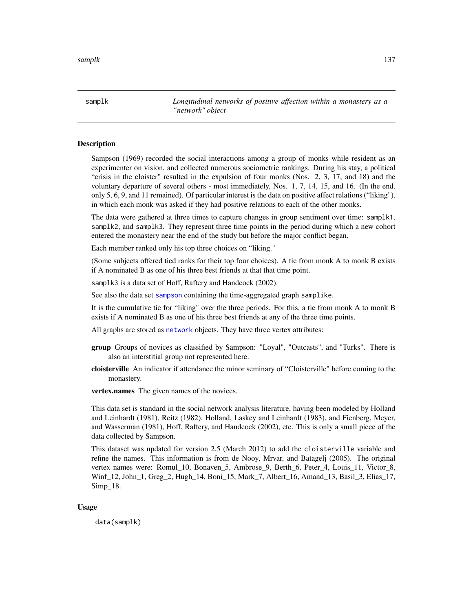samplk *Longitudinal networks of positive affection within a monastery as a "network" object*

## Description

Sampson (1969) recorded the social interactions among a group of monks while resident as an experimenter on vision, and collected numerous sociometric rankings. During his stay, a political "crisis in the cloister" resulted in the expulsion of four monks (Nos. 2, 3, 17, and 18) and the voluntary departure of several others - most immediately, Nos. 1, 7, 14, 15, and 16. (In the end, only 5, 6, 9, and 11 remained). Of particular interest is the data on positive affect relations ("liking"), in which each monk was asked if they had positive relations to each of the other monks.

The data were gathered at three times to capture changes in group sentiment over time: samplk1, samplk2, and samplk3. They represent three time points in the period during which a new cohort entered the monastery near the end of the study but before the major conflict began.

Each member ranked only his top three choices on "liking."

(Some subjects offered tied ranks for their top four choices). A tie from monk A to monk B exists if A nominated B as one of his three best friends at that that time point.

samplk3 is a data set of Hoff, Raftery and Handcock (2002).

See also the data set [sampson](#page-137-0) containing the time-aggregated graph samplike.

It is the cumulative tie for "liking" over the three periods. For this, a tie from monk A to monk B exists if A nominated B as one of his three best friends at any of the three time points.

All graphs are stored as [network](#page-0-0) objects. They have three vertex attributes:

- group Groups of novices as classified by Sampson: "Loyal", "Outcasts", and "Turks". There is also an interstitial group not represented here.
- cloisterville An indicator if attendance the minor seminary of "Cloisterville" before coming to the monastery.

vertex.names The given names of the novices.

This data set is standard in the social network analysis literature, having been modeled by Holland and Leinhardt (1981), Reitz (1982), Holland, Laskey and Leinhardt (1983), and Fienberg, Meyer, and Wasserman (1981), Hoff, Raftery, and Handcock (2002), etc. This is only a small piece of the data collected by Sampson.

This dataset was updated for version 2.5 (March 2012) to add the cloisterville variable and refine the names. This information is from de Nooy, Mrvar, and Batagelj (2005). The original vertex names were: Romul\_10, Bonaven\_5, Ambrose\_9, Berth\_6, Peter\_4, Louis\_11, Victor\_8, Winf 12, John 1, Greg 2, Hugh 14, Boni 15, Mark 7, Albert 16, Amand 13, Basil 3, Elias 17, Simp\_18.

#### Usage

data(samplk)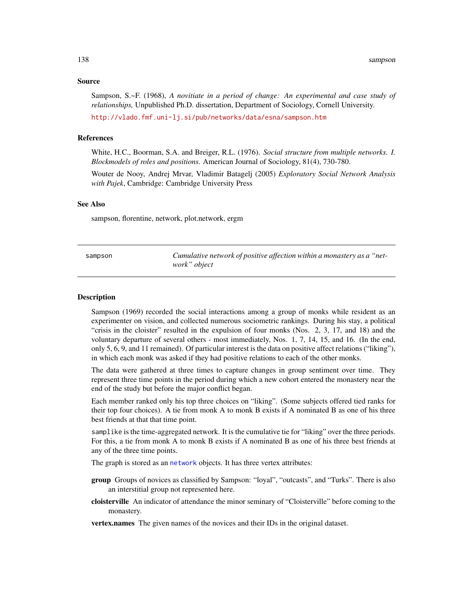#### Source

Sampson, S.~F. (1968), *A novitiate in a period of change: An experimental and case study of relationships,* Unpublished Ph.D. dissertation, Department of Sociology, Cornell University.

<http://vlado.fmf.uni-lj.si/pub/networks/data/esna/sampson.htm>

#### References

White, H.C., Boorman, S.A. and Breiger, R.L. (1976). *Social structure from multiple networks. I. Blockmodels of roles and positions.* American Journal of Sociology, 81(4), 730-780.

Wouter de Nooy, Andrej Mrvar, Vladimir Batagelj (2005) *Exploratory Social Network Analysis with Pajek*, Cambridge: Cambridge University Press

## See Also

sampson, florentine, network, plot.network, ergm

<span id="page-137-0"></span>

| sampson | Cumulative network of positive affection within a monastery as a "net- |
|---------|------------------------------------------------------------------------|
|         | work" object                                                           |

#### Description

Sampson (1969) recorded the social interactions among a group of monks while resident as an experimenter on vision, and collected numerous sociometric rankings. During his stay, a political "crisis in the cloister" resulted in the expulsion of four monks (Nos. 2, 3, 17, and 18) and the voluntary departure of several others - most immediately, Nos. 1, 7, 14, 15, and 16. (In the end, only 5, 6, 9, and 11 remained). Of particular interest is the data on positive affect relations ("liking"), in which each monk was asked if they had positive relations to each of the other monks.

The data were gathered at three times to capture changes in group sentiment over time. They represent three time points in the period during which a new cohort entered the monastery near the end of the study but before the major conflict began.

Each member ranked only his top three choices on "liking". (Some subjects offered tied ranks for their top four choices). A tie from monk A to monk B exists if A nominated B as one of his three best friends at that that time point.

samplike is the time-aggregated network. It is the cumulative tie for "liking" over the three periods. For this, a tie from monk A to monk B exists if A nominated B as one of his three best friends at any of the three time points.

The graph is stored as an [network](#page-0-0) objects. It has three vertex attributes:

- group Groups of novices as classified by Sampson: "loyal", "outcasts", and "Turks". There is also an interstitial group not represented here.
- cloisterville An indicator of attendance the minor seminary of "Cloisterville" before coming to the monastery.

vertex.names The given names of the novices and their IDs in the original dataset.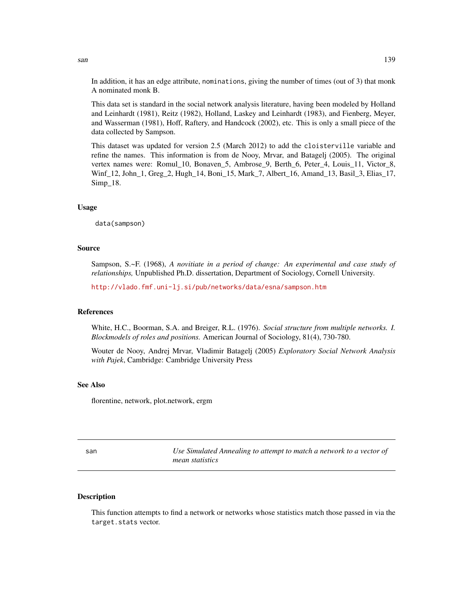In addition, it has an edge attribute, nominations, giving the number of times (out of 3) that monk A nominated monk B.

This data set is standard in the social network analysis literature, having been modeled by Holland and Leinhardt (1981), Reitz (1982), Holland, Laskey and Leinhardt (1983), and Fienberg, Meyer, and Wasserman (1981), Hoff, Raftery, and Handcock (2002), etc. This is only a small piece of the data collected by Sampson.

This dataset was updated for version 2.5 (March 2012) to add the cloisterville variable and refine the names. This information is from de Nooy, Mrvar, and Batagelj (2005). The original vertex names were: Romul\_10, Bonaven\_5, Ambrose\_9, Berth\_6, Peter\_4, Louis\_11, Victor\_8, Winf\_12, John\_1, Greg\_2, Hugh\_14, Boni\_15, Mark\_7, Albert\_16, Amand\_13, Basil\_3, Elias\_17, Simp\_18.

## Usage

data(sampson)

#### Source

Sampson, S.~F. (1968), *A novitiate in a period of change: An experimental and case study of relationships,* Unpublished Ph.D. dissertation, Department of Sociology, Cornell University.

<http://vlado.fmf.uni-lj.si/pub/networks/data/esna/sampson.htm>

#### References

White, H.C., Boorman, S.A. and Breiger, R.L. (1976). *Social structure from multiple networks. I. Blockmodels of roles and positions.* American Journal of Sociology, 81(4), 730-780.

Wouter de Nooy, Andrej Mrvar, Vladimir Batagelj (2005) *Exploratory Social Network Analysis with Pajek*, Cambridge: Cambridge University Press

#### See Also

florentine, network, plot.network, ergm

san *Use Simulated Annealing to attempt to match a network to a vector of mean statistics*

## Description

This function attempts to find a network or networks whose statistics match those passed in via the target.stats vector.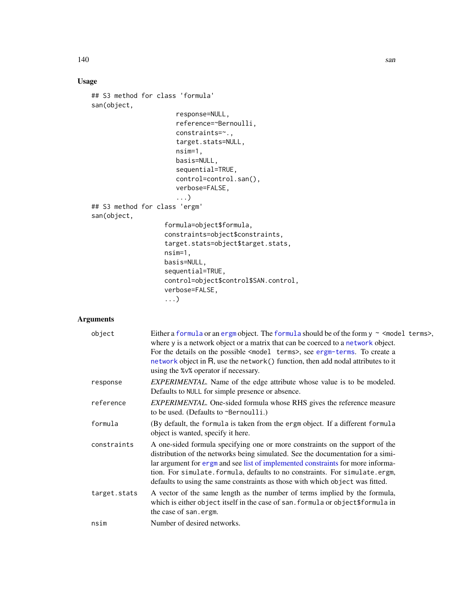# Usage

```
## S3 method for class 'formula'
san(object,
                      response=NULL,
                      reference=~Bernoulli,
                      constraints=~.,
                      target.stats=NULL,
                      nsim=1,
                      basis=NULL,
                      sequential=TRUE,
                      control=control.san(),
                      verbose=FALSE,
                      ...)
## S3 method for class 'ergm'
san(object,
                   formula=object$formula,
                   constraints=object$constraints,
                   target.stats=object$target.stats,
                   nsim=1,
                   basis=NULL,
                   sequential=TRUE,
                   control=object$control$SAN.control,
                   verbose=FALSE,
                   ...)
```
# Arguments

| object       | Either a formula or an ergm object. The formula should be of the form $y \sim$ <model terms="">,<br/>where y is a network object or a matrix that can be coerced to a network object.<br/>For the details on the possible <model terms="">, see ergm-terms. To create a<br/>network object in R, use the network () function, then add nodal attributes to it<br/>using the %v% operator if necessary.</model></model> |
|--------------|------------------------------------------------------------------------------------------------------------------------------------------------------------------------------------------------------------------------------------------------------------------------------------------------------------------------------------------------------------------------------------------------------------------------|
| response     | <i>EXPERIMENTAL</i> . Name of the edge attribute whose value is to be modeled.<br>Defaults to NULL for simple presence or absence.                                                                                                                                                                                                                                                                                     |
| reference    | <i>EXPERIMENTAL</i> . One-sided formula whose RHS gives the reference measure<br>to be used. (Defaults to $\sim$ Bernoulli.)                                                                                                                                                                                                                                                                                           |
| formula      | (By default, the formula is taken from the ergm object. If a different formula<br>object is wanted, specify it here.                                                                                                                                                                                                                                                                                                   |
| constraints  | A one-sided formula specifying one or more constraints on the support of the<br>distribution of the networks being simulated. See the documentation for a simi-<br>lar argument for ergm and see list of implemented constraints for more informa-<br>tion. For simulate. formula, defaults to no constraints. For simulate.ergm,<br>defaults to using the same constraints as those with which object was fitted.     |
| target.stats | A vector of the same length as the number of terms implied by the formula,<br>which is either object itself in the case of san. formula or object\$formula in<br>the case of san.ergm.                                                                                                                                                                                                                                 |
| nsim         | Number of desired networks.                                                                                                                                                                                                                                                                                                                                                                                            |

140 san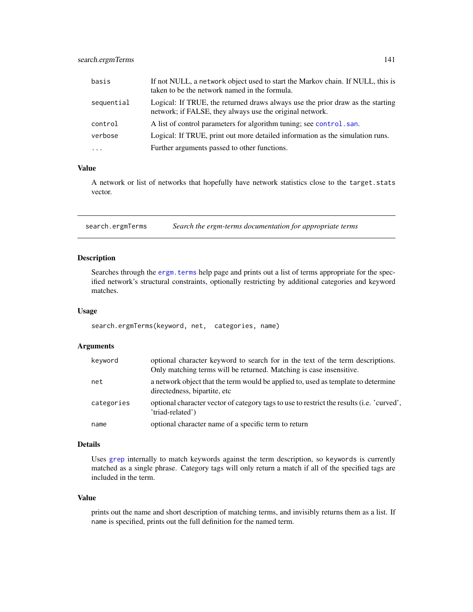## search.ergmTerms 141

| basis      | If not NULL, a network object used to start the Markov chain. If NULL, this is<br>taken to be the network named in the formula.            |
|------------|--------------------------------------------------------------------------------------------------------------------------------------------|
| sequential | Logical: If TRUE, the returned draws always use the prior draw as the starting<br>network; if FALSE, they always use the original network. |
| control    | A list of control parameters for algorithm tuning; see control, san.                                                                       |
| verbose    | Logical: If TRUE, print out more detailed information as the simulation runs.                                                              |
| $\cdots$   | Further arguments passed to other functions.                                                                                               |

## Value

A network or list of networks that hopefully have network statistics close to the target.stats vector.

search.ergmTerms *Search the ergm-terms documentation for appropriate terms*

### Description

Searches through the [ergm.terms](#page-47-1) help page and prints out a list of terms appropriate for the specified network's structural constraints, optionally restricting by additional categories and keyword matches.

## Usage

```
search.ergmTerms(keyword, net, categories, name)
```
## Arguments

| keyword    | optional character keyword to search for in the text of the term descriptions.<br>Only matching terms will be returned. Matching is case insensitive. |
|------------|-------------------------------------------------------------------------------------------------------------------------------------------------------|
| net        | a network object that the term would be applied to, used as template to determine<br>directedness, bipartite, etc.                                    |
| categories | optional character vector of category tags to use to restrict the results (i.e. 'curved',<br>'triad-related')                                         |
| name       | optional character name of a specific term to return                                                                                                  |

## Details

Uses [grep](#page-0-0) internally to match keywords against the term description, so keywords is currently matched as a single phrase. Category tags will only return a match if all of the specified tags are included in the term.

## Value

prints out the name and short description of matching terms, and invisibly returns them as a list. If name is specified, prints out the full definition for the named term.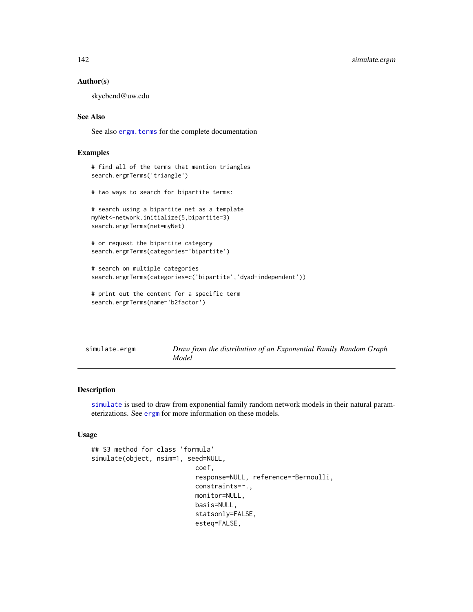#### Author(s)

skyebend@uw.edu

## See Also

See also ergm. terms for the complete documentation

## Examples

```
# find all of the terms that mention triangles
search.ergmTerms('triangle')
```
# two ways to search for bipartite terms:

```
# search using a bipartite net as a template
myNet<-network.initialize(5,bipartite=3)
search.ergmTerms(net=myNet)
```

```
# or request the bipartite category
search.ergmTerms(categories='bipartite')
```

```
# search on multiple categories
search.ergmTerms(categories=c('bipartite','dyad-independent'))
```

```
# print out the content for a specific term
search.ergmTerms(name='b2factor')
```

| simulate.ergm | Draw from the distribution of an Exponential Family Random Graph |
|---------------|------------------------------------------------------------------|
|               | Model                                                            |

#### Description

[simulate](#page-0-0) is used to draw from exponential family random network models in their natural parameterizations. See [ergm](#page-35-0) for more information on these models.

### Usage

```
## S3 method for class 'formula'
simulate(object, nsim=1, seed=NULL,
                           coef,
                           response=NULL, reference=~Bernoulli,
                           constraints=~.,
                           monitor=NULL,
                           basis=NULL,
                           statsonly=FALSE,
                           esteq=FALSE,
```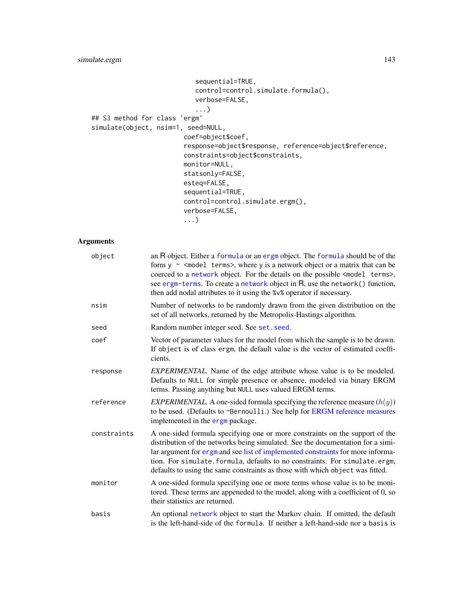```
sequential=TRUE,
                           control=control.simulate.formula(),
                           verbose=FALSE,
                           ...)
## S3 method for class 'ergm'
simulate(object, nsim=1, seed=NULL,
                        coef=object$coef,
                        response=object$response, reference=object$reference,
                        constraints=object$constraints,
                        monitor=NULL,
                        statsonly=FALSE,
                        esteq=FALSE,
                        sequential=TRUE,
                        control=control.simulate.ergm(),
                        verbose=FALSE,
                        ...)
```
## Arguments

| object      | an R object. Either a formula or an ergm object. The formula should be of the<br>form $y \sim$ <model terms="">, where y is a network object or a matrix that can be<br/>coerced to a network object. For the details on the possible <model terms="">,<br/>see ergm-terms. To create a network object in R, use the network() function,<br/>then add nodal attributes to it using the %v% operator if necessary.</model></model> |
|-------------|-----------------------------------------------------------------------------------------------------------------------------------------------------------------------------------------------------------------------------------------------------------------------------------------------------------------------------------------------------------------------------------------------------------------------------------|
| nsim        | Number of networks to be randomly drawn from the given distribution on the<br>set of all networks, returned by the Metropolis-Hastings algorithm.                                                                                                                                                                                                                                                                                 |
| seed        | Random number integer seed. See set. seed.                                                                                                                                                                                                                                                                                                                                                                                        |
| coef        | Vector of parameter values for the model from which the sample is to be drawn.<br>If object is of class ergm, the default value is the vector of estimated coeffi-<br>cients.                                                                                                                                                                                                                                                     |
| response    | <i>EXPERIMENTAL</i> . Name of the edge attribute whose value is to be modeled.<br>Defaults to NULL for simple presence or absence, modeled via binary ERGM<br>terms. Passing anything but NULL uses valued ERGM terms.                                                                                                                                                                                                            |
| reference   | <i>EXPERIMENTAL</i> . A one-sided formula specifying the reference measure $(h(y))$<br>to be used. (Defaults to ~Bernoulli.) See help for ERGM reference measures<br>implemented in the ergm package.                                                                                                                                                                                                                             |
| constraints | A one-sided formula specifying one or more constraints on the support of the<br>distribution of the networks being simulated. See the documentation for a simi-<br>lar argument for ergm and see list of implemented constraints for more informa-<br>tion. For simulate. formula, defaults to no constraints. For simulate.ergm,<br>defaults to using the same constraints as those with which object was fitted.                |
| monitor     | A one-sided formula specifying one or more terms whose value is to be moni-<br>tored. These terms are appeneded to the model, along with a coefficient of 0, so<br>their statistics are returned.                                                                                                                                                                                                                                 |
| basis       | An optional network object to start the Markov chain. If omitted, the default<br>is the left-hand-side of the formula. If neither a left-hand-side nor a basis is                                                                                                                                                                                                                                                                 |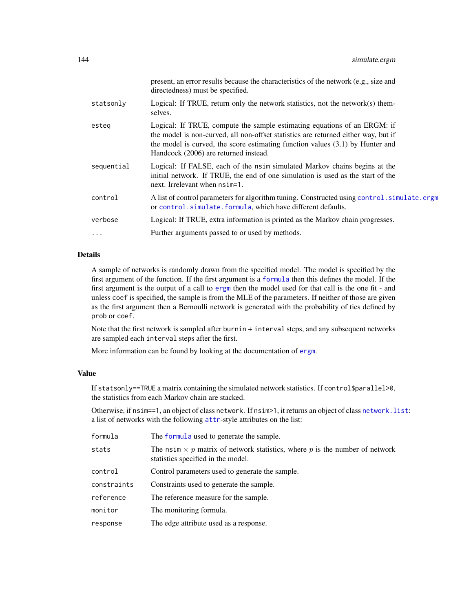|            | present, an error results because the characteristics of the network (e.g., size and<br>directedness) must be specified.                                                                                                                                                                   |
|------------|--------------------------------------------------------------------------------------------------------------------------------------------------------------------------------------------------------------------------------------------------------------------------------------------|
| statsonly  | Logical: If TRUE, return only the network statistics, not the network(s) them-<br>selves.                                                                                                                                                                                                  |
| esteg      | Logical: If TRUE, compute the sample estimating equations of an ERGM: if<br>the model is non-curved, all non-offset statistics are returned either way, but if<br>the model is curved, the score estimating function values $(3.1)$ by Hunter and<br>Handcock (2006) are returned instead. |
| sequential | Logical: If FALSE, each of the nsimulated Markov chains begins at the<br>initial network. If TRUE, the end of one simulation is used as the start of the<br>next. Irrelevant when $nsim=1$ .                                                                                               |
| control    | A list of control parameters for algorithm tuning. Constructed using control. simulate.ergm<br>or control.simulate.formula, which have different defaults.                                                                                                                                 |
| verbose    | Logical: If TRUE, extra information is printed as the Markov chain progresses.                                                                                                                                                                                                             |
| .          | Further arguments passed to or used by methods.                                                                                                                                                                                                                                            |

## Details

A sample of networks is randomly drawn from the specified model. The model is specified by the first argument of the function. If the first argument is a [formula](#page-0-0) then this defines the model. If the first argument is the output of a call to [ergm](#page-35-0) then the model used for that call is the one fit - and unless coef is specified, the sample is from the MLE of the parameters. If neither of those are given as the first argument then a Bernoulli network is generated with the probability of ties defined by prob or coef.

Note that the first network is sampled after burnin + interval steps, and any subsequent networks are sampled each interval steps after the first.

More information can be found by looking at the documentation of [ergm](#page-35-0).

## Value

If statsonly==TRUE a matrix containing the simulated network statistics. If control\$parallel>0, the statistics from each Markov chain are stacked.

Otherwise, if nsim==1, an object of class network. If nsim>1, it returns an object of class [network.list](#page-147-0): a list of networks with the following [attr](#page-0-0)-style attributes on the list:

| formula     | The formula used to generate the sample.                                                                                 |
|-------------|--------------------------------------------------------------------------------------------------------------------------|
| stats       | The nsim $\times$ p matrix of network statistics, where p is the number of network<br>statistics specified in the model. |
| control     | Control parameters used to generate the sample.                                                                          |
| constraints | Constraints used to generate the sample.                                                                                 |
| reference   | The reference measure for the sample.                                                                                    |
| monitor     | The monitoring formula.                                                                                                  |
| response    | The edge attribute used as a response.                                                                                   |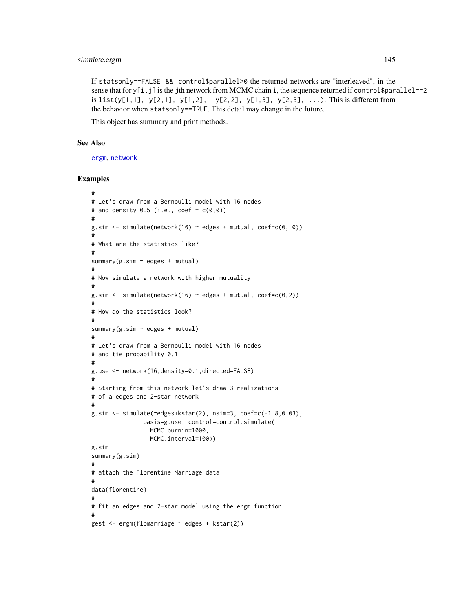# <span id="page-144-0"></span>simulate.ergm 145

If statsonly==FALSE && control\$parallel>0 the returned networks are "interleaved", in the sense that for  $y[i,j]$  is the jth network from MCMC chain i, the sequence returned if control \$parallel==2 is list(y[1,1], y[2,1], y[1,2], y[2,2], y[1,3], y[2,3], ...). This is different from the behavior when statsonly==TRUE. This detail may change in the future.

This object has summary and print methods.

#### See Also

[ergm](#page-35-0), [network](#page-0-0)

#### Examples

```
#
# Let's draw from a Bernoulli model with 16 nodes
# and density 0.5 (i.e., coef = c(0,0))
#
g.sim <- simulate(network(16) ~ edges + mutual, coef=c(0, 0))
#
# What are the statistics like?
#
summary(g.sim ~ edges + mutual)
#
# Now simulate a network with higher mutuality
#
g.sim \leq simulate(nework(16) \sim edges + mutual, coef=c(0,2))#
# How do the statistics look?
#
summary(g.sim ~ edges + mutual)
#
# Let's draw from a Bernoulli model with 16 nodes
# and tie probability 0.1
#
g.use <- network(16,density=0.1,directed=FALSE)
#
# Starting from this network let's draw 3 realizations
# of a edges and 2-star network
#
g.sim <- simulate(~edges+kstar(2), nsim=3, coef=c(-1.8,0.03),
               basis=g.use, control=control.simulate(
                 MCMC.burnin=1000,
                 MCMC.interval=100))
g.sim
summary(g.sim)
#
# attach the Florentine Marriage data
#
data(florentine)
#
# fit an edges and 2-star model using the ergm function
#
gest <- ergm(flomarriage ~ edges + kstar(2))
```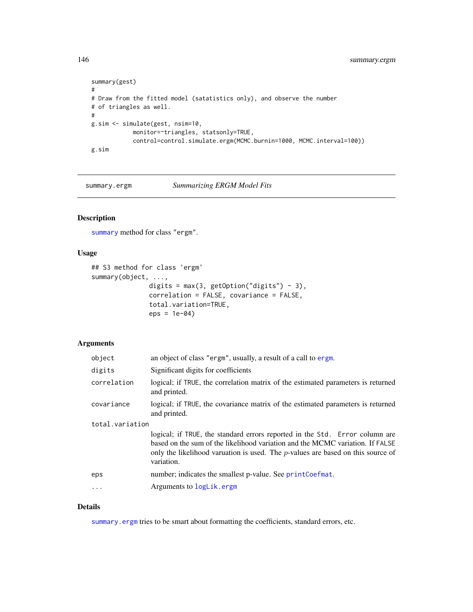```
summary(gest)
#
# Draw from the fitted model (satatistics only), and observe the number
# of triangles as well.
#
g.sim <- simulate(gest, nsim=10,
            monitor=~triangles, statsonly=TRUE,
            control=control.simulate.ergm(MCMC.burnin=1000, MCMC.interval=100))
g.sim
```
<span id="page-145-0"></span>summary.ergm *Summarizing ERGM Model Fits*

# Description

[summary](#page-148-0) method for class "ergm".

#### Usage

```
## S3 method for class 'ergm'
summary(object, ...,
               digits = max(3, getOption("digits") - 3),
               correlation = FALSE, covariance = FALSE,
               total.variation=TRUE,
               eps = 1e-04)
```
# Arguments

| object          | an object of class "ergm", usually, a result of a call to ergm.                                                                                                                                                                                                  |
|-----------------|------------------------------------------------------------------------------------------------------------------------------------------------------------------------------------------------------------------------------------------------------------------|
| digits          | Significant digits for coefficients                                                                                                                                                                                                                              |
| correlation     | logical; if TRUE, the correlation matrix of the estimated parameters is returned<br>and printed.                                                                                                                                                                 |
| covariance      | logical; if TRUE, the covariance matrix of the estimated parameters is returned<br>and printed.                                                                                                                                                                  |
| total.variation |                                                                                                                                                                                                                                                                  |
|                 | logical; if TRUE, the standard errors reported in the Std. Error column are<br>based on the sum of the likelihood variation and the MCMC variation. If FALSE<br>only the likelihood varuation is used. The $p$ -values are based on this source of<br>variation. |
| eps             | number; indicates the smallest p-value. See printCoefmat.                                                                                                                                                                                                        |
| $\ddots$ .      | Arguments to logLik.ergm                                                                                                                                                                                                                                         |
|                 |                                                                                                                                                                                                                                                                  |

#### Details

[summary.ergm](#page-145-0) tries to be smart about formatting the coefficients, standard errors, etc.

<span id="page-145-1"></span>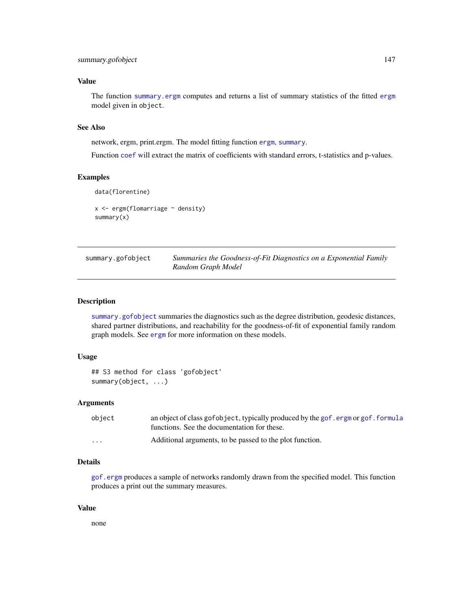# <span id="page-146-1"></span>Value

The function [summary.ergm](#page-145-0) computes and returns a list of summary statistics of the fitted [ergm](#page-35-0) model given in object.

# See Also

network, ergm, print.ergm. The model fitting function [ergm](#page-35-0), [summary](#page-148-0).

Function [coef](#page-0-0) will extract the matrix of coefficients with standard errors, t-statistics and p-values.

# Examples

```
data(florentine)
x \leftarrow \text{ergm(flomarriage} \sim \text{density})summary(x)
```
<span id="page-146-0"></span>

| summary.gofobject | Summaries the Goodness-of-Fit Diagnostics on a Exponential Family |
|-------------------|-------------------------------------------------------------------|
|                   | Random Graph Model                                                |

# Description

[summary.gofobject](#page-146-0) summaries the diagnostics such as the degree distribution, geodesic distances, shared partner distributions, and reachability for the goodness-of-fit of exponential family random graph models. See [ergm](#page-35-0) for more information on these models.

## Usage

```
## S3 method for class 'gofobject'
summary(object, ...)
```
## Arguments

| object                  | an object of class gof object, typically produced by the gof.ergm or gof.formula<br>functions. See the documentation for these. |
|-------------------------|---------------------------------------------------------------------------------------------------------------------------------|
| $\cdot$ $\cdot$ $\cdot$ | Additional arguments, to be passed to the plot function.                                                                        |

# Details

[gof.ergm](#page-108-0) produces a sample of networks randomly drawn from the specified model. This function produces a print out the summary measures.

#### Value

none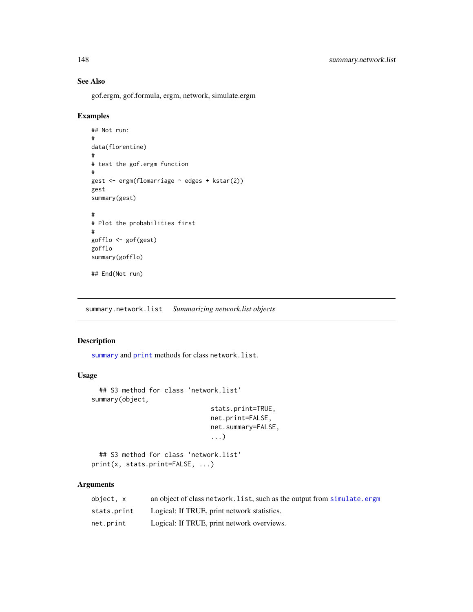# <span id="page-147-0"></span>See Also

gof.ergm, gof.formula, ergm, network, simulate.ergm

### Examples

```
## Not run:
#
data(florentine)
#
# test the gof.ergm function
#
gest <- ergm(flomarriage ~ edges + kstar(2))
gest
summary(gest)
#
# Plot the probabilities first
#
gofflo <- gof(gest)
gofflo
summary(gofflo)
## End(Not run)
```
summary.network.list *Summarizing network.list objects*

# Description

[summary](#page-148-0) and [print](#page-0-0) methods for class network.list.

# Usage

```
## S3 method for class 'network.list'
summary(object,
                               stats.print=TRUE,
                               net.print=FALSE,
                               net.summary=FALSE,
                                ...)
 ## S3 method for class 'network.list'
```

```
print(x, stats.print=FALSE, ...)
```
# Arguments

| object, x   | an object of class network. list, such as the output from simulate.ergm |
|-------------|-------------------------------------------------------------------------|
| stats.print | Logical: If TRUE, print network statistics.                             |
| net.print   | Logical: If TRUE, print network overviews.                              |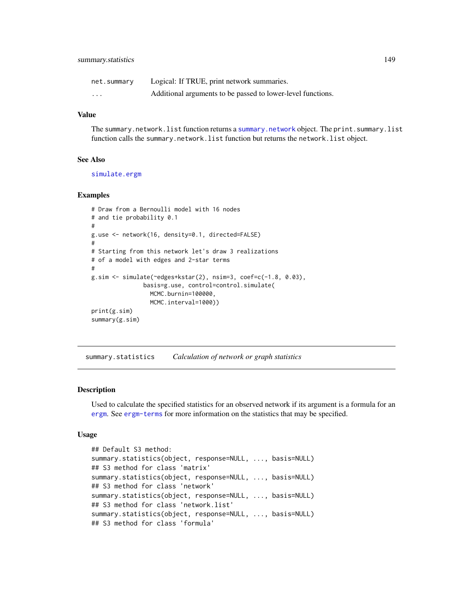<span id="page-148-1"></span>

| net.summary | Logical: If TRUE, print network summaries.                  |
|-------------|-------------------------------------------------------------|
| .           | Additional arguments to be passed to lower-level functions. |

# Value

The [summary.network](#page-0-0).list function returns a summary.network object. The print.summary.list function calls the summary.network.list function but returns the network.list object.

#### See Also

[simulate.ergm](#page-141-0)

#### Examples

```
# Draw from a Bernoulli model with 16 nodes
# and tie probability 0.1
#
g.use <- network(16, density=0.1, directed=FALSE)
#
# Starting from this network let's draw 3 realizations
# of a model with edges and 2-star terms
#
g.sim <- simulate(~edges+kstar(2), nsim=3, coef=c(-1.8, 0.03),
               basis=g.use, control=control.simulate(
                 MCMC.burnin=100000,
                 MCMC.interval=1000))
print(g.sim)
summary(g.sim)
```
summary.statistics *Calculation of network or graph statistics*

#### <span id="page-148-0"></span>Description

Used to calculate the specified statistics for an observed network if its argument is a formula for an [ergm](#page-35-0). See [ergm-terms](#page-47-0) for more information on the statistics that may be specified.

#### Usage

```
## Default S3 method:
summary.statistics(object, response=NULL, ..., basis=NULL)
## S3 method for class 'matrix'
summary.statistics(object, response=NULL, ..., basis=NULL)
## S3 method for class 'network'
summary.statistics(object, response=NULL, ..., basis=NULL)
## S3 method for class 'network.list'
summary.statistics(object, response=NULL, ..., basis=NULL)
## S3 method for class 'formula'
```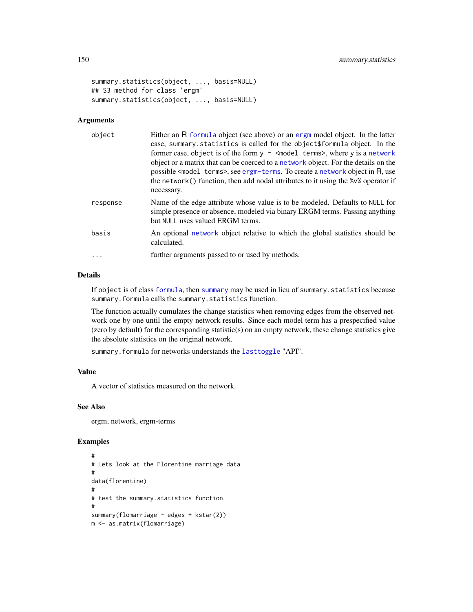```
summary.statistics(object, ..., basis=NULL)
## S3 method for class 'ergm'
summary.statistics(object, ..., basis=NULL)
```
#### Arguments

| object   | Either an R formula object (see above) or an ergm model object. In the latter<br>case, summary statistics is called for the object\$formula object. In the<br>former case, object is of the form $y \sim$ <model terms="">, where y is a network<br/>object or a matrix that can be coerced to a network object. For the details on the<br/>possible <model terms="">, see ergm-terms. To create a network object in R, use<br/>the network() function, then add nodal attributes to it using the <math>\frac{8}{\sqrt{2}}</math> operator if<br/>necessary.</model></model> |
|----------|------------------------------------------------------------------------------------------------------------------------------------------------------------------------------------------------------------------------------------------------------------------------------------------------------------------------------------------------------------------------------------------------------------------------------------------------------------------------------------------------------------------------------------------------------------------------------|
| response | Name of the edge attribute whose value is to be modeled. Defaults to NULL for<br>simple presence or absence, modeled via binary ERGM terms. Passing anything<br>but NULL uses valued ERGM terms.                                                                                                                                                                                                                                                                                                                                                                             |
| basis    | An optional network object relative to which the global statistics should be<br>calculated.                                                                                                                                                                                                                                                                                                                                                                                                                                                                                  |
|          | further arguments passed to or used by methods.                                                                                                                                                                                                                                                                                                                                                                                                                                                                                                                              |

#### Details

If object is of class [formula](#page-0-0), then [summary](#page-148-0) may be used in lieu of summary.statistics because summary.formula calls the summary.statistics function.

The function actually cumulates the change statistics when removing edges from the observed network one by one until the empty network results. Since each model term has a prespecified value (zero by default) for the corresponding statistic(s) on an empty network, these change statistics give the absolute statistics on the original network.

summary.formula for networks understands the [lasttoggle](#page-115-0) "API".

# Value

A vector of statistics measured on the network.

#### See Also

ergm, network, ergm-terms

#### Examples

```
#
# Lets look at the Florentine marriage data
#
data(florentine)
#
# test the summary.statistics function
#
summary(flomarriage ~ edges + kstar(2))
m <- as.matrix(flomarriage)
```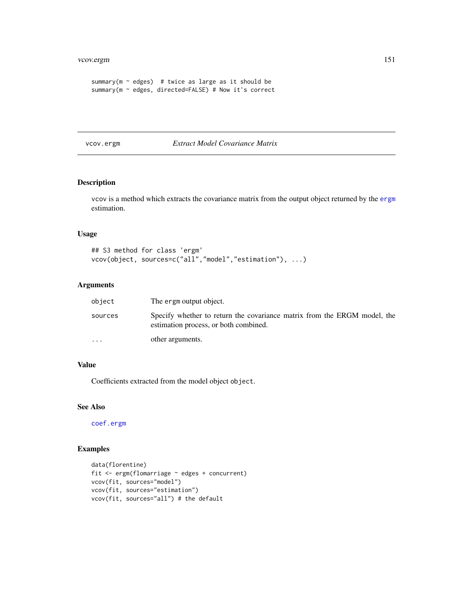```
summary(m \sim edges) # twice as large as it should be
summary(m ~ edges, directed=FALSE) # Now it's correct
```
vcov.ergm *Extract Model Covariance Matrix*

# Description

vcov is a method which extracts the covariance matrix from the output object returned by the [ergm](#page-35-0) estimation.

# Usage

```
## S3 method for class 'ergm'
vcov(object, sources=c("all","model","estimation"), ...)
```
# Arguments

| object   | The ergm output object.                                                                                           |
|----------|-------------------------------------------------------------------------------------------------------------------|
| sources  | Specify whether to return the covariance matrix from the ERGM model, the<br>estimation process, or both combined. |
| $\cdots$ | other arguments.                                                                                                  |

### Value

Coefficients extracted from the model object object.

# See Also

[coef.ergm](#page-11-0)

# Examples

```
data(florentine)
fit <- ergm(flomarriage ~ edges + concurrent)
vcov(fit, sources="model")
vcov(fit, sources="estimation")
vcov(fit, sources="all") # the default
```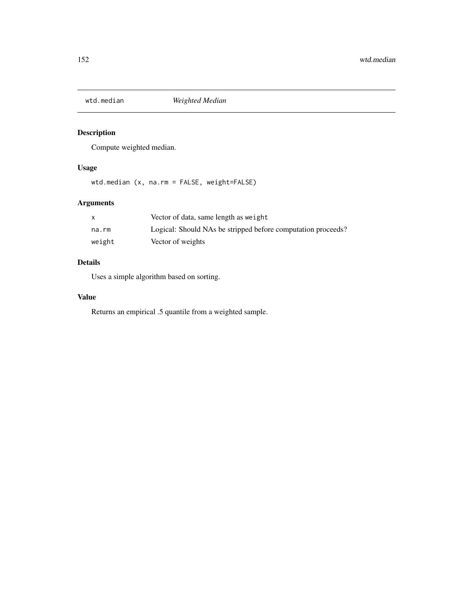<span id="page-151-0"></span>

# Description

Compute weighted median.

# Usage

wtd.median (x, na.rm = FALSE, weight=FALSE)

# Arguments

|        | Vector of data, same length as weight                        |
|--------|--------------------------------------------------------------|
| na.rm  | Logical: Should NAs be stripped before computation proceeds? |
| weight | Vector of weights                                            |

# Details

Uses a simple algorithm based on sorting.

# Value

Returns an empirical .5 quantile from a weighted sample.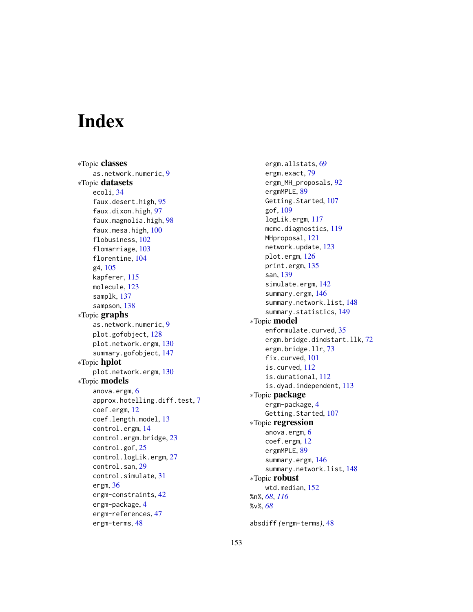# **Index**

∗Topic classes as.network.numeric, [9](#page-8-0) ∗Topic datasets ecoli, [34](#page-33-0) faux.desert.high, [95](#page-94-0) faux.dixon.high, [97](#page-96-0) faux.magnolia.high, [98](#page-97-0) faux.mesa.high, [100](#page-99-0) flobusiness, [102](#page-101-0) flomarriage, [103](#page-102-0) florentine, [104](#page-103-0) g4, [105](#page-104-0) kapferer, [115](#page-114-0) molecule, [123](#page-122-0) samplk, [137](#page-136-0) sampson, [138](#page-137-0) ∗Topic graphs as.network.numeric, [9](#page-8-0) plot.gofobject, [128](#page-127-0) plot.network.ergm, [130](#page-129-0) summary.gofobject, [147](#page-146-1) ∗Topic hplot plot.network.ergm, [130](#page-129-0) ∗Topic models anova.ergm, [6](#page-5-0) approx.hotelling.diff.test, [7](#page-6-0) coef.ergm, [12](#page-11-1) coef.length.model, [13](#page-12-0) control.ergm, [14](#page-13-0) control.ergm.bridge, [23](#page-22-0) control.gof, [25](#page-24-0) control.logLik.ergm, [27](#page-26-0) control.san, [29](#page-28-0) control.simulate, [31](#page-30-0) ergm, [36](#page-35-1) ergm-constraints, [42](#page-41-0) ergm-package, [4](#page-3-0) ergm-references, [47](#page-46-0) ergm-terms, [48](#page-47-1)

ergm.allstats, [69](#page-68-0) ergm.exact, [79](#page-78-0) ergm\_MH\_proposals, [92](#page-91-0) ergmMPLE, [89](#page-88-0) Getting.Started, [107](#page-106-0) gof, [109](#page-108-1) logLik.ergm, [117](#page-116-1) mcmc.diagnostics, [119](#page-118-0) MHproposal, [121](#page-120-0) network.update, [123](#page-122-0) plot.ergm, [126](#page-125-0) print.ergm, [135](#page-134-0) san, [139](#page-138-0) simulate.ergm, [142](#page-141-1) summary.ergm, [146](#page-145-1) summary.network.list, [148](#page-147-0) summary.statistics, [149](#page-148-1) ∗Topic model enformulate.curved, [35](#page-34-0) ergm.bridge.dindstart.llk, [72](#page-71-0) ergm.bridge.llr, [73](#page-72-0) fix.curved, [101](#page-100-0) is.curved, [112](#page-111-0) is.durational, [112](#page-111-0) is.dyad.independent, [113](#page-112-0) ∗Topic package ergm-package, [4](#page-3-0) Getting.Started, [107](#page-106-0) ∗Topic regression anova.ergm, [6](#page-5-0) coef.ergm, [12](#page-11-1) ergmMPLE, [89](#page-88-0) summary.ergm, [146](#page-145-1) summary.network.list, [148](#page-147-0) ∗Topic robust wtd.median, [152](#page-151-0) %n%, *[68](#page-67-0)*, *[116](#page-115-1)* %v%, *[68](#page-67-0)*

absdiff *(*ergm-terms*)*, [48](#page-47-1)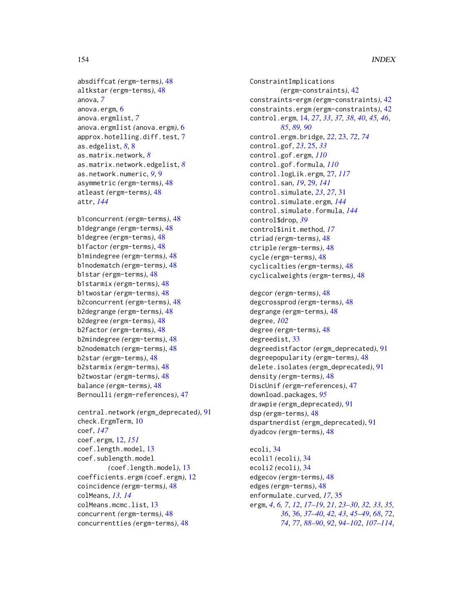```
absdiffcat (ergm-terms), 48
altkstar (ergm-terms), 48
anova, 7
anova.ergm, 6
anova.ergmlist, 7
anova.ergmlist (anova.ergm), 6
approx.hotelling.diff.test, 7
as.edgelist, 8, 8
as.matrix.network, 8
as.matrix.network.edgelist, 8
as.network.numeric, 9, 9
asymmetric (ergm-terms), 48
atleast (ergm-terms), 48
attr, 144
```

```
b1concurrent (ergm-terms), 48
b1degrange (ergm-terms), 48
b1degree (ergm-terms), 48
b1factor (ergm-terms), 48
b1mindegree (ergm-terms), 48
b1nodematch (ergm-terms), 48
b1star (ergm-terms), 48
b1starmix (ergm-terms), 48
b1twostar (ergm-terms), 48
b2concurrent (ergm-terms), 48
b2degrange (ergm-terms), 48
b2degree (ergm-terms), 48
b2factor (ergm-terms), 48
b2mindegree (ergm-terms), 48
b2nodematch (ergm-terms), 48
b2star (ergm-terms), 48
b2starmix (ergm-terms), 48
b2twostar (ergm-terms), 48
balance (ergm-terms), 48
Bernoulli (ergm-references), 47
```

```
central.network (ergm_deprecated), 91
check.ErgmTerm, 10
coef, 147
coef.ergm, 12, 151
coef.length.model, 13
coef.sublength.model
        (coef.length.model), 13
coefficients.ergm (coef.ergm), 12
coincidence (ergm-terms), 48
colMeans, 13, 14
colMeans.mcmc.list, 13
concurrent (ergm-terms), 48
concurrentties (ergm-terms), 48
```
ConstraintImplications *(*ergm-constraints*)*, [42](#page-41-0) constraints-ergm *(*ergm-constraints*)*, [42](#page-41-0) constraints.ergm *(*ergm-constraints*)*, [42](#page-41-0) control.ergm, [14,](#page-13-0) *[27](#page-26-0)*, *[33](#page-32-0)*, *[37,](#page-36-0) [38](#page-37-0)*, *[40](#page-39-0)*, *[45,](#page-44-0) [46](#page-45-0)*, *[85](#page-84-0)*, *[89,](#page-88-0) [90](#page-89-0)* control.ergm.bridge, *[22](#page-21-0)*, [23,](#page-22-0) *[72](#page-71-0)*, *[74](#page-73-0)* control.gof, *[23](#page-22-0)*, [25,](#page-24-0) *[33](#page-32-0)* control.gof.ergm, *[110](#page-109-0)* control.gof.formula, *[110](#page-109-0)* control.logLik.ergm, [27,](#page-26-0) *[117](#page-116-1)* control.san, *[19](#page-18-0)*, [29,](#page-28-0) *[141](#page-140-0)* control.simulate, *[23](#page-22-0)*, *[27](#page-26-0)*, [31](#page-30-0) control.simulate.ergm, *[144](#page-143-0)* control.simulate.formula, *[144](#page-143-0)* control\$drop, *[39](#page-38-0)* control\$init.method, *[17](#page-16-0)* ctriad *(*ergm-terms*)*, [48](#page-47-1) ctriple *(*ergm-terms*)*, [48](#page-47-1) cycle *(*ergm-terms*)*, [48](#page-47-1) cyclicalties *(*ergm-terms*)*, [48](#page-47-1) cyclicalweights *(*ergm-terms*)*, [48](#page-47-1)

degcor *(*ergm-terms*)*, [48](#page-47-1) degcrossprod *(*ergm-terms*)*, [48](#page-47-1) degrange *(*ergm-terms*)*, [48](#page-47-1) degree, *[102](#page-101-0)* degree *(*ergm-terms*)*, [48](#page-47-1) degreedist, [33](#page-32-0) degreedistfactor *(*ergm\_deprecated*)*, [91](#page-90-0) degreepopularity *(*ergm-terms*)*, [48](#page-47-1) delete.isolates *(*ergm\_deprecated*)*, [91](#page-90-0) density *(*ergm-terms*)*, [48](#page-47-1) DiscUnif *(*ergm-references*)*, [47](#page-46-0) download.packages, *[95](#page-94-0)* drawpie *(*ergm\_deprecated*)*, [91](#page-90-0) dsp *(*ergm-terms*)*, [48](#page-47-1) dspartnerdist *(*ergm\_deprecated*)*, [91](#page-90-0) dyadcov *(*ergm-terms*)*, [48](#page-47-1)

ecoli, [34](#page-33-0) ecoli1 *(*ecoli*)*, [34](#page-33-0) ecoli2 *(*ecoli*)*, [34](#page-33-0) edgecov *(*ergm-terms*)*, [48](#page-47-1) edges *(*ergm-terms*)*, [48](#page-47-1) enformulate.curved, *[17](#page-16-0)*, [35](#page-34-0) ergm, *[4](#page-3-0)*, *[6,](#page-5-0) [7](#page-6-0)*, *[12](#page-11-1)*, *[17](#page-16-0)[–19](#page-18-0)*, *[21](#page-20-0)*, *[23](#page-22-0)[–30](#page-29-0)*, *[32,](#page-31-0) [33](#page-32-0)*, *[35,](#page-34-0) [36](#page-35-1)*, [36,](#page-35-1) *[37](#page-36-0)[–40](#page-39-0)*, *[42,](#page-41-0) [43](#page-42-0)*, *[45](#page-44-0)[–49](#page-48-0)*, *[68](#page-67-0)*, *[72](#page-71-0)*, *[74](#page-73-0)*, *[77](#page-76-0)*, *[88](#page-87-0)[–90](#page-89-0)*, *[92](#page-91-0)*, *[94](#page-93-0)[–102](#page-101-0)*, *[107](#page-106-0)[–114](#page-113-0)*,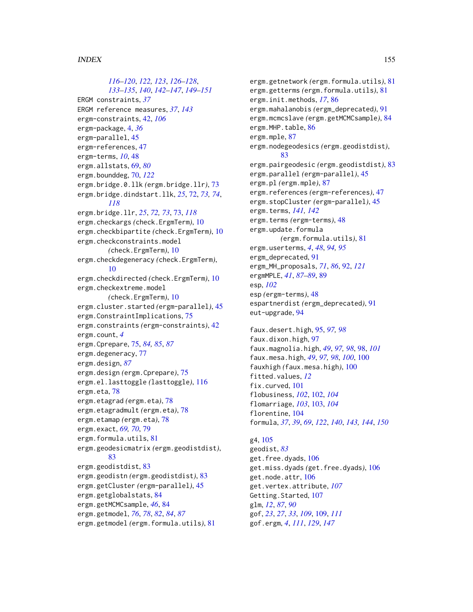*[116](#page-115-1)[–120](#page-119-0)*, *[122,](#page-121-0) [123](#page-122-0)*, *[126–](#page-125-0)[128](#page-127-0)*, *[133](#page-132-0)[–135](#page-134-0)*, *[140](#page-139-0)*, *[142–](#page-141-1)[147](#page-146-1)*, *[149–](#page-148-1)[151](#page-150-0)* ERGM constraints, *[37](#page-36-0)* ERGM reference measures, *[37](#page-36-0)*, *[143](#page-142-0)* ergm-constraints, [42,](#page-41-0) *[106](#page-105-0)* ergm-package, [4,](#page-3-0) *[36](#page-35-1)* ergm-parallel, [45](#page-44-0) ergm-references, [47](#page-46-0) ergm-terms, *[10](#page-9-0)*, [48](#page-47-1) ergm.allstats, [69,](#page-68-0) *[80](#page-79-0)* ergm.bounddeg, [70,](#page-69-0) *[122](#page-121-0)* ergm.bridge.0.llk *(*ergm.bridge.llr*)*, [73](#page-72-0) ergm.bridge.dindstart.llk, *[25](#page-24-0)*, [72,](#page-71-0) *[73,](#page-72-0) [74](#page-73-0)*, *[118](#page-117-0)* ergm.bridge.llr, *[25](#page-24-0)*, *[72,](#page-71-0) [73](#page-72-0)*, [73,](#page-72-0) *[118](#page-117-0)* ergm.checkargs *(*check.ErgmTerm*)*, [10](#page-9-0) ergm.checkbipartite *(*check.ErgmTerm*)*, [10](#page-9-0) ergm.checkconstraints.model *(*check.ErgmTerm*)*, [10](#page-9-0) ergm.checkdegeneracy *(*check.ErgmTerm*)*, [10](#page-9-0) ergm.checkdirected *(*check.ErgmTerm*)*, [10](#page-9-0) ergm.checkextreme.model *(*check.ErgmTerm*)*, [10](#page-9-0) ergm.cluster.started *(*ergm-parallel*)*, [45](#page-44-0) ergm.ConstraintImplications, [75](#page-74-0) ergm.constraints *(*ergm-constraints*)*, [42](#page-41-0) ergm.count, *[4](#page-3-0)* ergm.Cprepare, [75,](#page-74-0) *[84,](#page-83-0) [85](#page-84-0)*, *[87](#page-86-0)* ergm.degeneracy, [77](#page-76-0) ergm.design, *[87](#page-86-0)* ergm.design *(*ergm.Cprepare*)*, [75](#page-74-0) ergm.el.lasttoggle *(*lasttoggle*)*, [116](#page-115-1) ergm.eta, [78](#page-77-0) ergm.etagrad *(*ergm.eta*)*, [78](#page-77-0) ergm.etagradmult *(*ergm.eta*)*, [78](#page-77-0) ergm.etamap *(*ergm.eta*)*, [78](#page-77-0) ergm.exact, *[69,](#page-68-0) [70](#page-69-0)*, [79](#page-78-0) ergm.formula.utils, [81](#page-80-0) ergm.geodesicmatrix *(*ergm.geodistdist*)*, [83](#page-82-0) ergm.geodistdist, [83](#page-82-0) ergm.geodistn *(*ergm.geodistdist*)*, [83](#page-82-0) ergm.getCluster *(*ergm-parallel*)*, [45](#page-44-0) ergm.getglobalstats, [84](#page-83-0) ergm.getMCMCsample, *[46](#page-45-0)*, [84](#page-83-0) ergm.getmodel, *[76](#page-75-0)*, *[78](#page-77-0)*, *[82](#page-81-0)*, *[84](#page-83-0)*, *[87](#page-86-0)* ergm.getmodel *(*ergm.formula.utils*)*, [81](#page-80-0)

ergm.getnetwork *(*ergm.formula.utils*)*, [81](#page-80-0) ergm.getterms *(*ergm.formula.utils*)*, [81](#page-80-0) ergm.init.methods, *[17](#page-16-0)*, [86](#page-85-0) ergm.mahalanobis *(*ergm\_deprecated*)*, [91](#page-90-0) ergm.mcmcslave *(*ergm.getMCMCsample*)*, [84](#page-83-0) ergm.MHP.table, [86](#page-85-0) ergm.mple, [87](#page-86-0) ergm.nodegeodesics *(*ergm.geodistdist*)*, [83](#page-82-0) ergm.pairgeodesic *(*ergm.geodistdist*)*, [83](#page-82-0) ergm.parallel *(*ergm-parallel*)*, [45](#page-44-0) ergm.pl *(*ergm.mple*)*, [87](#page-86-0) ergm.references *(*ergm-references*)*, [47](#page-46-0) ergm.stopCluster *(*ergm-parallel*)*, [45](#page-44-0) ergm.terms, *[141,](#page-140-0) [142](#page-141-1)* ergm.terms *(*ergm-terms*)*, [48](#page-47-1) ergm.update.formula *(*ergm.formula.utils*)*, [81](#page-80-0) ergm.userterms, *[4](#page-3-0)*, *[48](#page-47-1)*, *[94,](#page-93-0) [95](#page-94-0)* ergm\_deprecated, [91](#page-90-0) ergm\_MH\_proposals, *[71](#page-70-0)*, *[86](#page-85-0)*, [92,](#page-91-0) *[121](#page-120-0)* ergmMPLE, *[41](#page-40-0)*, *[87](#page-86-0)[–89](#page-88-0)*, [89](#page-88-0) esp, *[102](#page-101-0)* esp *(*ergm-terms*)*, [48](#page-47-1) espartnerdist *(*ergm\_deprecated*)*, [91](#page-90-0) eut-upgrade, [94](#page-93-0)

faux.desert.high, [95,](#page-94-0) *[97,](#page-96-0) [98](#page-97-0)* faux.dixon.high, [97](#page-96-0) faux.magnolia.high, *[49](#page-48-0)*, *[97,](#page-96-0) [98](#page-97-0)*, [98,](#page-97-0) *[101](#page-100-0)* faux.mesa.high, *[49](#page-48-0)*, *[97,](#page-96-0) [98](#page-97-0)*, *[100](#page-99-0)*, [100](#page-99-0) fauxhigh *(*faux.mesa.high*)*, [100](#page-99-0) fitted.values, *[12](#page-11-1)* fix.curved, [101](#page-100-0) flobusiness, *[102](#page-101-0)*, [102,](#page-101-0) *[104](#page-103-0)* flomarriage, *[103](#page-102-0)*, [103,](#page-102-0) *[104](#page-103-0)* florentine, [104](#page-103-0) formula, *[37](#page-36-0)*, *[39](#page-38-0)*, *[69](#page-68-0)*, *[122](#page-121-0)*, *[140](#page-139-0)*, *[143,](#page-142-0) [144](#page-143-0)*, *[150](#page-149-0)*

#### g4, [105](#page-104-0)

geodist, *[83](#page-82-0)* get.free.dyads, [106](#page-105-0) get.miss.dyads *(*get.free.dyads*)*, [106](#page-105-0) get.node.attr, [106](#page-105-0) get.vertex.attribute, *[107](#page-106-0)* Getting.Started, [107](#page-106-0) glm, *[12](#page-11-1)*, *[87](#page-86-0)*, *[90](#page-89-0)* gof, *[23](#page-22-0)*, *[27](#page-26-0)*, *[33](#page-32-0)*, *[109](#page-108-1)*, [109,](#page-108-1) *[111](#page-110-0)* gof.ergm, *[4](#page-3-0)*, *[111](#page-110-0)*, *[129](#page-128-0)*, *[147](#page-146-1)*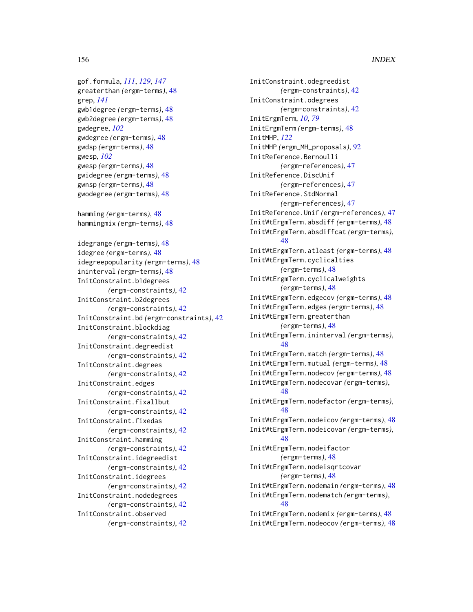gof.formula, *[111](#page-110-0)*, *[129](#page-128-0)*, *[147](#page-146-1)* greaterthan *(*ergm-terms*)*, [48](#page-47-1) grep, *[141](#page-140-0)* gwb1degree *(*ergm-terms*)*, [48](#page-47-1) gwb2degree *(*ergm-terms*)*, [48](#page-47-1) gwdegree, *[102](#page-101-0)* gwdegree *(*ergm-terms*)*, [48](#page-47-1) gwdsp *(*ergm-terms*)*, [48](#page-47-1) gwesp, *[102](#page-101-0)* gwesp *(*ergm-terms*)*, [48](#page-47-1) gwidegree *(*ergm-terms*)*, [48](#page-47-1) gwnsp *(*ergm-terms*)*, [48](#page-47-1) gwodegree *(*ergm-terms*)*, [48](#page-47-1) hamming *(*ergm-terms*)*, [48](#page-47-1) hammingmix *(*ergm-terms*)*, [48](#page-47-1) idegrange *(*ergm-terms*)*, [48](#page-47-1) idegree *(*ergm-terms*)*, [48](#page-47-1) idegreepopularity *(*ergm-terms*)*, [48](#page-47-1) ininterval *(*ergm-terms*)*, [48](#page-47-1) InitConstraint.b1degrees *(*ergm-constraints*)*, [42](#page-41-0) InitConstraint.b2degrees *(*ergm-constraints*)*, [42](#page-41-0) InitConstraint.bd *(*ergm-constraints*)*, [42](#page-41-0) InitConstraint.blockdiag *(*ergm-constraints*)*, [42](#page-41-0) InitConstraint.degreedist *(*ergm-constraints*)*, [42](#page-41-0) InitConstraint.degrees *(*ergm-constraints*)*, [42](#page-41-0) InitConstraint.edges *(*ergm-constraints*)*, [42](#page-41-0) InitConstraint.fixallbut *(*ergm-constraints*)*, [42](#page-41-0) InitConstraint.fixedas *(*ergm-constraints*)*, [42](#page-41-0) InitConstraint.hamming *(*ergm-constraints*)*, [42](#page-41-0) InitConstraint.idegreedist *(*ergm-constraints*)*, [42](#page-41-0) InitConstraint.idegrees *(*ergm-constraints*)*, [42](#page-41-0) InitConstraint.nodedegrees *(*ergm-constraints*)*, [42](#page-41-0)

InitConstraint.observed *(*ergm-constraints*)*, [42](#page-41-0) InitConstraint.odegreedist *(*ergm-constraints*)*, [42](#page-41-0) InitConstraint.odegrees *(*ergm-constraints*)*, [42](#page-41-0) InitErgmTerm, *[10](#page-9-0)*, *[79](#page-78-0)* InitErgmTerm *(*ergm-terms*)*, [48](#page-47-1) InitMHP, *[122](#page-121-0)* InitMHP *(*ergm\_MH\_proposals*)*, [92](#page-91-0) InitReference.Bernoulli *(*ergm-references*)*, [47](#page-46-0) InitReference.DiscUnif *(*ergm-references*)*, [47](#page-46-0) InitReference.StdNormal *(*ergm-references*)*, [47](#page-46-0) InitReference.Unif *(*ergm-references*)*, [47](#page-46-0) InitWtErgmTerm.absdiff *(*ergm-terms*)*, [48](#page-47-1) InitWtErgmTerm.absdiffcat *(*ergm-terms*)*, [48](#page-47-1) InitWtErgmTerm.atleast *(*ergm-terms*)*, [48](#page-47-1) InitWtErgmTerm.cyclicalties *(*ergm-terms*)*, [48](#page-47-1) InitWtErgmTerm.cyclicalweights *(*ergm-terms*)*, [48](#page-47-1) InitWtErgmTerm.edgecov *(*ergm-terms*)*, [48](#page-47-1) InitWtErgmTerm.edges *(*ergm-terms*)*, [48](#page-47-1) InitWtErgmTerm.greaterthan *(*ergm-terms*)*, [48](#page-47-1) InitWtErgmTerm.ininterval *(*ergm-terms*)*, [48](#page-47-1) InitWtErgmTerm.match *(*ergm-terms*)*, [48](#page-47-1) InitWtErgmTerm.mutual *(*ergm-terms*)*, [48](#page-47-1) InitWtErgmTerm.nodecov *(*ergm-terms*)*, [48](#page-47-1) InitWtErgmTerm.nodecovar *(*ergm-terms*)*, [48](#page-47-1) InitWtErgmTerm.nodefactor *(*ergm-terms*)*, [48](#page-47-1) InitWtErgmTerm.nodeicov *(*ergm-terms*)*, [48](#page-47-1) InitWtErgmTerm.nodeicovar *(*ergm-terms*)*, [48](#page-47-1) InitWtErgmTerm.nodeifactor *(*ergm-terms*)*, [48](#page-47-1) InitWtErgmTerm.nodeisqrtcovar *(*ergm-terms*)*, [48](#page-47-1) InitWtErgmTerm.nodemain *(*ergm-terms*)*, [48](#page-47-1) InitWtErgmTerm.nodematch *(*ergm-terms*)*, [48](#page-47-1) InitWtErgmTerm.nodemix *(*ergm-terms*)*, [48](#page-47-1) InitWtErgmTerm.nodeocov *(*ergm-terms*)*, [48](#page-47-1)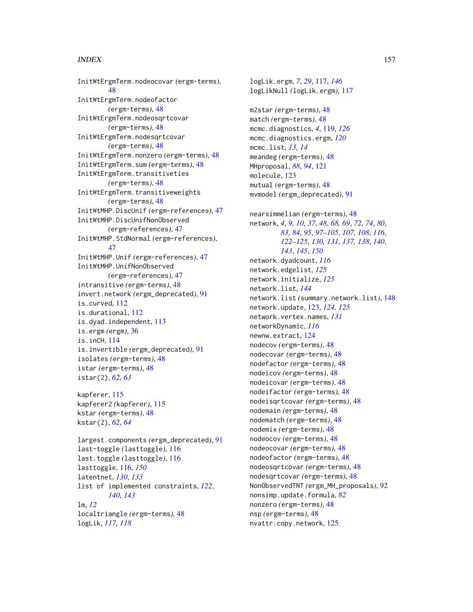InitWtErgmTerm.nodeocovar *(*ergm-terms*)*, [48](#page-47-1) InitWtErgmTerm.nodeofactor *(*ergm-terms*)*, [48](#page-47-1) InitWtErgmTerm.nodeosqrtcovar *(*ergm-terms*)*, [48](#page-47-1) InitWtErgmTerm.nodesqrtcovar *(*ergm-terms*)*, [48](#page-47-1) InitWtErgmTerm.nonzero *(*ergm-terms*)*, [48](#page-47-1) InitWtErgmTerm.sum *(*ergm-terms*)*, [48](#page-47-1) InitWtErgmTerm.transitiveties *(*ergm-terms*)*, [48](#page-47-1) InitWtErgmTerm.transitiveweights *(*ergm-terms*)*, [48](#page-47-1) InitWtMHP.DiscUnif *(*ergm-references*)*, [47](#page-46-0) InitWtMHP.DiscUnifNonObserved *(*ergm-references*)*, [47](#page-46-0) InitWtMHP.StdNormal *(*ergm-references*)*, [47](#page-46-0) InitWtMHP.Unif *(*ergm-references*)*, [47](#page-46-0) InitWtMHP.UnifNonObserved *(*ergm-references*)*, [47](#page-46-0) intransitive *(*ergm-terms*)*, [48](#page-47-1) invert.network *(*ergm\_deprecated*)*, [91](#page-90-0) is.curved, [112](#page-111-0) is.durational, [112](#page-111-0) is.dyad.independent, [113](#page-112-0) is.ergm *(*ergm*)*, [36](#page-35-1) is.inCH, [114](#page-113-0) is.invertible *(*ergm\_deprecated*)*, [91](#page-90-0) isolates *(*ergm-terms*)*, [48](#page-47-1) istar *(*ergm-terms*)*, [48](#page-47-1) istar(2), *[62,](#page-61-0) [63](#page-62-0)*

kapferer, [115](#page-114-0) kapferer2 *(*kapferer*)*, [115](#page-114-0) kstar *(*ergm-terms*)*, [48](#page-47-1) kstar(2), *[62](#page-61-0)*, *[64](#page-63-0)*

largest.components *(*ergm\_deprecated*)*, [91](#page-90-0) last-toggle *(*lasttoggle*)*, [116](#page-115-1) last.toggle *(*lasttoggle*)*, [116](#page-115-1) lasttoggle, [116,](#page-115-1) *[150](#page-149-0)* latentnet, *[130](#page-129-0)*, *[133](#page-132-0)* list of implemented constraints, *[122](#page-121-0)*, *[140](#page-139-0)*, *[143](#page-142-0)* lm, *[12](#page-11-1)* localtriangle *(*ergm-terms*)*, [48](#page-47-1) logLik, *[117,](#page-116-1) [118](#page-117-0)*

logLik.ergm, *[7](#page-6-0)*, *[29](#page-28-0)*, [117,](#page-116-1) *[146](#page-145-1)* logLikNull *(*logLik.ergm*)*, [117](#page-116-1) m2star *(*ergm-terms*)*, [48](#page-47-1) match *(*ergm-terms*)*, [48](#page-47-1) mcmc.diagnostics, *[4](#page-3-0)*, [119,](#page-118-0) *[126](#page-125-0)* mcmc.diagnostics.ergm, *[120](#page-119-0)* mcmc.list, *[13,](#page-12-0) [14](#page-13-0)* meandeg *(*ergm-terms*)*, [48](#page-47-1) MHproposal, *[88](#page-87-0)*, *[94](#page-93-0)*, [121](#page-120-0) molecule, [123](#page-122-0) mutual *(*ergm-terms*)*, [48](#page-47-1) mvmodel *(*ergm\_deprecated*)*, [91](#page-90-0) nearsimmelian *(*ergm-terms*)*, [48](#page-47-1) network, *[4](#page-3-0)*, *[9,](#page-8-0) [10](#page-9-0)*, *[37](#page-36-0)*, *[48](#page-47-1)*, *[68,](#page-67-0) [69](#page-68-0)*, *[72](#page-71-0)*, *[74](#page-73-0)*, *[80](#page-79-0)*, *[83,](#page-82-0) [84](#page-83-0)*, *[95](#page-94-0)*, *[97](#page-96-0)[–105](#page-104-0)*, *[107,](#page-106-0) [108](#page-107-0)*, *[116](#page-115-1)*, *[122](#page-121-0)[–125](#page-124-0)*, *[130,](#page-129-0) [131](#page-130-0)*, *[137,](#page-136-0) [138](#page-137-0)*, *[140](#page-139-0)*, *[143](#page-142-0)*, *[145](#page-144-0)*, *[150](#page-149-0)* network.dyadcount, *[116](#page-115-1)* network.edgelist, *[125](#page-124-0)* network.initialize, *[125](#page-124-0)* network.list, *[144](#page-143-0)* network.list *(*summary.network.list*)*, [148](#page-147-0) network.update, [123,](#page-122-0) *[124,](#page-123-0) [125](#page-124-0)* network.vertex.names, *[131](#page-130-0)* networkDynamic, *[116](#page-115-1)* newnw.extract, [124](#page-123-0) nodecov *(*ergm-terms*)*, [48](#page-47-1) nodecovar *(*ergm-terms*)*, [48](#page-47-1) nodefactor *(*ergm-terms*)*, [48](#page-47-1) nodeicov *(*ergm-terms*)*, [48](#page-47-1) nodeicovar *(*ergm-terms*)*, [48](#page-47-1) nodeifactor *(*ergm-terms*)*, [48](#page-47-1) nodeisqrtcovar *(*ergm-terms*)*, [48](#page-47-1) nodemain *(*ergm-terms*)*, [48](#page-47-1) nodematch *(*ergm-terms*)*, [48](#page-47-1) nodemix *(*ergm-terms*)*, [48](#page-47-1) nodeocov *(*ergm-terms*)*, [48](#page-47-1) nodeocovar *(*ergm-terms*)*, [48](#page-47-1) nodeofactor *(*ergm-terms*)*, [48](#page-47-1) nodeosqrtcovar *(*ergm-terms*)*, [48](#page-47-1) nodesqrtcovar *(*ergm-terms*)*, [48](#page-47-1) NonObservedTNT *(*ergm\_MH\_proposals*)*, [92](#page-91-0) nonsimp.update.formula, *[82](#page-81-0)* nonzero *(*ergm-terms*)*, [48](#page-47-1) nsp *(*ergm-terms*)*, [48](#page-47-1) nvattr.copy.network, [125](#page-124-0)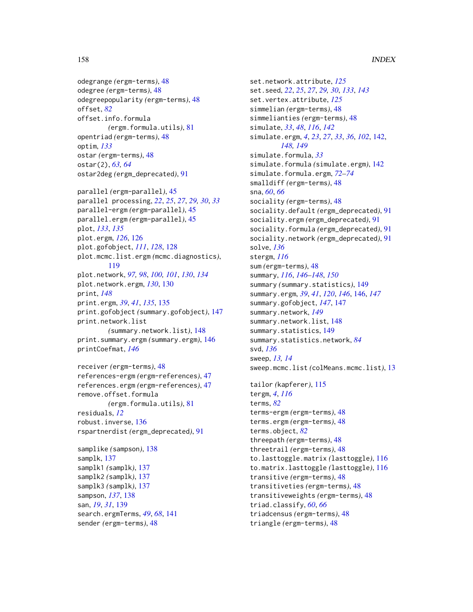```
odegrange (ergm-terms), 48
odegree (ergm-terms), 48
odegreepopularity (ergm-terms), 48
offset, 82
offset.info.formula
        (ergm.formula.utils), 81
opentriad (ergm-terms), 48
optim, 133
ostar (ergm-terms), 48
ostar(2), 63, 64
ostar2deg (ergm_deprecated), 91
parallel (ergm-parallel), 45
parallel processing, 22, 25, 27, 29, 30, 33
parallel-ergm (ergm-parallel), 45
parallel.ergm (ergm-parallel), 45
plot, 133, 135
plot.ergm, 126, 126
```
plot.gofobject, *[111](#page-110-0)*, *[128](#page-127-0)*, [128](#page-127-0) plot.mcmc.list.ergm *(*mcmc.diagnostics*)*, [119](#page-118-0) plot.network, *[97,](#page-96-0) [98](#page-97-0)*, *[100,](#page-99-0) [101](#page-100-0)*, *[130](#page-129-0)*, *[134](#page-133-0)* plot.network.ergm, *[130](#page-129-0)*, [130](#page-129-0) print, *[148](#page-147-0)* print.ergm, *[39](#page-38-0)*, *[41](#page-40-0)*, *[135](#page-134-0)*, [135](#page-134-0) print.gofobject *(*summary.gofobject*)*, [147](#page-146-1) print.network.list *(*summary.network.list*)*, [148](#page-147-0) print.summary.ergm *(*summary.ergm*)*, [146](#page-145-1) printCoefmat, *[146](#page-145-1)*

```
receiver (ergm-terms), 48
references-ergm (ergm-references), 47
references.ergm (ergm-references), 47
remove.offset.formula
        (ergm.formula.utils), 81
residuals, 12
robust.inverse, 136
rspartnerdist (ergm_deprecated), 91
samplike (sampson), 138
```

```
samplk, 137
samplk1 (samplk), 137
samplk2 (samplk), 137
samplk3 (samplk), 137
sampson, 137, 138
san, 19, 31, 139
search.ergmTerms, 49, 68, 141
sender (ergm-terms), 48
```
set.network.attribute, *[125](#page-124-0)* set.seed, *[22](#page-21-0)*, *[25](#page-24-0)*, *[27](#page-26-0)*, *[29,](#page-28-0) [30](#page-29-0)*, *[133](#page-132-0)*, *[143](#page-142-0)* set.vertex.attribute, *[125](#page-124-0)* simmelian *(*ergm-terms*)*, [48](#page-47-1) simmelianties *(*ergm-terms*)*, [48](#page-47-1) simulate, *[33](#page-32-0)*, *[48](#page-47-1)*, *[116](#page-115-1)*, *[142](#page-141-1)* simulate.ergm, *[4](#page-3-0)*, *[23](#page-22-0)*, *[27](#page-26-0)*, *[33](#page-32-0)*, *[36](#page-35-1)*, *[102](#page-101-0)*, [142,](#page-141-1) *[148,](#page-147-0) [149](#page-148-1)* simulate.formula, *[33](#page-32-0)* simulate.formula *(*simulate.ergm*)*, [142](#page-141-1) simulate.formula.ergm, *[72](#page-71-0)[–74](#page-73-0)* smalldiff *(*ergm-terms*)*, [48](#page-47-1) sna, *[60](#page-59-0)*, *[66](#page-65-0)* sociality *(*ergm-terms*)*, [48](#page-47-1) sociality.default *(*ergm\_deprecated*)*, [91](#page-90-0) sociality.ergm *(*ergm\_deprecated*)*, [91](#page-90-0) sociality.formula *(*ergm\_deprecated*)*, [91](#page-90-0) sociality.network *(*ergm\_deprecated*)*, [91](#page-90-0) solve, *[136](#page-135-0)* stergm, *[116](#page-115-1)* sum *(*ergm-terms*)*, [48](#page-47-1) summary, *[116](#page-115-1)*, *[146](#page-145-1)[–148](#page-147-0)*, *[150](#page-149-0)* summary *(*summary.statistics*)*, [149](#page-148-1) summary.ergm, *[39](#page-38-0)*, *[41](#page-40-0)*, *[120](#page-119-0)*, *[146](#page-145-1)*, [146,](#page-145-1) *[147](#page-146-1)* summary.gofobject, *[147](#page-146-1)*, [147](#page-146-1) summary.network, *[149](#page-148-1)* summary.network.list, [148](#page-147-0) summary.statistics, [149](#page-148-1) summary.statistics.network, *[84](#page-83-0)* svd, *[136](#page-135-0)* sweep, *[13,](#page-12-0) [14](#page-13-0)* sweep.mcmc.list *(*colMeans.mcmc.list*)*, [13](#page-12-0) tailor *(*kapferer*)*, [115](#page-114-0) tergm, *[4](#page-3-0)*, *[116](#page-115-1)* terms, *[82](#page-81-0)* terms-ergm *(*ergm-terms*)*, [48](#page-47-1) terms.ergm *(*ergm-terms*)*, [48](#page-47-1) terms.object, *[82](#page-81-0)* threepath *(*ergm-terms*)*, [48](#page-47-1) threetrail *(*ergm-terms*)*, [48](#page-47-1) to.lasttoggle.matrix *(*lasttoggle*)*, [116](#page-115-1) to.matrix.lasttoggle *(*lasttoggle*)*, [116](#page-115-1) transitive *(*ergm-terms*)*, [48](#page-47-1) transitiveties *(*ergm-terms*)*, [48](#page-47-1) transitiveweights *(*ergm-terms*)*, [48](#page-47-1) triad.classify, *[60](#page-59-0)*, *[66](#page-65-0)* triadcensus *(*ergm-terms*)*, [48](#page-47-1)

triangle *(*ergm-terms*)*, [48](#page-47-1)